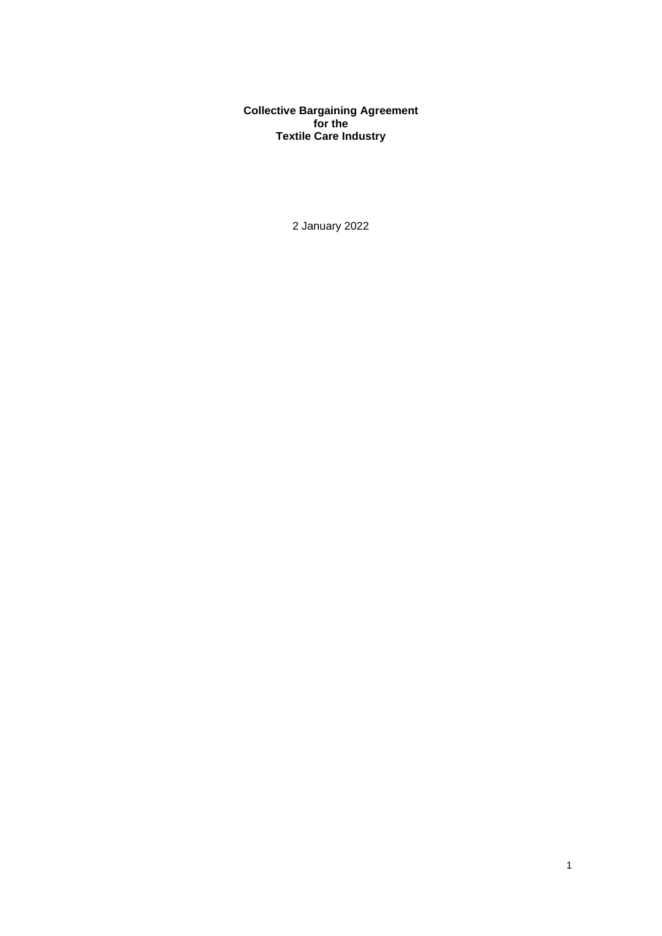**Collective Bargaining Agreement for the Textile Care Industry**

2 January 2022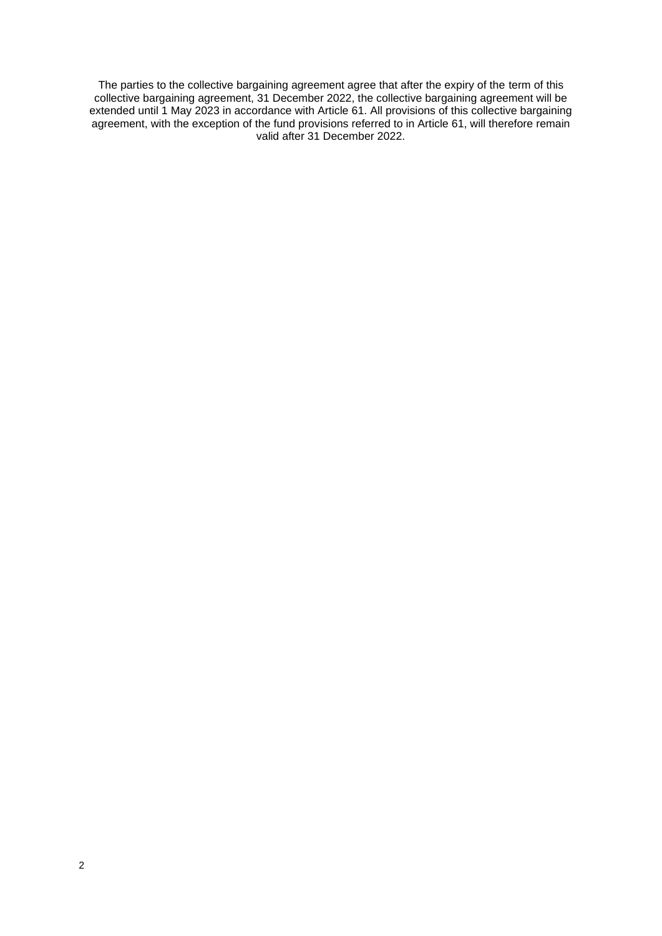The parties to the collective bargaining agreement agree that after the expiry of the term of this collective bargaining agreement, 31 December 2022, the collective bargaining agreement will be extended until 1 May 2023 in accordance with Article 61. All provisions of this collective bargaining agreement, with the exception of the fund provisions referred to in Article 61, will therefore remain valid after 31 December 2022.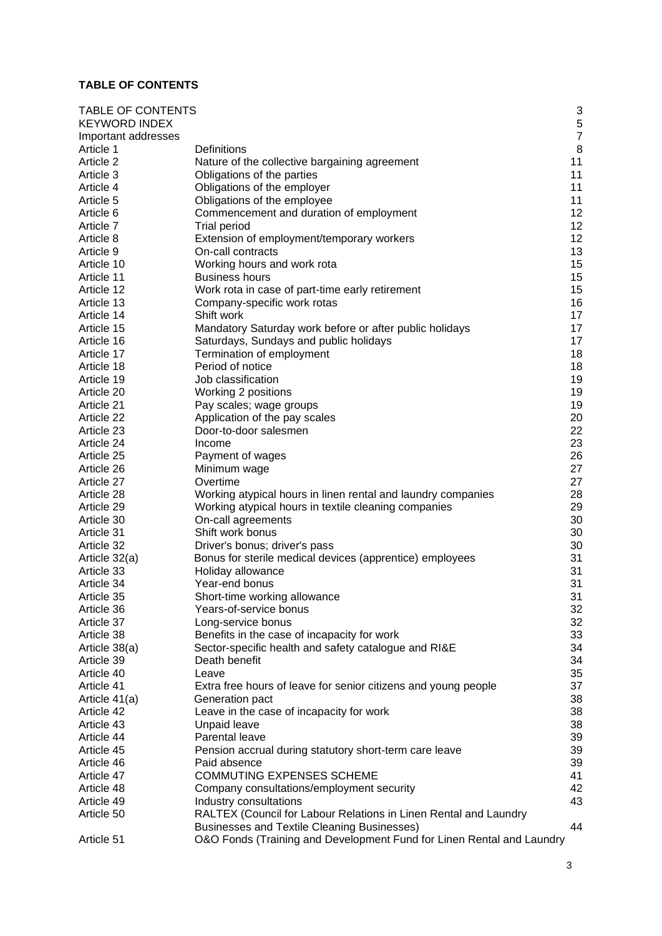# <span id="page-2-0"></span>**TABLE OF CONTENTS**

| <b>TABLE OF CONTENTS</b> |                                                                       | 3             |
|--------------------------|-----------------------------------------------------------------------|---------------|
| <b>KEYWORD INDEX</b>     |                                                                       |               |
| Important addresses      |                                                                       | $\frac{5}{7}$ |
| Article 1                | Definitions                                                           | 8             |
| Article 2                | Nature of the collective bargaining agreement                         | 11            |
| Article 3                | Obligations of the parties                                            | 11            |
| Article 4                | Obligations of the employer                                           | 11            |
| Article 5                | Obligations of the employee                                           | 11            |
| Article 6                | Commencement and duration of employment                               | 12            |
| Article 7                | <b>Trial period</b>                                                   | 12            |
| Article 8                | Extension of employment/temporary workers                             | 12            |
| Article 9                | On-call contracts                                                     | 13            |
| Article 10               | Working hours and work rota                                           | 15            |
| Article 11               | <b>Business hours</b>                                                 | 15            |
| Article 12               | Work rota in case of part-time early retirement                       | 15            |
| Article 13               | Company-specific work rotas                                           | 16            |
| Article 14               | Shift work                                                            | 17            |
| Article 15               | Mandatory Saturday work before or after public holidays               | 17            |
| Article 16               | Saturdays, Sundays and public holidays                                | 17            |
| Article 17               | Termination of employment                                             | 18            |
| Article 18               | Period of notice                                                      | 18            |
| Article 19               | Job classification                                                    | 19            |
| Article 20               | Working 2 positions                                                   | 19            |
| Article 21               | Pay scales; wage groups                                               | 19            |
| Article 22               | Application of the pay scales                                         | 20            |
| Article 23               | Door-to-door salesmen                                                 | 22            |
| Article 24               | Income                                                                | 23            |
| Article 25               | Payment of wages                                                      | 26            |
| Article 26               | Minimum wage                                                          | 27            |
| Article 27               | Overtime                                                              | 27            |
| Article 28               | Working atypical hours in linen rental and laundry companies          | 28            |
| Article 29               | Working atypical hours in textile cleaning companies                  | 29            |
| Article 30               | On-call agreements                                                    | 30            |
| Article 31               | Shift work bonus                                                      | 30            |
| Article 32               | Driver's bonus; driver's pass                                         | 30            |
| Article 32(a)            | Bonus for sterile medical devices (apprentice) employees              | 31            |
| Article 33               | Holiday allowance                                                     | 31            |
| Article 34               | Year-end bonus                                                        | 31            |
| Article 35               | Short-time working allowance                                          | 31            |
| Article 36               | Years-of-service bonus                                                | 32            |
| Article 37               | Long-service bonus                                                    | 32            |
| Article 38               | Benefits in the case of incapacity for work                           | 33            |
| Article 38(a)            | Sector-specific health and safety catalogue and RI&E                  | 34            |
| Article 39               | Death benefit                                                         | 34            |
| Article 40               | Leave                                                                 | 35            |
| Article 41               | Extra free hours of leave for senior citizens and young people        | 37            |
| Article 41(a)            | Generation pact                                                       | 38            |
| Article 42               | Leave in the case of incapacity for work                              | 38            |
| Article 43               | Unpaid leave                                                          | 38            |
| Article 44               | Parental leave                                                        | 39            |
| Article 45               | Pension accrual during statutory short-term care leave                | 39            |
| Article 46               | Paid absence                                                          | 39            |
| Article 47               | <b>COMMUTING EXPENSES SCHEME</b>                                      | 41            |
| Article 48               | Company consultations/employment security                             | 42            |
| Article 49               | Industry consultations                                                | 43            |
| Article 50               | RALTEX (Council for Labour Relations in Linen Rental and Laundry      |               |
|                          | Businesses and Textile Cleaning Businesses)                           | 44            |
| Article 51               | O&O Fonds (Training and Development Fund for Linen Rental and Laundry |               |
|                          |                                                                       |               |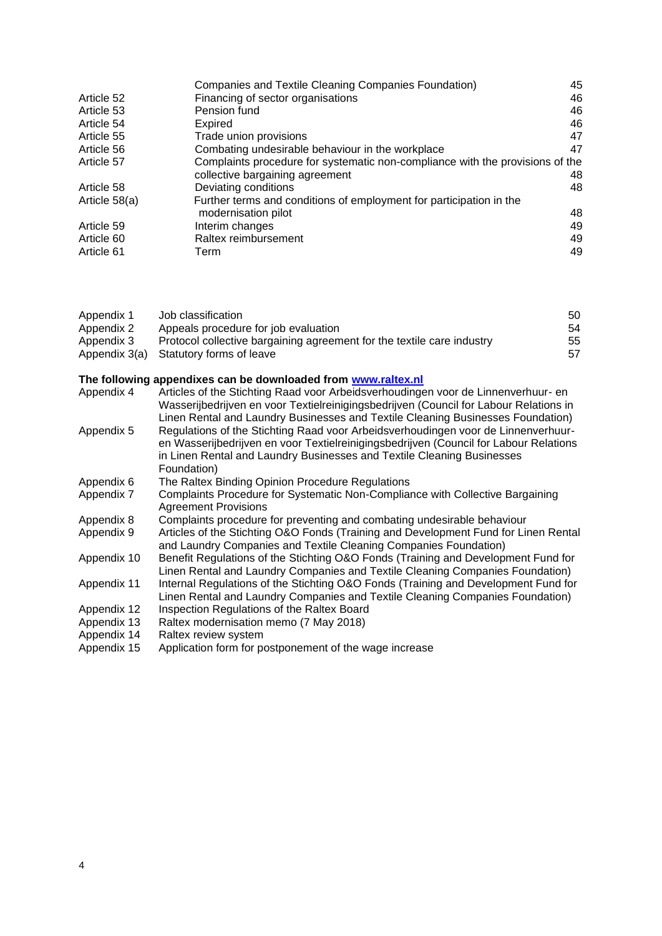|               | Companies and Textile Cleaning Companies Foundation)                          | 45 |
|---------------|-------------------------------------------------------------------------------|----|
| Article 52    | Financing of sector organisations                                             | 46 |
| Article 53    | Pension fund                                                                  | 46 |
| Article 54    | Expired                                                                       | 46 |
| Article 55    | Trade union provisions                                                        | 47 |
| Article 56    | Combating undesirable behaviour in the workplace                              | 47 |
| Article 57    | Complaints procedure for systematic non-compliance with the provisions of the |    |
|               | collective bargaining agreement                                               | 48 |
| Article 58    | Deviating conditions                                                          | 48 |
| Article 58(a) | Further terms and conditions of employment for participation in the           |    |
|               | modernisation pilot                                                           | 48 |
| Article 59    | Interim changes                                                               | 49 |
| Article 60    | Raltex reimbursement                                                          | 49 |
| Article 61    | Term                                                                          | 49 |

| Appendix 1    | Job classification                                                                                                                                      | 50 |
|---------------|---------------------------------------------------------------------------------------------------------------------------------------------------------|----|
| Appendix 2    | Appeals procedure for job evaluation                                                                                                                    | 54 |
| Appendix 3    | Protocol collective bargaining agreement for the textile care industry                                                                                  | 55 |
| Appendix 3(a) | Statutory forms of leave                                                                                                                                | 57 |
|               | The following appendixes can be downloaded from www.raltex.nl                                                                                           |    |
| Appendix 4    | Articles of the Stichting Raad voor Arbeidsverhoudingen voor de Linnenverhuur- en                                                                       |    |
|               | Wasserijbedrijven en voor Textielreinigingsbedrijven (Council for Labour Relations in                                                                   |    |
|               | Linen Rental and Laundry Businesses and Textile Cleaning Businesses Foundation)                                                                         |    |
| Appendix 5    | Regulations of the Stichting Raad voor Arbeidsverhoudingen voor de Linnenverhuur-                                                                       |    |
|               | en Wasserijbedrijven en voor Textielreinigingsbedrijven (Council for Labour Relations                                                                   |    |
|               | in Linen Rental and Laundry Businesses and Textile Cleaning Businesses                                                                                  |    |
|               | Foundation)                                                                                                                                             |    |
| Appendix 6    | The Raltex Binding Opinion Procedure Regulations                                                                                                        |    |
| Appendix 7    | Complaints Procedure for Systematic Non-Compliance with Collective Bargaining                                                                           |    |
|               | <b>Agreement Provisions</b>                                                                                                                             |    |
| Appendix 8    | Complaints procedure for preventing and combating undesirable behaviour                                                                                 |    |
| Appendix 9    | Articles of the Stichting O&O Fonds (Training and Development Fund for Linen Rental<br>and Laundry Companies and Textile Cleaning Companies Foundation) |    |
| Appendix 10   | Benefit Regulations of the Stichting O&O Fonds (Training and Development Fund for                                                                       |    |
|               | Linen Rental and Laundry Companies and Textile Cleaning Companies Foundation)                                                                           |    |
| Appendix 11   | Internal Regulations of the Stichting O&O Fonds (Training and Development Fund for                                                                      |    |
|               | Linen Rental and Laundry Companies and Textile Cleaning Companies Foundation)                                                                           |    |
| Appendix 12   | Inspection Regulations of the Raltex Board                                                                                                              |    |
| Appendix 13   | Raltex modernisation memo (7 May 2018)                                                                                                                  |    |
| Appendix 14   | Raltex review system                                                                                                                                    |    |
| Appendix 15   | Application form for postponement of the wage increase                                                                                                  |    |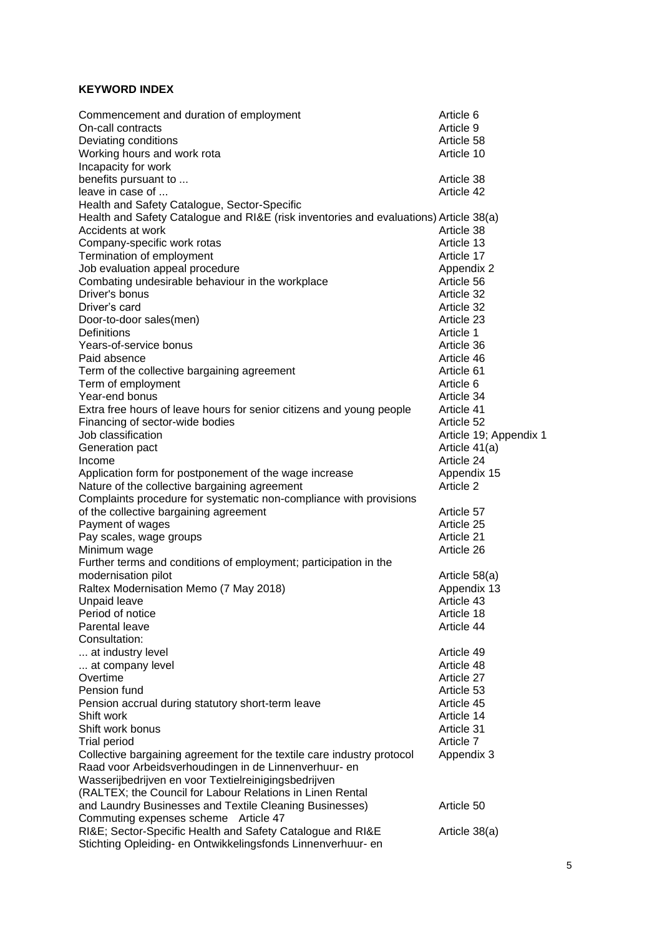# <span id="page-4-0"></span>**KEYWORD INDEX**

| Commencement and duration of employment                                                           | Article 6              |
|---------------------------------------------------------------------------------------------------|------------------------|
| On-call contracts                                                                                 | Article 9              |
| Deviating conditions                                                                              | Article 58             |
| Working hours and work rota                                                                       | Article 10             |
| Incapacity for work                                                                               |                        |
| benefits pursuant to                                                                              | Article 38             |
| leave in case of                                                                                  | Article 42             |
| Health and Safety Catalogue, Sector-Specific                                                      |                        |
| Health and Safety Catalogue and RI&E (risk inventories and evaluations) Article 38(a)             |                        |
| Accidents at work                                                                                 | Article 38             |
| Company-specific work rotas                                                                       | Article 13             |
| Termination of employment                                                                         | Article 17             |
| Job evaluation appeal procedure                                                                   | Appendix 2             |
| Combating undesirable behaviour in the workplace                                                  | Article 56             |
| Driver's bonus                                                                                    | Article 32             |
| Driver's card                                                                                     | Article 32             |
| Door-to-door sales(men)                                                                           | Article 23             |
| Definitions                                                                                       | Article 1              |
| Years-of-service bonus                                                                            | Article 36             |
| Paid absence                                                                                      | Article 46             |
| Term of the collective bargaining agreement                                                       | Article 61             |
| Term of employment                                                                                | Article 6              |
| Year-end bonus                                                                                    | Article 34             |
| Extra free hours of leave hours for senior citizens and young people                              | Article 41             |
| Financing of sector-wide bodies                                                                   | Article 52             |
| Job classification                                                                                | Article 19; Appendix 1 |
| Generation pact                                                                                   | Article 41(a)          |
| Income                                                                                            | Article 24             |
| Application form for postponement of the wage increase                                            | Appendix 15            |
| Nature of the collective bargaining agreement                                                     | Article 2              |
| Complaints procedure for systematic non-compliance with provisions                                |                        |
| of the collective bargaining agreement                                                            | Article 57             |
| Payment of wages                                                                                  | Article 25             |
| Pay scales, wage groups                                                                           | Article 21             |
| Minimum wage                                                                                      | Article 26             |
| Further terms and conditions of employment; participation in the                                  |                        |
| modernisation pilot                                                                               | Article 58(a)          |
| Raltex Modernisation Memo (7 May 2018)                                                            | Appendix 13            |
| Unpaid leave                                                                                      | Article 43             |
| Period of notice                                                                                  | Article 18             |
| Parental leave                                                                                    | Article 44             |
| Consultation:                                                                                     |                        |
| at industry level                                                                                 | Article 49             |
| at company level                                                                                  | Article 48             |
| Overtime                                                                                          | Article 27             |
| Pension fund                                                                                      | Article 53             |
| Pension accrual during statutory short-term leave                                                 | Article 45             |
| Shift work<br>Shift work bonus                                                                    | Article 14             |
|                                                                                                   | Article 31             |
| <b>Trial period</b>                                                                               | Article 7              |
| Collective bargaining agreement for the textile care industry protocol                            | Appendix 3             |
| Raad voor Arbeidsverhoudingen in de Linnenverhuur- en                                             |                        |
| Wasserijbedrijven en voor Textielreinigingsbedrijven                                              |                        |
| (RALTEX; the Council for Labour Relations in Linen Rental                                         |                        |
| and Laundry Businesses and Textile Cleaning Businesses)                                           | Article 50             |
| Commuting expenses scheme Article 47<br>RI&E Sector-Specific Health and Safety Catalogue and RI&E |                        |
| Stichting Opleiding- en Ontwikkelingsfonds Linnenverhuur- en                                      | Article 38(a)          |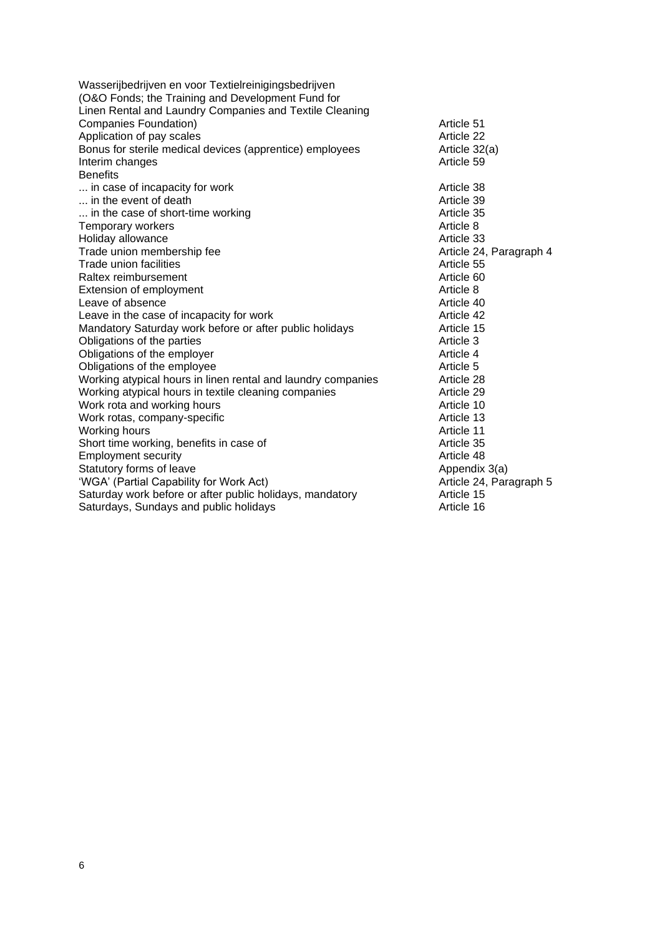Wasserijbedrijven en voor Textielreinigingsbedrijven (O&O Fonds; the Training and Development Fund for Linen Rental and Laundry Companies and Textile Cleaning Companies Foundation) and the companies Foundation companies Foundation companies of the Companies of the Companies of the Companies of the Companies of the Companies of the Companies of the Companies of the Companies of t Application of pay scales Bonus for sterile medical devices (apprentice) employees Article 32(a) Interim changes Article 59 **Benefits** ... in case of incapacity for work **Article 38**<br>
... in the event of death **Article 39** ... in the event of death **Article 39**<br>
... in the case of short-time working and article 35 ... in the case of short-time working Article 35 Temporary workers and the control of the control of the control of the control of the control of the control of the control of the control of the control of the control of the control of the control of the control of the c Holiday allowance<br>
Trade union membership fee<br>
Trade union membership fee<br>
Article 24, Paragraph 4 Trade union membership fee Trade union facilities and the set of the set of the set of the Article 55 and Article 55 and Article 60 and Article 60 and Article 60 and Article 60 and Article 60 and Article 60 and Article 60 and Article 60 and Article Raltex reimbursement and the state of the SC and Table 7 and Table 7 and Table 7 and Table 7 and Table 7 and Table 7 and Table 7 and Table 7 and Table 7 and Table 7 and Table 7 and Table 7 and Table 7 and Table 7 and Table Extension of employment Leave of absence **Article 40**<br>
Leave in the case of incapacity for work **Article 42**<br>
Article 42 Leave in the case of incapacity for work<br>
Mandatory Saturday work before or after public holidays **Article 15** Mandatory Saturday work before or after public holidays Obligations of the parties and the particle 3 obligations of the employer and the set of the employer of the employer and the set of the employer of the employer of the set of the employer of the set of the set of the empl Obligations of the employer and the employer of the employee of the employee of the employee of the employee of the employee of the employee of the employee of the employee of the employee of the employee of the employee o Obligations of the employee Working atypical hours in linen rental and laundry companies Article 28 Working atypical hours in textile cleaning companies Article 29 Work rota and working hours and working the state of the state of the state of the state of the state of the state of the state of the state of the state of the state of the state of the state of the state of the state of Work rotas, company-specific **Article 13** Article 13 Working hours<br>
Short time working, benefits in case of Theorem Article 11<br>
Article 35 Short time working, benefits in case of **Article 35**<br>Employment security **Article 48** Employment security Statutory forms of leave Appendix 3(a) 'WGA' (Partial Capability for Work Act)<br>
Saturdav work before or after public holidavs, mandatory **Article 15** Saturday work before or after public holidays, mandatory **Article 15**<br>Saturdays, Sundays and public holidays **Article 16** Saturdays, Sundays and public holidays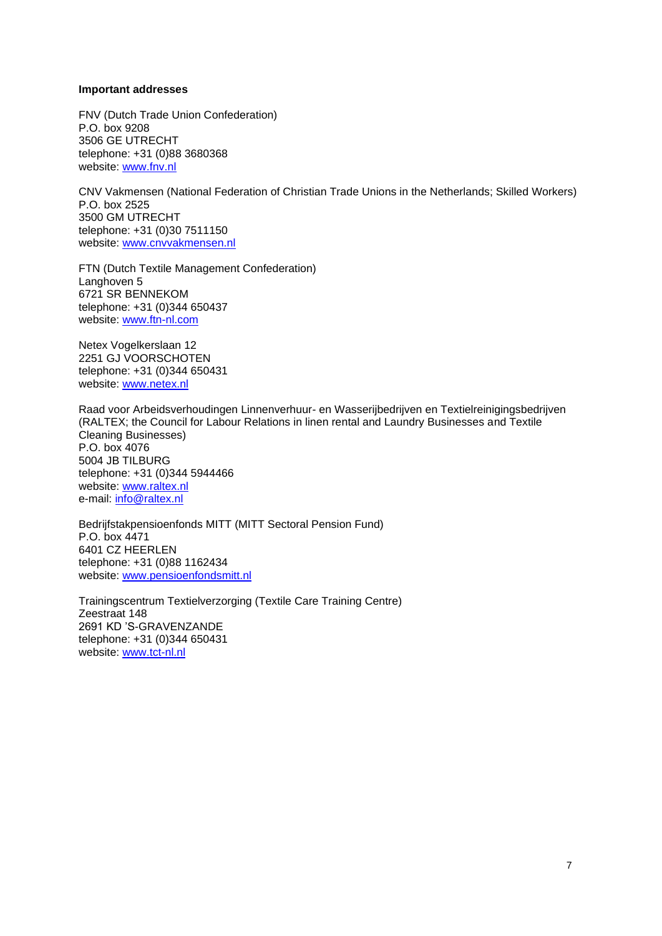#### <span id="page-6-0"></span>**Important addresses**

FNV (Dutch Trade Union Confederation) P.O. box 9208 3506 GE UTRECHT telephone: +31 (0)88 3680368 website: [www.fnv.nl](http://www.fnv.nl/)

CNV Vakmensen (National Federation of Christian Trade Unions in the Netherlands; Skilled Workers) P.O. box 2525 3500 GM UTRECHT telephone: +31 (0)30 7511150 website: [www.cnvvakmensen.nl](http://www.cnvvakmensen.nl/)

FTN (Dutch Textile Management Confederation) Langhoven 5 6721 SR BENNEKOM telephone: +31 (0)344 650437 website: [www.ftn-nl.com](http://www.ftn-nl.com/)

Netex Vogelkerslaan 12 2251 GJ VOORSCHOTEN telephone: +31 (0)344 650431 website: [www.netex.nl](http://www.netex.nl/)

Raad voor Arbeidsverhoudingen Linnenverhuur- en Wasserijbedrijven en Textielreinigingsbedrijven (RALTEX; the Council for Labour Relations in linen rental and Laundry Businesses and Textile Cleaning Businesses) P.O. box 4076 5004 JB TILBURG telephone: +31 (0)344 5944466 website: [www.raltex.nl](http://www.raltex.nl/) e-mail: [info@raltex.nl](mailto:info@raltex.nl)

Bedrijfstakpensioenfonds MITT (MITT Sectoral Pension Fund) P.O. box 4471 6401 CZ HEERLEN telephone: +31 (0)88 1162434 website: [www.pensioenfondsmitt.nl](http://www.pensioenfondsmitt.nl/)

Trainingscentrum Textielverzorging (Textile Care Training Centre) Zeestraat 148 2691 KD 'S-GRAVENZANDE telephone: +31 (0)344 650431 website: [www.tct-nl.nl](http://www.tct-nl.nl/)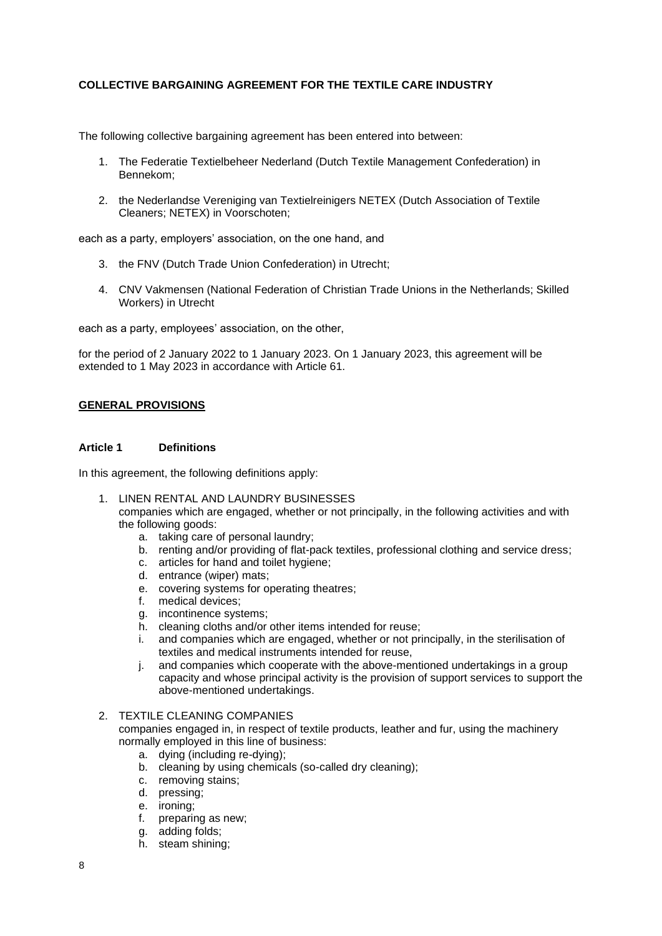# **COLLECTIVE BARGAINING AGREEMENT FOR THE TEXTILE CARE INDUSTRY**

The following collective bargaining agreement has been entered into between:

- 1. The Federatie Textielbeheer Nederland (Dutch Textile Management Confederation) in Bennekom;
- 2. the Nederlandse Vereniging van Textielreinigers NETEX (Dutch Association of Textile Cleaners; NETEX) in Voorschoten;

each as a party, employers' association, on the one hand, and

- 3. the FNV (Dutch Trade Union Confederation) in Utrecht;
- 4. CNV Vakmensen (National Federation of Christian Trade Unions in the Netherlands; Skilled Workers) in Utrecht

each as a party, employees' association, on the other,

for the period of 2 January 2022 to 1 January 2023. On 1 January 2023, this agreement will be extended to 1 May 2023 in accordance with Article 61.

#### **GENERAL PROVISIONS**

# <span id="page-7-0"></span>**Article 1 Definitions**

In this agreement, the following definitions apply:

- 1. LINEN RENTAL AND LAUNDRY BUSINESSES
	- companies which are engaged, whether or not principally, in the following activities and with the following goods:
		- a. taking care of personal laundry;
		- b. renting and/or providing of flat-pack textiles, professional clothing and service dress;
		- c. articles for hand and toilet hygiene;
		- d. entrance (wiper) mats;
		- e. covering systems for operating theatres;
		- f. medical devices;
		- g. incontinence systems;
		- h. cleaning cloths and/or other items intended for reuse;
		- i. and companies which are engaged, whether or not principally, in the sterilisation of textiles and medical instruments intended for reuse,
		- j. and companies which cooperate with the above-mentioned undertakings in a group capacity and whose principal activity is the provision of support services to support the above-mentioned undertakings.

# 2. TEXTILE CLEANING COMPANIES

companies engaged in, in respect of textile products, leather and fur, using the machinery normally employed in this line of business:

- a. dying (including re-dying);
- b. cleaning by using chemicals (so-called dry cleaning);
- c. removing stains;
- d. pressing;
- e. ironing;
- f. preparing as new;
- g. adding folds;
- h. steam shining;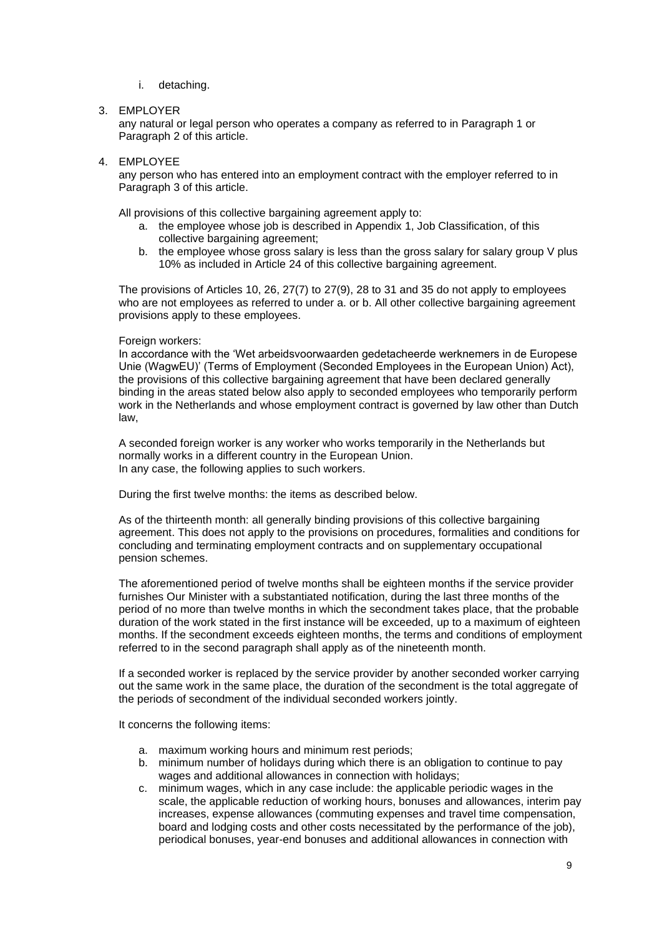i. detaching.

# 3. EMPLOYER

any natural or legal person who operates a company as referred to in Paragraph 1 or Paragraph 2 of this article.

4. EMPLOYEE

any person who has entered into an employment contract with the employer referred to in Paragraph 3 of this article.

All provisions of this collective bargaining agreement apply to:

- a. the employee whose job is described in Appendix 1, Job Classification, of this collective bargaining agreement;
- b. the employee whose gross salary is less than the gross salary for salary group V plus 10% as included in Article 24 of this collective bargaining agreement.

The provisions of Articles 10, 26, 27(7) to 27(9), 28 to 31 and 35 do not apply to employees who are not employees as referred to under a. or b. All other collective bargaining agreement provisions apply to these employees.

#### Foreign workers:

In accordance with the 'Wet arbeidsvoorwaarden gedetacheerde werknemers in de Europese Unie (WagwEU)' (Terms of Employment (Seconded Employees in the European Union) Act), the provisions of this collective bargaining agreement that have been declared generally binding in the areas stated below also apply to seconded employees who temporarily perform work in the Netherlands and whose employment contract is governed by law other than Dutch law,

A seconded foreign worker is any worker who works temporarily in the Netherlands but normally works in a different country in the European Union. In any case, the following applies to such workers.

During the first twelve months: the items as described below.

As of the thirteenth month: all generally binding provisions of this collective bargaining agreement. This does not apply to the provisions on procedures, formalities and conditions for concluding and terminating employment contracts and on supplementary occupational pension schemes.

The aforementioned period of twelve months shall be eighteen months if the service provider furnishes Our Minister with a substantiated notification, during the last three months of the period of no more than twelve months in which the secondment takes place, that the probable duration of the work stated in the first instance will be exceeded, up to a maximum of eighteen months. If the secondment exceeds eighteen months, the terms and conditions of employment referred to in the second paragraph shall apply as of the nineteenth month.

If a seconded worker is replaced by the service provider by another seconded worker carrying out the same work in the same place, the duration of the secondment is the total aggregate of the periods of secondment of the individual seconded workers jointly.

It concerns the following items:

- a. maximum working hours and minimum rest periods;
- b. minimum number of holidays during which there is an obligation to continue to pay wages and additional allowances in connection with holidays;
- c. minimum wages, which in any case include: the applicable periodic wages in the scale, the applicable reduction of working hours, bonuses and allowances, interim pay increases, expense allowances (commuting expenses and travel time compensation, board and lodging costs and other costs necessitated by the performance of the job), periodical bonuses, year-end bonuses and additional allowances in connection with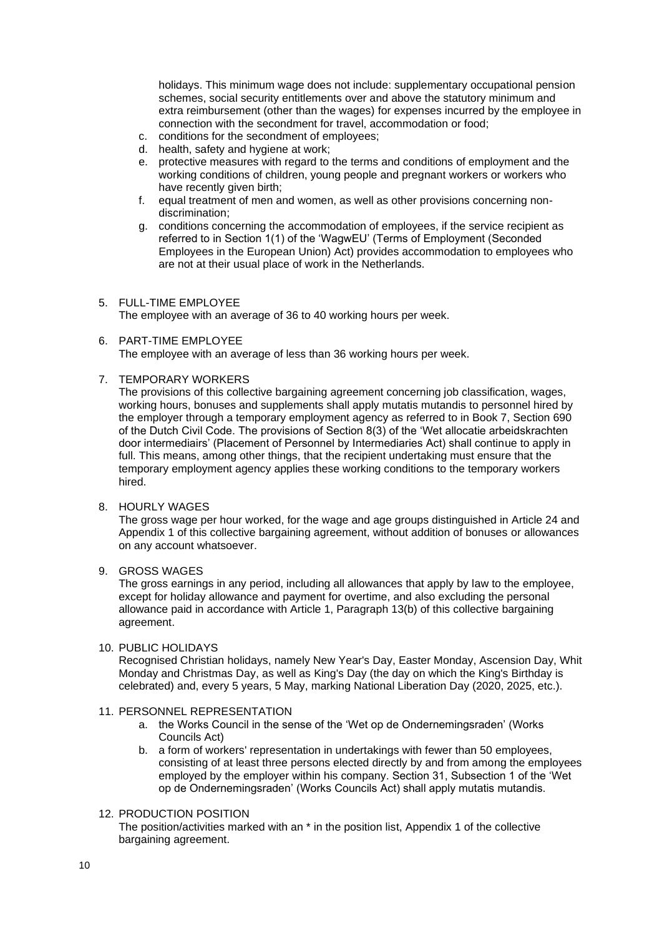holidays. This minimum wage does not include: supplementary occupational pension schemes, social security entitlements over and above the statutory minimum and extra reimbursement (other than the wages) for expenses incurred by the employee in connection with the secondment for travel, accommodation or food;

- c. conditions for the secondment of employees;
- d. health, safety and hygiene at work;
- e. protective measures with regard to the terms and conditions of employment and the working conditions of children, young people and pregnant workers or workers who have recently given birth;
- f. equal treatment of men and women, as well as other provisions concerning nondiscrimination;
- g. conditions concerning the accommodation of employees, if the service recipient as referred to in Section 1(1) of the 'WagwEU' (Terms of Employment (Seconded Employees in the European Union) Act) provides accommodation to employees who are not at their usual place of work in the Netherlands.

#### 5. FULL-TIME EMPLOYEE

The employee with an average of 36 to 40 working hours per week.

# 6. PART-TIME EMPLOYEE

The employee with an average of less than 36 working hours per week.

7. TEMPORARY WORKERS

The provisions of this collective bargaining agreement concerning job classification, wages, working hours, bonuses and supplements shall apply mutatis mutandis to personnel hired by the employer through a temporary employment agency as referred to in Book 7, Section 690 of the Dutch Civil Code. The provisions of Section 8(3) of the 'Wet allocatie arbeidskrachten door intermediairs' (Placement of Personnel by Intermediaries Act) shall continue to apply in full. This means, among other things, that the recipient undertaking must ensure that the temporary employment agency applies these working conditions to the temporary workers hired.

8. HOURLY WAGES

The gross wage per hour worked, for the wage and age groups distinguished in Article 24 and Appendix 1 of this collective bargaining agreement, without addition of bonuses or allowances on any account whatsoever.

#### 9. GROSS WAGES

The gross earnings in any period, including all allowances that apply by law to the employee, except for holiday allowance and payment for overtime, and also excluding the personal allowance paid in accordance with Article 1, Paragraph 13(b) of this collective bargaining agreement.

#### 10. PUBLIC HOLIDAYS

Recognised Christian holidays, namely New Year's Day, Easter Monday, Ascension Day, Whit Monday and Christmas Day, as well as King's Day (the day on which the King's Birthday is celebrated) and, every 5 years, 5 May, marking National Liberation Day (2020, 2025, etc.).

#### 11. PERSONNEL REPRESENTATION

- a. the Works Council in the sense of the 'Wet op de Ondernemingsraden' (Works Councils Act)
- b. a form of workers' representation in undertakings with fewer than 50 employees, consisting of at least three persons elected directly by and from among the employees employed by the employer within his company. Section 31, Subsection 1 of the 'Wet op de Ondernemingsraden' (Works Councils Act) shall apply mutatis mutandis.

# 12. PRODUCTION POSITION

The position/activities marked with an \* in the position list, Appendix 1 of the collective bargaining agreement.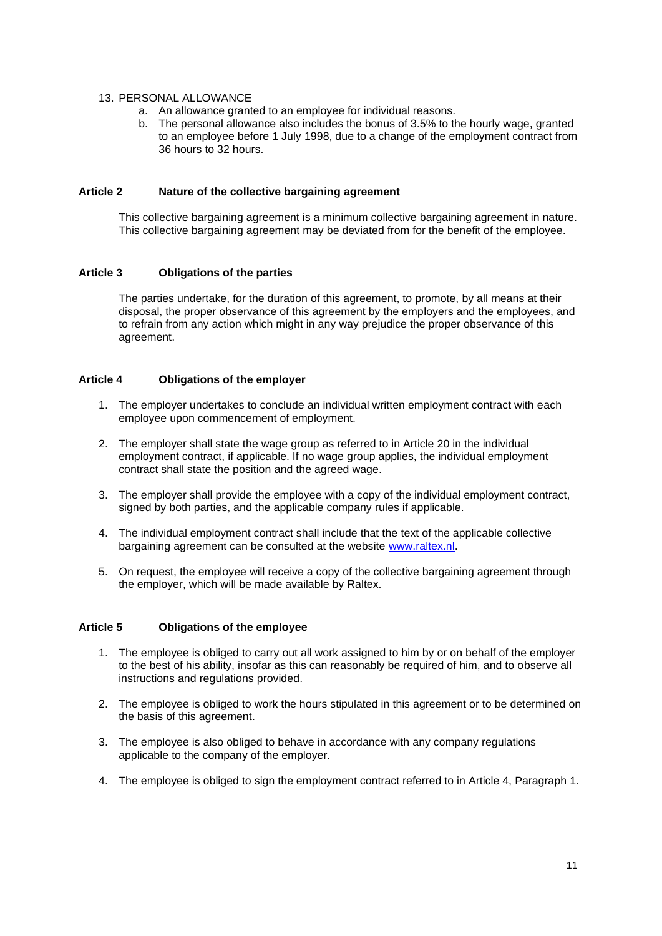# 13. PERSONAL ALLOWANCE

- a. An allowance granted to an employee for individual reasons.
- b. The personal allowance also includes the bonus of 3.5% to the hourly wage, granted to an employee before 1 July 1998, due to a change of the employment contract from 36 hours to 32 hours.

# <span id="page-10-0"></span>**Article 2 Nature of the collective bargaining agreement**

This collective bargaining agreement is a minimum collective bargaining agreement in nature. This collective bargaining agreement may be deviated from for the benefit of the employee.

# <span id="page-10-1"></span>**Article 3 Obligations of the parties**

The parties undertake, for the duration of this agreement, to promote, by all means at their disposal, the proper observance of this agreement by the employers and the employees, and to refrain from any action which might in any way prejudice the proper observance of this agreement.

# <span id="page-10-2"></span>**Article 4 Obligations of the employer**

- 1. The employer undertakes to conclude an individual written employment contract with each employee upon commencement of employment.
- 2. The employer shall state the wage group as referred to in Article 20 in the individual employment contract, if applicable. If no wage group applies, the individual employment contract shall state the position and the agreed wage.
- 3. The employer shall provide the employee with a copy of the individual employment contract, signed by both parties, and the applicable company rules if applicable.
- 4. The individual employment contract shall include that the text of the applicable collective bargaining agreement can be consulted at the website [www.raltex.nl.](http://www.raltex.nl/)
- 5. On request, the employee will receive a copy of the collective bargaining agreement through the employer, which will be made available by Raltex.

# <span id="page-10-3"></span>**Article 5 Obligations of the employee**

- 1. The employee is obliged to carry out all work assigned to him by or on behalf of the employer to the best of his ability, insofar as this can reasonably be required of him, and to observe all instructions and regulations provided.
- 2. The employee is obliged to work the hours stipulated in this agreement or to be determined on the basis of this agreement.
- 3. The employee is also obliged to behave in accordance with any company regulations applicable to the company of the employer.
- 4. The employee is obliged to sign the employment contract referred to in Article 4, Paragraph 1.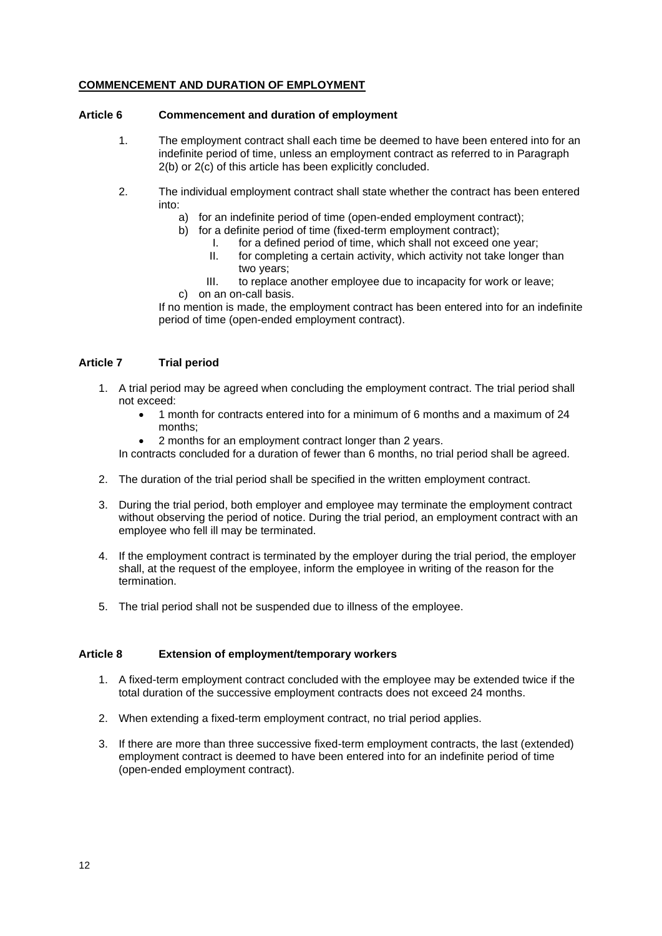# **COMMENCEMENT AND DURATION OF EMPLOYMENT**

#### <span id="page-11-0"></span>**Article 6 Commencement and duration of employment**

- 1. The employment contract shall each time be deemed to have been entered into for an indefinite period of time, unless an employment contract as referred to in Paragraph 2(b) or 2(c) of this article has been explicitly concluded.
- 2. The individual employment contract shall state whether the contract has been entered into:
	- a) for an indefinite period of time (open-ended employment contract);
	- b) for a definite period of time (fixed-term employment contract);
		- I. for a defined period of time, which shall not exceed one year;
		- II. for completing a certain activity, which activity not take longer than two years;
	- III. to replace another employee due to incapacity for work or leave; c) on an on-call basis.

If no mention is made, the employment contract has been entered into for an indefinite period of time (open-ended employment contract).

# <span id="page-11-1"></span>**Article 7 Trial period**

- 1. A trial period may be agreed when concluding the employment contract. The trial period shall not exceed:
	- 1 month for contracts entered into for a minimum of 6 months and a maximum of 24 months;
	- 2 months for an employment contract longer than 2 years.

In contracts concluded for a duration of fewer than 6 months, no trial period shall be agreed.

- 2. The duration of the trial period shall be specified in the written employment contract.
- 3. During the trial period, both employer and employee may terminate the employment contract without observing the period of notice. During the trial period, an employment contract with an employee who fell ill may be terminated.
- 4. If the employment contract is terminated by the employer during the trial period, the employer shall, at the request of the employee, inform the employee in writing of the reason for the termination.
- 5. The trial period shall not be suspended due to illness of the employee.

# <span id="page-11-2"></span>**Article 8 Extension of employment/temporary workers**

- 1. A fixed-term employment contract concluded with the employee may be extended twice if the total duration of the successive employment contracts does not exceed 24 months.
- 2. When extending a fixed-term employment contract, no trial period applies.
- 3. If there are more than three successive fixed-term employment contracts, the last (extended) employment contract is deemed to have been entered into for an indefinite period of time (open-ended employment contract).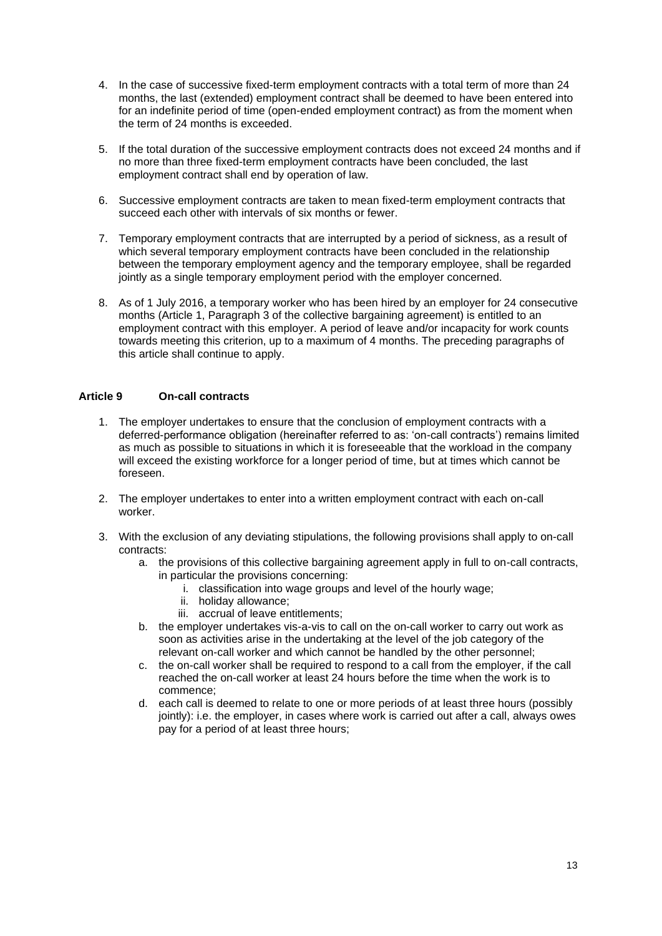- 4. In the case of successive fixed-term employment contracts with a total term of more than 24 months, the last (extended) employment contract shall be deemed to have been entered into for an indefinite period of time (open-ended employment contract) as from the moment when the term of 24 months is exceeded.
- 5. If the total duration of the successive employment contracts does not exceed 24 months and if no more than three fixed-term employment contracts have been concluded, the last employment contract shall end by operation of law.
- 6. Successive employment contracts are taken to mean fixed-term employment contracts that succeed each other with intervals of six months or fewer.
- 7. Temporary employment contracts that are interrupted by a period of sickness, as a result of which several temporary employment contracts have been concluded in the relationship between the temporary employment agency and the temporary employee, shall be regarded jointly as a single temporary employment period with the employer concerned.
- 8. As of 1 July 2016, a temporary worker who has been hired by an employer for 24 consecutive months (Article 1, Paragraph 3 of the collective bargaining agreement) is entitled to an employment contract with this employer. A period of leave and/or incapacity for work counts towards meeting this criterion, up to a maximum of 4 months. The preceding paragraphs of this article shall continue to apply.

# <span id="page-12-0"></span>**Article 9 On-call contracts**

- 1. The employer undertakes to ensure that the conclusion of employment contracts with a deferred-performance obligation (hereinafter referred to as: 'on-call contracts') remains limited as much as possible to situations in which it is foreseeable that the workload in the company will exceed the existing workforce for a longer period of time, but at times which cannot be foreseen.
- 2. The employer undertakes to enter into a written employment contract with each on-call worker.
- 3. With the exclusion of any deviating stipulations, the following provisions shall apply to on-call contracts:
	- a. the provisions of this collective bargaining agreement apply in full to on-call contracts, in particular the provisions concerning:
		- i. classification into wage groups and level of the hourly wage;
		- ii. holiday allowance;
		- iii. accrual of leave entitlements;
	- b. the employer undertakes vis-a-vis to call on the on-call worker to carry out work as soon as activities arise in the undertaking at the level of the job category of the relevant on-call worker and which cannot be handled by the other personnel;
	- c. the on-call worker shall be required to respond to a call from the employer, if the call reached the on-call worker at least 24 hours before the time when the work is to commence;
	- d. each call is deemed to relate to one or more periods of at least three hours (possibly jointly): i.e. the employer, in cases where work is carried out after a call, always owes pay for a period of at least three hours;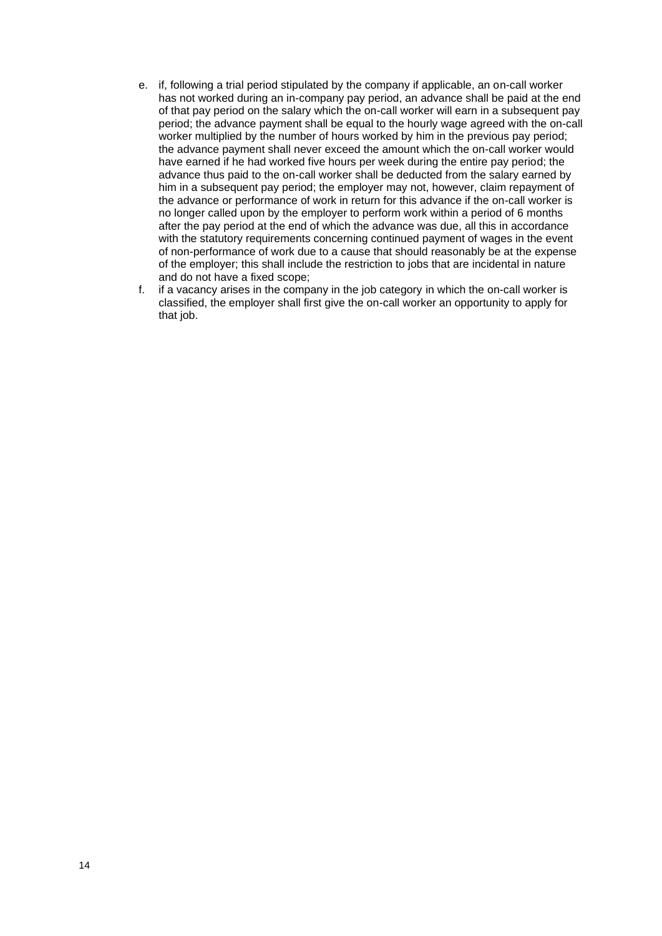- e. if, following a trial period stipulated by the company if applicable, an on-call worker has not worked during an in-company pay period, an advance shall be paid at the end of that pay period on the salary which the on-call worker will earn in a subsequent pay period; the advance payment shall be equal to the hourly wage agreed with the on-call worker multiplied by the number of hours worked by him in the previous pay period; the advance payment shall never exceed the amount which the on-call worker would have earned if he had worked five hours per week during the entire pay period; the advance thus paid to the on-call worker shall be deducted from the salary earned by him in a subsequent pay period; the employer may not, however, claim repayment of the advance or performance of work in return for this advance if the on-call worker is no longer called upon by the employer to perform work within a period of 6 months after the pay period at the end of which the advance was due, all this in accordance with the statutory requirements concerning continued payment of wages in the event of non-performance of work due to a cause that should reasonably be at the expense of the employer; this shall include the restriction to jobs that are incidental in nature and do not have a fixed scope;
- f. if a vacancy arises in the company in the job category in which the on-call worker is classified, the employer shall first give the on-call worker an opportunity to apply for that job.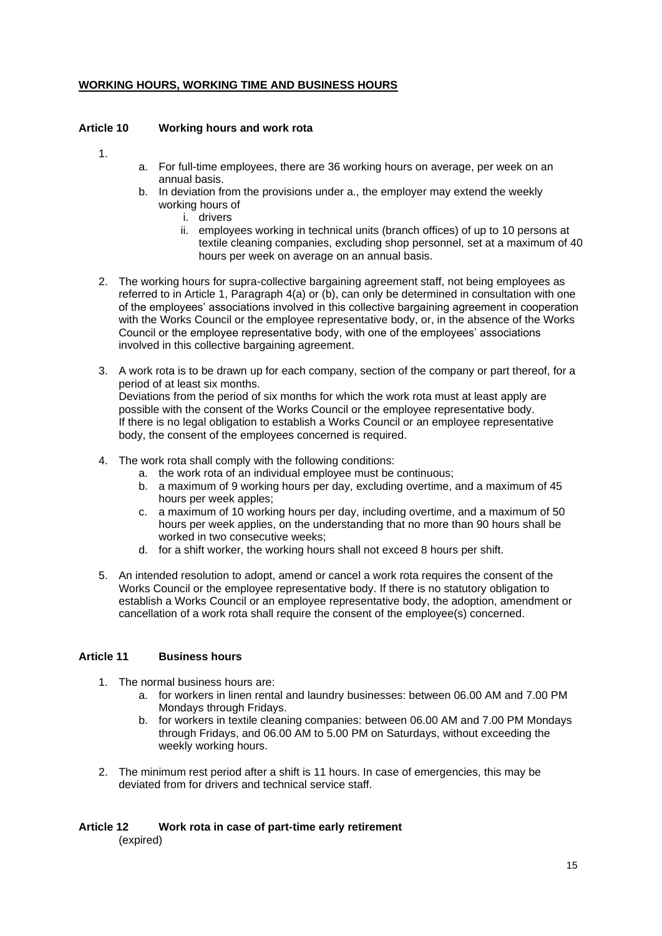# **WORKING HOURS, WORKING TIME AND BUSINESS HOURS**

# <span id="page-14-0"></span>**Article 10 Working hours and work rota**

1.

- a. For full-time employees, there are 36 working hours on average, per week on an annual basis.
- b. In deviation from the provisions under a., the employer may extend the weekly working hours of
	- i. drivers
	- ii. employees working in technical units (branch offices) of up to 10 persons at textile cleaning companies, excluding shop personnel, set at a maximum of 40 hours per week on average on an annual basis.
- 2. The working hours for supra-collective bargaining agreement staff, not being employees as referred to in Article 1, Paragraph 4(a) or (b), can only be determined in consultation with one of the employees' associations involved in this collective bargaining agreement in cooperation with the Works Council or the employee representative body, or, in the absence of the Works Council or the employee representative body, with one of the employees' associations involved in this collective bargaining agreement.
- 3. A work rota is to be drawn up for each company, section of the company or part thereof, for a period of at least six months. Deviations from the period of six months for which the work rota must at least apply are possible with the consent of the Works Council or the employee representative body. If there is no legal obligation to establish a Works Council or an employee representative body, the consent of the employees concerned is required.
- 4. The work rota shall comply with the following conditions:
	- a. the work rota of an individual employee must be continuous;
	- b. a maximum of 9 working hours per day, excluding overtime, and a maximum of 45 hours per week apples;
	- c. a maximum of 10 working hours per day, including overtime, and a maximum of 50 hours per week applies, on the understanding that no more than 90 hours shall be worked in two consecutive weeks;
	- d. for a shift worker, the working hours shall not exceed 8 hours per shift.
- 5. An intended resolution to adopt, amend or cancel a work rota requires the consent of the Works Council or the employee representative body. If there is no statutory obligation to establish a Works Council or an employee representative body, the adoption, amendment or cancellation of a work rota shall require the consent of the employee(s) concerned.

# <span id="page-14-1"></span>**Article 11 Business hours**

- 1. The normal business hours are:
	- a. for workers in linen rental and laundry businesses: between 06.00 AM and 7.00 PM Mondays through Fridays.
	- b. for workers in textile cleaning companies: between 06.00 AM and 7.00 PM Mondays through Fridays, and 06.00 AM to 5.00 PM on Saturdays, without exceeding the weekly working hours.
- 2. The minimum rest period after a shift is 11 hours. In case of emergencies, this may be deviated from for drivers and technical service staff.

#### <span id="page-14-2"></span>**Article 12 Work rota in case of part-time early retirement** (expired)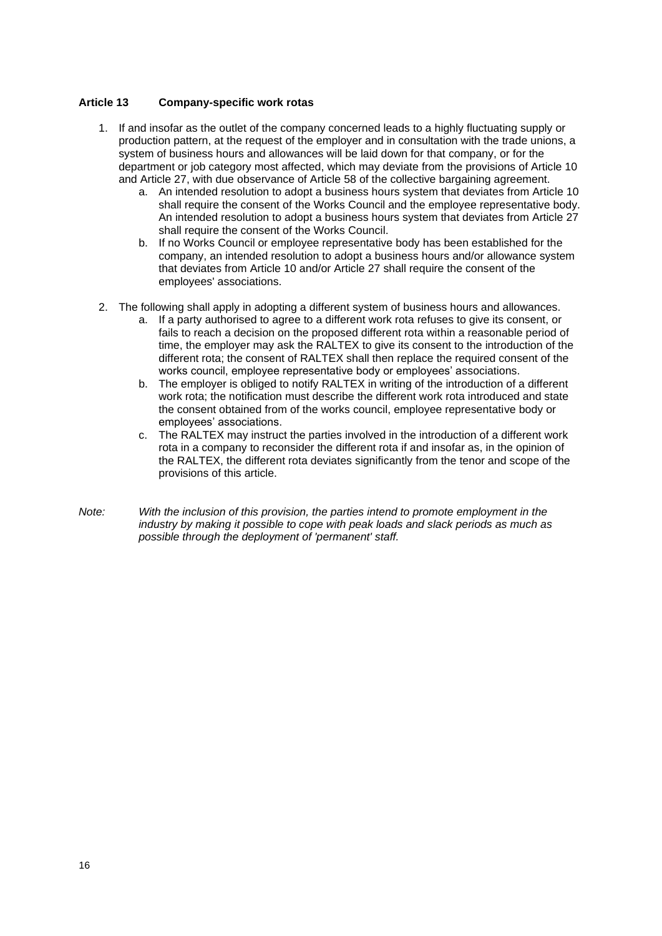# <span id="page-15-0"></span>**Article 13 Company-specific work rotas**

- 1. If and insofar as the outlet of the company concerned leads to a highly fluctuating supply or production pattern, at the request of the employer and in consultation with the trade unions, a system of business hours and allowances will be laid down for that company, or for the department or job category most affected, which may deviate from the provisions of Article 10 and Article 27, with due observance of Article 58 of the collective bargaining agreement.
	- a. An intended resolution to adopt a business hours system that deviates from Article 10 shall require the consent of the Works Council and the employee representative body. An intended resolution to adopt a business hours system that deviates from Article 27 shall require the consent of the Works Council.
	- b. If no Works Council or employee representative body has been established for the company, an intended resolution to adopt a business hours and/or allowance system that deviates from Article 10 and/or Article 27 shall require the consent of the employees' associations.
- 2. The following shall apply in adopting a different system of business hours and allowances.
	- a. If a party authorised to agree to a different work rota refuses to give its consent, or fails to reach a decision on the proposed different rota within a reasonable period of time, the employer may ask the RALTEX to give its consent to the introduction of the different rota; the consent of RALTEX shall then replace the required consent of the works council, employee representative body or employees' associations.
	- b. The employer is obliged to notify RALTEX in writing of the introduction of a different work rota; the notification must describe the different work rota introduced and state the consent obtained from of the works council, employee representative body or employees' associations.
	- c. The RALTEX may instruct the parties involved in the introduction of a different work rota in a company to reconsider the different rota if and insofar as, in the opinion of the RALTEX, the different rota deviates significantly from the tenor and scope of the provisions of this article.
- *Note: With the inclusion of this provision, the parties intend to promote employment in the industry by making it possible to cope with peak loads and slack periods as much as possible through the deployment of 'permanent' staff.*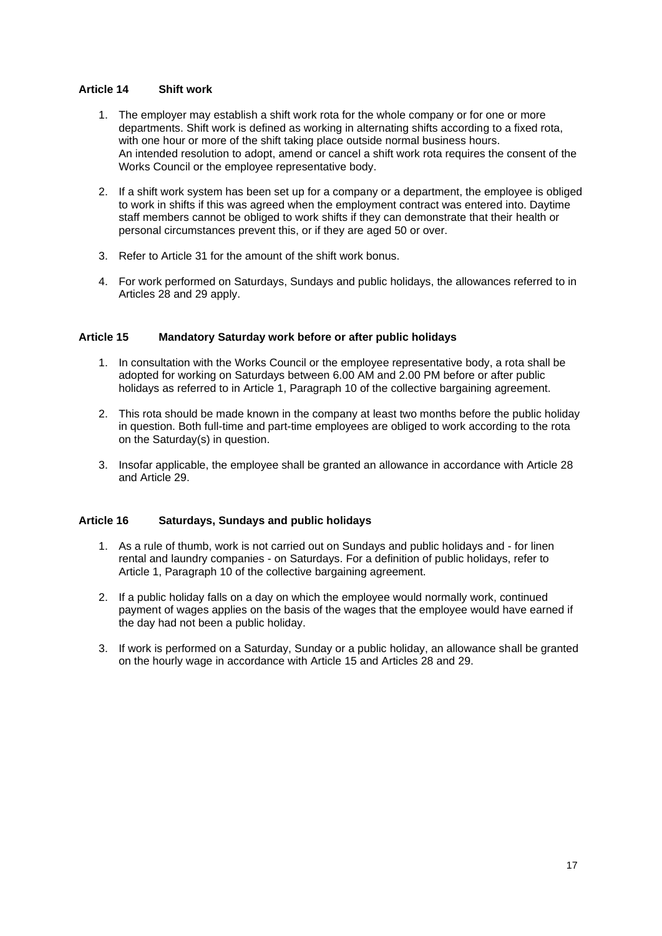# <span id="page-16-0"></span>**Article 14 Shift work**

- 1. The employer may establish a shift work rota for the whole company or for one or more departments. Shift work is defined as working in alternating shifts according to a fixed rota, with one hour or more of the shift taking place outside normal business hours. An intended resolution to adopt, amend or cancel a shift work rota requires the consent of the Works Council or the employee representative body.
- 2. If a shift work system has been set up for a company or a department, the employee is obliged to work in shifts if this was agreed when the employment contract was entered into. Daytime staff members cannot be obliged to work shifts if they can demonstrate that their health or personal circumstances prevent this, or if they are aged 50 or over.
- 3. Refer to Article 31 for the amount of the shift work bonus.
- 4. For work performed on Saturdays, Sundays and public holidays, the allowances referred to in Articles 28 and 29 apply.

# <span id="page-16-1"></span>**Article 15 Mandatory Saturday work before or after public holidays**

- 1. In consultation with the Works Council or the employee representative body, a rota shall be adopted for working on Saturdays between 6.00 AM and 2.00 PM before or after public holidays as referred to in Article 1, Paragraph 10 of the collective bargaining agreement.
- 2. This rota should be made known in the company at least two months before the public holiday in question. Both full-time and part-time employees are obliged to work according to the rota on the Saturday(s) in question.
- 3. Insofar applicable, the employee shall be granted an allowance in accordance with Article 28 and Article 29.

# <span id="page-16-2"></span>**Article 16 Saturdays, Sundays and public holidays**

- 1. As a rule of thumb, work is not carried out on Sundays and public holidays and for linen rental and laundry companies - on Saturdays. For a definition of public holidays, refer to Article 1, Paragraph 10 of the collective bargaining agreement.
- 2. If a public holiday falls on a day on which the employee would normally work, continued payment of wages applies on the basis of the wages that the employee would have earned if the day had not been a public holiday.
- 3. If work is performed on a Saturday, Sunday or a public holiday, an allowance shall be granted on the hourly wage in accordance with Article 15 and Articles 28 and 29.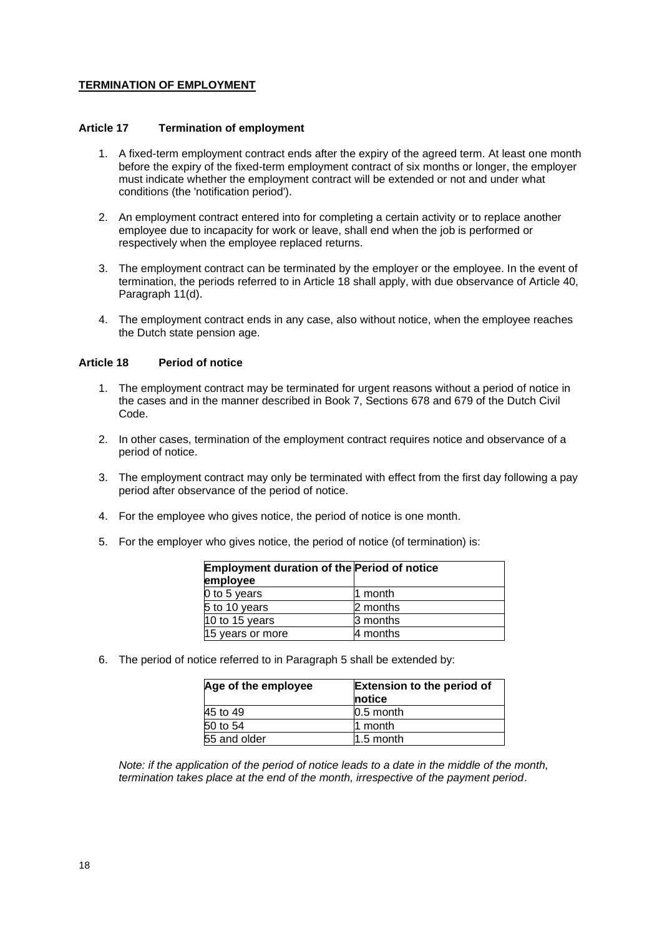# **TERMINATION OF EMPLOYMENT**

#### <span id="page-17-0"></span>**Article 17 Termination of employment**

- 1. A fixed-term employment contract ends after the expiry of the agreed term. At least one month before the expiry of the fixed-term employment contract of six months or longer, the employer must indicate whether the employment contract will be extended or not and under what conditions (the 'notification period').
- 2. An employment contract entered into for completing a certain activity or to replace another employee due to incapacity for work or leave, shall end when the job is performed or respectively when the employee replaced returns.
- 3. The employment contract can be terminated by the employer or the employee. In the event of termination, the periods referred to in Article 18 shall apply, with due observance of Article 40, Paragraph 11(d).
- 4. The employment contract ends in any case, also without notice, when the employee reaches the Dutch state pension age.

#### <span id="page-17-1"></span>**Article 18 Period of notice**

- 1. The employment contract may be terminated for urgent reasons without a period of notice in the cases and in the manner described in Book 7, Sections 678 and 679 of the Dutch Civil Code.
- 2. In other cases, termination of the employment contract requires notice and observance of a period of notice.
- 3. The employment contract may only be terminated with effect from the first day following a pay period after observance of the period of notice.
- 4. For the employee who gives notice, the period of notice is one month.
- 5. For the employer who gives notice, the period of notice (of termination) is:

| <b>Employment duration of the Period of notice</b><br>employee |          |
|----------------------------------------------------------------|----------|
| 0 to 5 years                                                   | 11 month |
| 5 to 10 years                                                  | 2 months |
| 10 to 15 years                                                 | 3 months |
| 15 years or more                                               | 4 months |

6. The period of notice referred to in Paragraph 5 shall be extended by:

| Age of the employee | <b>Extension to the period of</b><br><b>notice</b> |
|---------------------|----------------------------------------------------|
| 45 to 49            | $0.5$ month                                        |
| 50 to 54            | 11 month                                           |
| 55 and older        | $1.5$ month                                        |

*Note: if the application of the period of notice leads to a date in the middle of the month, termination takes place at the end of the month, irrespective of the payment period*.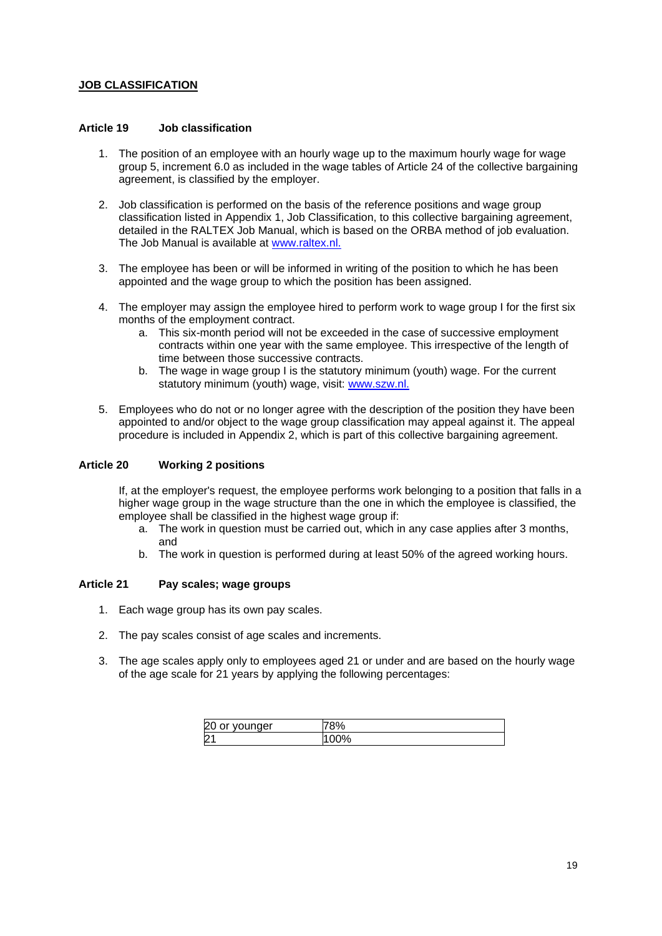# **JOB CLASSIFICATION**

#### <span id="page-18-0"></span>**Article 19 Job classification**

- 1. The position of an employee with an hourly wage up to the maximum hourly wage for wage group 5, increment 6.0 as included in the wage tables of Article 24 of the collective bargaining agreement, is classified by the employer.
- 2. Job classification is performed on the basis of the reference positions and wage group classification listed in Appendix 1, Job Classification, to this collective bargaining agreement, detailed in the RALTEX Job Manual, which is based on the ORBA method of job evaluation. The Job Manual is available at [www.raltex.nl.](http://www.raltex.nl/)
- 3. The employee has been or will be informed in writing of the position to which he has been appointed and the wage group to which the position has been assigned.
- 4. The employer may assign the employee hired to perform work to wage group I for the first six months of the employment contract.
	- a. This six-month period will not be exceeded in the case of successive employment contracts within one year with the same employee. This irrespective of the length of time between those successive contracts.
	- b. The wage in wage group I is the statutory minimum (youth) wage. For the current statutory minimum (youth) wage, visit: [www.szw.nl.](http://www.szw.nl/)
- 5. Employees who do not or no longer agree with the description of the position they have been appointed to and/or object to the wage group classification may appeal against it. The appeal procedure is included in Appendix 2, which is part of this collective bargaining agreement.

# <span id="page-18-1"></span>**Article 20 Working 2 positions**

If, at the employer's request, the employee performs work belonging to a position that falls in a higher wage group in the wage structure than the one in which the employee is classified, the employee shall be classified in the highest wage group if:

- a. The work in question must be carried out, which in any case applies after 3 months, and
- b. The work in question is performed during at least 50% of the agreed working hours.

# <span id="page-18-2"></span>**Article 21 Pay scales; wage groups**

- 1. Each wage group has its own pay scales.
- 2. The pay scales consist of age scales and increments.
- 3. The age scales apply only to employees aged 21 or under and are based on the hourly wage of the age scale for 21 years by applying the following percentages:

| vounger<br>ີ<br>ັ<br>×. |    |
|-------------------------|----|
|                         | ٠u |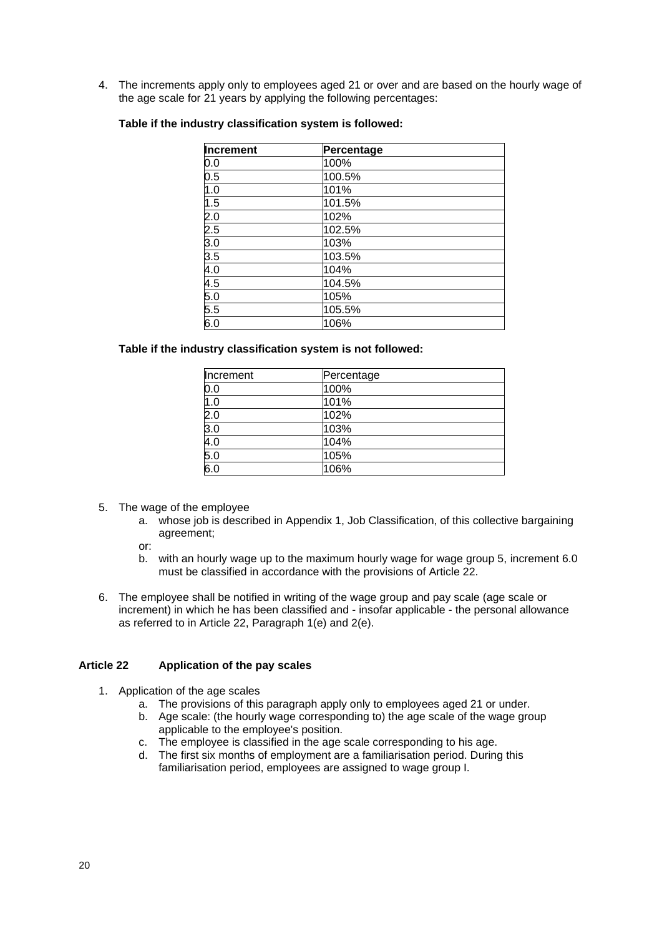4. The increments apply only to employees aged 21 or over and are based on the hourly wage of the age scale for 21 years by applying the following percentages:

| Increment | Percentage |  |
|-----------|------------|--|
| 0.0       | 100%       |  |
| 0.5       | 100.5%     |  |
| 1.0       | 101%       |  |
| 1.5       | 101.5%     |  |
| 2.0       | 102%       |  |
| 2.5       | 102.5%     |  |
| 3.0       | 103%       |  |
| 3.5       | 103.5%     |  |
| 4.0       | 104%       |  |
| 4.5       | 104.5%     |  |
| 5.0       | 105%       |  |
| 5.5       | 105.5%     |  |
| 6.0       | 106%       |  |

# **Table if the industry classification system is followed:**

#### **Table if the industry classification system is not followed:**

| Increment        | Percentage |
|------------------|------------|
| 0.0              | 100%       |
| 1.0              | 101%       |
| 2.0              | 102%       |
| $\overline{3.0}$ | 103%       |
| 4.0              | 104%       |
| $\overline{5.0}$ | 105%       |
| 6.0              | 106%       |

- 5. The wage of the employee
	- a. whose job is described in Appendix 1, Job Classification, of this collective bargaining agreement;
	- or:
	- b. with an hourly wage up to the maximum hourly wage for wage group 5, increment 6.0 must be classified in accordance with the provisions of Article 22.
- 6. The employee shall be notified in writing of the wage group and pay scale (age scale or increment) in which he has been classified and - insofar applicable - the personal allowance as referred to in Article 22, Paragraph 1(e) and 2(e).

#### <span id="page-19-0"></span>**Article 22 Application of the pay scales**

- 1. Application of the age scales
	- a. The provisions of this paragraph apply only to employees aged 21 or under.
	- b. Age scale: (the hourly wage corresponding to) the age scale of the wage group applicable to the employee's position.
	- c. The employee is classified in the age scale corresponding to his age.
	- d. The first six months of employment are a familiarisation period. During this familiarisation period, employees are assigned to wage group I.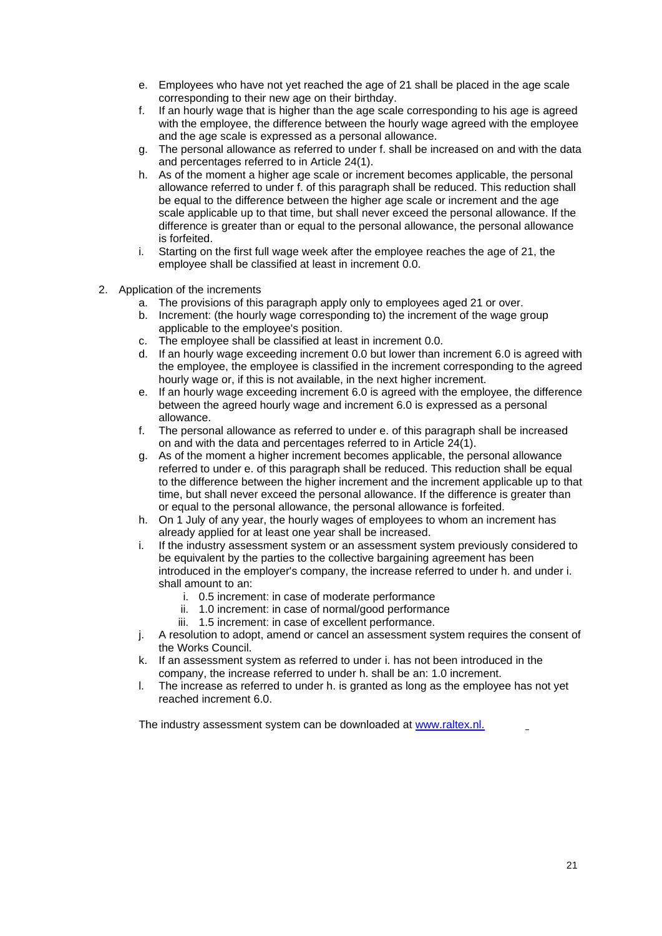- e. Employees who have not yet reached the age of 21 shall be placed in the age scale corresponding to their new age on their birthday.
- f. If an hourly wage that is higher than the age scale corresponding to his age is agreed with the employee, the difference between the hourly wage agreed with the employee and the age scale is expressed as a personal allowance.
- g. The personal allowance as referred to under f. shall be increased on and with the data and percentages referred to in Article 24(1).
- h. As of the moment a higher age scale or increment becomes applicable, the personal allowance referred to under f. of this paragraph shall be reduced. This reduction shall be equal to the difference between the higher age scale or increment and the age scale applicable up to that time, but shall never exceed the personal allowance. If the difference is greater than or equal to the personal allowance, the personal allowance is forfeited.
- i. Starting on the first full wage week after the employee reaches the age of 21, the employee shall be classified at least in increment 0.0.
- 2. Application of the increments
	- a. The provisions of this paragraph apply only to employees aged 21 or over.
	- b. Increment: (the hourly wage corresponding to) the increment of the wage group applicable to the employee's position.
	- c. The employee shall be classified at least in increment 0.0.
	- d. If an hourly wage exceeding increment 0.0 but lower than increment 6.0 is agreed with the employee, the employee is classified in the increment corresponding to the agreed hourly wage or, if this is not available, in the next higher increment.
	- e. If an hourly wage exceeding increment 6.0 is agreed with the employee, the difference between the agreed hourly wage and increment 6.0 is expressed as a personal allowance.
	- f. The personal allowance as referred to under e. of this paragraph shall be increased on and with the data and percentages referred to in Article 24(1).
	- g. As of the moment a higher increment becomes applicable, the personal allowance referred to under e. of this paragraph shall be reduced. This reduction shall be equal to the difference between the higher increment and the increment applicable up to that time, but shall never exceed the personal allowance. If the difference is greater than or equal to the personal allowance, the personal allowance is forfeited.
	- h. On 1 July of any year, the hourly wages of employees to whom an increment has already applied for at least one year shall be increased.
	- i. If the industry assessment system or an assessment system previously considered to be equivalent by the parties to the collective bargaining agreement has been introduced in the employer's company, the increase referred to under h. and under i. shall amount to an:
		- i. 0.5 increment: in case of moderate performance
		- ii. 1.0 increment: in case of normal/good performance
		- iii. 1.5 increment: in case of excellent performance.
	- j. A resolution to adopt, amend or cancel an assessment system requires the consent of the Works Council.
	- k. If an assessment system as referred to under i. has not been introduced in the company, the increase referred to under h. shall be an: 1.0 increment.
	- l. The increase as referred to under h. is granted as long as the employee has not yet reached increment 6.0.

The industry assessment system can be downloaded at [www.raltex.nl.](http://www.raltex.nl/)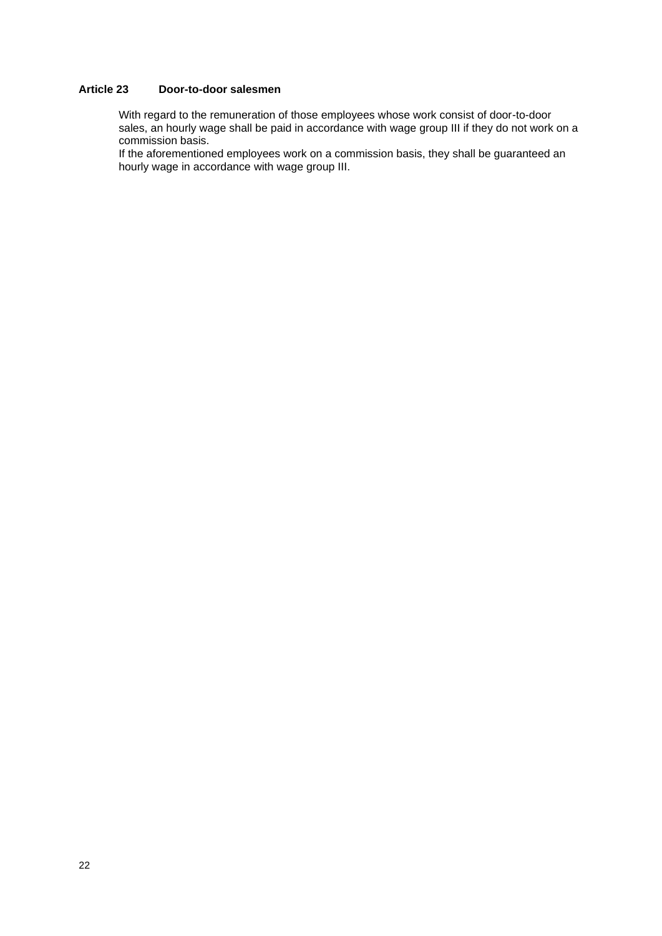# <span id="page-21-0"></span>**Article 23 Door-to-door salesmen**

With regard to the remuneration of those employees whose work consist of door-to-door sales, an hourly wage shall be paid in accordance with wage group III if they do not work on a commission basis.

If the aforementioned employees work on a commission basis, they shall be guaranteed an hourly wage in accordance with wage group III.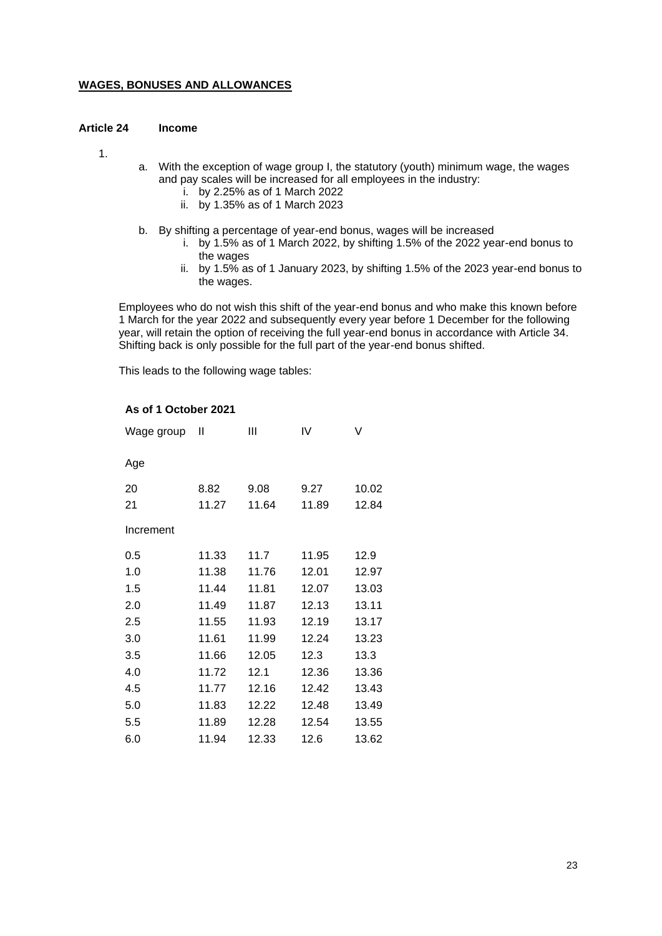# **WAGES, BONUSES AND ALLOWANCES**

#### <span id="page-22-0"></span>**Article 24 Income**

- 1.
- a. With the exception of wage group I, the statutory (youth) minimum wage, the wages and pay scales will be increased for all employees in the industry:
	- i. by 2.25% as of 1 March 2022
	- ii. by 1.35% as of 1 March 2023
- b. By shifting a percentage of year-end bonus, wages will be increased
	- i. by 1.5% as of 1 March 2022, by shifting 1.5% of the 2022 year-end bonus to the wages
	- ii. by 1.5% as of 1 January 2023, by shifting 1.5% of the 2023 year-end bonus to the wages.

Employees who do not wish this shift of the year-end bonus and who make this known before 1 March for the year 2022 and subsequently every year before 1 December for the following year, will retain the option of receiving the full year-end bonus in accordance with Article 34. Shifting back is only possible for the full part of the year-end bonus shifted.

This leads to the following wage tables:

# **As of 1 October 2021**

| Wage group | Ш     | Ш     | IV    | V     |
|------------|-------|-------|-------|-------|
| Age        |       |       |       |       |
| 20         | 8.82  | 9.08  | 9.27  | 10.02 |
| 21         | 11.27 | 11.64 | 11.89 | 12.84 |
| Increment  |       |       |       |       |
| 0.5        | 11.33 | 11.7  | 11.95 | 12.9  |
| 1.0        | 11.38 | 11.76 | 12.01 | 12.97 |
| 1.5        | 11.44 | 11.81 | 12.07 | 13.03 |
| 2.0        | 11.49 | 11.87 | 12.13 | 13.11 |
| 2.5        | 11.55 | 11.93 | 12.19 | 13.17 |
| 3.0        | 11.61 | 11.99 | 12.24 | 13.23 |
| 3.5        | 11.66 | 12.05 | 12.3  | 13.3  |
| 4.0        | 11.72 | 12.1  | 12.36 | 13.36 |
| 4.5        | 11.77 | 12.16 | 12.42 | 13.43 |
| 5.0        | 11.83 | 12.22 | 12.48 | 13.49 |
| 5.5        | 11.89 | 12.28 | 12.54 | 13.55 |
| 6.0        | 11.94 | 12.33 | 12.6  | 13.62 |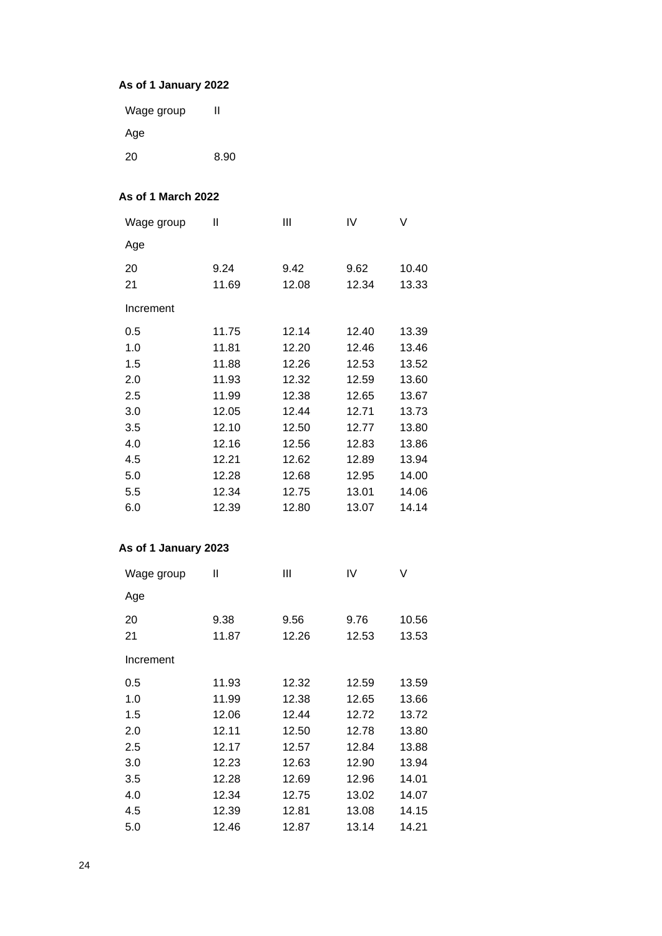# **As of 1 January 2022**

| Wage group | Ш    |
|------------|------|
| Age        |      |
| -20        | 8.90 |

# **As of 1 March 2022**

| Wage group | Ш     | Ш     | IV    | V     |
|------------|-------|-------|-------|-------|
| Age        |       |       |       |       |
| 20         | 9.24  | 9.42  | 9.62  | 10.40 |
| 21         | 11.69 | 12.08 | 12.34 | 13.33 |
| Increment  |       |       |       |       |
| 0.5        | 11.75 | 12.14 | 12.40 | 13.39 |
| 1.0        | 11.81 | 12.20 | 12.46 | 13.46 |
| 1.5        | 11.88 | 12.26 | 12.53 | 13.52 |
| 2.0        | 11.93 | 12.32 | 12.59 | 13.60 |
| 2.5        | 11.99 | 12.38 | 12.65 | 13.67 |
| 3.0        | 12.05 | 12.44 | 12.71 | 13.73 |
| 3.5        | 12.10 | 12.50 | 12.77 | 13.80 |
| 4.0        | 12.16 | 12.56 | 12.83 | 13.86 |
| 4.5        | 12.21 | 12.62 | 12.89 | 13.94 |
| 5.0        | 12.28 | 12.68 | 12.95 | 14.00 |
| 5.5        | 12.34 | 12.75 | 13.01 | 14.06 |
| 6.0        | 12.39 | 12.80 | 13.07 | 14.14 |

# **As of 1 January 2023**

| Wage group | Ш             | Ш             | IV            | V              |
|------------|---------------|---------------|---------------|----------------|
| Age        |               |               |               |                |
| 20<br>21   | 9.38<br>11.87 | 9.56<br>12.26 | 9.76<br>12.53 | 10.56<br>13.53 |
| Increment  |               |               |               |                |
| 0.5        | 11.93         | 12.32         | 12.59         | 13.59          |
| 1.0        | 11.99         | 12.38         | 12.65         | 13.66          |
| 1.5        | 12.06         | 12.44         | 12.72         | 13.72          |
| 2.0        | 12.11         | 12.50         | 12.78         | 13.80          |
| 2.5        | 12.17         | 12.57         | 12.84         | 13.88          |
| 3.0        | 12.23         | 12.63         | 12.90         | 13.94          |
| 3.5        | 12.28         | 12.69         | 12.96         | 14.01          |
| 4.0        | 12.34         | 12.75         | 13.02         | 14.07          |
| 4.5        | 12.39         | 12.81         | 13.08         | 14.15          |
| 5.0        | 12.46         | 12.87         | 13.14         | 14.21          |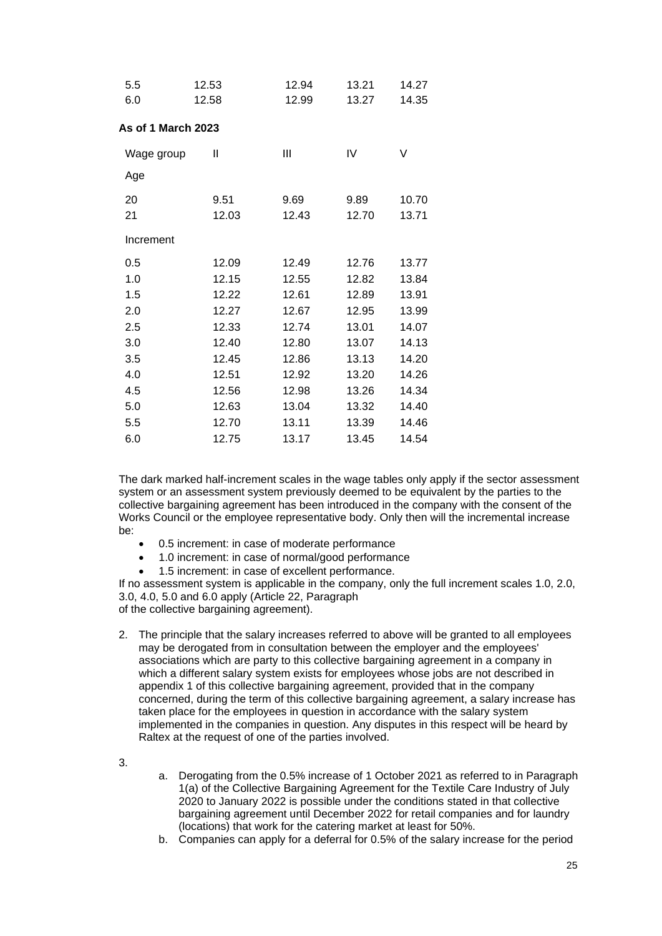| 5.5                | 12.53 | 12.94 | 13.21 | 14.27 |
|--------------------|-------|-------|-------|-------|
| 6.0                | 12.58 | 12.99 | 13.27 | 14.35 |
| As of 1 March 2023 |       |       |       |       |
| Wage group         | Ш     | Ш     | IV    | V     |
| Age                |       |       |       |       |
| 20                 | 9.51  | 9.69  | 9.89  | 10.70 |
| 21                 | 12.03 | 12.43 | 12.70 | 13.71 |
| Increment          |       |       |       |       |
| 0.5                | 12.09 | 12.49 | 12.76 | 13.77 |
| 1.0                | 12.15 | 12.55 | 12.82 | 13.84 |
| 1.5                | 12.22 | 12.61 | 12.89 | 13.91 |
| 2.0                | 12.27 | 12.67 | 12.95 | 13.99 |
| 2.5                | 12.33 | 12.74 | 13.01 | 14.07 |
| 3.0                | 12.40 | 12.80 | 13.07 | 14.13 |
| 3.5                | 12.45 | 12.86 | 13.13 | 14.20 |
| 4.0                | 12.51 | 12.92 | 13.20 | 14.26 |
| 4.5                | 12.56 | 12.98 | 13.26 | 14.34 |
| 5.0                | 12.63 | 13.04 | 13.32 | 14.40 |
| 5.5                | 12.70 | 13.11 | 13.39 | 14.46 |
| 6.0                | 12.75 | 13.17 | 13.45 | 14.54 |

The dark marked half-increment scales in the wage tables only apply if the sector assessment system or an assessment system previously deemed to be equivalent by the parties to the collective bargaining agreement has been introduced in the company with the consent of the Works Council or the employee representative body. Only then will the incremental increase be:

- 0.5 increment: in case of moderate performance
- 1.0 increment: in case of normal/good performance
- 1.5 increment: in case of excellent performance.

If no assessment system is applicable in the company, only the full increment scales 1.0, 2.0, 3.0, 4.0, 5.0 and 6.0 apply (Article 22, Paragraph

of the collective bargaining agreement).

- 2. The principle that the salary increases referred to above will be granted to all employees may be derogated from in consultation between the employer and the employees' associations which are party to this collective bargaining agreement in a company in which a different salary system exists for employees whose jobs are not described in appendix 1 of this collective bargaining agreement, provided that in the company concerned, during the term of this collective bargaining agreement, a salary increase has taken place for the employees in question in accordance with the salary system implemented in the companies in question. Any disputes in this respect will be heard by Raltex at the request of one of the parties involved.
- 3.
- a. Derogating from the 0.5% increase of 1 October 2021 as referred to in Paragraph 1(a) of the Collective Bargaining Agreement for the Textile Care Industry of July 2020 to January 2022 is possible under the conditions stated in that collective bargaining agreement until December 2022 for retail companies and for laundry (locations) that work for the catering market at least for 50%.
- b. Companies can apply for a deferral for 0.5% of the salary increase for the period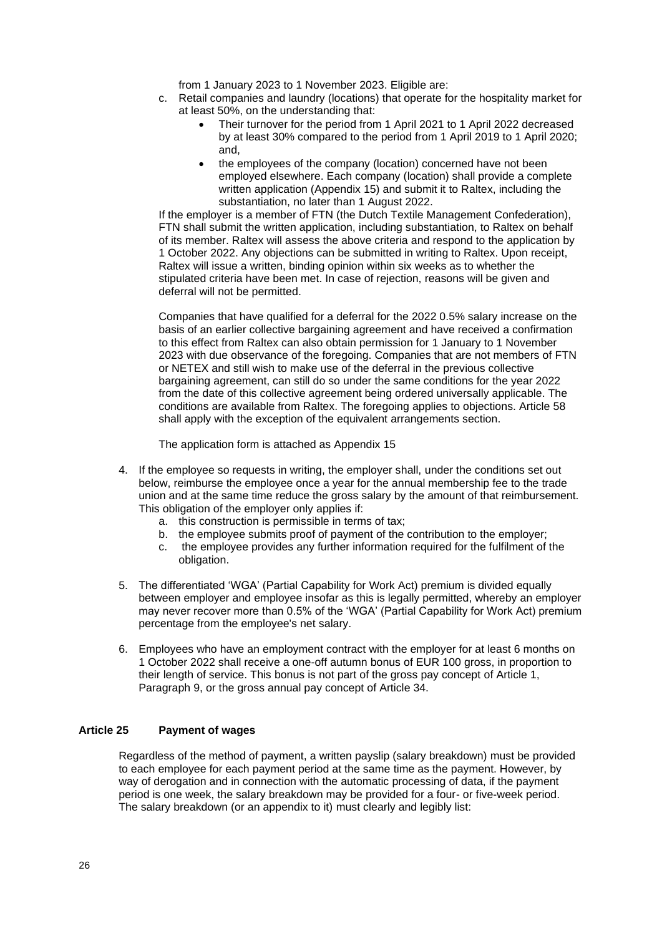from 1 January 2023 to 1 November 2023. Eligible are:

- c. Retail companies and laundry (locations) that operate for the hospitality market for at least 50%, on the understanding that:
	- Their turnover for the period from 1 April 2021 to 1 April 2022 decreased by at least 30% compared to the period from 1 April 2019 to 1 April 2020; and,
	- the employees of the company (location) concerned have not been employed elsewhere. Each company (location) shall provide a complete written application (Appendix 15) and submit it to Raltex, including the substantiation, no later than 1 August 2022.

If the employer is a member of FTN (the Dutch Textile Management Confederation), FTN shall submit the written application, including substantiation, to Raltex on behalf of its member. Raltex will assess the above criteria and respond to the application by 1 October 2022. Any objections can be submitted in writing to Raltex. Upon receipt, Raltex will issue a written, binding opinion within six weeks as to whether the stipulated criteria have been met. In case of rejection, reasons will be given and deferral will not be permitted.

Companies that have qualified for a deferral for the 2022 0.5% salary increase on the basis of an earlier collective bargaining agreement and have received a confirmation to this effect from Raltex can also obtain permission for 1 January to 1 November 2023 with due observance of the foregoing. Companies that are not members of FTN or NETEX and still wish to make use of the deferral in the previous collective bargaining agreement, can still do so under the same conditions for the year 2022 from the date of this collective agreement being ordered universally applicable. The conditions are available from Raltex. The foregoing applies to objections. Article 58 shall apply with the exception of the equivalent arrangements section.

The application form is attached as Appendix 15

- 4. If the employee so requests in writing, the employer shall, under the conditions set out below, reimburse the employee once a year for the annual membership fee to the trade union and at the same time reduce the gross salary by the amount of that reimbursement. This obligation of the employer only applies if:
	- a. this construction is permissible in terms of tax;
	- b. the employee submits proof of payment of the contribution to the employer;
	- c. the employee provides any further information required for the fulfilment of the obligation.
- 5. The differentiated 'WGA' (Partial Capability for Work Act) premium is divided equally between employer and employee insofar as this is legally permitted, whereby an employer may never recover more than 0.5% of the 'WGA' (Partial Capability for Work Act) premium percentage from the employee's net salary.
- 6. Employees who have an employment contract with the employer for at least 6 months on 1 October 2022 shall receive a one-off autumn bonus of EUR 100 gross, in proportion to their length of service. This bonus is not part of the gross pay concept of Article 1, Paragraph 9, or the gross annual pay concept of Article 34.

#### <span id="page-25-0"></span>**Article 25 Payment of wages**

Regardless of the method of payment, a written payslip (salary breakdown) must be provided to each employee for each payment period at the same time as the payment. However, by way of derogation and in connection with the automatic processing of data, if the payment period is one week, the salary breakdown may be provided for a four- or five-week period. The salary breakdown (or an appendix to it) must clearly and legibly list: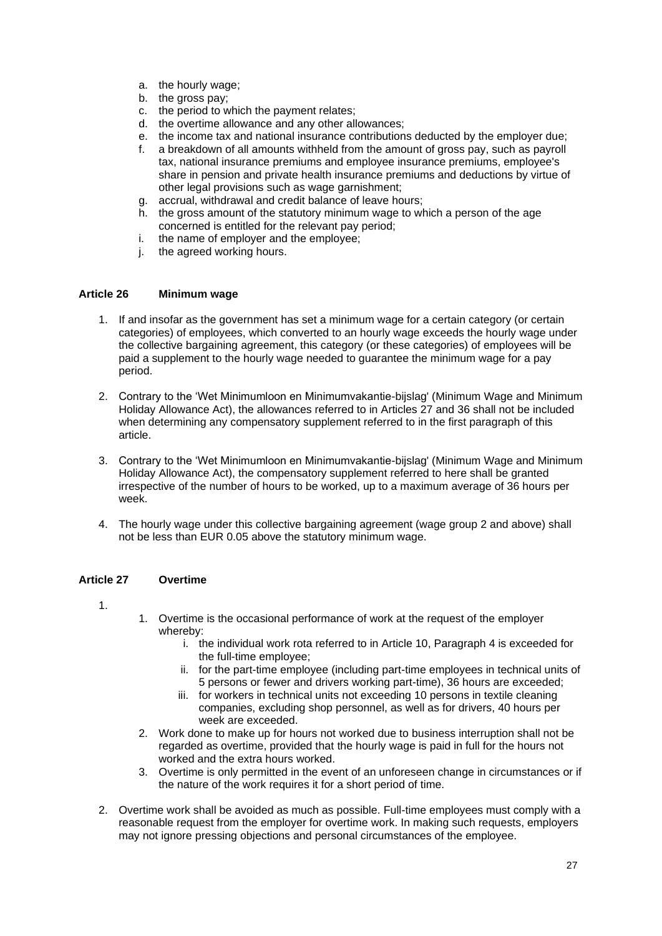- a. the hourly wage;
- b. the gross pay;
- c. the period to which the payment relates;
- d. the overtime allowance and any other allowances;
- e. the income tax and national insurance contributions deducted by the employer due;
- f. a breakdown of all amounts withheld from the amount of gross pay, such as payroll tax, national insurance premiums and employee insurance premiums, employee's share in pension and private health insurance premiums and deductions by virtue of other legal provisions such as wage garnishment;
- g. accrual, withdrawal and credit balance of leave hours;
- h. the gross amount of the statutory minimum wage to which a person of the age concerned is entitled for the relevant pay period;
- i. the name of employer and the employee;
- j. the agreed working hours.

# <span id="page-26-0"></span>**Article 26 Minimum wage**

- 1. If and insofar as the government has set a minimum wage for a certain category (or certain categories) of employees, which converted to an hourly wage exceeds the hourly wage under the collective bargaining agreement, this category (or these categories) of employees will be paid a supplement to the hourly wage needed to guarantee the minimum wage for a pay period.
- 2. Contrary to the 'Wet Minimumloon en Minimumvakantie-bijslag' (Minimum Wage and Minimum Holiday Allowance Act), the allowances referred to in Articles 27 and 36 shall not be included when determining any compensatory supplement referred to in the first paragraph of this article.
- 3. Contrary to the 'Wet Minimumloon en Minimumvakantie-bijslag' (Minimum Wage and Minimum Holiday Allowance Act), the compensatory supplement referred to here shall be granted irrespective of the number of hours to be worked, up to a maximum average of 36 hours per week.
- 4. The hourly wage under this collective bargaining agreement (wage group 2 and above) shall not be less than EUR 0.05 above the statutory minimum wage.

# <span id="page-26-1"></span>**Article 27 Overtime**

1.

- 1. Overtime is the occasional performance of work at the request of the employer whereby:
	- i. the individual work rota referred to in Article 10, Paragraph 4 is exceeded for the full-time employee;
	- ii. for the part-time employee (including part-time employees in technical units of 5 persons or fewer and drivers working part-time), 36 hours are exceeded;
	- iii. for workers in technical units not exceeding 10 persons in textile cleaning companies, excluding shop personnel, as well as for drivers, 40 hours per week are exceeded.
- 2. Work done to make up for hours not worked due to business interruption shall not be regarded as overtime, provided that the hourly wage is paid in full for the hours not worked and the extra hours worked.
- 3. Overtime is only permitted in the event of an unforeseen change in circumstances or if the nature of the work requires it for a short period of time.
- 2. Overtime work shall be avoided as much as possible. Full-time employees must comply with a reasonable request from the employer for overtime work. In making such requests, employers may not ignore pressing objections and personal circumstances of the employee.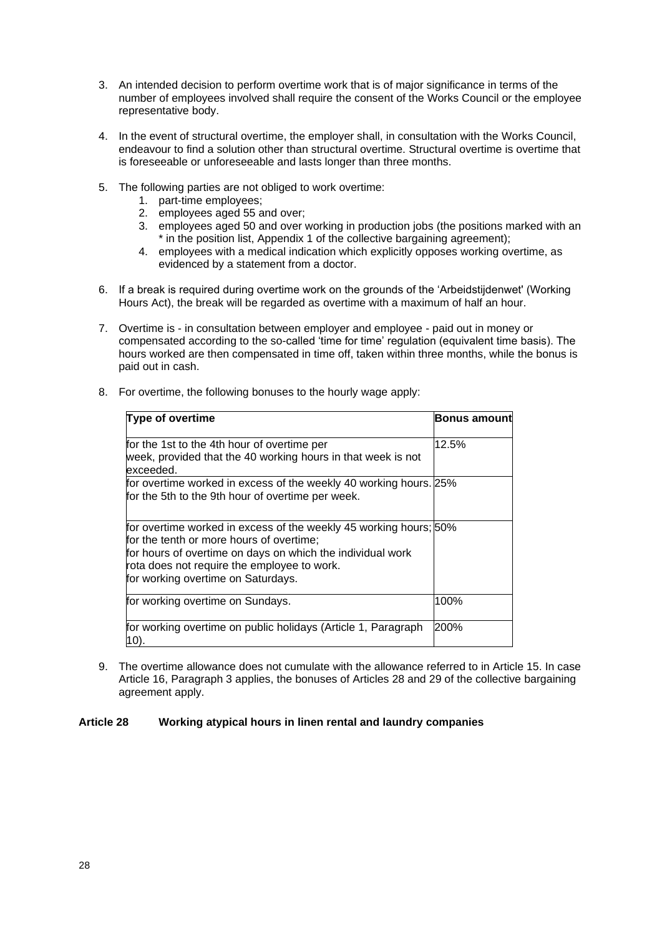- 3. An intended decision to perform overtime work that is of major significance in terms of the number of employees involved shall require the consent of the Works Council or the employee representative body.
- 4. In the event of structural overtime, the employer shall, in consultation with the Works Council, endeavour to find a solution other than structural overtime. Structural overtime is overtime that is foreseeable or unforeseeable and lasts longer than three months.
- 5. The following parties are not obliged to work overtime:
	- 1. part-time employees;
	- 2. employees aged 55 and over;

for the tenth or more hours of overtime;

for working overtime on Saturdays.

10).

rota does not require the employee to work.

- 3. employees aged 50 and over working in production jobs (the positions marked with an \* in the position list, Appendix 1 of the collective bargaining agreement);
- 4. employees with a medical indication which explicitly opposes working overtime, as evidenced by a statement from a doctor.
- 6. If a break is required during overtime work on the grounds of the 'Arbeidstijdenwet' (Working Hours Act), the break will be regarded as overtime with a maximum of half an hour.
- 7. Overtime is in consultation between employer and employee paid out in money or compensated according to the so-called 'time for time' regulation (equivalent time basis). The hours worked are then compensated in time off, taken within three months, while the bonus is paid out in cash.

| <b>Type of overtime</b>                                                                                                  | <b>Bonus amount</b> |
|--------------------------------------------------------------------------------------------------------------------------|---------------------|
| for the 1st to the 4th hour of overtime per<br>week, provided that the 40 working hours in that week is not<br>exceeded. | 12.5%               |
| for overtime worked in excess of the weekly 40 working hours. 25%<br>for the 5th to the 9th hour of overtime per week.   |                     |

for overtime worked in excess of the weekly 45 working hours; 50%

for working overtime on Sundays. The matter of the 100%

for hours of overtime on days on which the individual work

for working overtime on public holidays (Article 1, Paragraph

9. The overtime allowance does not cumulate with the allowance referred to in Article 15. In case Article 16, Paragraph 3 applies, the bonuses of Articles 28 and 29 of the collective bargaining agreement apply.

200%

#### <span id="page-27-0"></span>**Article 28 Working atypical hours in linen rental and laundry companies**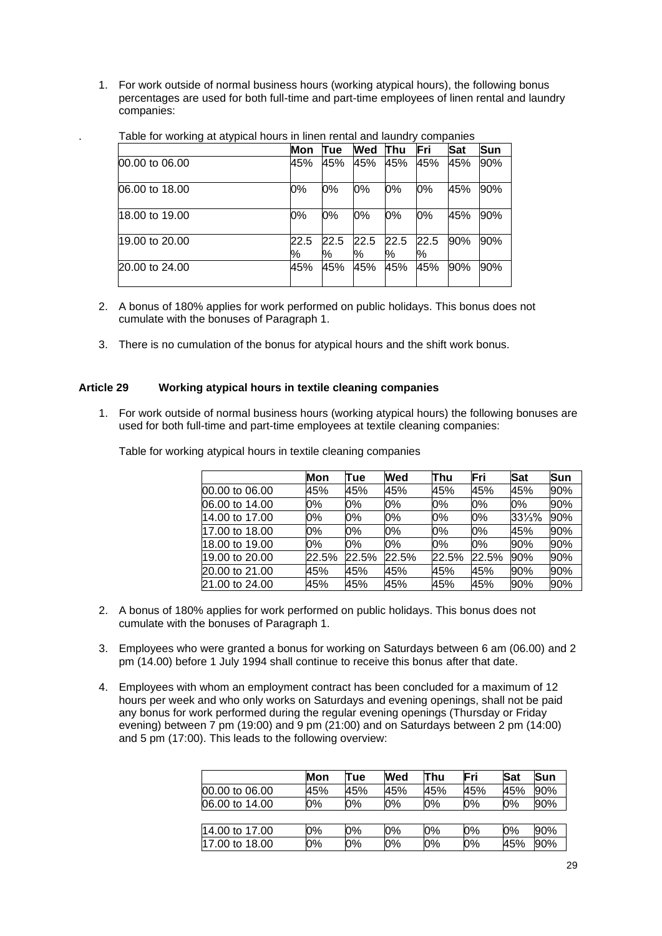1. For work outside of normal business hours (working atypical hours), the following bonus percentages are used for both full-time and part-time employees of linen rental and laundry companies:

|                | Mon       | Πue       | Wed       | lThu      | Fri       | <b>Sat</b> | <b>Sun</b> |
|----------------|-----------|-----------|-----------|-----------|-----------|------------|------------|
| 00.00 to 06.00 | 45%       | 45%       | 45%       | 45%       | 45%       | 45%        | 90%        |
| 06.00 to 18.00 | 0%        | 0%        | 0%        | 0%        | 0%        | 45%        | 90%        |
| 18.00 to 19.00 | 0%        | 0%        | 0%        | 0%        | 0%        | 45%        | 90%        |
| 19.00 to 20.00 | 22.5<br>% | 22.5<br>% | 22.5<br>% | 22.5<br>% | 22.5<br>% | 90%        | 90%        |
| 20.00 to 24.00 | 45%       | 45%       | 45%       | 45%       | 45%       | 90%        | 90%        |

. Table for working at atypical hours in linen rental and laundry companies

- 2. A bonus of 180% applies for work performed on public holidays. This bonus does not cumulate with the bonuses of Paragraph 1.
- 3. There is no cumulation of the bonus for atypical hours and the shift work bonus.

# <span id="page-28-0"></span>**Article 29 Working atypical hours in textile cleaning companies**

1. For work outside of normal business hours (working atypical hours) the following bonuses are used for both full-time and part-time employees at textile cleaning companies:

|                | Mon   | Tue   | Wed   | Thu   | Fri   | Sat    | Sun |
|----------------|-------|-------|-------|-------|-------|--------|-----|
| 00.00 to 06.00 | 45%   | 45%   | 45%   | 45%   | 45%   | 45%    | 90% |
| 06.00 to 14.00 | 0%    | 0%    | 0%    | 0%    | 0%    | 0%     | 90% |
| 14.00 to 17.00 | 0%    | 0%    | 0%    | 0%    | 0%    | 331/3% | 90% |
| 17.00 to 18.00 | 0%    | 0%    | 0%    | 0%    | 0%    | 45%    | 90% |
| 18.00 to 19.00 | 0%    | 0%    | 0%    | 0%    | 0%    | 90%    | 90% |
| 19.00 to 20.00 | 22.5% | 22.5% | 22.5% | 22.5% | 22.5% | 90%    | 90% |
| 20.00 to 21.00 | 45%   | 45%   | 45%   | 45%   | 45%   | 90%    | 90% |
| 21.00 to 24.00 | 45%   | 45%   | 45%   | 45%   | 45%   | 90%    | 90% |

Table for working atypical hours in textile cleaning companies

- 2. A bonus of 180% applies for work performed on public holidays. This bonus does not cumulate with the bonuses of Paragraph 1.
- 3. Employees who were granted a bonus for working on Saturdays between 6 am (06.00) and 2 pm (14.00) before 1 July 1994 shall continue to receive this bonus after that date.
- 4. Employees with whom an employment contract has been concluded for a maximum of 12 hours per week and who only works on Saturdays and evening openings, shall not be paid any bonus for work performed during the regular evening openings (Thursday or Friday evening) between 7 pm (19:00) and 9 pm (21:00) and on Saturdays between 2 pm (14:00) and 5 pm (17:00). This leads to the following overview:

|                | Mon | Tue | <b>Wed</b> | Thu | Fri | Sat | Sun |
|----------------|-----|-----|------------|-----|-----|-----|-----|
| 00.00 to 06.00 | 45% | 45% | 45%        | 45% | 45% | 45% | 90% |
| 06.00 to 14.00 | 0%  | 0%  | 0%         | 0%  | 0%  | 0%  | 90% |
|                |     |     |            |     |     |     |     |
| 14.00 to 17.00 | 0%  | 0%  | 0%         | 0%  | 0%  | 0%  | 90% |
| 17.00 to 18.00 | 0%  | 0%  | 0%         | 0%  | 0%  | 45% | 90% |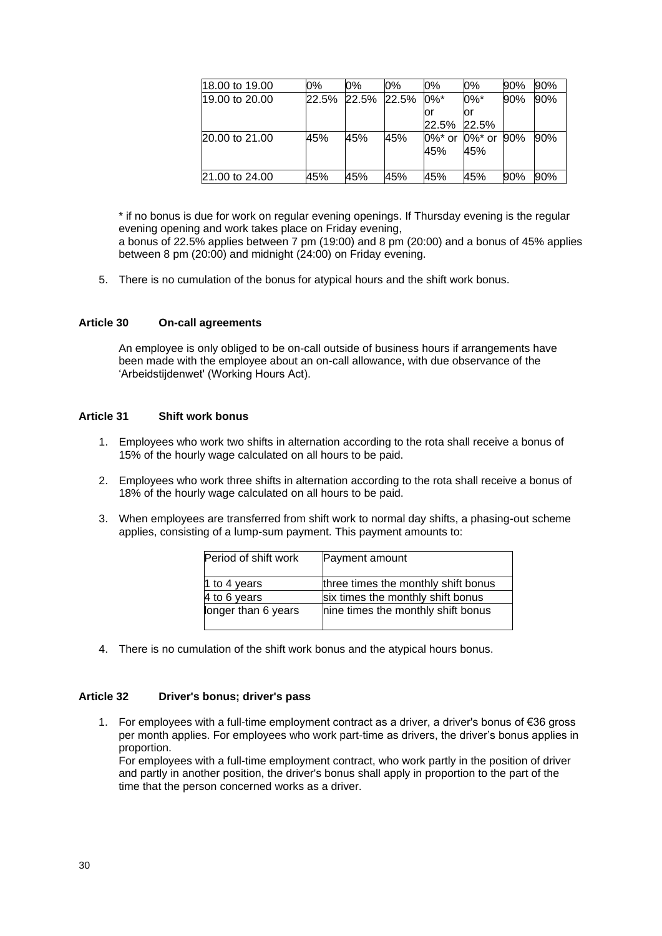| 18.00 to 19.00 | 0%    | 0%    | 0%    | 0%                           | 0%      | 90% | 90% |
|----------------|-------|-------|-------|------------------------------|---------|-----|-----|
| 19.00 to 20.00 | 22.5% | 22.5% | 22.5% | $0\%$ *                      | $0\%$ * | 90% | 90% |
|                |       |       |       | ΟI                           | or      |     |     |
|                |       |       |       | 22.5% 22.5%                  |         |     |     |
| 20.00 to 21.00 | 45%   | 45%   | 45%   | $0\%$ * or $0\%$ * or $90\%$ |         |     | 90% |
|                |       |       |       | 45%                          | 45%     |     |     |
|                |       |       |       |                              |         |     |     |
| 21.00 to 24.00 | 45%   | 45%   | 45%   | 45%                          | 45%     | 90% | 90% |

\* if no bonus is due for work on regular evening openings. If Thursday evening is the regular evening opening and work takes place on Friday evening, a bonus of 22.5% applies between 7 pm (19:00) and 8 pm (20:00) and a bonus of 45% applies between 8 pm (20:00) and midnight (24:00) on Friday evening.

5. There is no cumulation of the bonus for atypical hours and the shift work bonus.

# <span id="page-29-0"></span>**Article 30 On-call agreements**

An employee is only obliged to be on-call outside of business hours if arrangements have been made with the employee about an on-call allowance, with due observance of the 'Arbeidstijdenwet' (Working Hours Act).

# <span id="page-29-1"></span>**Article 31 Shift work bonus**

- 1. Employees who work two shifts in alternation according to the rota shall receive a bonus of 15% of the hourly wage calculated on all hours to be paid.
- 2. Employees who work three shifts in alternation according to the rota shall receive a bonus of 18% of the hourly wage calculated on all hours to be paid.
- 3. When employees are transferred from shift work to normal day shifts, a phasing-out scheme applies, consisting of a lump-sum payment. This payment amounts to:

| Period of shift work | Payment amount                      |
|----------------------|-------------------------------------|
| 1 to 4 years         | three times the monthly shift bonus |
| 4 to 6 years         | six times the monthly shift bonus   |
| longer than 6 years  | nine times the monthly shift bonus  |

4. There is no cumulation of the shift work bonus and the atypical hours bonus.

#### <span id="page-29-2"></span>**Article 32 Driver's bonus; driver's pass**

1. For employees with a full-time employment contract as a driver, a driver's bonus of €36 gross per month applies. For employees who work part-time as drivers, the driver's bonus applies in proportion.

For employees with a full-time employment contract, who work partly in the position of driver and partly in another position, the driver's bonus shall apply in proportion to the part of the time that the person concerned works as a driver.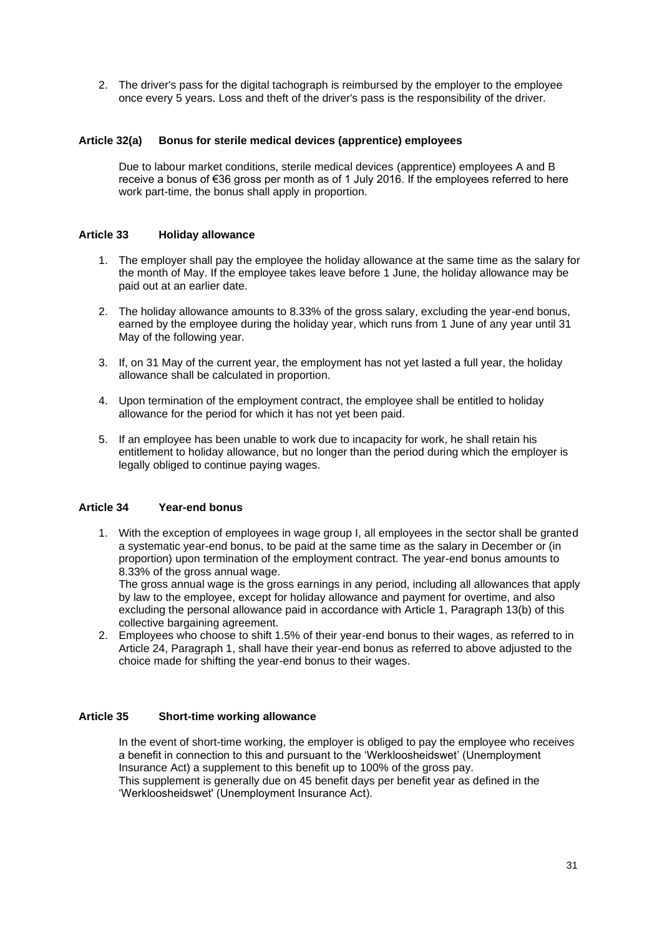2. The driver's pass for the digital tachograph is reimbursed by the employer to the employee once every 5 years. Loss and theft of the driver's pass is the responsibility of the driver.

# <span id="page-30-0"></span>**Article 32(a) Bonus for sterile medical devices (apprentice) employees**

Due to labour market conditions, sterile medical devices (apprentice) employees A and B receive a bonus of €36 gross per month as of 1 July 2016. If the employees referred to here work part-time, the bonus shall apply in proportion.

# <span id="page-30-1"></span>**Article 33 Holiday allowance**

- 1. The employer shall pay the employee the holiday allowance at the same time as the salary for the month of May. If the employee takes leave before 1 June, the holiday allowance may be paid out at an earlier date.
- 2. The holiday allowance amounts to 8.33% of the gross salary, excluding the year-end bonus, earned by the employee during the holiday year, which runs from 1 June of any year until 31 May of the following year.
- 3. If, on 31 May of the current year, the employment has not yet lasted a full year, the holiday allowance shall be calculated in proportion.
- 4. Upon termination of the employment contract, the employee shall be entitled to holiday allowance for the period for which it has not yet been paid.
- 5. If an employee has been unable to work due to incapacity for work, he shall retain his entitlement to holiday allowance, but no longer than the period during which the employer is legally obliged to continue paying wages.

# <span id="page-30-2"></span>**Article 34 Year-end bonus**

1. With the exception of employees in wage group I, all employees in the sector shall be granted a systematic year-end bonus, to be paid at the same time as the salary in December or (in proportion) upon termination of the employment contract. The year-end bonus amounts to 8.33% of the gross annual wage.

The gross annual wage is the gross earnings in any period, including all allowances that apply by law to the employee, except for holiday allowance and payment for overtime, and also excluding the personal allowance paid in accordance with Article 1, Paragraph 13(b) of this collective bargaining agreement.

2. Employees who choose to shift 1.5% of their year-end bonus to their wages, as referred to in Article 24, Paragraph 1, shall have their year-end bonus as referred to above adjusted to the choice made for shifting the year-end bonus to their wages.

# <span id="page-30-3"></span>**Article 35 Short-time working allowance**

In the event of short-time working, the employer is obliged to pay the employee who receives a benefit in connection to this and pursuant to the 'Werkloosheidswet' (Unemployment Insurance Act) a supplement to this benefit up to 100% of the gross pay. This supplement is generally due on 45 benefit days per benefit year as defined in the 'Werkloosheidswet' (Unemployment Insurance Act).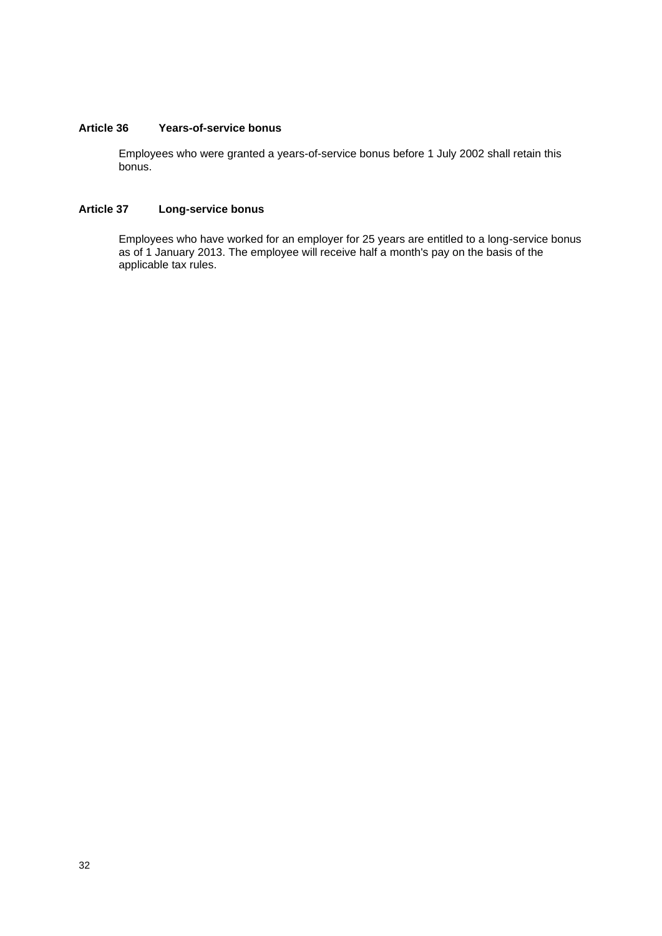# <span id="page-31-0"></span>**Article 36 Years-of-service bonus**

Employees who were granted a years-of-service bonus before 1 July 2002 shall retain this bonus.

# <span id="page-31-1"></span>**Article 37 Long-service bonus**

Employees who have worked for an employer for 25 years are entitled to a long-service bonus as of 1 January 2013. The employee will receive half a month's pay on the basis of the applicable tax rules.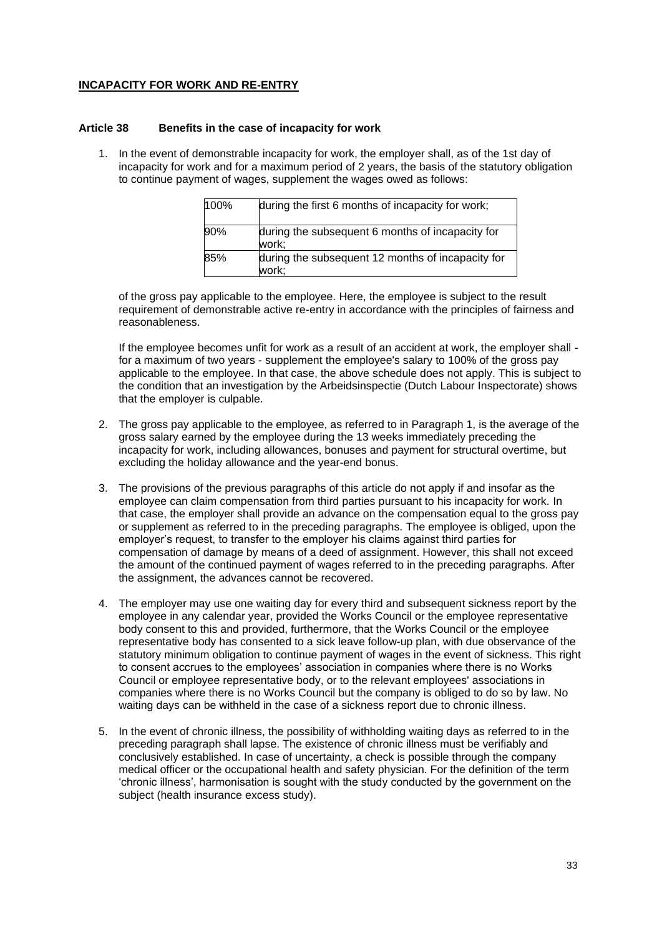# **INCAPACITY FOR WORK AND RE-ENTRY**

#### <span id="page-32-0"></span>**Article 38 Benefits in the case of incapacity for work**

1. In the event of demonstrable incapacity for work, the employer shall, as of the 1st day of incapacity for work and for a maximum period of 2 years, the basis of the statutory obligation to continue payment of wages, supplement the wages owed as follows:

| 100% | during the first 6 months of incapacity for work;          |
|------|------------------------------------------------------------|
| 90%  | during the subsequent 6 months of incapacity for<br>work:  |
| 85%  | during the subsequent 12 months of incapacity for<br>work: |

of the gross pay applicable to the employee. Here, the employee is subject to the result requirement of demonstrable active re-entry in accordance with the principles of fairness and reasonableness.

If the employee becomes unfit for work as a result of an accident at work, the employer shall for a maximum of two years - supplement the employee's salary to 100% of the gross pay applicable to the employee. In that case, the above schedule does not apply. This is subject to the condition that an investigation by the Arbeidsinspectie (Dutch Labour Inspectorate) shows that the employer is culpable.

- 2. The gross pay applicable to the employee, as referred to in Paragraph 1, is the average of the gross salary earned by the employee during the 13 weeks immediately preceding the incapacity for work, including allowances, bonuses and payment for structural overtime, but excluding the holiday allowance and the year-end bonus.
- 3. The provisions of the previous paragraphs of this article do not apply if and insofar as the employee can claim compensation from third parties pursuant to his incapacity for work. In that case, the employer shall provide an advance on the compensation equal to the gross pay or supplement as referred to in the preceding paragraphs. The employee is obliged, upon the employer's request, to transfer to the employer his claims against third parties for compensation of damage by means of a deed of assignment. However, this shall not exceed the amount of the continued payment of wages referred to in the preceding paragraphs. After the assignment, the advances cannot be recovered.
- 4. The employer may use one waiting day for every third and subsequent sickness report by the employee in any calendar year, provided the Works Council or the employee representative body consent to this and provided, furthermore, that the Works Council or the employee representative body has consented to a sick leave follow-up plan, with due observance of the statutory minimum obligation to continue payment of wages in the event of sickness. This right to consent accrues to the employees' association in companies where there is no Works Council or employee representative body, or to the relevant employees' associations in companies where there is no Works Council but the company is obliged to do so by law. No waiting days can be withheld in the case of a sickness report due to chronic illness.
- 5. In the event of chronic illness, the possibility of withholding waiting days as referred to in the preceding paragraph shall lapse. The existence of chronic illness must be verifiably and conclusively established. In case of uncertainty, a check is possible through the company medical officer or the occupational health and safety physician. For the definition of the term 'chronic illness', harmonisation is sought with the study conducted by the government on the subject (health insurance excess study).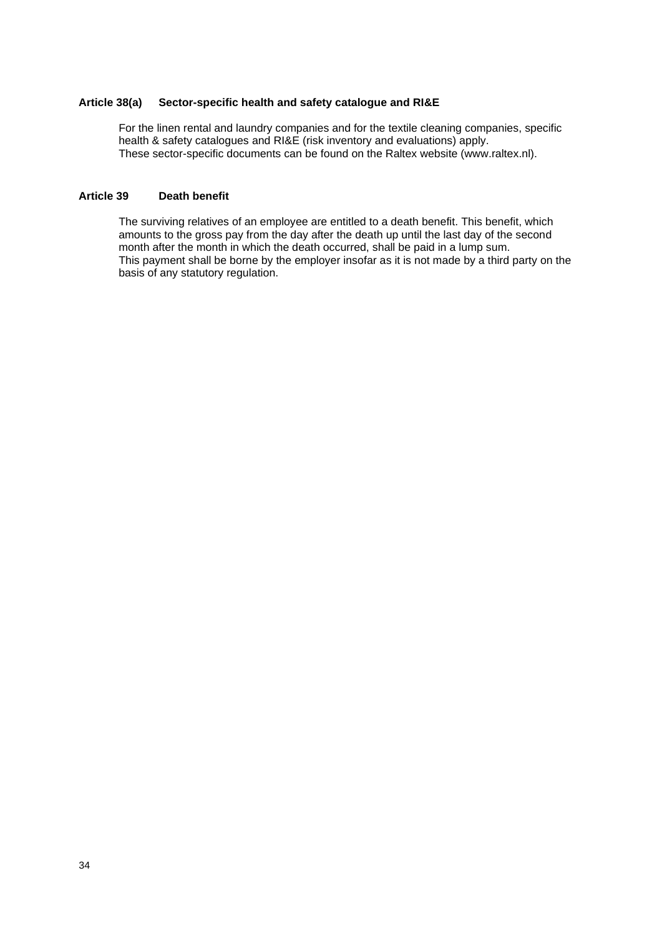#### <span id="page-33-0"></span>**Article 38(a) Sector-specific health and safety catalogue and RI&E**

For the linen rental and laundry companies and for the textile cleaning companies, specific health & safety catalogues and RI&E (risk inventory and evaluations) apply. These sector-specific documents can be found on the Raltex website (www.raltex.nl).

# <span id="page-33-1"></span>**Article 39 Death benefit**

The surviving relatives of an employee are entitled to a death benefit. This benefit, which amounts to the gross pay from the day after the death up until the last day of the second month after the month in which the death occurred, shall be paid in a lump sum. This payment shall be borne by the employer insofar as it is not made by a third party on the basis of any statutory regulation.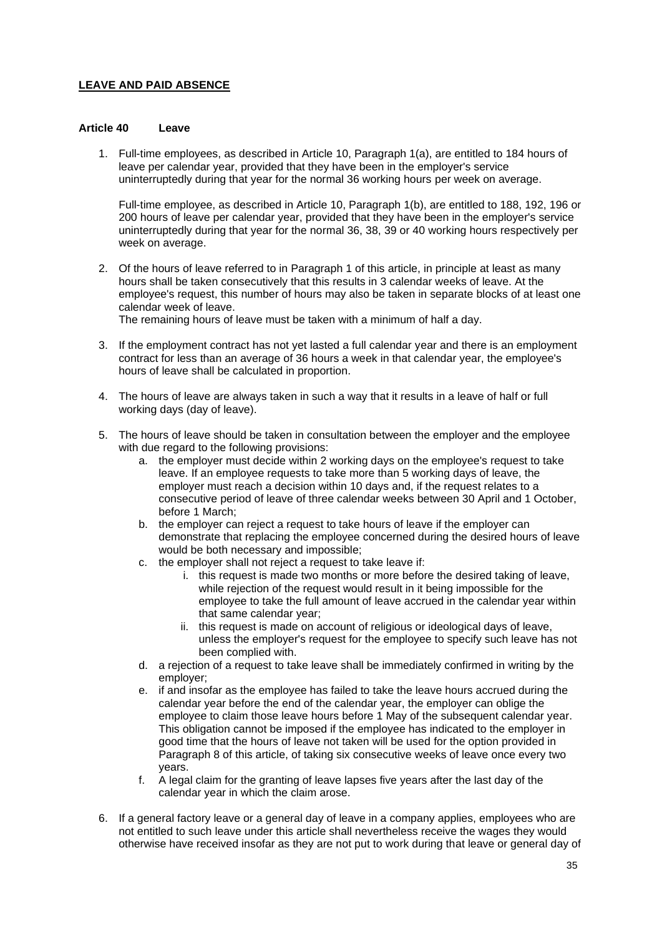# **LEAVE AND PAID ABSENCE**

#### <span id="page-34-0"></span>**Article 40 Leave**

1. Full-time employees, as described in Article 10, Paragraph 1(a), are entitled to 184 hours of leave per calendar year, provided that they have been in the employer's service uninterruptedly during that year for the normal 36 working hours per week on average.

Full-time employee, as described in Article 10, Paragraph 1(b), are entitled to 188, 192, 196 or 200 hours of leave per calendar year, provided that they have been in the employer's service uninterruptedly during that year for the normal 36, 38, 39 or 40 working hours respectively per week on average.

2. Of the hours of leave referred to in Paragraph 1 of this article, in principle at least as many hours shall be taken consecutively that this results in 3 calendar weeks of leave. At the employee's request, this number of hours may also be taken in separate blocks of at least one calendar week of leave.

The remaining hours of leave must be taken with a minimum of half a day.

- 3. If the employment contract has not yet lasted a full calendar year and there is an employment contract for less than an average of 36 hours a week in that calendar year, the employee's hours of leave shall be calculated in proportion.
- 4. The hours of leave are always taken in such a way that it results in a leave of half or full working days (day of leave).
- 5. The hours of leave should be taken in consultation between the employer and the employee with due regard to the following provisions:
	- a. the employer must decide within 2 working days on the employee's request to take leave. If an employee requests to take more than 5 working days of leave, the employer must reach a decision within 10 days and, if the request relates to a consecutive period of leave of three calendar weeks between 30 April and 1 October, before 1 March;
	- b. the employer can reject a request to take hours of leave if the employer can demonstrate that replacing the employee concerned during the desired hours of leave would be both necessary and impossible;
	- c. the employer shall not reject a request to take leave if:
		- i. this request is made two months or more before the desired taking of leave, while rejection of the request would result in it being impossible for the employee to take the full amount of leave accrued in the calendar year within that same calendar year;
		- ii. this request is made on account of religious or ideological days of leave, unless the employer's request for the employee to specify such leave has not been complied with.
	- d. a rejection of a request to take leave shall be immediately confirmed in writing by the employer;
	- e. if and insofar as the employee has failed to take the leave hours accrued during the calendar year before the end of the calendar year, the employer can oblige the employee to claim those leave hours before 1 May of the subsequent calendar year. This obligation cannot be imposed if the employee has indicated to the employer in good time that the hours of leave not taken will be used for the option provided in Paragraph 8 of this article, of taking six consecutive weeks of leave once every two years.
	- f. A legal claim for the granting of leave lapses five years after the last day of the calendar year in which the claim arose.
- 6. If a general factory leave or a general day of leave in a company applies, employees who are not entitled to such leave under this article shall nevertheless receive the wages they would otherwise have received insofar as they are not put to work during that leave or general day of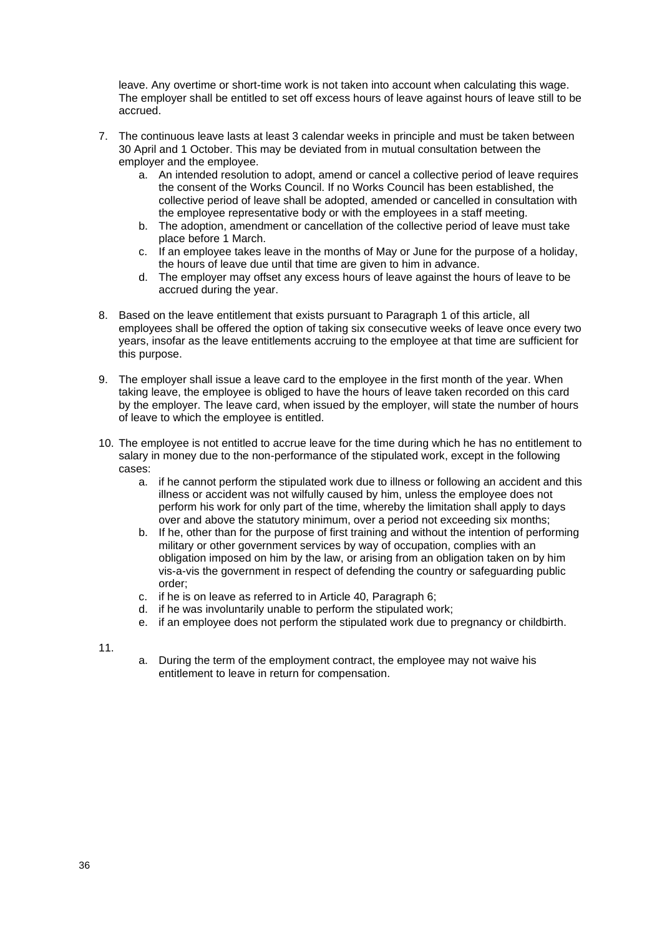leave. Any overtime or short-time work is not taken into account when calculating this wage. The employer shall be entitled to set off excess hours of leave against hours of leave still to be accrued.

- 7. The continuous leave lasts at least 3 calendar weeks in principle and must be taken between 30 April and 1 October. This may be deviated from in mutual consultation between the employer and the employee.
	- a. An intended resolution to adopt, amend or cancel a collective period of leave requires the consent of the Works Council. If no Works Council has been established, the collective period of leave shall be adopted, amended or cancelled in consultation with the employee representative body or with the employees in a staff meeting.
	- b. The adoption, amendment or cancellation of the collective period of leave must take place before 1 March.
	- c. If an employee takes leave in the months of May or June for the purpose of a holiday, the hours of leave due until that time are given to him in advance.
	- d. The employer may offset any excess hours of leave against the hours of leave to be accrued during the year.
- 8. Based on the leave entitlement that exists pursuant to Paragraph 1 of this article, all employees shall be offered the option of taking six consecutive weeks of leave once every two years, insofar as the leave entitlements accruing to the employee at that time are sufficient for this purpose.
- 9. The employer shall issue a leave card to the employee in the first month of the year. When taking leave, the employee is obliged to have the hours of leave taken recorded on this card by the employer. The leave card, when issued by the employer, will state the number of hours of leave to which the employee is entitled.
- 10. The employee is not entitled to accrue leave for the time during which he has no entitlement to salary in money due to the non-performance of the stipulated work, except in the following cases:
	- a. if he cannot perform the stipulated work due to illness or following an accident and this illness or accident was not wilfully caused by him, unless the employee does not perform his work for only part of the time, whereby the limitation shall apply to days over and above the statutory minimum, over a period not exceeding six months;
	- b. If he, other than for the purpose of first training and without the intention of performing military or other government services by way of occupation, complies with an obligation imposed on him by the law, or arising from an obligation taken on by him vis-a-vis the government in respect of defending the country or safeguarding public order;
	- c. if he is on leave as referred to in Article 40, Paragraph 6;
	- d. if he was involuntarily unable to perform the stipulated work;
	- e. if an employee does not perform the stipulated work due to pregnancy or childbirth.

11.

a. During the term of the employment contract, the employee may not waive his entitlement to leave in return for compensation.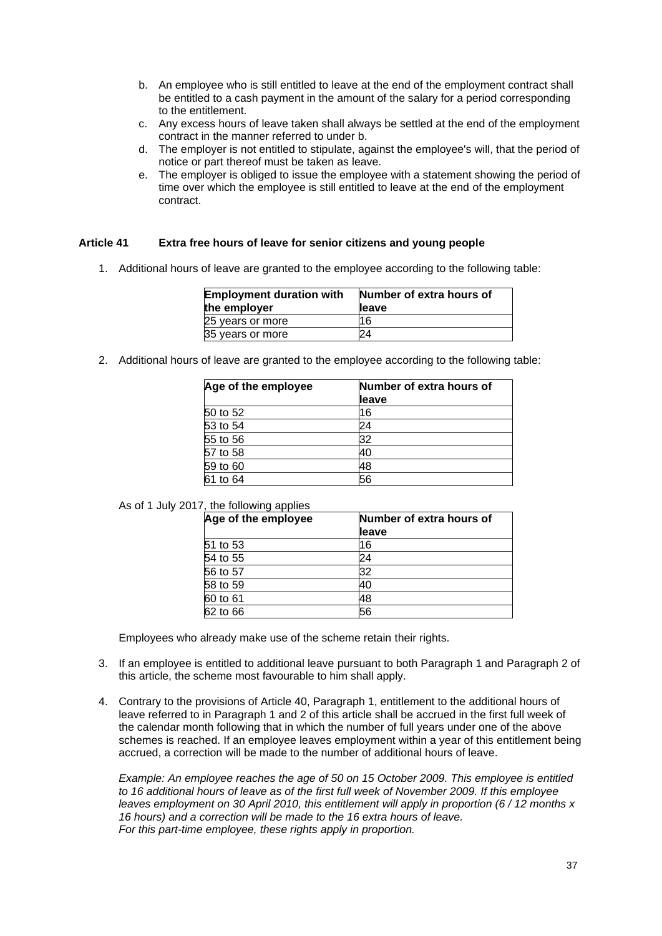- b. An employee who is still entitled to leave at the end of the employment contract shall be entitled to a cash payment in the amount of the salary for a period corresponding to the entitlement.
- c. Any excess hours of leave taken shall always be settled at the end of the employment contract in the manner referred to under b.
- d. The employer is not entitled to stipulate, against the employee's will, that the period of notice or part thereof must be taken as leave.
- e. The employer is obliged to issue the employee with a statement showing the period of time over which the employee is still entitled to leave at the end of the employment contract.

# **Article 41 Extra free hours of leave for senior citizens and young people**

1. Additional hours of leave are granted to the employee according to the following table:

| <b>Employment duration with</b> | Number of extra hours of |
|---------------------------------|--------------------------|
| the employer                    | lleave                   |
| 25 years or more                | 16                       |
| 35 years or more                | 24                       |

2. Additional hours of leave are granted to the employee according to the following table:

| Age of the employee | Number of extra hours of |  |
|---------------------|--------------------------|--|
|                     | lleave                   |  |
| 50 to 52            | 16                       |  |
| 53 to 54            | 24                       |  |
| 55 to 56            | 32                       |  |
| 57 to 58            | 40                       |  |
| 59 to 60            | 48                       |  |
| 61 to 64            | 56                       |  |

#### As of 1 July 2017, the following applies

| Age of the employee | Number of extra hours of |  |
|---------------------|--------------------------|--|
|                     | leave                    |  |
| 51 to 53            | 16                       |  |
| 54 to 55            | 24                       |  |
| 56 to 57            | 32                       |  |
| 58 to 59            | 40                       |  |
| 60 to 61            | 48                       |  |
| 62 to 66            | 56                       |  |

Employees who already make use of the scheme retain their rights.

- 3. If an employee is entitled to additional leave pursuant to both Paragraph 1 and Paragraph 2 of this article, the scheme most favourable to him shall apply.
- 4. Contrary to the provisions of Article 40, Paragraph 1, entitlement to the additional hours of leave referred to in Paragraph 1 and 2 of this article shall be accrued in the first full week of the calendar month following that in which the number of full years under one of the above schemes is reached. If an employee leaves employment within a year of this entitlement being accrued, a correction will be made to the number of additional hours of leave.

*Example: An employee reaches the age of 50 on 15 October 2009. This employee is entitled to 16 additional hours of leave as of the first full week of November 2009. If this employee leaves employment on 30 April 2010, this entitlement will apply in proportion (6 / 12 months x 16 hours) and a correction will be made to the 16 extra hours of leave. For this part-time employee, these rights apply in proportion.*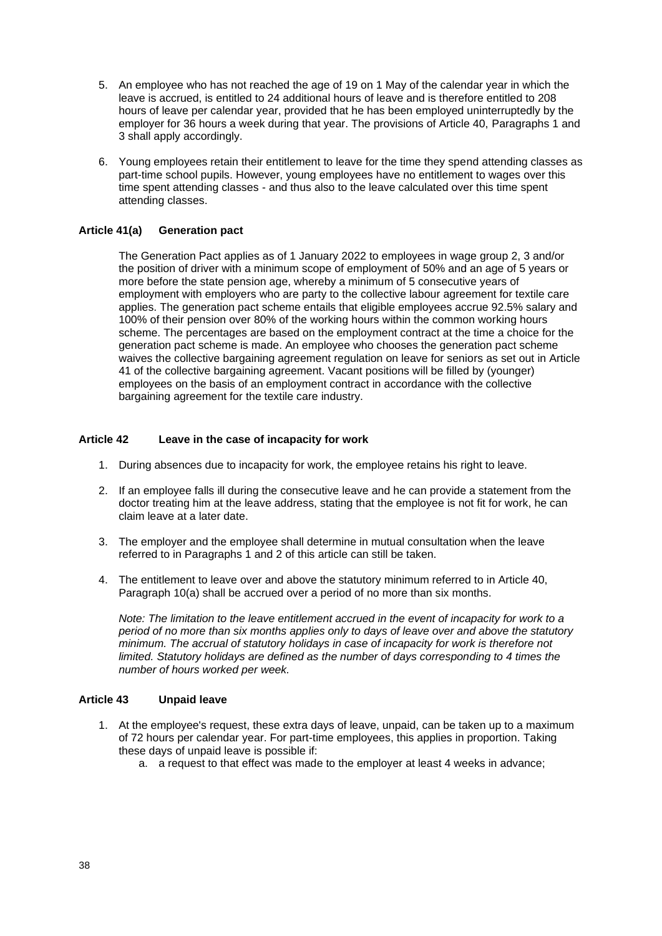- 5. An employee who has not reached the age of 19 on 1 May of the calendar year in which the leave is accrued, is entitled to 24 additional hours of leave and is therefore entitled to 208 hours of leave per calendar year, provided that he has been employed uninterruptedly by the employer for 36 hours a week during that year. The provisions of Article 40, Paragraphs 1 and 3 shall apply accordingly.
- 6. Young employees retain their entitlement to leave for the time they spend attending classes as part-time school pupils. However, young employees have no entitlement to wages over this time spent attending classes - and thus also to the leave calculated over this time spent attending classes.

## **Article 41(a) Generation pact**

The Generation Pact applies as of 1 January 2022 to employees in wage group 2, 3 and/or the position of driver with a minimum scope of employment of 50% and an age of 5 years or more before the state pension age, whereby a minimum of 5 consecutive years of employment with employers who are party to the collective labour agreement for textile care applies. The generation pact scheme entails that eligible employees accrue 92.5% salary and 100% of their pension over 80% of the working hours within the common working hours scheme. The percentages are based on the employment contract at the time a choice for the generation pact scheme is made. An employee who chooses the generation pact scheme waives the collective bargaining agreement regulation on leave for seniors as set out in Article 41 of the collective bargaining agreement. Vacant positions will be filled by (younger) employees on the basis of an employment contract in accordance with the collective bargaining agreement for the textile care industry.

### **Article 42 Leave in the case of incapacity for work**

- 1. During absences due to incapacity for work, the employee retains his right to leave.
- 2. If an employee falls ill during the consecutive leave and he can provide a statement from the doctor treating him at the leave address, stating that the employee is not fit for work, he can claim leave at a later date.
- 3. The employer and the employee shall determine in mutual consultation when the leave referred to in Paragraphs 1 and 2 of this article can still be taken.
- 4. The entitlement to leave over and above the statutory minimum referred to in Article 40, Paragraph 10(a) shall be accrued over a period of no more than six months.

*Note: The limitation to the leave entitlement accrued in the event of incapacity for work to a period of no more than six months applies only to days of leave over and above the statutory minimum. The accrual of statutory holidays in case of incapacity for work is therefore not limited. Statutory holidays are defined as the number of days corresponding to 4 times the number of hours worked per week.*

## **Article 43 Unpaid leave**

- 1. At the employee's request, these extra days of leave, unpaid, can be taken up to a maximum of 72 hours per calendar year. For part-time employees, this applies in proportion. Taking these days of unpaid leave is possible if:
	- a. a request to that effect was made to the employer at least 4 weeks in advance;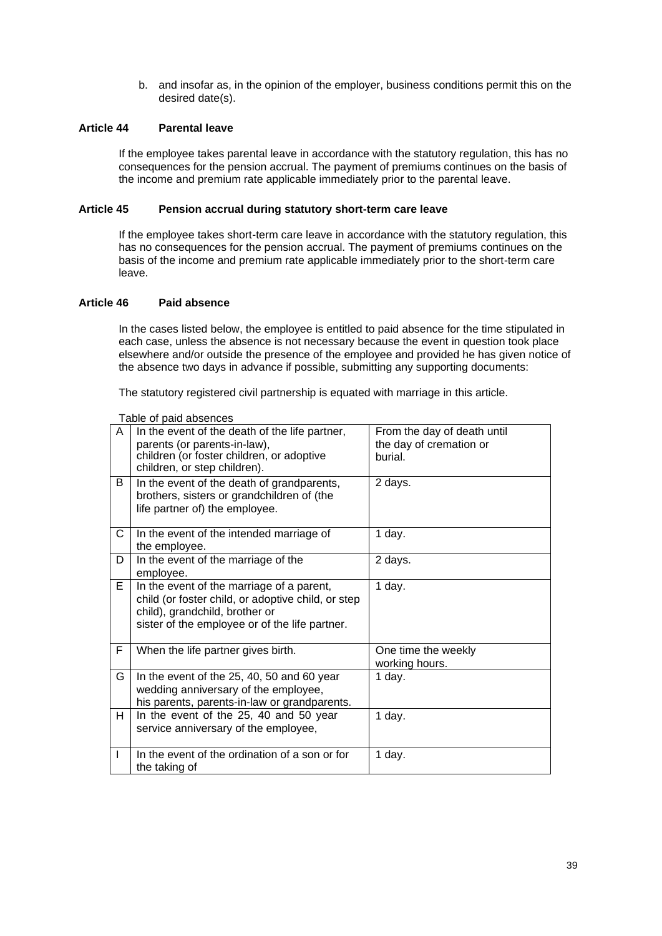b. and insofar as, in the opinion of the employer, business conditions permit this on the desired date(s).

### **Article 44 Parental leave**

If the employee takes parental leave in accordance with the statutory regulation, this has no consequences for the pension accrual. The payment of premiums continues on the basis of the income and premium rate applicable immediately prior to the parental leave.

#### **Article 45 Pension accrual during statutory short-term care leave**

If the employee takes short-term care leave in accordance with the statutory regulation, this has no consequences for the pension accrual. The payment of premiums continues on the basis of the income and premium rate applicable immediately prior to the short-term care leave.

### **Article 46 Paid absence**

In the cases listed below, the employee is entitled to paid absence for the time stipulated in each case, unless the absence is not necessary because the event in question took place elsewhere and/or outside the presence of the employee and provided he has given notice of the absence two days in advance if possible, submitting any supporting documents:

The statutory registered civil partnership is equated with marriage in this article.

| A | In the event of the death of the life partner,<br>parents (or parents-in-law),<br>children (or foster children, or adoptive<br>children, or step children).                         | From the day of death until<br>the day of cremation or<br>burial. |
|---|-------------------------------------------------------------------------------------------------------------------------------------------------------------------------------------|-------------------------------------------------------------------|
| B | In the event of the death of grandparents,<br>brothers, sisters or grandchildren of (the<br>life partner of) the employee.                                                          | 2 days.                                                           |
| C | In the event of the intended marriage of<br>the employee.                                                                                                                           | 1 day.                                                            |
| D | In the event of the marriage of the<br>employee.                                                                                                                                    | 2 days.                                                           |
| Е | In the event of the marriage of a parent,<br>child (or foster child, or adoptive child, or step<br>child), grandchild, brother or<br>sister of the employee or of the life partner. | 1 day.                                                            |
| F | When the life partner gives birth.                                                                                                                                                  | One time the weekly<br>working hours.                             |
| G | In the event of the 25, 40, 50 and 60 year<br>wedding anniversary of the employee,<br>his parents, parents-in-law or grandparents.                                                  | 1 day.                                                            |
| н | In the event of the 25, 40 and 50 year<br>service anniversary of the employee,                                                                                                      | 1 day.                                                            |
| I | In the event of the ordination of a son or for<br>the taking of                                                                                                                     | 1 day.                                                            |

Table of paid absences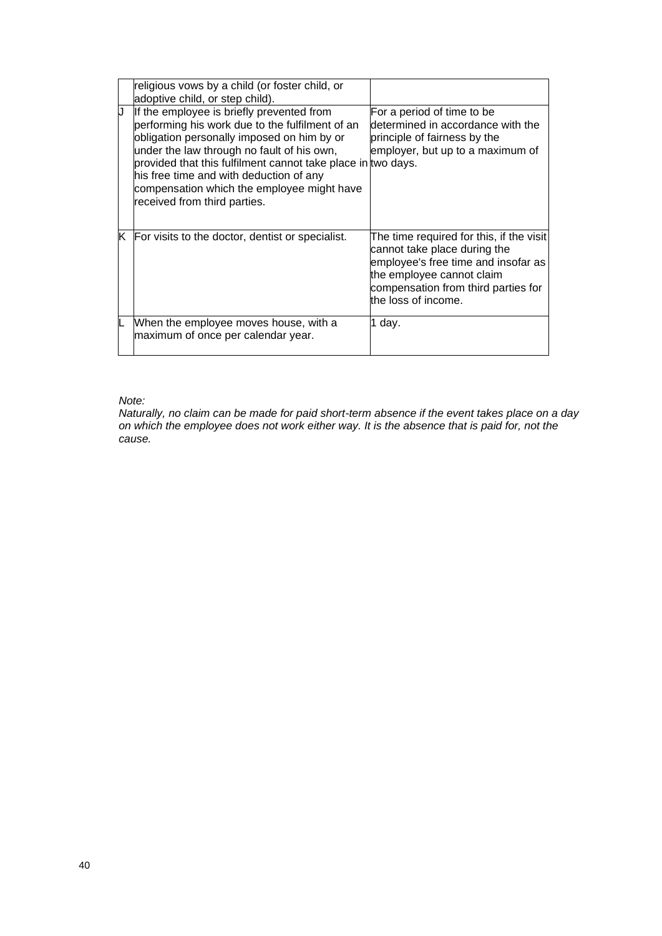|    | religious vows by a child (or foster child, or<br>adoptive child, or step child).                                                                                                                                                                                                                                                                                                 |                                                                                                                                                                                                            |
|----|-----------------------------------------------------------------------------------------------------------------------------------------------------------------------------------------------------------------------------------------------------------------------------------------------------------------------------------------------------------------------------------|------------------------------------------------------------------------------------------------------------------------------------------------------------------------------------------------------------|
| IJ | If the employee is briefly prevented from<br>performing his work due to the fulfilment of an<br>obligation personally imposed on him by or<br>under the law through no fault of his own,<br>provided that this fulfilment cannot take place in two days.<br>his free time and with deduction of any<br>compensation which the employee might have<br>received from third parties. | For a period of time to be<br>determined in accordance with the<br>principle of fairness by the<br>employer, but up to a maximum of                                                                        |
| K  | For visits to the doctor, dentist or specialist.                                                                                                                                                                                                                                                                                                                                  | The time required for this, if the visit<br>cannot take place during the<br>employee's free time and insofar as<br>the employee cannot claim<br>compensation from third parties for<br>the loss of income. |
|    | When the employee moves house, with a<br>maximum of once per calendar year.                                                                                                                                                                                                                                                                                                       | 1 day.                                                                                                                                                                                                     |

## *Note:*

*Naturally, no claim can be made for paid short-term absence if the event takes place on a day on which the employee does not work either way. It is the absence that is paid for, not the cause.*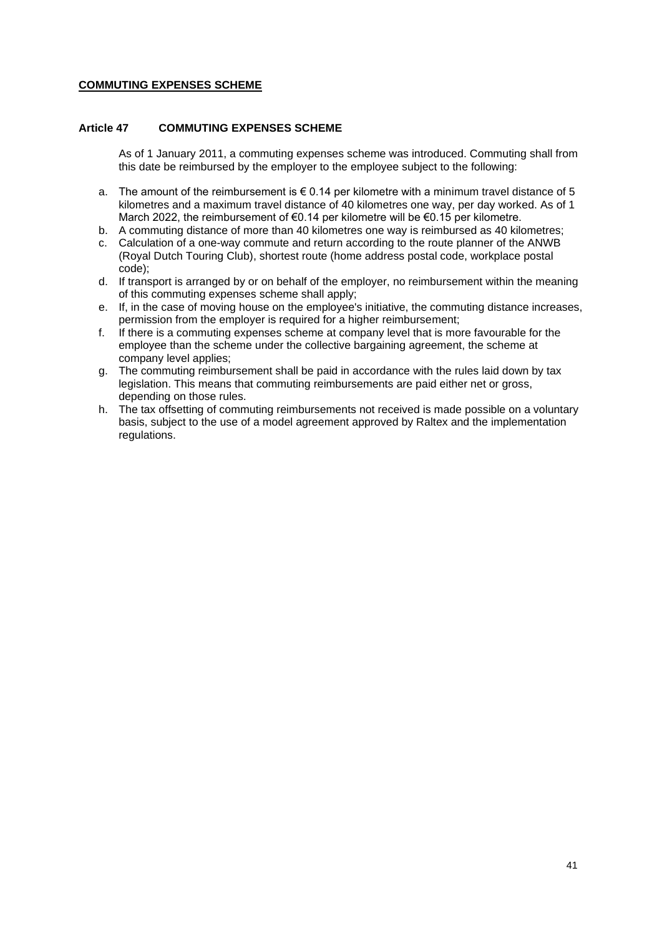## **COMMUTING EXPENSES SCHEME**

### **Article 47 COMMUTING EXPENSES SCHEME**

As of 1 January 2011, a commuting expenses scheme was introduced. Commuting shall from this date be reimbursed by the employer to the employee subject to the following:

- a. The amount of the reimbursement is  $\epsilon$  0.14 per kilometre with a minimum travel distance of 5 kilometres and a maximum travel distance of 40 kilometres one way, per day worked. As of 1 March 2022, the reimbursement of €0.14 per kilometre will be €0.15 per kilometre.
- b. A commuting distance of more than 40 kilometres one way is reimbursed as 40 kilometres;
- c. Calculation of a one-way commute and return according to the route planner of the ANWB (Royal Dutch Touring Club), shortest route (home address postal code, workplace postal code);
- d. If transport is arranged by or on behalf of the employer, no reimbursement within the meaning of this commuting expenses scheme shall apply;
- e. If, in the case of moving house on the employee's initiative, the commuting distance increases, permission from the employer is required for a higher reimbursement;
- f. If there is a commuting expenses scheme at company level that is more favourable for the employee than the scheme under the collective bargaining agreement, the scheme at company level applies;
- g. The commuting reimbursement shall be paid in accordance with the rules laid down by tax legislation. This means that commuting reimbursements are paid either net or gross, depending on those rules.
- h. The tax offsetting of commuting reimbursements not received is made possible on a voluntary basis, subject to the use of a model agreement approved by Raltex and the implementation regulations.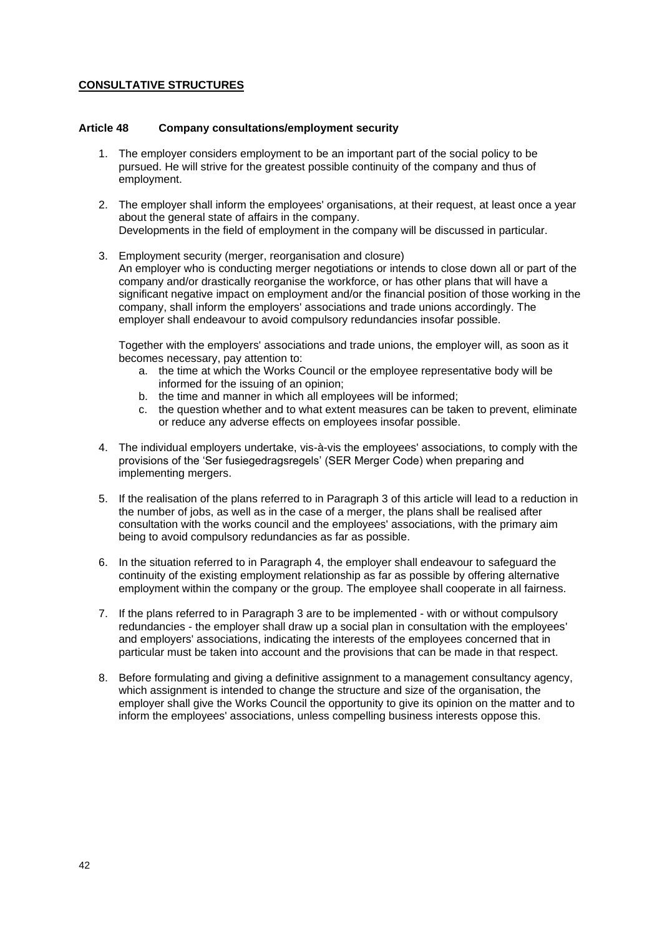# **CONSULTATIVE STRUCTURES**

#### **Article 48 Company consultations/employment security**

- 1. The employer considers employment to be an important part of the social policy to be pursued. He will strive for the greatest possible continuity of the company and thus of employment.
- 2. The employer shall inform the employees' organisations, at their request, at least once a year about the general state of affairs in the company. Developments in the field of employment in the company will be discussed in particular.
- 3. Employment security (merger, reorganisation and closure) An employer who is conducting merger negotiations or intends to close down all or part of the company and/or drastically reorganise the workforce, or has other plans that will have a significant negative impact on employment and/or the financial position of those working in the company, shall inform the employers' associations and trade unions accordingly. The employer shall endeavour to avoid compulsory redundancies insofar possible.

Together with the employers' associations and trade unions, the employer will, as soon as it becomes necessary, pay attention to:

- a. the time at which the Works Council or the employee representative body will be informed for the issuing of an opinion;
- b. the time and manner in which all employees will be informed;
- c. the question whether and to what extent measures can be taken to prevent, eliminate or reduce any adverse effects on employees insofar possible.
- 4. The individual employers undertake, vis-à-vis the employees' associations, to comply with the provisions of the 'Ser fusiegedragsregels' (SER Merger Code) when preparing and implementing mergers.
- 5. If the realisation of the plans referred to in Paragraph 3 of this article will lead to a reduction in the number of jobs, as well as in the case of a merger, the plans shall be realised after consultation with the works council and the employees' associations, with the primary aim being to avoid compulsory redundancies as far as possible.
- 6. In the situation referred to in Paragraph 4, the employer shall endeavour to safeguard the continuity of the existing employment relationship as far as possible by offering alternative employment within the company or the group. The employee shall cooperate in all fairness.
- 7. If the plans referred to in Paragraph 3 are to be implemented with or without compulsory redundancies - the employer shall draw up a social plan in consultation with the employees' and employers' associations, indicating the interests of the employees concerned that in particular must be taken into account and the provisions that can be made in that respect.
- 8. Before formulating and giving a definitive assignment to a management consultancy agency, which assignment is intended to change the structure and size of the organisation, the employer shall give the Works Council the opportunity to give its opinion on the matter and to inform the employees' associations, unless compelling business interests oppose this.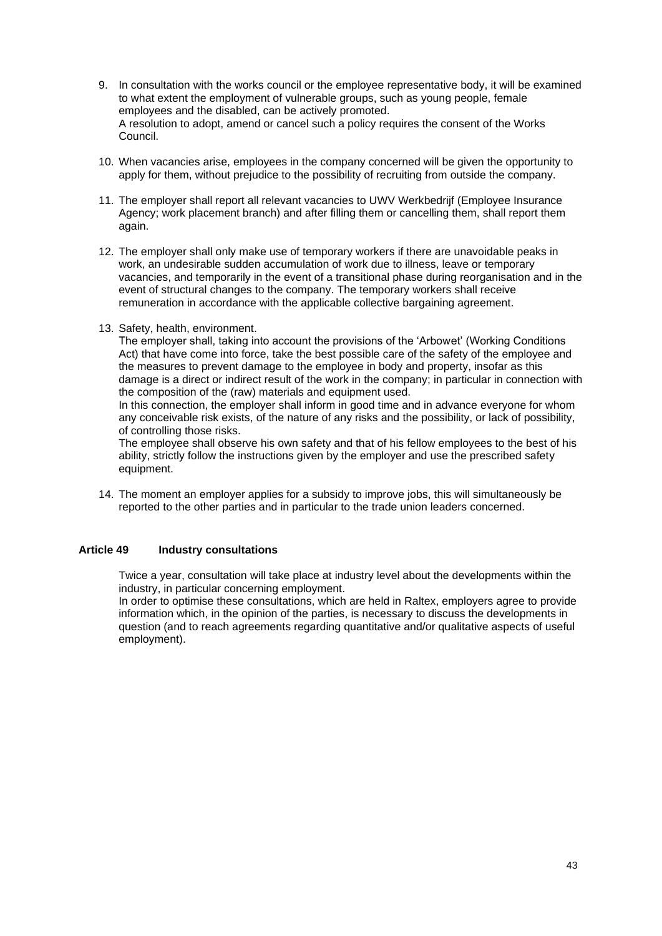- 9. In consultation with the works council or the employee representative body, it will be examined to what extent the employment of vulnerable groups, such as young people, female employees and the disabled, can be actively promoted. A resolution to adopt, amend or cancel such a policy requires the consent of the Works Council.
- 10. When vacancies arise, employees in the company concerned will be given the opportunity to apply for them, without prejudice to the possibility of recruiting from outside the company.
- 11. The employer shall report all relevant vacancies to UWV Werkbedrijf (Employee Insurance Agency; work placement branch) and after filling them or cancelling them, shall report them again.
- 12. The employer shall only make use of temporary workers if there are unavoidable peaks in work, an undesirable sudden accumulation of work due to illness, leave or temporary vacancies, and temporarily in the event of a transitional phase during reorganisation and in the event of structural changes to the company. The temporary workers shall receive remuneration in accordance with the applicable collective bargaining agreement.
- 13. Safety, health, environment.

The employer shall, taking into account the provisions of the 'Arbowet' (Working Conditions Act) that have come into force, take the best possible care of the safety of the employee and the measures to prevent damage to the employee in body and property, insofar as this damage is a direct or indirect result of the work in the company; in particular in connection with the composition of the (raw) materials and equipment used.

In this connection, the employer shall inform in good time and in advance everyone for whom any conceivable risk exists, of the nature of any risks and the possibility, or lack of possibility, of controlling those risks.

The employee shall observe his own safety and that of his fellow employees to the best of his ability, strictly follow the instructions given by the employer and use the prescribed safety equipment.

14. The moment an employer applies for a subsidy to improve jobs, this will simultaneously be reported to the other parties and in particular to the trade union leaders concerned.

#### **Article 49 Industry consultations**

Twice a year, consultation will take place at industry level about the developments within the industry, in particular concerning employment.

In order to optimise these consultations, which are held in Raltex, employers agree to provide information which, in the opinion of the parties, is necessary to discuss the developments in question (and to reach agreements regarding quantitative and/or qualitative aspects of useful employment).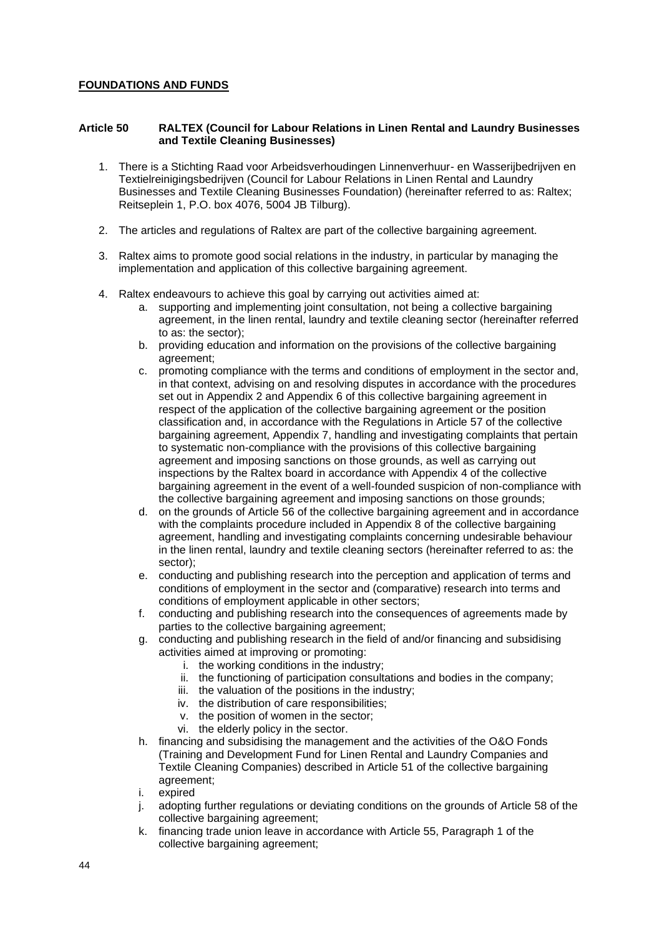# **FOUNDATIONS AND FUNDS**

## **Article 50 RALTEX (Council for Labour Relations in Linen Rental and Laundry Businesses and Textile Cleaning Businesses)**

- 1. There is a Stichting Raad voor Arbeidsverhoudingen Linnenverhuur- en Wasserijbedrijven en Textielreinigingsbedrijven (Council for Labour Relations in Linen Rental and Laundry Businesses and Textile Cleaning Businesses Foundation) (hereinafter referred to as: Raltex; Reitseplein 1, P.O. box 4076, 5004 JB Tilburg).
- 2. The articles and regulations of Raltex are part of the collective bargaining agreement.
- 3. Raltex aims to promote good social relations in the industry, in particular by managing the implementation and application of this collective bargaining agreement.
- 4. Raltex endeavours to achieve this goal by carrying out activities aimed at:
	- a. supporting and implementing joint consultation, not being a collective bargaining agreement, in the linen rental, laundry and textile cleaning sector (hereinafter referred to as: the sector);
	- b. providing education and information on the provisions of the collective bargaining agreement;
	- c. promoting compliance with the terms and conditions of employment in the sector and, in that context, advising on and resolving disputes in accordance with the procedures set out in Appendix 2 and Appendix 6 of this collective bargaining agreement in respect of the application of the collective bargaining agreement or the position classification and, in accordance with the Regulations in Article 57 of the collective bargaining agreement, Appendix 7, handling and investigating complaints that pertain to systematic non-compliance with the provisions of this collective bargaining agreement and imposing sanctions on those grounds, as well as carrying out inspections by the Raltex board in accordance with Appendix 4 of the collective bargaining agreement in the event of a well-founded suspicion of non-compliance with the collective bargaining agreement and imposing sanctions on those grounds;
	- d. on the grounds of Article 56 of the collective bargaining agreement and in accordance with the complaints procedure included in Appendix 8 of the collective bargaining agreement, handling and investigating complaints concerning undesirable behaviour in the linen rental, laundry and textile cleaning sectors (hereinafter referred to as: the sector);
	- e. conducting and publishing research into the perception and application of terms and conditions of employment in the sector and (comparative) research into terms and conditions of employment applicable in other sectors;
	- f. conducting and publishing research into the consequences of agreements made by parties to the collective bargaining agreement;
	- g. conducting and publishing research in the field of and/or financing and subsidising activities aimed at improving or promoting:
		- i. the working conditions in the industry;
		- ii. the functioning of participation consultations and bodies in the company;
		- iii. the valuation of the positions in the industry;
		- iv. the distribution of care responsibilities;
		- v. the position of women in the sector;
		- vi. the elderly policy in the sector.
	- h. financing and subsidising the management and the activities of the O&O Fonds (Training and Development Fund for Linen Rental and Laundry Companies and Textile Cleaning Companies) described in Article 51 of the collective bargaining agreement;
	- i. expired
	- j. adopting further regulations or deviating conditions on the grounds of Article 58 of the collective bargaining agreement;
	- k. financing trade union leave in accordance with Article 55, Paragraph 1 of the collective bargaining agreement;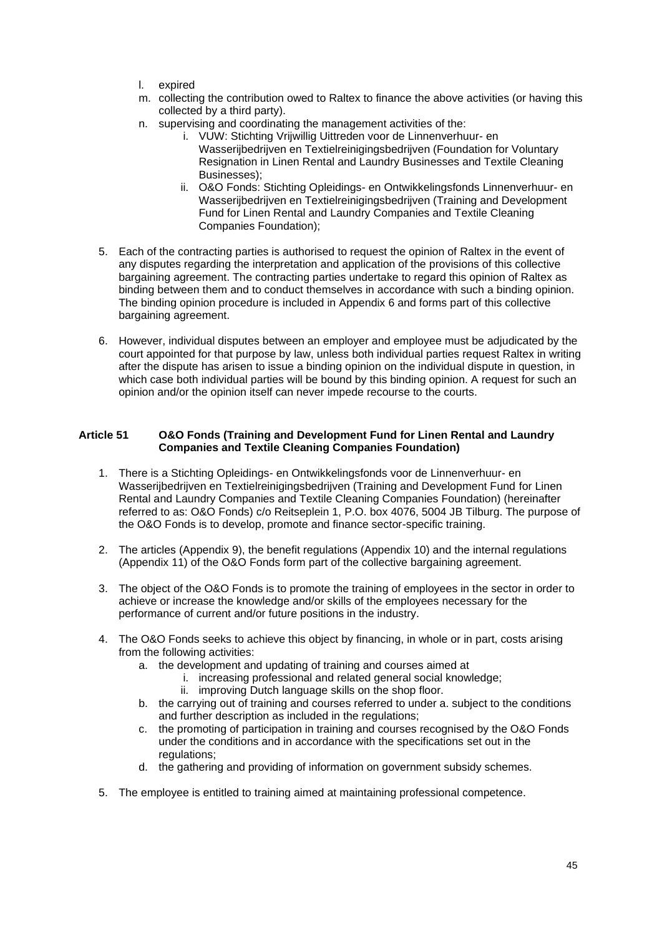- l. expired
- m. collecting the contribution owed to Raltex to finance the above activities (or having this collected by a third party).
- n. supervising and coordinating the management activities of the:
	- i. VUW: Stichting Vrijwillig Uittreden voor de Linnenverhuur- en Wasserijbedrijven en Textielreinigingsbedrijven (Foundation for Voluntary Resignation in Linen Rental and Laundry Businesses and Textile Cleaning Businesses);
	- ii. O&O Fonds: Stichting Opleidings- en Ontwikkelingsfonds Linnenverhuur- en Wasserijbedrijven en Textielreinigingsbedrijven (Training and Development Fund for Linen Rental and Laundry Companies and Textile Cleaning Companies Foundation);
- 5. Each of the contracting parties is authorised to request the opinion of Raltex in the event of any disputes regarding the interpretation and application of the provisions of this collective bargaining agreement. The contracting parties undertake to regard this opinion of Raltex as binding between them and to conduct themselves in accordance with such a binding opinion. The binding opinion procedure is included in Appendix 6 and forms part of this collective bargaining agreement.
- 6. However, individual disputes between an employer and employee must be adjudicated by the court appointed for that purpose by law, unless both individual parties request Raltex in writing after the dispute has arisen to issue a binding opinion on the individual dispute in question, in which case both individual parties will be bound by this binding opinion. A request for such an opinion and/or the opinion itself can never impede recourse to the courts.

# **Article 51 O&O Fonds (Training and Development Fund for Linen Rental and Laundry Companies and Textile Cleaning Companies Foundation)**

- 1. There is a Stichting Opleidings- en Ontwikkelingsfonds voor de Linnenverhuur- en Wasserijbedrijven en Textielreinigingsbedrijven (Training and Development Fund for Linen Rental and Laundry Companies and Textile Cleaning Companies Foundation) (hereinafter referred to as: O&O Fonds) c/o Reitseplein 1, P.O. box 4076, 5004 JB Tilburg. The purpose of the O&O Fonds is to develop, promote and finance sector-specific training.
- 2. The articles (Appendix 9), the benefit regulations (Appendix 10) and the internal regulations (Appendix 11) of the O&O Fonds form part of the collective bargaining agreement.
- 3. The object of the O&O Fonds is to promote the training of employees in the sector in order to achieve or increase the knowledge and/or skills of the employees necessary for the performance of current and/or future positions in the industry.
- 4. The O&O Fonds seeks to achieve this object by financing, in whole or in part, costs arising from the following activities:
	- a. the development and updating of training and courses aimed at
		- i. increasing professional and related general social knowledge;
			- ii. improving Dutch language skills on the shop floor.
	- b. the carrying out of training and courses referred to under a. subject to the conditions and further description as included in the regulations;
	- c. the promoting of participation in training and courses recognised by the O&O Fonds under the conditions and in accordance with the specifications set out in the regulations:
	- d. the gathering and providing of information on government subsidy schemes.
- 5. The employee is entitled to training aimed at maintaining professional competence.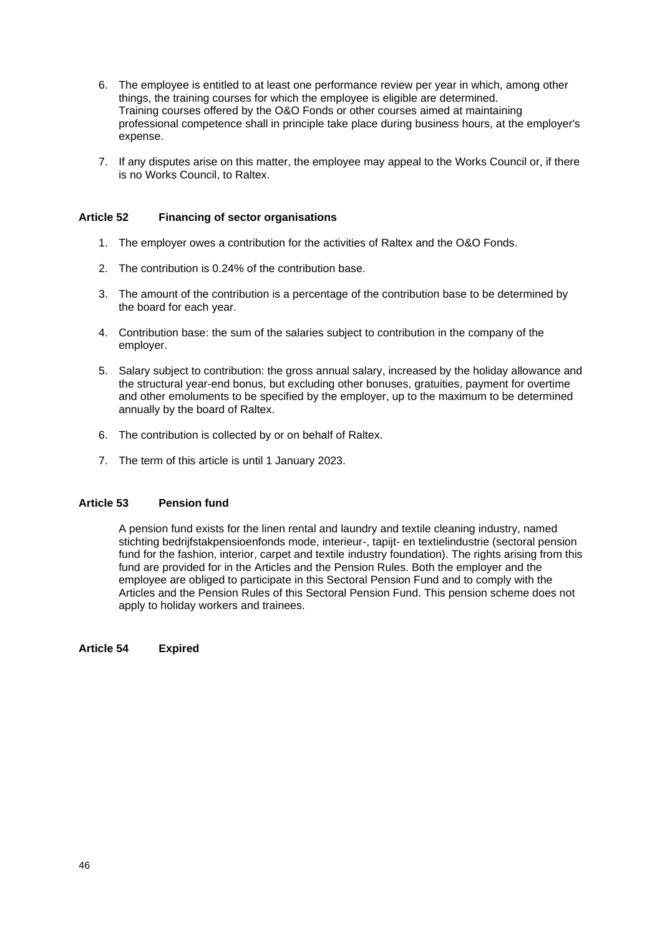- 6. The employee is entitled to at least one performance review per year in which, among other things, the training courses for which the employee is eligible are determined. Training courses offered by the O&O Fonds or other courses aimed at maintaining professional competence shall in principle take place during business hours, at the employer's expense.
- 7. If any disputes arise on this matter, the employee may appeal to the Works Council or, if there is no Works Council, to Raltex.

## **Article 52 Financing of sector organisations**

- 1. The employer owes a contribution for the activities of Raltex and the O&O Fonds.
- 2. The contribution is 0.24% of the contribution base.
- 3. The amount of the contribution is a percentage of the contribution base to be determined by the board for each year.
- 4. Contribution base: the sum of the salaries subject to contribution in the company of the employer.
- 5. Salary subject to contribution: the gross annual salary, increased by the holiday allowance and the structural year-end bonus, but excluding other bonuses, gratuities, payment for overtime and other emoluments to be specified by the employer, up to the maximum to be determined annually by the board of Raltex.
- 6. The contribution is collected by or on behalf of Raltex.
- 7. The term of this article is until 1 January 2023.

# **Article 53 Pension fund**

A pension fund exists for the linen rental and laundry and textile cleaning industry, named stichting bedrijfstakpensioenfonds mode, interieur-, tapijt- en textielindustrie (sectoral pension fund for the fashion, interior, carpet and textile industry foundation). The rights arising from this fund are provided for in the Articles and the Pension Rules. Both the employer and the employee are obliged to participate in this Sectoral Pension Fund and to comply with the Articles and the Pension Rules of this Sectoral Pension Fund. This pension scheme does not apply to holiday workers and trainees.

**Article 54 Expired**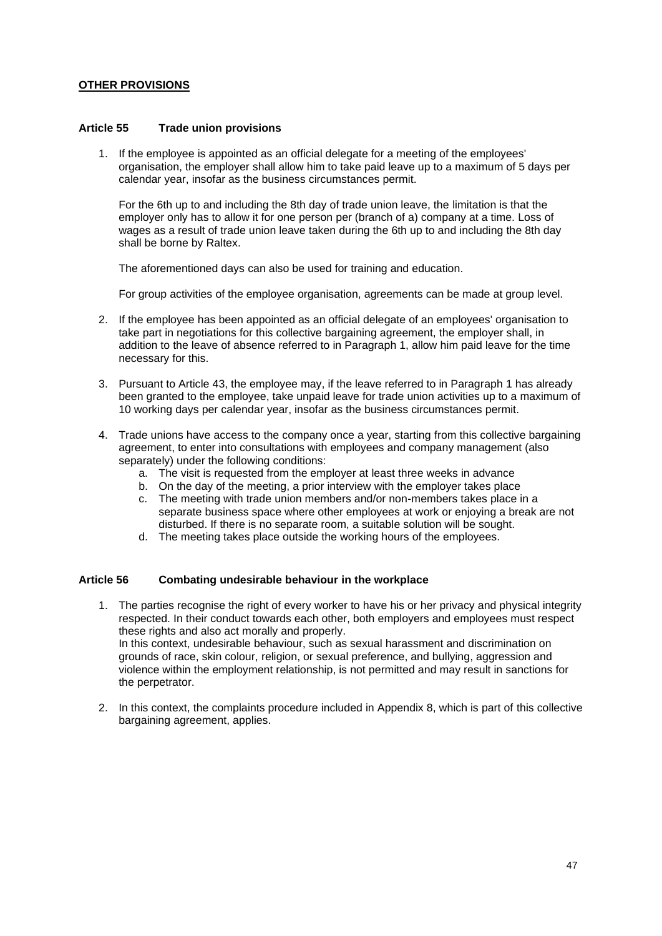## **OTHER PROVISIONS**

#### **Article 55 Trade union provisions**

1. If the employee is appointed as an official delegate for a meeting of the employees' organisation, the employer shall allow him to take paid leave up to a maximum of 5 days per calendar year, insofar as the business circumstances permit.

For the 6th up to and including the 8th day of trade union leave, the limitation is that the employer only has to allow it for one person per (branch of a) company at a time. Loss of wages as a result of trade union leave taken during the 6th up to and including the 8th day shall be borne by Raltex.

The aforementioned days can also be used for training and education.

For group activities of the employee organisation, agreements can be made at group level.

- 2. If the employee has been appointed as an official delegate of an employees' organisation to take part in negotiations for this collective bargaining agreement, the employer shall, in addition to the leave of absence referred to in Paragraph 1, allow him paid leave for the time necessary for this.
- 3. Pursuant to Article 43, the employee may, if the leave referred to in Paragraph 1 has already been granted to the employee, take unpaid leave for trade union activities up to a maximum of 10 working days per calendar year, insofar as the business circumstances permit.
- 4. Trade unions have access to the company once a year, starting from this collective bargaining agreement, to enter into consultations with employees and company management (also separately) under the following conditions:
	- a. The visit is requested from the employer at least three weeks in advance
	- b. On the day of the meeting, a prior interview with the employer takes place
	- c. The meeting with trade union members and/or non-members takes place in a separate business space where other employees at work or enjoying a break are not disturbed. If there is no separate room, a suitable solution will be sought.
	- d. The meeting takes place outside the working hours of the employees.

# **Article 56 Combating undesirable behaviour in the workplace**

- 1. The parties recognise the right of every worker to have his or her privacy and physical integrity respected. In their conduct towards each other, both employers and employees must respect these rights and also act morally and properly. In this context, undesirable behaviour, such as sexual harassment and discrimination on grounds of race, skin colour, religion, or sexual preference, and bullying, aggression and violence within the employment relationship, is not permitted and may result in sanctions for the perpetrator.
- 2. In this context, the complaints procedure included in Appendix 8, which is part of this collective bargaining agreement, applies.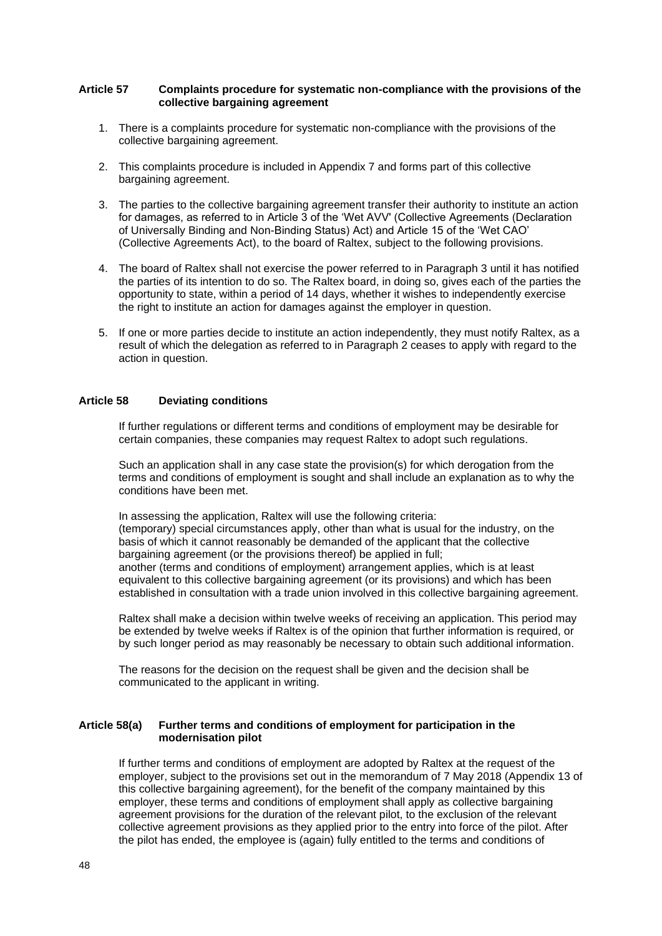#### **Article 57 Complaints procedure for systematic non-compliance with the provisions of the collective bargaining agreement**

- 1. There is a complaints procedure for systematic non-compliance with the provisions of the collective bargaining agreement.
- 2. This complaints procedure is included in Appendix 7 and forms part of this collective bargaining agreement.
- 3. The parties to the collective bargaining agreement transfer their authority to institute an action for damages, as referred to in Article 3 of the 'Wet AVV' (Collective Agreements (Declaration of Universally Binding and Non-Binding Status) Act) and Article 15 of the 'Wet CAO' (Collective Agreements Act), to the board of Raltex, subject to the following provisions.
- 4. The board of Raltex shall not exercise the power referred to in Paragraph 3 until it has notified the parties of its intention to do so. The Raltex board, in doing so, gives each of the parties the opportunity to state, within a period of 14 days, whether it wishes to independently exercise the right to institute an action for damages against the employer in question.
- 5. If one or more parties decide to institute an action independently, they must notify Raltex, as a result of which the delegation as referred to in Paragraph 2 ceases to apply with regard to the action in question.

## **Article 58 Deviating conditions**

If further regulations or different terms and conditions of employment may be desirable for certain companies, these companies may request Raltex to adopt such regulations.

Such an application shall in any case state the provision(s) for which derogation from the terms and conditions of employment is sought and shall include an explanation as to why the conditions have been met.

In assessing the application, Raltex will use the following criteria: (temporary) special circumstances apply, other than what is usual for the industry, on the basis of which it cannot reasonably be demanded of the applicant that the collective bargaining agreement (or the provisions thereof) be applied in full; another (terms and conditions of employment) arrangement applies, which is at least equivalent to this collective bargaining agreement (or its provisions) and which has been established in consultation with a trade union involved in this collective bargaining agreement.

Raltex shall make a decision within twelve weeks of receiving an application. This period may be extended by twelve weeks if Raltex is of the opinion that further information is required, or by such longer period as may reasonably be necessary to obtain such additional information.

The reasons for the decision on the request shall be given and the decision shall be communicated to the applicant in writing.

### **Article 58(a) Further terms and conditions of employment for participation in the modernisation pilot**

If further terms and conditions of employment are adopted by Raltex at the request of the employer, subject to the provisions set out in the memorandum of 7 May 2018 (Appendix 13 of this collective bargaining agreement), for the benefit of the company maintained by this employer, these terms and conditions of employment shall apply as collective bargaining agreement provisions for the duration of the relevant pilot, to the exclusion of the relevant collective agreement provisions as they applied prior to the entry into force of the pilot. After the pilot has ended, the employee is (again) fully entitled to the terms and conditions of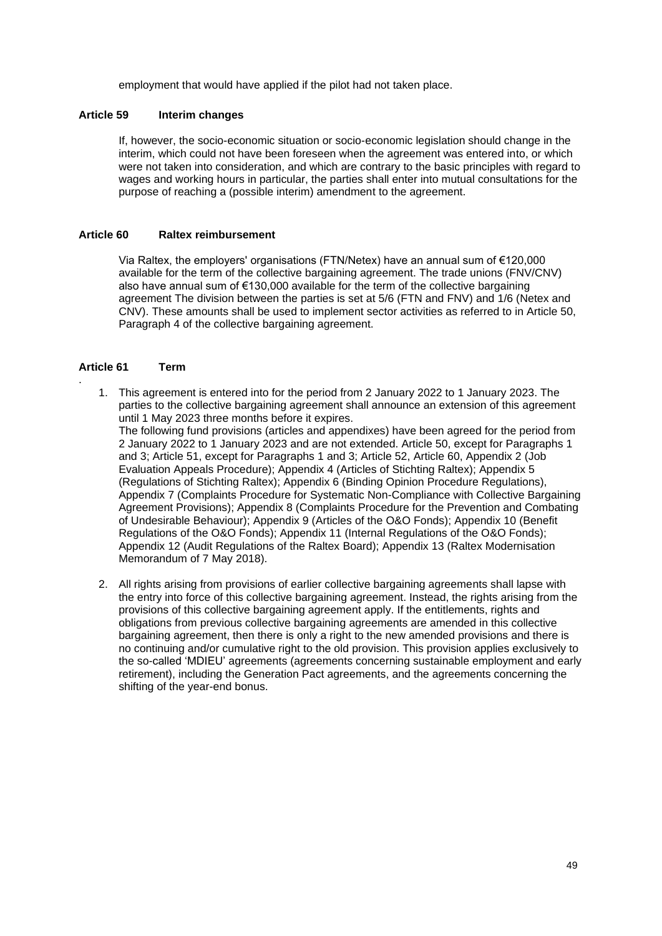employment that would have applied if the pilot had not taken place.

## **Article 59 Interim changes**

If, however, the socio-economic situation or socio-economic legislation should change in the interim, which could not have been foreseen when the agreement was entered into, or which were not taken into consideration, and which are contrary to the basic principles with regard to wages and working hours in particular, the parties shall enter into mutual consultations for the purpose of reaching a (possible interim) amendment to the agreement.

#### **Article 60 Raltex reimbursement**

Via Raltex, the employers' organisations (FTN/Netex) have an annual sum of €120,000 available for the term of the collective bargaining agreement. The trade unions (FNV/CNV) also have annual sum of €130,000 available for the term of the collective bargaining agreement The division between the parties is set at 5/6 (FTN and FNV) and 1/6 (Netex and CNV). These amounts shall be used to implement sector activities as referred to in Article 50, Paragraph 4 of the collective bargaining agreement.

### **Article 61 Term**

.

1. This agreement is entered into for the period from 2 January 2022 to 1 January 2023. The parties to the collective bargaining agreement shall announce an extension of this agreement until 1 May 2023 three months before it expires.

The following fund provisions (articles and appendixes) have been agreed for the period from 2 January 2022 to 1 January 2023 and are not extended. Article 50, except for Paragraphs 1 and 3; Article 51, except for Paragraphs 1 and 3; Article 52, Article 60, Appendix 2 (Job Evaluation Appeals Procedure); Appendix 4 (Articles of Stichting Raltex); Appendix 5 (Regulations of Stichting Raltex); Appendix 6 (Binding Opinion Procedure Regulations), Appendix 7 (Complaints Procedure for Systematic Non-Compliance with Collective Bargaining Agreement Provisions); Appendix 8 (Complaints Procedure for the Prevention and Combating of Undesirable Behaviour); Appendix 9 (Articles of the O&O Fonds); Appendix 10 (Benefit Regulations of the O&O Fonds); Appendix 11 (Internal Regulations of the O&O Fonds); Appendix 12 (Audit Regulations of the Raltex Board); Appendix 13 (Raltex Modernisation Memorandum of 7 May 2018).

2. All rights arising from provisions of earlier collective bargaining agreements shall lapse with the entry into force of this collective bargaining agreement. Instead, the rights arising from the provisions of this collective bargaining agreement apply. If the entitlements, rights and obligations from previous collective bargaining agreements are amended in this collective bargaining agreement, then there is only a right to the new amended provisions and there is no continuing and/or cumulative right to the old provision. This provision applies exclusively to the so-called 'MDIEU' agreements (agreements concerning sustainable employment and early retirement), including the Generation Pact agreements, and the agreements concerning the shifting of the year-end bonus.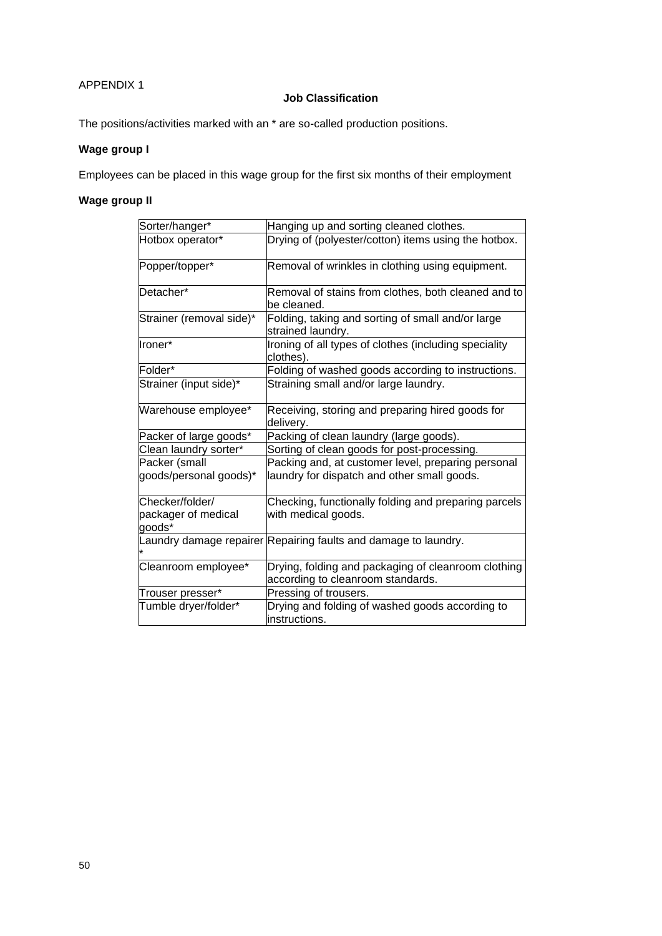# APPENDIX 1

# **Job Classification**

The positions/activities marked with an \* are so-called production positions.

# **Wage group I**

Employees can be placed in this wage group for the first six months of their employment

# **Wage group II**

| Sorter/hanger*                                   | Hanging up and sorting cleaned clothes.                                                  |
|--------------------------------------------------|------------------------------------------------------------------------------------------|
| Hotbox operator*                                 | Drying of (polyester/cotton) items using the hotbox.                                     |
| Popper/topper*                                   | Removal of wrinkles in clothing using equipment.                                         |
| Detacher*                                        | Removal of stains from clothes, both cleaned and to<br>be cleaned.                       |
| Strainer (removal side)*                         | Folding, taking and sorting of small and/or large<br>strained laundry.                   |
| Ironer*                                          | Ironing of all types of clothes (including speciality<br>clothes).                       |
| Folder*                                          | Folding of washed goods according to instructions.                                       |
| Strainer (input side)*                           | Straining small and/or large laundry.                                                    |
| Warehouse employee*                              | Receiving, storing and preparing hired goods for<br>delivery.                            |
| Packer of large goods*                           | Packing of clean laundry (large goods).                                                  |
| Clean laundry sorter*                            | Sorting of clean goods for post-processing.                                              |
| Packer (small                                    | Packing and, at customer level, preparing personal                                       |
| goods/personal goods)*                           | laundry for dispatch and other small goods.                                              |
| Checker/folder/<br>packager of medical<br>goods* | Checking, functionally folding and preparing parcels<br>with medical goods.              |
|                                                  | Laundry damage repairer Repairing faults and damage to laundry.                          |
| Cleanroom employee*                              | Drying, folding and packaging of cleanroom clothing<br>according to cleanroom standards. |
| Trouser presser*                                 | Pressing of trousers.                                                                    |
| Tumble dryer/folder*                             | Drying and folding of washed goods according to<br>instructions.                         |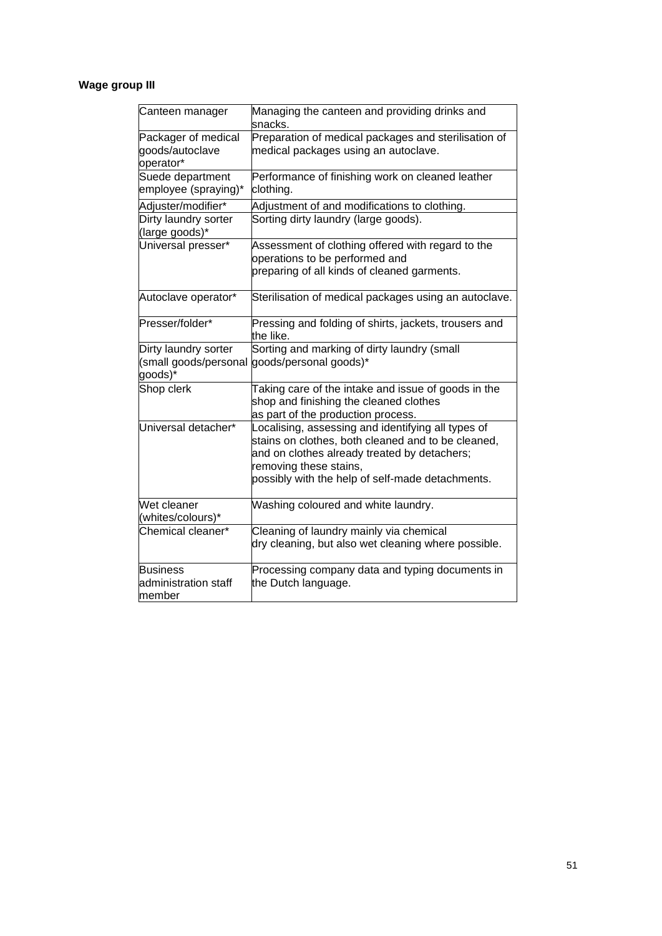# **Wage group III**

| Canteen manager                                          | Managing the canteen and providing drinks and<br>snacks.                                                                                                                                                                               |  |
|----------------------------------------------------------|----------------------------------------------------------------------------------------------------------------------------------------------------------------------------------------------------------------------------------------|--|
| Packager of medical<br>goods/autoclave<br>operator*      | Preparation of medical packages and sterilisation of<br>medical packages using an autoclave.                                                                                                                                           |  |
| Suede department<br>employee (spraying)*                 | Performance of finishing work on cleaned leather<br>clothing.                                                                                                                                                                          |  |
| Adjuster/modifier*                                       | Adjustment of and modifications to clothing.                                                                                                                                                                                           |  |
| Dirty laundry sorter<br>(large goods)*                   | Sorting dirty laundry (large goods).                                                                                                                                                                                                   |  |
| Universal presser*                                       | Assessment of clothing offered with regard to the<br>operations to be performed and<br>preparing of all kinds of cleaned garments.                                                                                                     |  |
| Autoclave operator*                                      | Sterilisation of medical packages using an autoclave.                                                                                                                                                                                  |  |
| Presser/folder*                                          | Pressing and folding of shirts, jackets, trousers and<br>the like.                                                                                                                                                                     |  |
| Dirty laundry sorter<br>(small goods/personal<br>goods)* | Sorting and marking of dirty laundry (small<br>goods/personal goods)*                                                                                                                                                                  |  |
| Shop clerk                                               | Taking care of the intake and issue of goods in the<br>shop and finishing the cleaned clothes<br>as part of the production process.                                                                                                    |  |
| Universal detacher*                                      | Localising, assessing and identifying all types of<br>stains on clothes, both cleaned and to be cleaned,<br>and on clothes already treated by detachers;<br>removing these stains,<br>possibly with the help of self-made detachments. |  |
| Wet cleaner<br>(whites/colours)*                         | Washing coloured and white laundry.                                                                                                                                                                                                    |  |
| Chemical cleaner*                                        | Cleaning of laundry mainly via chemical<br>dry cleaning, but also wet cleaning where possible.                                                                                                                                         |  |
| <b>Business</b><br>administration staff<br>member        | Processing company data and typing documents in<br>the Dutch language.                                                                                                                                                                 |  |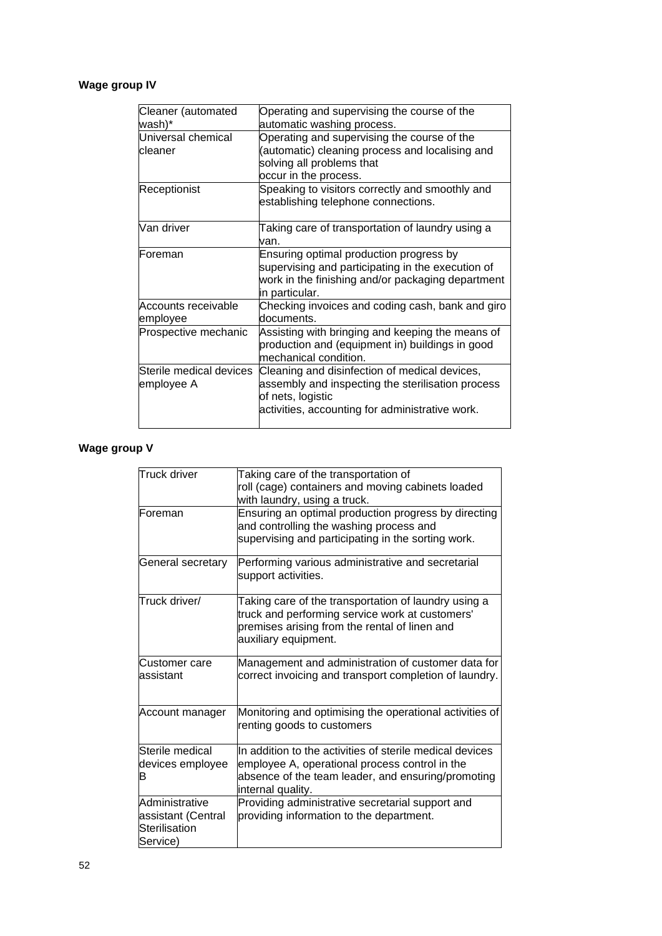# **Wage group IV**

| Cleaner (automated      | Operating and supervising the course of the                            |
|-------------------------|------------------------------------------------------------------------|
| wash)*                  | automatic washing process.                                             |
| Universal chemical      | Operating and supervising the course of the                            |
| cleaner                 | (automatic) cleaning process and localising and                        |
|                         | solving all problems that                                              |
|                         | occur in the process.                                                  |
| Receptionist            | Speaking to visitors correctly and smoothly and                        |
|                         | establishing telephone connections.                                    |
| Van driver              | Taking care of transportation of laundry using a                       |
|                         | van.                                                                   |
| Foreman                 | Ensuring optimal production progress by                                |
|                         | supervising and participating in the execution of                      |
|                         | work in the finishing and/or packaging department                      |
|                         | in particular.                                                         |
| Accounts receivable     | Checking invoices and coding cash, bank and giro                       |
| employee                | documents.                                                             |
| Prospective mechanic    | Assisting with bringing and keeping the means of                       |
|                         | production and (equipment in) buildings in good                        |
|                         | mechanical condition.                                                  |
| Sterile medical devices | Cleaning and disinfection of medical devices,                          |
| employee A              | assembly and inspecting the sterilisation process<br>of nets, logistic |
|                         | activities, accounting for administrative work.                        |
|                         |                                                                        |

# **Wage group V**

| <b>Truck driver</b>                                               | Taking care of the transportation of<br>roll (cage) containers and moving cabinets loaded<br>with laundry, using a truck.                                                             |
|-------------------------------------------------------------------|---------------------------------------------------------------------------------------------------------------------------------------------------------------------------------------|
| Foreman                                                           | Ensuring an optimal production progress by directing<br>and controlling the washing process and<br>supervising and participating in the sorting work.                                 |
| General secretary                                                 | Performing various administrative and secretarial<br>support activities.                                                                                                              |
| Truck driver/                                                     | Taking care of the transportation of laundry using a<br>truck and performing service work at customers'<br>premises arising from the rental of linen and<br>auxiliary equipment.      |
| Customer care<br>assistant                                        | Management and administration of customer data for<br>correct invoicing and transport completion of laundry.                                                                          |
| Account manager                                                   | Monitoring and optimising the operational activities of<br>renting goods to customers                                                                                                 |
| Sterile medical<br>devices employee<br>в                          | In addition to the activities of sterile medical devices<br>employee A, operational process control in the<br>absence of the team leader, and ensuring/promoting<br>internal quality. |
| Administrative<br>assistant (Central<br>Sterilisation<br>Service) | Providing administrative secretarial support and<br>providing information to the department.                                                                                          |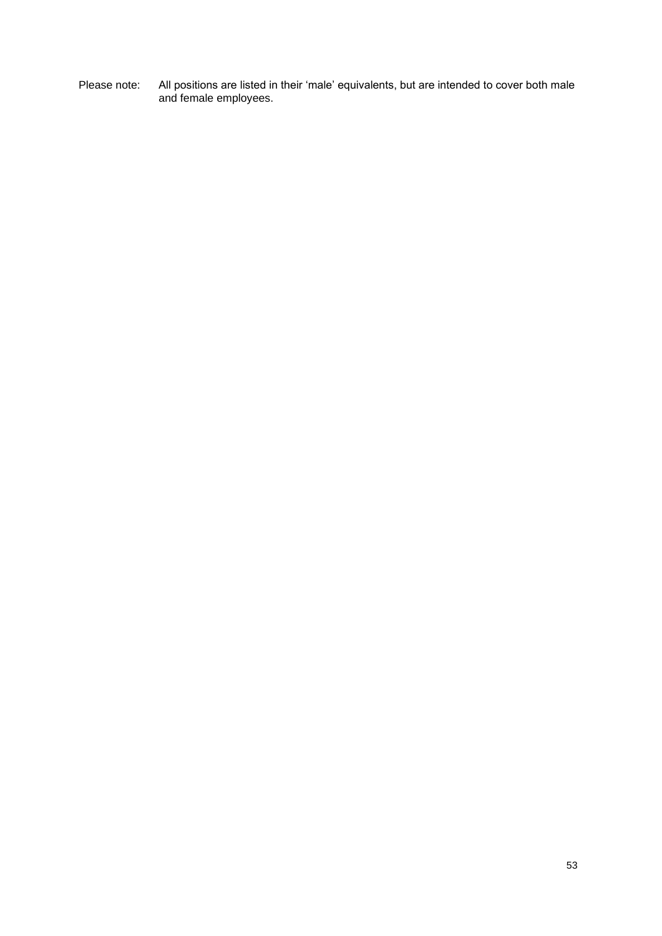Please note: All positions are listed in their 'male' equivalents, but are intended to cover both male and female employees.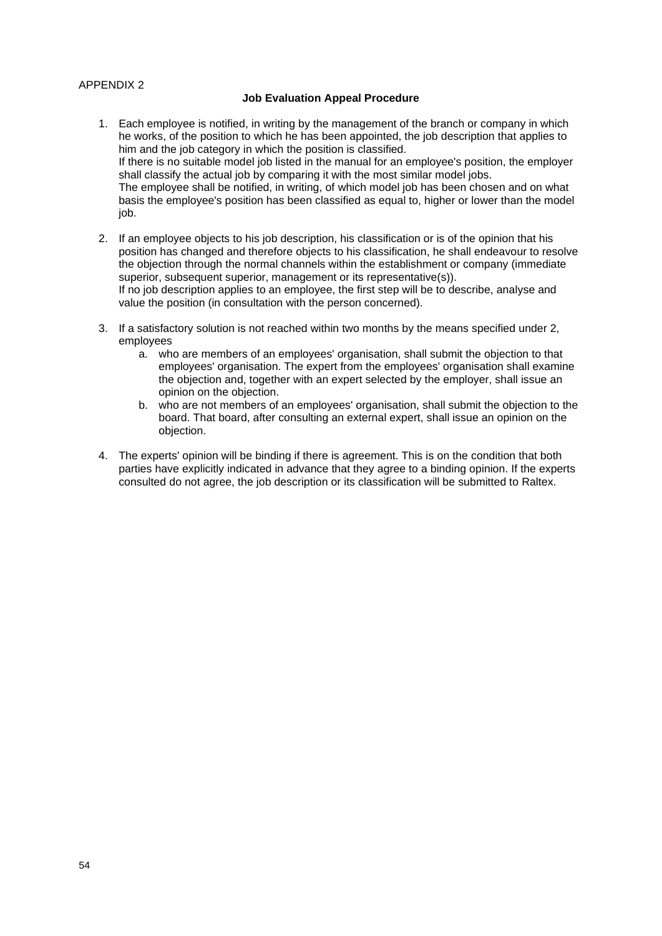## APPENDIX 2

## **Job Evaluation Appeal Procedure**

- 1. Each employee is notified, in writing by the management of the branch or company in which he works, of the position to which he has been appointed, the job description that applies to him and the job category in which the position is classified. If there is no suitable model job listed in the manual for an employee's position, the employer shall classify the actual job by comparing it with the most similar model jobs. The employee shall be notified, in writing, of which model job has been chosen and on what basis the employee's position has been classified as equal to, higher or lower than the model job.
- 2. If an employee objects to his job description, his classification or is of the opinion that his position has changed and therefore objects to his classification, he shall endeavour to resolve the objection through the normal channels within the establishment or company (immediate superior, subsequent superior, management or its representative(s)). If no job description applies to an employee, the first step will be to describe, analyse and value the position (in consultation with the person concerned).
- 3. If a satisfactory solution is not reached within two months by the means specified under 2, employees
	- a. who are members of an employees' organisation, shall submit the objection to that employees' organisation. The expert from the employees' organisation shall examine the objection and, together with an expert selected by the employer, shall issue an opinion on the objection.
	- b. who are not members of an employees' organisation, shall submit the objection to the board. That board, after consulting an external expert, shall issue an opinion on the objection.
- 4. The experts' opinion will be binding if there is agreement. This is on the condition that both parties have explicitly indicated in advance that they agree to a binding opinion. If the experts consulted do not agree, the job description or its classification will be submitted to Raltex.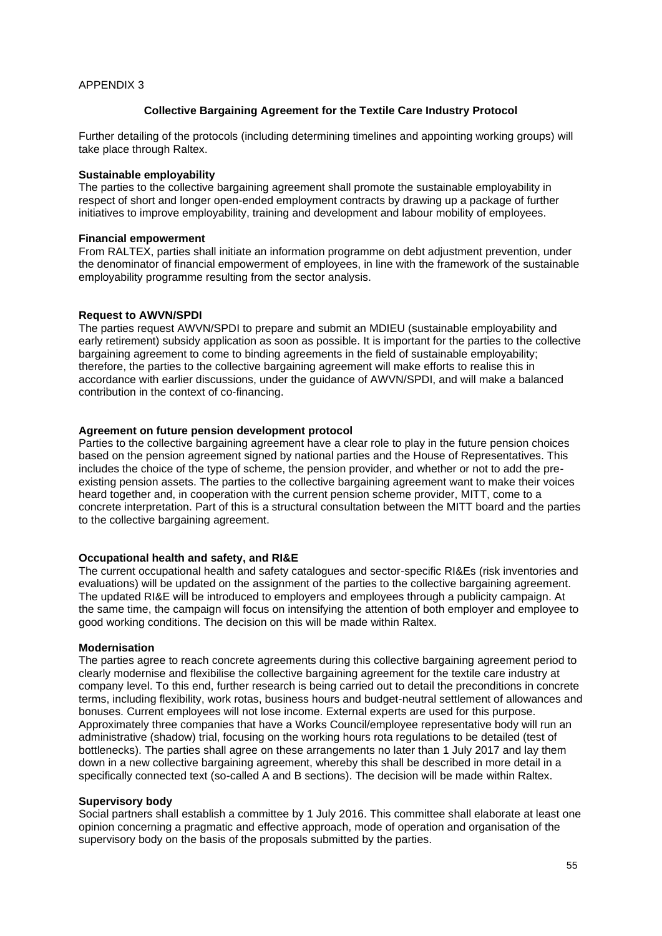## **Collective Bargaining Agreement for the Textile Care Industry Protocol**

Further detailing of the protocols (including determining timelines and appointing working groups) will take place through Raltex.

#### **Sustainable employability**

The parties to the collective bargaining agreement shall promote the sustainable employability in respect of short and longer open-ended employment contracts by drawing up a package of further initiatives to improve employability, training and development and labour mobility of employees.

#### **Financial empowerment**

From RALTEX, parties shall initiate an information programme on debt adjustment prevention, under the denominator of financial empowerment of employees, in line with the framework of the sustainable employability programme resulting from the sector analysis.

#### **Request to AWVN/SPDI**

The parties request AWVN/SPDI to prepare and submit an MDIEU (sustainable employability and early retirement) subsidy application as soon as possible. It is important for the parties to the collective bargaining agreement to come to binding agreements in the field of sustainable employability; therefore, the parties to the collective bargaining agreement will make efforts to realise this in accordance with earlier discussions, under the guidance of AWVN/SPDI, and will make a balanced contribution in the context of co-financing.

#### **Agreement on future pension development protocol**

Parties to the collective bargaining agreement have a clear role to play in the future pension choices based on the pension agreement signed by national parties and the House of Representatives. This includes the choice of the type of scheme, the pension provider, and whether or not to add the preexisting pension assets. The parties to the collective bargaining agreement want to make their voices heard together and, in cooperation with the current pension scheme provider, MITT, come to a concrete interpretation. Part of this is a structural consultation between the MITT board and the parties to the collective bargaining agreement.

#### **Occupational health and safety, and RI&E**

The current occupational health and safety catalogues and sector-specific RI&Es (risk inventories and evaluations) will be updated on the assignment of the parties to the collective bargaining agreement. The updated RI&E will be introduced to employers and employees through a publicity campaign. At the same time, the campaign will focus on intensifying the attention of both employer and employee to good working conditions. The decision on this will be made within Raltex.

#### **Modernisation**

The parties agree to reach concrete agreements during this collective bargaining agreement period to clearly modernise and flexibilise the collective bargaining agreement for the textile care industry at company level. To this end, further research is being carried out to detail the preconditions in concrete terms, including flexibility, work rotas, business hours and budget-neutral settlement of allowances and bonuses. Current employees will not lose income. External experts are used for this purpose. Approximately three companies that have a Works Council/employee representative body will run an administrative (shadow) trial, focusing on the working hours rota regulations to be detailed (test of bottlenecks). The parties shall agree on these arrangements no later than 1 July 2017 and lay them down in a new collective bargaining agreement, whereby this shall be described in more detail in a specifically connected text (so-called A and B sections). The decision will be made within Raltex.

#### **Supervisory body**

Social partners shall establish a committee by 1 July 2016. This committee shall elaborate at least one opinion concerning a pragmatic and effective approach, mode of operation and organisation of the supervisory body on the basis of the proposals submitted by the parties.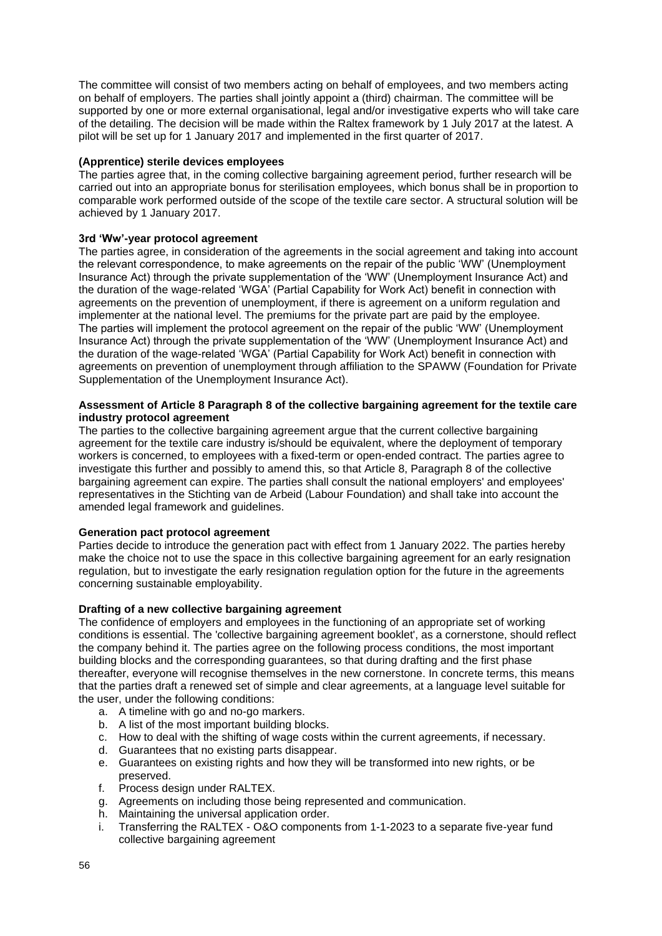The committee will consist of two members acting on behalf of employees, and two members acting on behalf of employers. The parties shall jointly appoint a (third) chairman. The committee will be supported by one or more external organisational, legal and/or investigative experts who will take care of the detailing. The decision will be made within the Raltex framework by 1 July 2017 at the latest. A pilot will be set up for 1 January 2017 and implemented in the first quarter of 2017.

## **(Apprentice) sterile devices employees**

The parties agree that, in the coming collective bargaining agreement period, further research will be carried out into an appropriate bonus for sterilisation employees, which bonus shall be in proportion to comparable work performed outside of the scope of the textile care sector. A structural solution will be achieved by 1 January 2017.

## **3rd 'Ww'-year protocol agreement**

The parties agree, in consideration of the agreements in the social agreement and taking into account the relevant correspondence, to make agreements on the repair of the public 'WW' (Unemployment Insurance Act) through the private supplementation of the 'WW' (Unemployment Insurance Act) and the duration of the wage-related 'WGA' (Partial Capability for Work Act) benefit in connection with agreements on the prevention of unemployment, if there is agreement on a uniform regulation and implementer at the national level. The premiums for the private part are paid by the employee. The parties will implement the protocol agreement on the repair of the public 'WW' (Unemployment Insurance Act) through the private supplementation of the 'WW' (Unemployment Insurance Act) and the duration of the wage-related 'WGA' (Partial Capability for Work Act) benefit in connection with agreements on prevention of unemployment through affiliation to the SPAWW (Foundation for Private Supplementation of the Unemployment Insurance Act).

#### **Assessment of Article 8 Paragraph 8 of the collective bargaining agreement for the textile care industry protocol agreement**

The parties to the collective bargaining agreement argue that the current collective bargaining agreement for the textile care industry is/should be equivalent, where the deployment of temporary workers is concerned, to employees with a fixed-term or open-ended contract. The parties agree to investigate this further and possibly to amend this, so that Article 8, Paragraph 8 of the collective bargaining agreement can expire. The parties shall consult the national employers' and employees' representatives in the Stichting van de Arbeid (Labour Foundation) and shall take into account the amended legal framework and guidelines.

#### **Generation pact protocol agreement**

Parties decide to introduce the generation pact with effect from 1 January 2022. The parties hereby make the choice not to use the space in this collective bargaining agreement for an early resignation regulation, but to investigate the early resignation regulation option for the future in the agreements concerning sustainable employability.

#### **Drafting of a new collective bargaining agreement**

The confidence of employers and employees in the functioning of an appropriate set of working conditions is essential. The 'collective bargaining agreement booklet', as a cornerstone, should reflect the company behind it. The parties agree on the following process conditions, the most important building blocks and the corresponding guarantees, so that during drafting and the first phase thereafter, everyone will recognise themselves in the new cornerstone. In concrete terms, this means that the parties draft a renewed set of simple and clear agreements, at a language level suitable for the user, under the following conditions:

- a. A timeline with go and no-go markers.
- b. A list of the most important building blocks.
- c. How to deal with the shifting of wage costs within the current agreements, if necessary.
- d. Guarantees that no existing parts disappear.
- e. Guarantees on existing rights and how they will be transformed into new rights, or be preserved.
- f. Process design under RALTEX.
- g. Agreements on including those being represented and communication.
- h. Maintaining the universal application order.
- i. Transferring the RALTEX O&O components from 1-1-2023 to a separate five-year fund collective bargaining agreement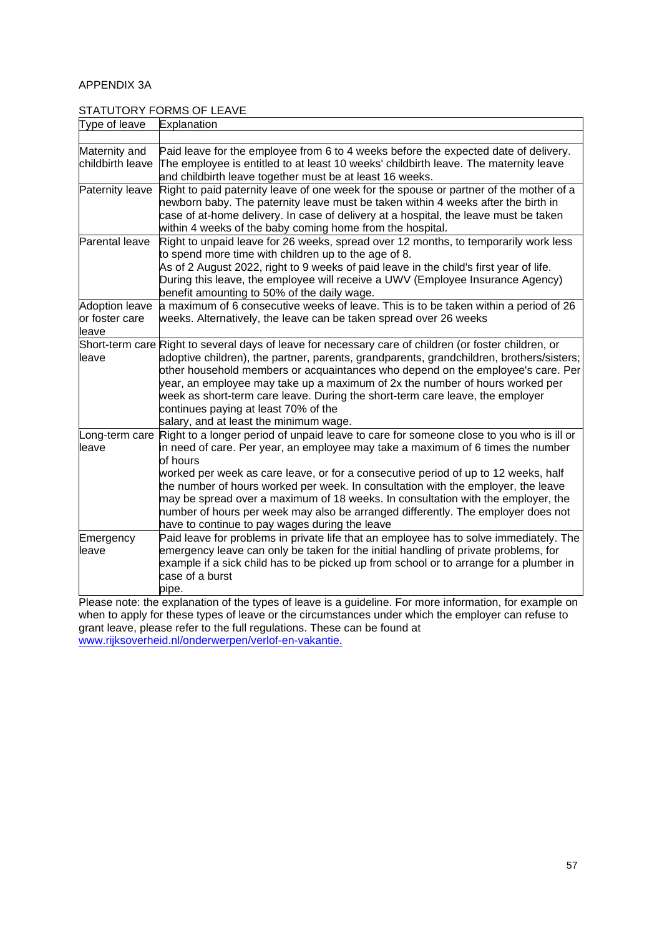# APPENDIX 3A

# STATUTORY FORMS OF LEAVE

| Type of leave                                    | Explanation                                                                                                                                                                                                                                                                                                                                                                                                                                                                                                                                                                                                |  |
|--------------------------------------------------|------------------------------------------------------------------------------------------------------------------------------------------------------------------------------------------------------------------------------------------------------------------------------------------------------------------------------------------------------------------------------------------------------------------------------------------------------------------------------------------------------------------------------------------------------------------------------------------------------------|--|
|                                                  |                                                                                                                                                                                                                                                                                                                                                                                                                                                                                                                                                                                                            |  |
| Maternity and<br>childbirth leave                | Paid leave for the employee from 6 to 4 weeks before the expected date of delivery.<br>The employee is entitled to at least 10 weeks' childbirth leave. The maternity leave<br>and childbirth leave together must be at least 16 weeks.                                                                                                                                                                                                                                                                                                                                                                    |  |
| Paternity leave                                  | Right to paid paternity leave of one week for the spouse or partner of the mother of a<br>newborn baby. The paternity leave must be taken within 4 weeks after the birth in<br>case of at-home delivery. In case of delivery at a hospital, the leave must be taken<br>within 4 weeks of the baby coming home from the hospital.                                                                                                                                                                                                                                                                           |  |
| Parental leave                                   | Right to unpaid leave for 26 weeks, spread over 12 months, to temporarily work less<br>to spend more time with children up to the age of 8.<br>As of 2 August 2022, right to 9 weeks of paid leave in the child's first year of life.<br>During this leave, the employee will receive a UWV (Employee Insurance Agency)<br>benefit amounting to 50% of the daily wage.                                                                                                                                                                                                                                     |  |
| <b>Adoption leave</b><br>or foster care<br>leave | a maximum of 6 consecutive weeks of leave. This is to be taken within a period of 26<br>weeks. Alternatively, the leave can be taken spread over 26 weeks                                                                                                                                                                                                                                                                                                                                                                                                                                                  |  |
| leave                                            | Short-term care Right to several days of leave for necessary care of children (or foster children, or<br>adoptive children), the partner, parents, grandparents, grandchildren, brothers/sisters;<br>other household members or acquaintances who depend on the employee's care. Per<br>year, an employee may take up a maximum of 2x the number of hours worked per<br>week as short-term care leave. During the short-term care leave, the employer<br>continues paying at least 70% of the<br>salary, and at least the minimum wage.                                                                    |  |
| leave                                            | Long-term care Right to a longer period of unpaid leave to care for someone close to you who is ill or<br>in need of care. Per year, an employee may take a maximum of 6 times the number<br>of hours<br>worked per week as care leave, or for a consecutive period of up to 12 weeks, half<br>the number of hours worked per week. In consultation with the employer, the leave<br>may be spread over a maximum of 18 weeks. In consultation with the employer, the<br>humber of hours per week may also be arranged differently. The employer does not<br>have to continue to pay wages during the leave |  |
| Emergency<br>leave                               | Paid leave for problems in private life that an employee has to solve immediately. The<br>emergency leave can only be taken for the initial handling of private problems, for<br>example if a sick child has to be picked up from school or to arrange for a plumber in<br>case of a burst<br>pipe.                                                                                                                                                                                                                                                                                                        |  |

Please note: the explanation of the types of leave is a guideline. For more information, for example on when to apply for these types of leave or the circumstances under which the employer can refuse to grant leave, please refer to the full regulations. These can be found at [www.rijksoverheid.nl/onderwerpen/verlof-en-vakantie.](http://www.rijksoverheid.nl/onderwerpen/verlof-en-vakantie)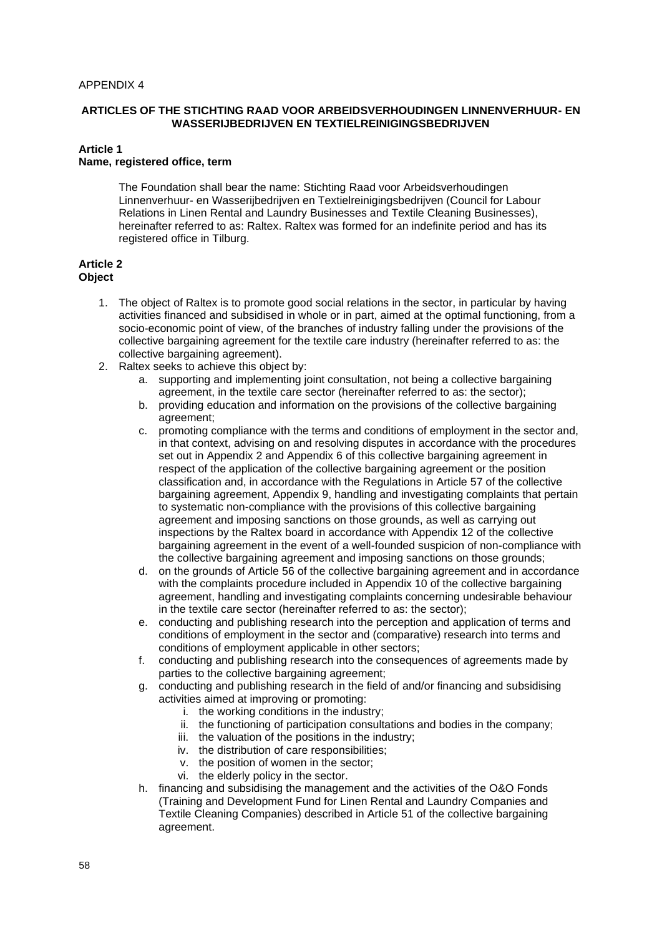#### APPENDIX 4

#### **ARTICLES OF THE STICHTING RAAD VOOR ARBEIDSVERHOUDINGEN LINNENVERHUUR- EN WASSERIJBEDRIJVEN EN TEXTIELREINIGINGSBEDRIJVEN**

#### **Article 1 Name, registered office, term**

The Foundation shall bear the name: Stichting Raad voor Arbeidsverhoudingen Linnenverhuur- en Wasserijbedrijven en Textielreinigingsbedrijven (Council for Labour Relations in Linen Rental and Laundry Businesses and Textile Cleaning Businesses), hereinafter referred to as: Raltex. Raltex was formed for an indefinite period and has its registered office in Tilburg.

#### **Article 2 Object**

- 1. The object of Raltex is to promote good social relations in the sector, in particular by having activities financed and subsidised in whole or in part, aimed at the optimal functioning, from a socio-economic point of view, of the branches of industry falling under the provisions of the collective bargaining agreement for the textile care industry (hereinafter referred to as: the collective bargaining agreement).
- 2. Raltex seeks to achieve this object by:
	- a. supporting and implementing joint consultation, not being a collective bargaining agreement, in the textile care sector (hereinafter referred to as: the sector);
	- b. providing education and information on the provisions of the collective bargaining agreement;
	- c. promoting compliance with the terms and conditions of employment in the sector and, in that context, advising on and resolving disputes in accordance with the procedures set out in Appendix 2 and Appendix 6 of this collective bargaining agreement in respect of the application of the collective bargaining agreement or the position classification and, in accordance with the Regulations in Article 57 of the collective bargaining agreement, Appendix 9, handling and investigating complaints that pertain to systematic non-compliance with the provisions of this collective bargaining agreement and imposing sanctions on those grounds, as well as carrying out inspections by the Raltex board in accordance with Appendix 12 of the collective bargaining agreement in the event of a well-founded suspicion of non-compliance with the collective bargaining agreement and imposing sanctions on those grounds;
	- d. on the grounds of Article 56 of the collective bargaining agreement and in accordance with the complaints procedure included in Appendix 10 of the collective bargaining agreement, handling and investigating complaints concerning undesirable behaviour in the textile care sector (hereinafter referred to as: the sector);
	- e. conducting and publishing research into the perception and application of terms and conditions of employment in the sector and (comparative) research into terms and conditions of employment applicable in other sectors;
	- f. conducting and publishing research into the consequences of agreements made by parties to the collective bargaining agreement;
	- g. conducting and publishing research in the field of and/or financing and subsidising activities aimed at improving or promoting:
		- i. the working conditions in the industry;
		- ii. the functioning of participation consultations and bodies in the company;
		- iii. the valuation of the positions in the industry;
		- iv. the distribution of care responsibilities;
		- v. the position of women in the sector;
		- vi. the elderly policy in the sector.
	- h. financing and subsidising the management and the activities of the O&O Fonds (Training and Development Fund for Linen Rental and Laundry Companies and Textile Cleaning Companies) described in Article 51 of the collective bargaining agreement.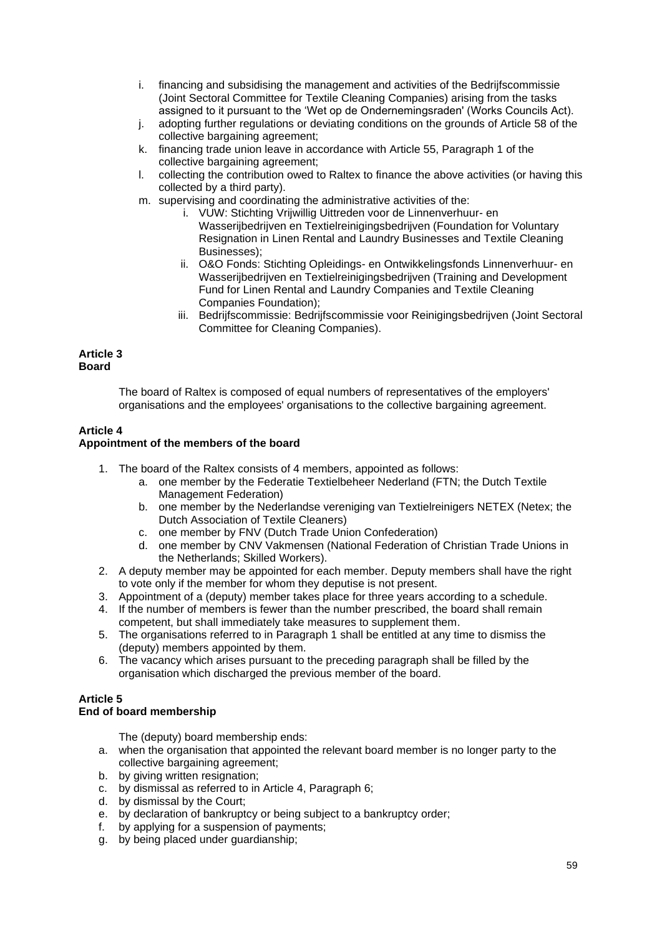- i. financing and subsidising the management and activities of the Bedrijfscommissie (Joint Sectoral Committee for Textile Cleaning Companies) arising from the tasks assigned to it pursuant to the 'Wet op de Ondernemingsraden' (Works Councils Act).
- j. adopting further regulations or deviating conditions on the grounds of Article 58 of the collective bargaining agreement;
- k. financing trade union leave in accordance with Article 55, Paragraph 1 of the collective bargaining agreement;
- l. collecting the contribution owed to Raltex to finance the above activities (or having this collected by a third party).
- m. supervising and coordinating the administrative activities of the:
	- i. VUW: Stichting Vrijwillig Uittreden voor de Linnenverhuur- en Wasserijbedrijven en Textielreinigingsbedrijven (Foundation for Voluntary Resignation in Linen Rental and Laundry Businesses and Textile Cleaning Businesses);
	- ii. O&O Fonds: Stichting Opleidings- en Ontwikkelingsfonds Linnenverhuur- en Wasserijbedrijven en Textielreinigingsbedrijven (Training and Development Fund for Linen Rental and Laundry Companies and Textile Cleaning Companies Foundation);
	- iii. Bedrijfscommissie: Bedrijfscommissie voor Reinigingsbedrijven (Joint Sectoral Committee for Cleaning Companies).

#### **Article 3 Board**

The board of Raltex is composed of equal numbers of representatives of the employers' organisations and the employees' organisations to the collective bargaining agreement.

# **Article 4**

### **Appointment of the members of the board**

- 1. The board of the Raltex consists of 4 members, appointed as follows:
	- a. one member by the Federatie Textielbeheer Nederland (FTN; the Dutch Textile Management Federation)
		- b. one member by the Nederlandse vereniging van Textielreinigers NETEX (Netex; the Dutch Association of Textile Cleaners)
		- c. one member by FNV (Dutch Trade Union Confederation)
		- d. one member by CNV Vakmensen (National Federation of Christian Trade Unions in the Netherlands; Skilled Workers).
- 2. A deputy member may be appointed for each member. Deputy members shall have the right to vote only if the member for whom they deputise is not present.
- 3. Appointment of a (deputy) member takes place for three years according to a schedule.
- 4. If the number of members is fewer than the number prescribed, the board shall remain competent, but shall immediately take measures to supplement them.
- 5. The organisations referred to in Paragraph 1 shall be entitled at any time to dismiss the (deputy) members appointed by them.
- 6. The vacancy which arises pursuant to the preceding paragraph shall be filled by the organisation which discharged the previous member of the board.

# **Article 5**

# **End of board membership**

The (deputy) board membership ends:

- a. when the organisation that appointed the relevant board member is no longer party to the collective bargaining agreement;
- b. by giving written resignation;
- c. by dismissal as referred to in Article 4, Paragraph 6;
- d. by dismissal by the Court;
- e. by declaration of bankruptcy or being subject to a bankruptcy order;
- f. by applying for a suspension of payments;
- g. by being placed under guardianship;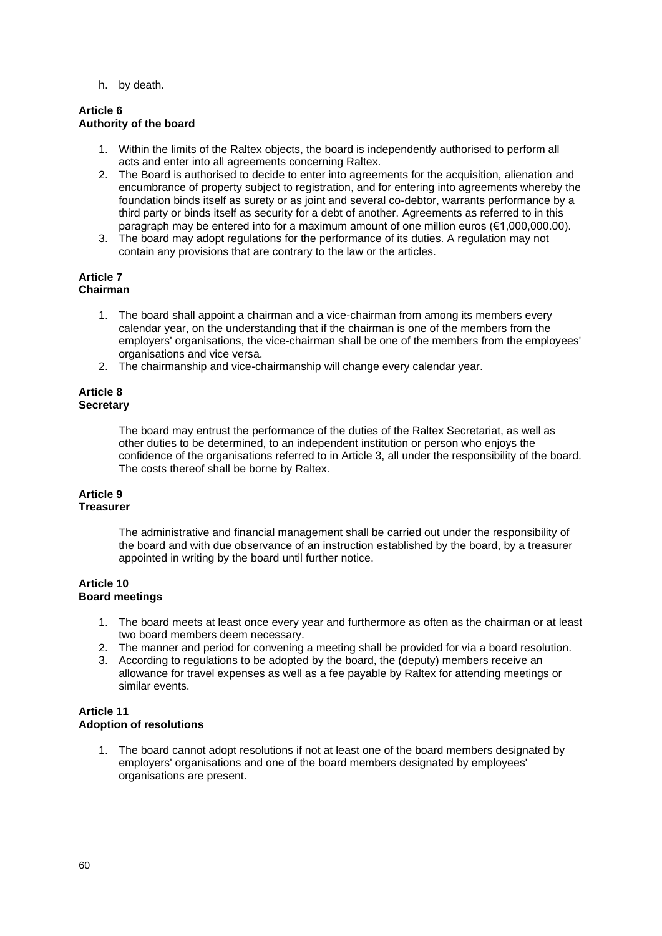h. by death.

#### **Article 6 Authority of the board**

- 1. Within the limits of the Raltex objects, the board is independently authorised to perform all acts and enter into all agreements concerning Raltex.
- 2. The Board is authorised to decide to enter into agreements for the acquisition, alienation and encumbrance of property subject to registration, and for entering into agreements whereby the foundation binds itself as surety or as joint and several co-debtor, warrants performance by a third party or binds itself as security for a debt of another. Agreements as referred to in this paragraph may be entered into for a maximum amount of one million euros (€1,000,000.00).
- 3. The board may adopt regulations for the performance of its duties. A regulation may not contain any provisions that are contrary to the law or the articles.

#### **Article 7 Chairman**

- 1. The board shall appoint a chairman and a vice-chairman from among its members every calendar year, on the understanding that if the chairman is one of the members from the employers' organisations, the vice-chairman shall be one of the members from the employees' organisations and vice versa.
- 2. The chairmanship and vice-chairmanship will change every calendar year.

#### **Article 8 Secretary**

The board may entrust the performance of the duties of the Raltex Secretariat, as well as other duties to be determined, to an independent institution or person who enjoys the confidence of the organisations referred to in Article 3, all under the responsibility of the board. The costs thereof shall be borne by Raltex.

#### **Article 9 Treasurer**

The administrative and financial management shall be carried out under the responsibility of the board and with due observance of an instruction established by the board, by a treasurer appointed in writing by the board until further notice.

### **Article 10 Board meetings**

- 1. The board meets at least once every year and furthermore as often as the chairman or at least two board members deem necessary.
- 2. The manner and period for convening a meeting shall be provided for via a board resolution.
- 3. According to regulations to be adopted by the board, the (deputy) members receive an allowance for travel expenses as well as a fee payable by Raltex for attending meetings or similar events.

### **Article 11 Adoption of resolutions**

1. The board cannot adopt resolutions if not at least one of the board members designated by employers' organisations and one of the board members designated by employees' organisations are present.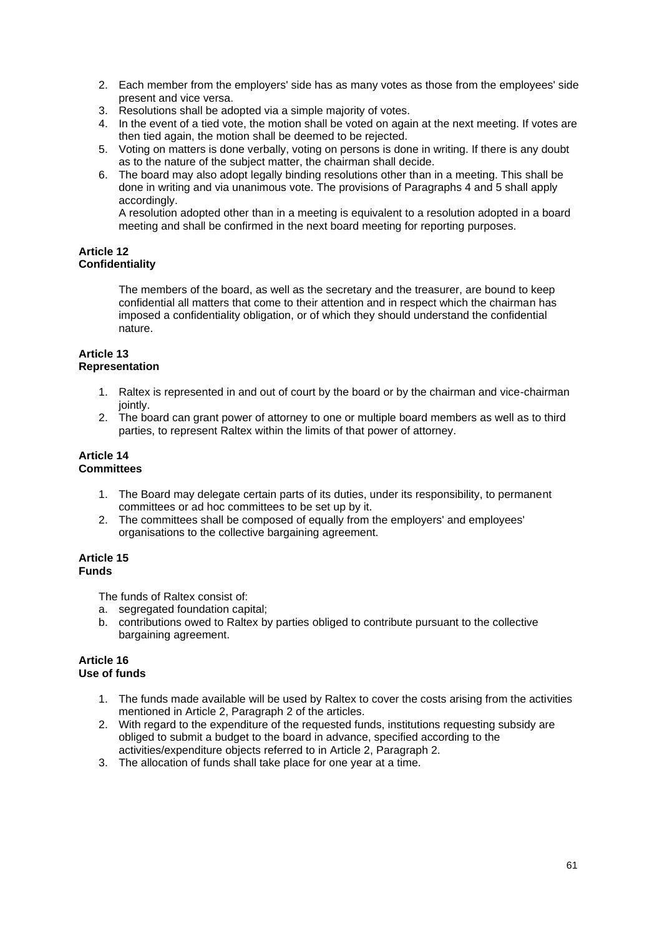- 2. Each member from the employers' side has as many votes as those from the employees' side present and vice versa.
- 3. Resolutions shall be adopted via a simple majority of votes.
- 4. In the event of a tied vote, the motion shall be voted on again at the next meeting. If votes are then tied again, the motion shall be deemed to be rejected.
- 5. Voting on matters is done verbally, voting on persons is done in writing. If there is any doubt as to the nature of the subject matter, the chairman shall decide.
- 6. The board may also adopt legally binding resolutions other than in a meeting. This shall be done in writing and via unanimous vote. The provisions of Paragraphs 4 and 5 shall apply accordingly.

A resolution adopted other than in a meeting is equivalent to a resolution adopted in a board meeting and shall be confirmed in the next board meeting for reporting purposes.

## **Article 12 Confidentiality**

The members of the board, as well as the secretary and the treasurer, are bound to keep confidential all matters that come to their attention and in respect which the chairman has imposed a confidentiality obligation, or of which they should understand the confidential nature.

#### **Article 13 Representation**

- 1. Raltex is represented in and out of court by the board or by the chairman and vice-chairman iointly.
- 2. The board can grant power of attorney to one or multiple board members as well as to third parties, to represent Raltex within the limits of that power of attorney.

#### **Article 14 Committees**

- - 1. The Board may delegate certain parts of its duties, under its responsibility, to permanent committees or ad hoc committees to be set up by it.
	- 2. The committees shall be composed of equally from the employers' and employees' organisations to the collective bargaining agreement.

### **Article 15 Funds**

The funds of Raltex consist of:

- a. segregated foundation capital;
- b. contributions owed to Raltex by parties obliged to contribute pursuant to the collective bargaining agreement.

### **Article 16 Use of funds**

- 1. The funds made available will be used by Raltex to cover the costs arising from the activities mentioned in Article 2, Paragraph 2 of the articles.
- 2. With regard to the expenditure of the requested funds, institutions requesting subsidy are obliged to submit a budget to the board in advance, specified according to the activities/expenditure objects referred to in Article 2, Paragraph 2.
- 3. The allocation of funds shall take place for one year at a time.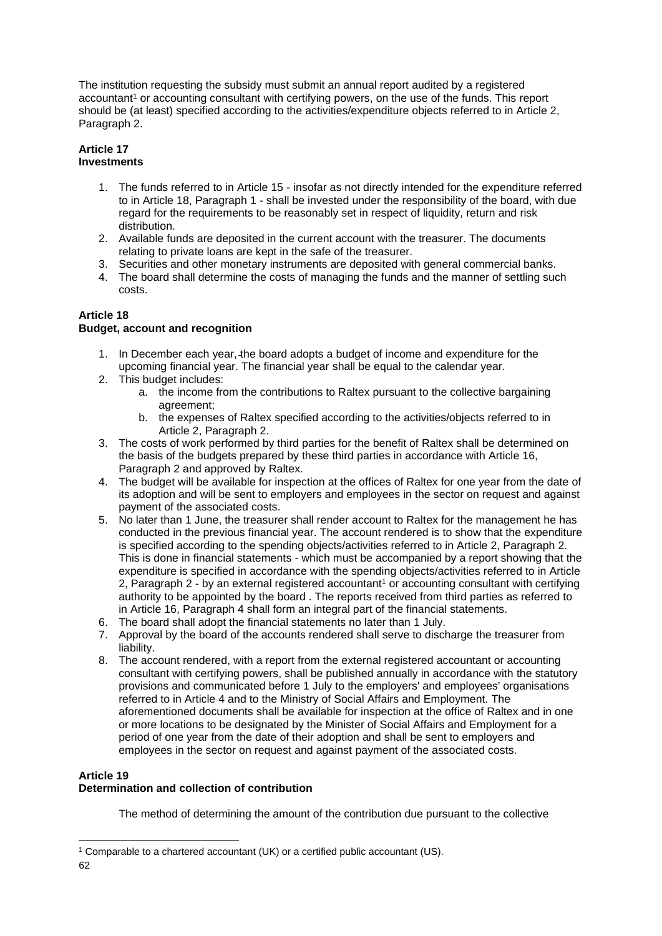The institution requesting the subsidy must submit an annual report audited by a registered accountant<sup>1</sup> or accounting consultant with certifying powers, on the use of the funds. This report should be (at least) specified according to the activities/expenditure objects referred to in Article 2, Paragraph 2.

## **Article 17 Investments**

- 1. The funds referred to in Article 15 insofar as not directly intended for the expenditure referred to in Article 18, Paragraph 1 - shall be invested under the responsibility of the board, with due regard for the requirements to be reasonably set in respect of liquidity, return and risk distribution.
- 2. Available funds are deposited in the current account with the treasurer. The documents relating to private loans are kept in the safe of the treasurer.
- 3. Securities and other monetary instruments are deposited with general commercial banks.
- 4. The board shall determine the costs of managing the funds and the manner of settling such costs.

# **Article 18**

# **Budget, account and recognition**

- 1. In December each year, the board adopts a budget of income and expenditure for the upcoming financial year. The financial year shall be equal to the calendar year.
- 2. This budget includes:
	- a. the income from the contributions to Raltex pursuant to the collective bargaining agreement;
	- b. the expenses of Raltex specified according to the activities/objects referred to in Article 2, Paragraph 2.
- 3. The costs of work performed by third parties for the benefit of Raltex shall be determined on the basis of the budgets prepared by these third parties in accordance with Article 16, Paragraph 2 and approved by Raltex.
- 4. The budget will be available for inspection at the offices of Raltex for one year from the date of its adoption and will be sent to employers and employees in the sector on request and against payment of the associated costs.
- 5. No later than 1 June, the treasurer shall render account to Raltex for the management he has conducted in the previous financial year. The account rendered is to show that the expenditure is specified according to the spending objects/activities referred to in Article 2, Paragraph 2. This is done in financial statements - which must be accompanied by a report showing that the expenditure is specified in accordance with the spending objects/activities referred to in Article 2, Paragraph 2 - by an external registered accountant<sup>1</sup> or accounting consultant with certifying authority to be appointed by the board . The reports received from third parties as referred to in Article 16, Paragraph 4 shall form an integral part of the financial statements.
- 6. The board shall adopt the financial statements no later than 1 July.
- 7. Approval by the board of the accounts rendered shall serve to discharge the treasurer from liability.
- 8. The account rendered, with a report from the external registered accountant or accounting consultant with certifying powers, shall be published annually in accordance with the statutory provisions and communicated before 1 July to the employers' and employees' organisations referred to in Article 4 and to the Ministry of Social Affairs and Employment. The aforementioned documents shall be available for inspection at the office of Raltex and in one or more locations to be designated by the Minister of Social Affairs and Employment for a period of one year from the date of their adoption and shall be sent to employers and employees in the sector on request and against payment of the associated costs.

# **Article 19**

# **Determination and collection of contribution**

The method of determining the amount of the contribution due pursuant to the collective

<sup>&</sup>lt;sup>1</sup> Comparable to a chartered accountant (UK) or a certified public accountant (US).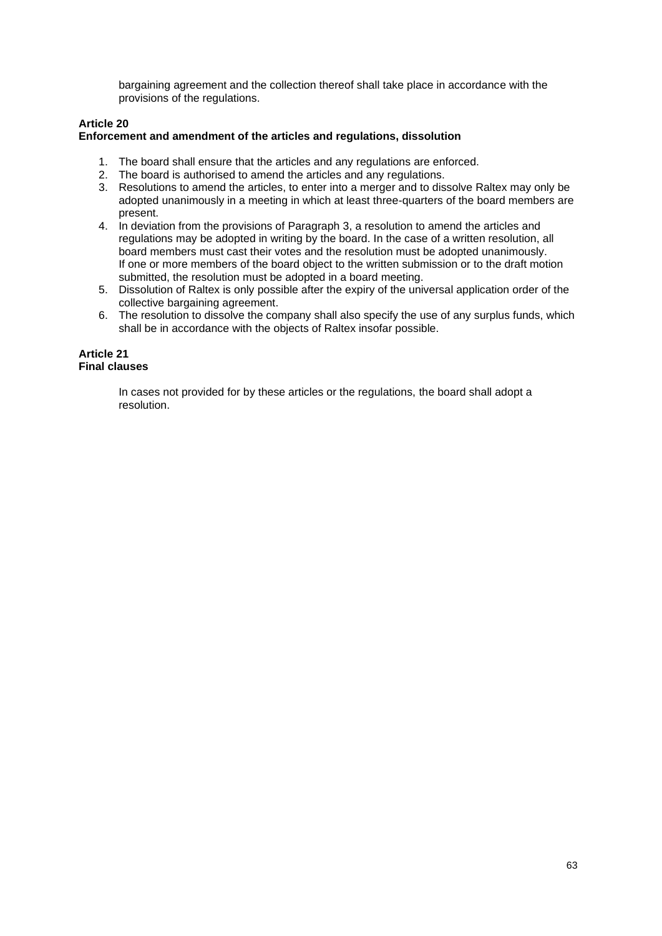bargaining agreement and the collection thereof shall take place in accordance with the provisions of the regulations.

## **Article 20 Enforcement and amendment of the articles and regulations, dissolution**

- 1. The board shall ensure that the articles and any regulations are enforced.
- 2. The board is authorised to amend the articles and any regulations.
- 3. Resolutions to amend the articles, to enter into a merger and to dissolve Raltex may only be adopted unanimously in a meeting in which at least three-quarters of the board members are present.
- 4. In deviation from the provisions of Paragraph 3, a resolution to amend the articles and regulations may be adopted in writing by the board. In the case of a written resolution, all board members must cast their votes and the resolution must be adopted unanimously. If one or more members of the board object to the written submission or to the draft motion submitted, the resolution must be adopted in a board meeting.
- 5. Dissolution of Raltex is only possible after the expiry of the universal application order of the collective bargaining agreement.
- 6. The resolution to dissolve the company shall also specify the use of any surplus funds, which shall be in accordance with the objects of Raltex insofar possible.

#### **Article 21 Final clauses**

In cases not provided for by these articles or the regulations, the board shall adopt a resolution.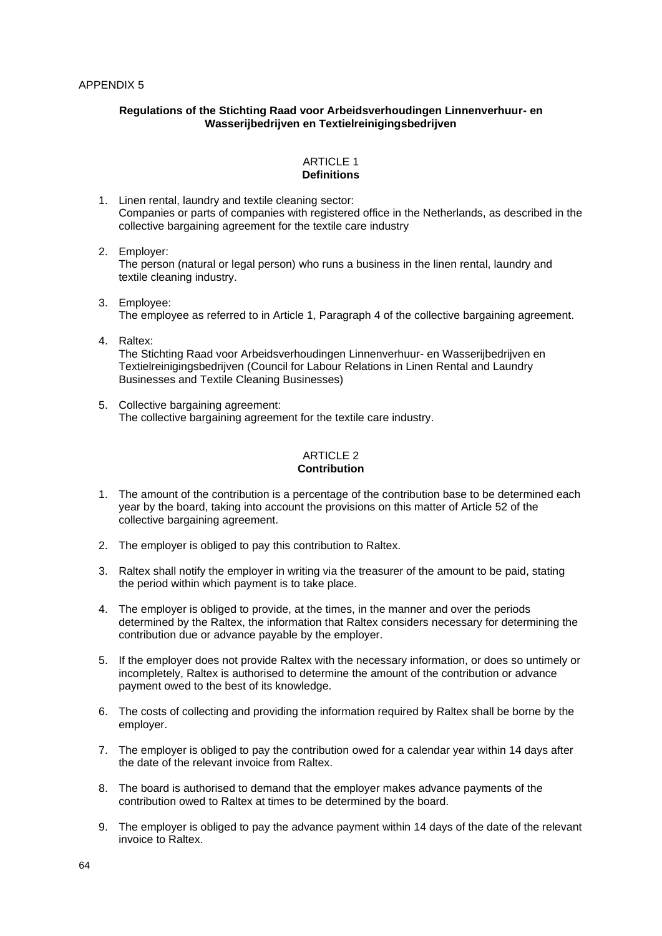#### **Regulations of the Stichting Raad voor Arbeidsverhoudingen Linnenverhuur- en Wasserijbedrijven en Textielreinigingsbedrijven**

#### ARTICLE 1 **Definitions**

- 1. Linen rental, laundry and textile cleaning sector: Companies or parts of companies with registered office in the Netherlands, as described in the collective bargaining agreement for the textile care industry
- 2. Employer: The person (natural or legal person) who runs a business in the linen rental, laundry and textile cleaning industry.
- 3. Employee: The employee as referred to in Article 1, Paragraph 4 of the collective bargaining agreement.
- 4. Raltex: The Stichting Raad voor Arbeidsverhoudingen Linnenverhuur- en Wasserijbedrijven en Textielreinigingsbedrijven (Council for Labour Relations in Linen Rental and Laundry Businesses and Textile Cleaning Businesses)
- 5. Collective bargaining agreement: The collective bargaining agreement for the textile care industry.

#### ARTICLE 2 **Contribution**

- 1. The amount of the contribution is a percentage of the contribution base to be determined each year by the board, taking into account the provisions on this matter of Article 52 of the collective bargaining agreement.
- 2. The employer is obliged to pay this contribution to Raltex.
- 3. Raltex shall notify the employer in writing via the treasurer of the amount to be paid, stating the period within which payment is to take place.
- 4. The employer is obliged to provide, at the times, in the manner and over the periods determined by the Raltex, the information that Raltex considers necessary for determining the contribution due or advance payable by the employer.
- 5. If the employer does not provide Raltex with the necessary information, or does so untimely or incompletely, Raltex is authorised to determine the amount of the contribution or advance payment owed to the best of its knowledge.
- 6. The costs of collecting and providing the information required by Raltex shall be borne by the employer.
- 7. The employer is obliged to pay the contribution owed for a calendar year within 14 days after the date of the relevant invoice from Raltex.
- 8. The board is authorised to demand that the employer makes advance payments of the contribution owed to Raltex at times to be determined by the board.
- 9. The employer is obliged to pay the advance payment within 14 days of the date of the relevant invoice to Raltex.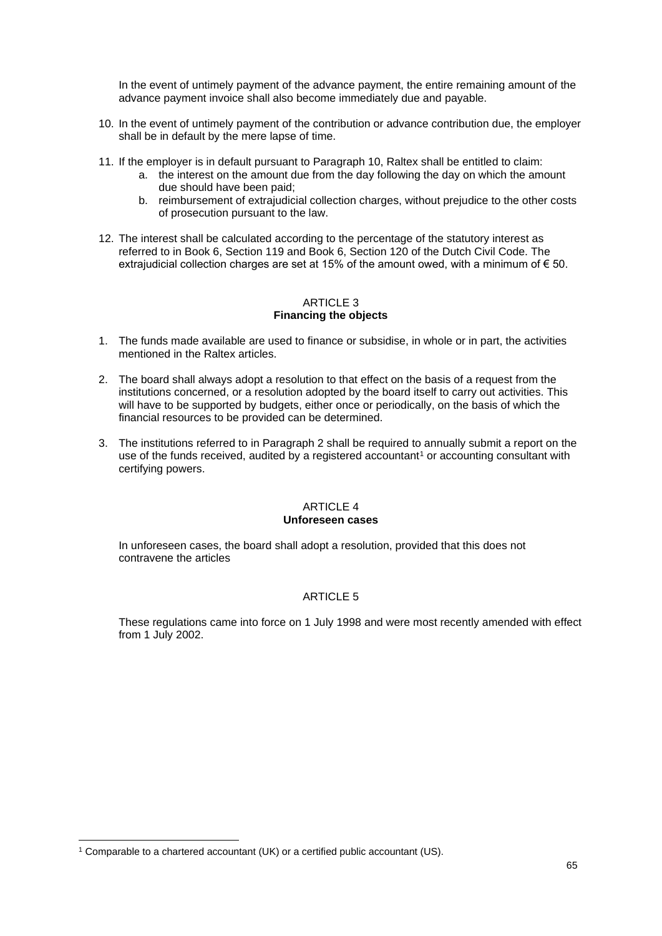In the event of untimely payment of the advance payment, the entire remaining amount of the advance payment invoice shall also become immediately due and payable.

- 10. In the event of untimely payment of the contribution or advance contribution due, the employer shall be in default by the mere lapse of time.
- 11. If the employer is in default pursuant to Paragraph 10, Raltex shall be entitled to claim:
	- a. the interest on the amount due from the day following the day on which the amount due should have been paid;
	- b. reimbursement of extrajudicial collection charges, without prejudice to the other costs of prosecution pursuant to the law.
- 12. The interest shall be calculated according to the percentage of the statutory interest as referred to in Book 6, Section 119 and Book 6, Section 120 of the Dutch Civil Code. The extrajudicial collection charges are set at 15% of the amount owed, with a minimum of  $\epsilon$  50.

#### ARTICLE 3 **Financing the objects**

- 1. The funds made available are used to finance or subsidise, in whole or in part, the activities mentioned in the Raltex articles.
- 2. The board shall always adopt a resolution to that effect on the basis of a request from the institutions concerned, or a resolution adopted by the board itself to carry out activities. This will have to be supported by budgets, either once or periodically, on the basis of which the financial resources to be provided can be determined.
- 3. The institutions referred to in Paragraph 2 shall be required to annually submit a report on the use of the funds received, audited by a registered accountant<sup>1</sup> or accounting consultant with certifying powers.

### ARTICLE 4 **Unforeseen cases**

In unforeseen cases, the board shall adopt a resolution, provided that this does not contravene the articles

# ARTICLE 5

These regulations came into force on 1 July 1998 and were most recently amended with effect from 1 July 2002.

<sup>1</sup> Comparable to a chartered accountant (UK) or a certified public accountant (US).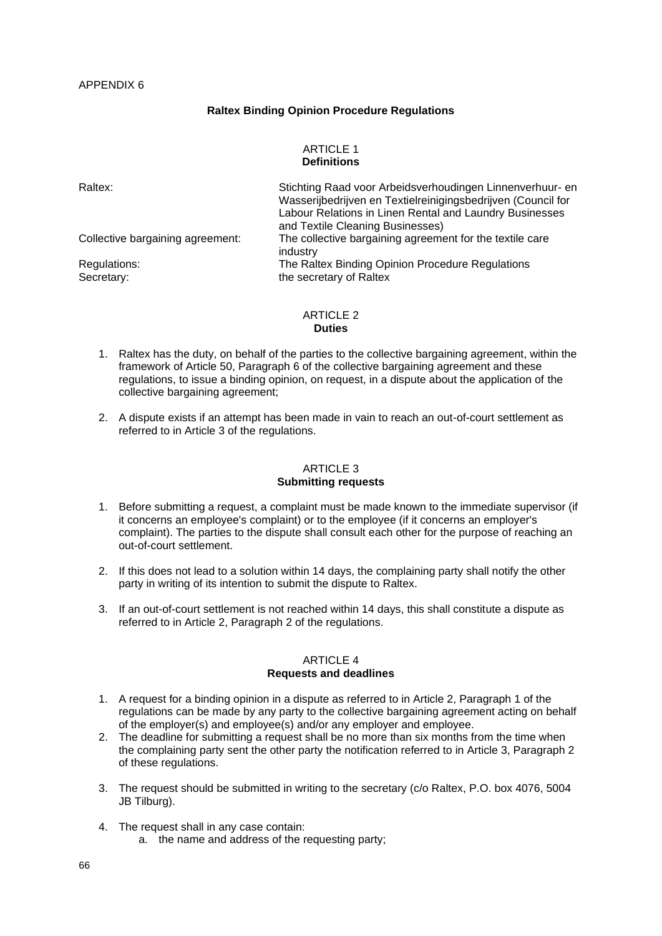## **Raltex Binding Opinion Procedure Regulations**

#### ARTICLE 1 **Definitions**

| Raltex:                          | Stichting Raad voor Arbeidsverhoudingen Linnenverhuur- en<br>Wasserijbedrijven en Textielreinigingsbedrijven (Council for<br>Labour Relations in Linen Rental and Laundry Businesses<br>and Textile Cleaning Businesses) |
|----------------------------------|--------------------------------------------------------------------------------------------------------------------------------------------------------------------------------------------------------------------------|
| Collective bargaining agreement: | The collective bargaining agreement for the textile care<br>industry                                                                                                                                                     |
| Regulations:<br>Secretary:       | The Raltex Binding Opinion Procedure Regulations<br>the secretary of Raltex                                                                                                                                              |

#### ARTICLE 2 **Duties**

- 1. Raltex has the duty, on behalf of the parties to the collective bargaining agreement, within the framework of Article 50, Paragraph 6 of the collective bargaining agreement and these regulations, to issue a binding opinion, on request, in a dispute about the application of the collective bargaining agreement;
- 2. A dispute exists if an attempt has been made in vain to reach an out-of-court settlement as referred to in Article 3 of the regulations.

#### ARTICLE 3 **Submitting requests**

- 1. Before submitting a request, a complaint must be made known to the immediate supervisor (if it concerns an employee's complaint) or to the employee (if it concerns an employer's complaint). The parties to the dispute shall consult each other for the purpose of reaching an out-of-court settlement.
- 2. If this does not lead to a solution within 14 days, the complaining party shall notify the other party in writing of its intention to submit the dispute to Raltex.
- 3. If an out-of-court settlement is not reached within 14 days, this shall constitute a dispute as referred to in Article 2, Paragraph 2 of the regulations.

#### ARTICLE 4 **Requests and deadlines**

- 1. A request for a binding opinion in a dispute as referred to in Article 2, Paragraph 1 of the regulations can be made by any party to the collective bargaining agreement acting on behalf of the employer(s) and employee(s) and/or any employer and employee.
- 2. The deadline for submitting a request shall be no more than six months from the time when the complaining party sent the other party the notification referred to in Article 3, Paragraph 2 of these regulations.
- 3. The request should be submitted in writing to the secretary (c/o Raltex, P.O. box 4076, 5004 JB Tilburg).
- 4. The request shall in any case contain: a. the name and address of the requesting party;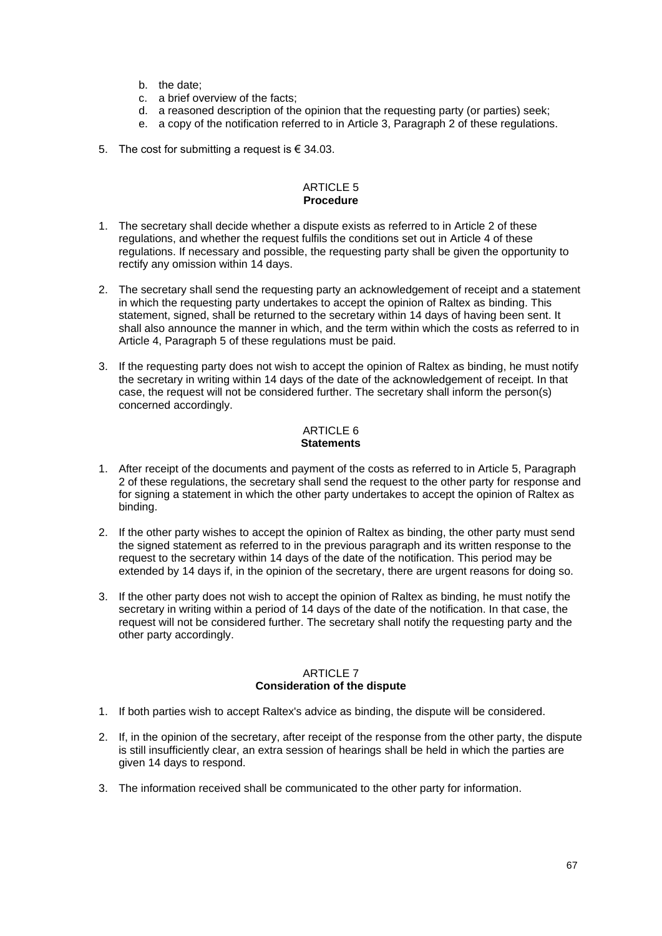- b. the date;
- c. a brief overview of the facts;
- d. a reasoned description of the opinion that the requesting party (or parties) seek;
- e. a copy of the notification referred to in Article 3, Paragraph 2 of these regulations.
- 5. The cost for submitting a request is  $\epsilon$  34.03.

#### ARTICLE 5 **Procedure**

- 1. The secretary shall decide whether a dispute exists as referred to in Article 2 of these regulations, and whether the request fulfils the conditions set out in Article 4 of these regulations. If necessary and possible, the requesting party shall be given the opportunity to rectify any omission within 14 days.
- 2. The secretary shall send the requesting party an acknowledgement of receipt and a statement in which the requesting party undertakes to accept the opinion of Raltex as binding. This statement, signed, shall be returned to the secretary within 14 days of having been sent. It shall also announce the manner in which, and the term within which the costs as referred to in Article 4, Paragraph 5 of these regulations must be paid.
- 3. If the requesting party does not wish to accept the opinion of Raltex as binding, he must notify the secretary in writing within 14 days of the date of the acknowledgement of receipt. In that case, the request will not be considered further. The secretary shall inform the person(s) concerned accordingly.

#### ARTICLE 6 **Statements**

- 1. After receipt of the documents and payment of the costs as referred to in Article 5, Paragraph 2 of these regulations, the secretary shall send the request to the other party for response and for signing a statement in which the other party undertakes to accept the opinion of Raltex as binding.
- 2. If the other party wishes to accept the opinion of Raltex as binding, the other party must send the signed statement as referred to in the previous paragraph and its written response to the request to the secretary within 14 days of the date of the notification. This period may be extended by 14 days if, in the opinion of the secretary, there are urgent reasons for doing so.
- 3. If the other party does not wish to accept the opinion of Raltex as binding, he must notify the secretary in writing within a period of 14 days of the date of the notification. In that case, the request will not be considered further. The secretary shall notify the requesting party and the other party accordingly.

### ARTICLE 7 **Consideration of the dispute**

- 1. If both parties wish to accept Raltex's advice as binding, the dispute will be considered.
- 2. If, in the opinion of the secretary, after receipt of the response from the other party, the dispute is still insufficiently clear, an extra session of hearings shall be held in which the parties are given 14 days to respond.
- 3. The information received shall be communicated to the other party for information.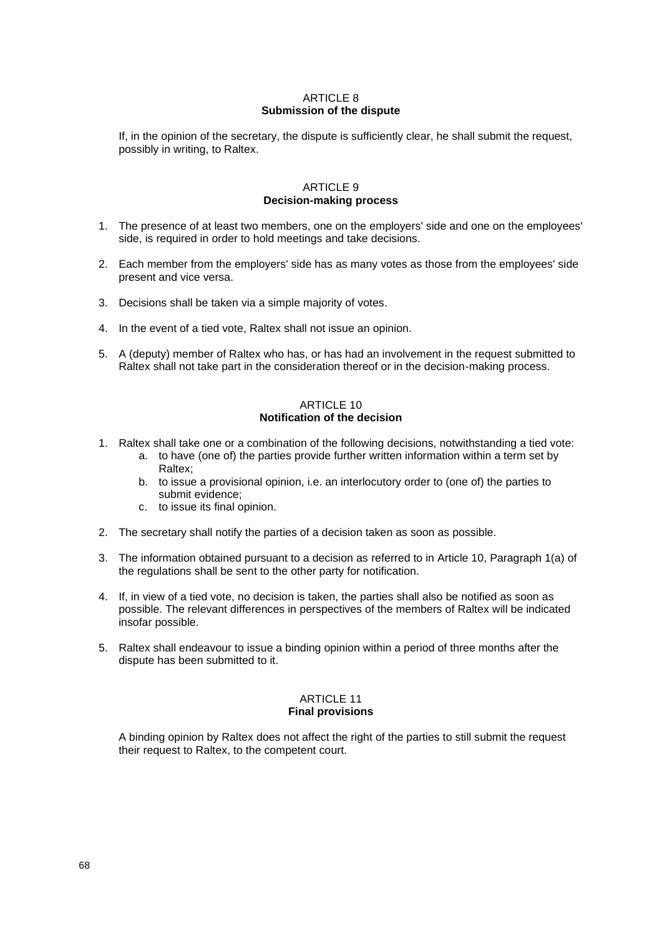### **ARTICLE 8 Submission of the dispute**

If, in the opinion of the secretary, the dispute is sufficiently clear, he shall submit the request, possibly in writing, to Raltex.

### ARTICLE 9 **Decision-making process**

- 1. The presence of at least two members, one on the employers' side and one on the employees' side, is required in order to hold meetings and take decisions.
- 2. Each member from the employers' side has as many votes as those from the employees' side present and vice versa.
- 3. Decisions shall be taken via a simple majority of votes.
- 4. In the event of a tied vote, Raltex shall not issue an opinion.
- 5. A (deputy) member of Raltex who has, or has had an involvement in the request submitted to Raltex shall not take part in the consideration thereof or in the decision-making process.

#### ARTICLE 10 **Notification of the decision**

- 1. Raltex shall take one or a combination of the following decisions, notwithstanding a tied vote:
	- a. to have (one of) the parties provide further written information within a term set by Raltex;
	- b. to issue a provisional opinion, i.e. an interlocutory order to (one of) the parties to submit evidence;
	- c. to issue its final opinion.
- 2. The secretary shall notify the parties of a decision taken as soon as possible.
- 3. The information obtained pursuant to a decision as referred to in Article 10, Paragraph 1(a) of the regulations shall be sent to the other party for notification.
- 4. If, in view of a tied vote, no decision is taken, the parties shall also be notified as soon as possible. The relevant differences in perspectives of the members of Raltex will be indicated insofar possible.
- 5. Raltex shall endeavour to issue a binding opinion within a period of three months after the dispute has been submitted to it.

# ARTICLE 11

# **Final provisions**

A binding opinion by Raltex does not affect the right of the parties to still submit the request their request to Raltex, to the competent court.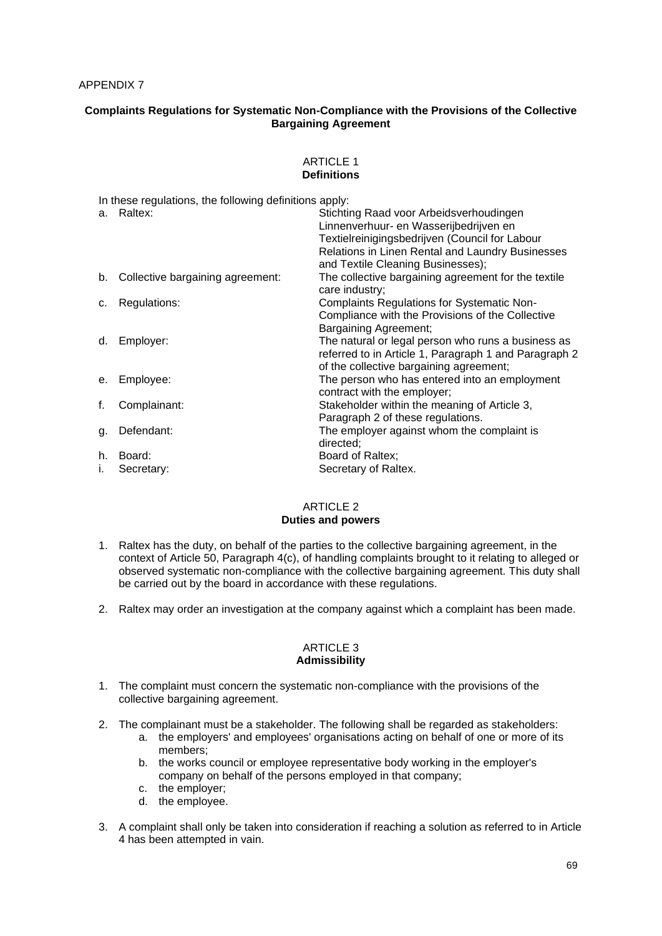#### APPENDIX 7

## **Complaints Regulations for Systematic Non-Compliance with the Provisions of the Collective Bargaining Agreement**

#### ARTICLE 1 **Definitions**

In these regulations, the following definitions apply:

|    | a. Raltex:                       | Stichting Raad voor Arbeidsverhoudingen<br>Linnenverhuur- en Wasserijbedrijven en |
|----|----------------------------------|-----------------------------------------------------------------------------------|
|    |                                  | Textielreinigingsbedrijven (Council for Labour                                    |
|    |                                  | Relations in Linen Rental and Laundry Businesses                                  |
|    |                                  | and Textile Cleaning Businesses);                                                 |
| b. | Collective bargaining agreement: | The collective bargaining agreement for the textile<br>care industry;             |
| C. | Regulations:                     | <b>Complaints Regulations for Systematic Non-</b>                                 |
|    |                                  | Compliance with the Provisions of the Collective                                  |
|    |                                  | <b>Bargaining Agreement;</b>                                                      |
| d. | Employer:                        | The natural or legal person who runs a business as                                |
|    |                                  | referred to in Article 1, Paragraph 1 and Paragraph 2                             |
|    |                                  | of the collective bargaining agreement;                                           |
| е. | Employee:                        | The person who has entered into an employment                                     |
|    |                                  | contract with the employer;                                                       |
| f. | Complainant:                     | Stakeholder within the meaning of Article 3,                                      |
|    |                                  | Paragraph 2 of these regulations.                                                 |
| g. | Defendant:                       | The employer against whom the complaint is                                        |
|    |                                  | directed:                                                                         |
| h. | Board:                           | Board of Raltex:                                                                  |
| i. | Secretary:                       | Secretary of Raltex.                                                              |

### ARTICLE 2 **Duties and powers**

- 1. Raltex has the duty, on behalf of the parties to the collective bargaining agreement, in the context of Article 50, Paragraph 4(c), of handling complaints brought to it relating to alleged or observed systematic non-compliance with the collective bargaining agreement. This duty shall be carried out by the board in accordance with these regulations.
- 2. Raltex may order an investigation at the company against which a complaint has been made.

#### ARTICLE 3 **Admissibility**

- 1. The complaint must concern the systematic non-compliance with the provisions of the collective bargaining agreement.
- 2. The complainant must be a stakeholder. The following shall be regarded as stakeholders:
	- a. the employers' and employees' organisations acting on behalf of one or more of its members;
	- b. the works council or employee representative body working in the employer's company on behalf of the persons employed in that company;
	- c. the employer;
	- d. the employee.
- 3. A complaint shall only be taken into consideration if reaching a solution as referred to in Article 4 has been attempted in vain.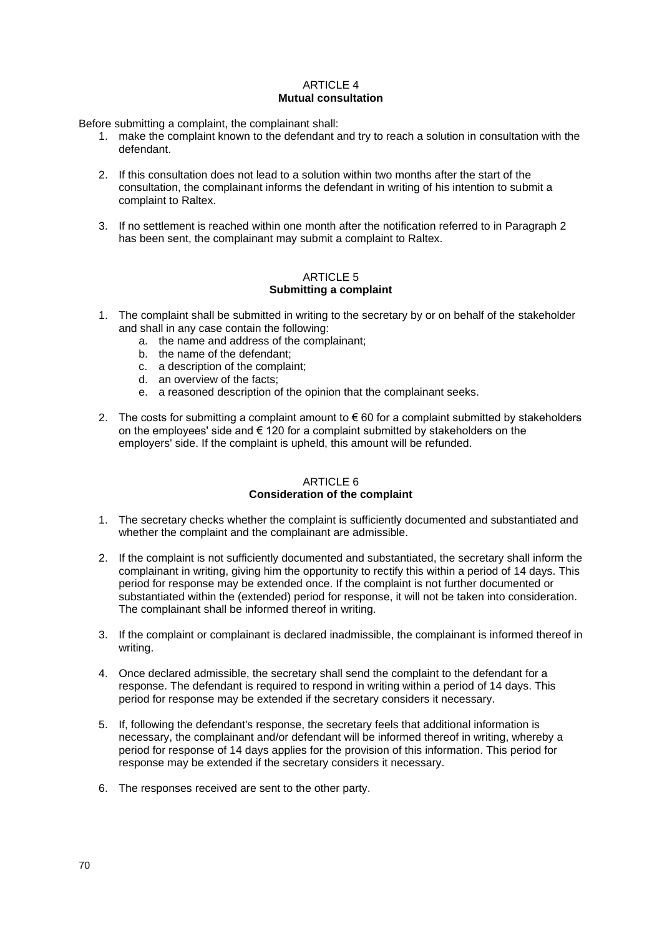#### **ARTICLE 4 Mutual consultation**

Before submitting a complaint, the complainant shall:

- 1. make the complaint known to the defendant and try to reach a solution in consultation with the defendant.
- 2. If this consultation does not lead to a solution within two months after the start of the consultation, the complainant informs the defendant in writing of his intention to submit a complaint to Raltex.
- 3. If no settlement is reached within one month after the notification referred to in Paragraph 2 has been sent, the complainant may submit a complaint to Raltex.

#### ARTICLE 5 **Submitting a complaint**

- 1. The complaint shall be submitted in writing to the secretary by or on behalf of the stakeholder and shall in any case contain the following:
	- a. the name and address of the complainant;
	- b. the name of the defendant;
	- c. a description of the complaint;
	- d. an overview of the facts;
	- e. a reasoned description of the opinion that the complainant seeks.
- 2. The costs for submitting a complaint amount to  $\epsilon$  60 for a complaint submitted by stakeholders on the employees' side and  $\epsilon$  120 for a complaint submitted by stakeholders on the employers' side. If the complaint is upheld, this amount will be refunded.

# ARTICLE 6 **Consideration of the complaint**

- 1. The secretary checks whether the complaint is sufficiently documented and substantiated and whether the complaint and the complainant are admissible.
- 2. If the complaint is not sufficiently documented and substantiated, the secretary shall inform the complainant in writing, giving him the opportunity to rectify this within a period of 14 days. This period for response may be extended once. If the complaint is not further documented or substantiated within the (extended) period for response, it will not be taken into consideration. The complainant shall be informed thereof in writing.
- 3. If the complaint or complainant is declared inadmissible, the complainant is informed thereof in writing.
- 4. Once declared admissible, the secretary shall send the complaint to the defendant for a response. The defendant is required to respond in writing within a period of 14 days. This period for response may be extended if the secretary considers it necessary.
- 5. If, following the defendant's response, the secretary feels that additional information is necessary, the complainant and/or defendant will be informed thereof in writing, whereby a period for response of 14 days applies for the provision of this information. This period for response may be extended if the secretary considers it necessary.
- 6. The responses received are sent to the other party.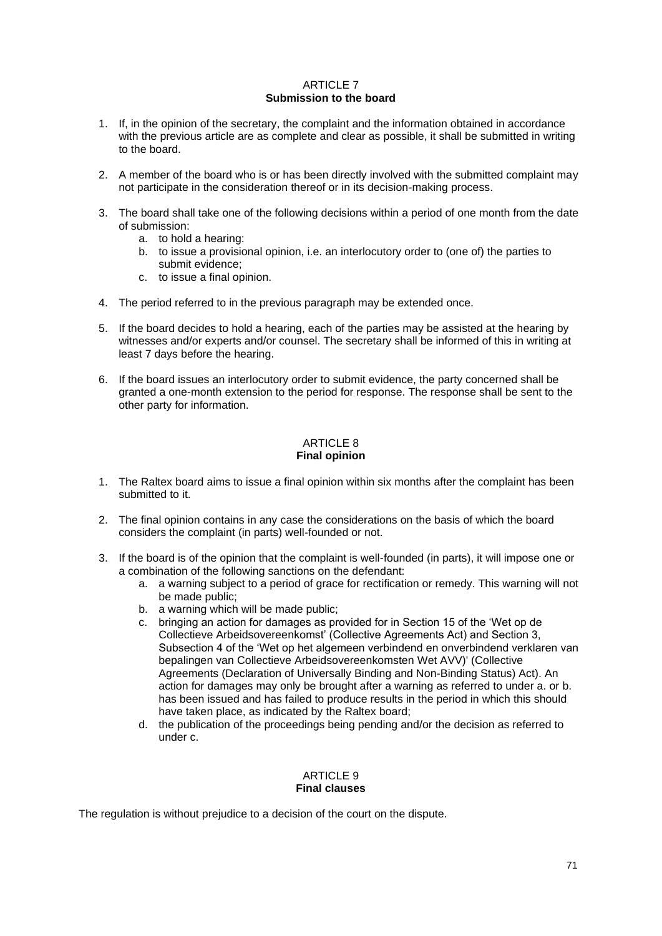#### **ARTICLE 7 Submission to the board**

- 1. If, in the opinion of the secretary, the complaint and the information obtained in accordance with the previous article are as complete and clear as possible, it shall be submitted in writing to the board.
- 2. A member of the board who is or has been directly involved with the submitted complaint may not participate in the consideration thereof or in its decision-making process.
- 3. The board shall take one of the following decisions within a period of one month from the date of submission:
	- a. to hold a hearing:
	- b. to issue a provisional opinion, i.e. an interlocutory order to (one of) the parties to submit evidence;
	- c. to issue a final opinion.
- 4. The period referred to in the previous paragraph may be extended once.
- 5. If the board decides to hold a hearing, each of the parties may be assisted at the hearing by witnesses and/or experts and/or counsel. The secretary shall be informed of this in writing at least 7 days before the hearing.
- 6. If the board issues an interlocutory order to submit evidence, the party concerned shall be granted a one-month extension to the period for response. The response shall be sent to the other party for information.

# ARTICLE 8 **Final opinion**

- 1. The Raltex board aims to issue a final opinion within six months after the complaint has been submitted to it.
- 2. The final opinion contains in any case the considerations on the basis of which the board considers the complaint (in parts) well-founded or not.
- 3. If the board is of the opinion that the complaint is well-founded (in parts), it will impose one or a combination of the following sanctions on the defendant:
	- a. a warning subject to a period of grace for rectification or remedy. This warning will not be made public;
	- b. a warning which will be made public;
	- c. bringing an action for damages as provided for in Section 15 of the 'Wet op de Collectieve Arbeidsovereenkomst' (Collective Agreements Act) and Section 3, Subsection 4 of the 'Wet op het algemeen verbindend en onverbindend verklaren van bepalingen van Collectieve Arbeidsovereenkomsten Wet AVV)' (Collective Agreements (Declaration of Universally Binding and Non-Binding Status) Act). An action for damages may only be brought after a warning as referred to under a. or b. has been issued and has failed to produce results in the period in which this should have taken place, as indicated by the Raltex board;
	- d. the publication of the proceedings being pending and/or the decision as referred to under c.

# ARTICLE 9 **Final clauses**

The regulation is without prejudice to a decision of the court on the dispute.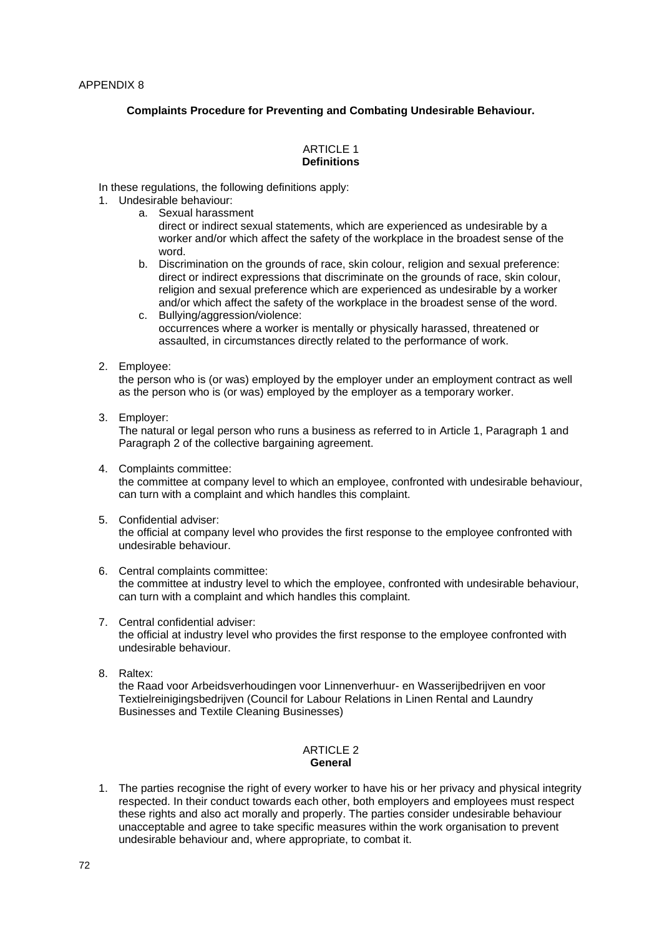## **Complaints Procedure for Preventing and Combating Undesirable Behaviour.**

#### ARTICLE 1 **Definitions**

In these regulations, the following definitions apply:

- 1. Undesirable behaviour:
	- a. Sexual harassment
		- direct or indirect sexual statements, which are experienced as undesirable by a worker and/or which affect the safety of the workplace in the broadest sense of the word.
	- b. Discrimination on the grounds of race, skin colour, religion and sexual preference: direct or indirect expressions that discriminate on the grounds of race, skin colour, religion and sexual preference which are experienced as undesirable by a worker and/or which affect the safety of the workplace in the broadest sense of the word. c. Bullying/aggression/violence:
		- occurrences where a worker is mentally or physically harassed, threatened or assaulted, in circumstances directly related to the performance of work.
- 2. Employee:

the person who is (or was) employed by the employer under an employment contract as well as the person who is (or was) employed by the employer as a temporary worker.

3. Employer:

The natural or legal person who runs a business as referred to in Article 1, Paragraph 1 and Paragraph 2 of the collective bargaining agreement.

- 4. Complaints committee: the committee at company level to which an employee, confronted with undesirable behaviour, can turn with a complaint and which handles this complaint.
- 5. Confidential adviser:

the official at company level who provides the first response to the employee confronted with undesirable behaviour.

- 6. Central complaints committee: the committee at industry level to which the employee, confronted with undesirable behaviour, can turn with a complaint and which handles this complaint.
- 7. Central confidential adviser: the official at industry level who provides the first response to the employee confronted with undesirable behaviour.
- 8. Raltex:

the Raad voor Arbeidsverhoudingen voor Linnenverhuur- en Wasserijbedrijven en voor Textielreinigingsbedrijven (Council for Labour Relations in Linen Rental and Laundry Businesses and Textile Cleaning Businesses)

### ARTICLE 2 **General**

1. The parties recognise the right of every worker to have his or her privacy and physical integrity respected. In their conduct towards each other, both employers and employees must respect these rights and also act morally and properly. The parties consider undesirable behaviour unacceptable and agree to take specific measures within the work organisation to prevent undesirable behaviour and, where appropriate, to combat it.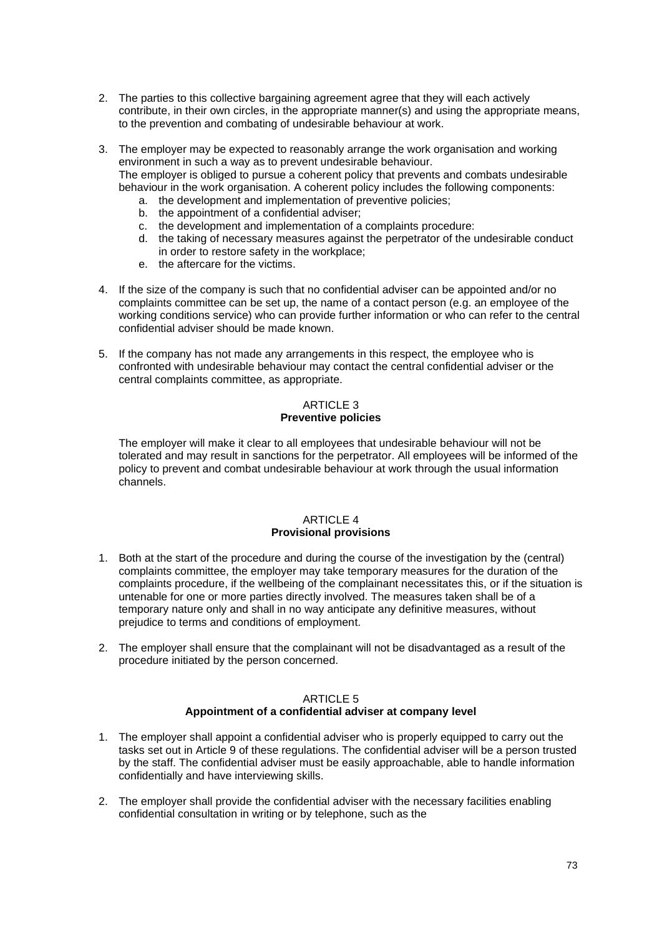2. The parties to this collective bargaining agreement agree that they will each actively contribute, in their own circles, in the appropriate manner(s) and using the appropriate means, to the prevention and combating of undesirable behaviour at work.

3. The employer may be expected to reasonably arrange the work organisation and working environment in such a way as to prevent undesirable behaviour. The employer is obliged to pursue a coherent policy that prevents and combats undesirable behaviour in the work organisation. A coherent policy includes the following components:

- a. the development and implementation of preventive policies;
- b. the appointment of a confidential adviser;
- c. the development and implementation of a complaints procedure:
- d. the taking of necessary measures against the perpetrator of the undesirable conduct in order to restore safety in the workplace;
- e. the aftercare for the victims.
- 4. If the size of the company is such that no confidential adviser can be appointed and/or no complaints committee can be set up, the name of a contact person (e.g. an employee of the working conditions service) who can provide further information or who can refer to the central confidential adviser should be made known.
- 5. If the company has not made any arrangements in this respect, the employee who is confronted with undesirable behaviour may contact the central confidential adviser or the central complaints committee, as appropriate.

# ARTICLE 3 **Preventive policies**

The employer will make it clear to all employees that undesirable behaviour will not be tolerated and may result in sanctions for the perpetrator. All employees will be informed of the policy to prevent and combat undesirable behaviour at work through the usual information channels.

# **ARTICLE 4 Provisional provisions**

- 1. Both at the start of the procedure and during the course of the investigation by the (central) complaints committee, the employer may take temporary measures for the duration of the complaints procedure, if the wellbeing of the complainant necessitates this, or if the situation is untenable for one or more parties directly involved. The measures taken shall be of a temporary nature only and shall in no way anticipate any definitive measures, without prejudice to terms and conditions of employment.
- 2. The employer shall ensure that the complainant will not be disadvantaged as a result of the procedure initiated by the person concerned.

# ARTICLE 5

# **Appointment of a confidential adviser at company level**

- 1. The employer shall appoint a confidential adviser who is properly equipped to carry out the tasks set out in Article 9 of these regulations. The confidential adviser will be a person trusted by the staff. The confidential adviser must be easily approachable, able to handle information confidentially and have interviewing skills.
- 2. The employer shall provide the confidential adviser with the necessary facilities enabling confidential consultation in writing or by telephone, such as the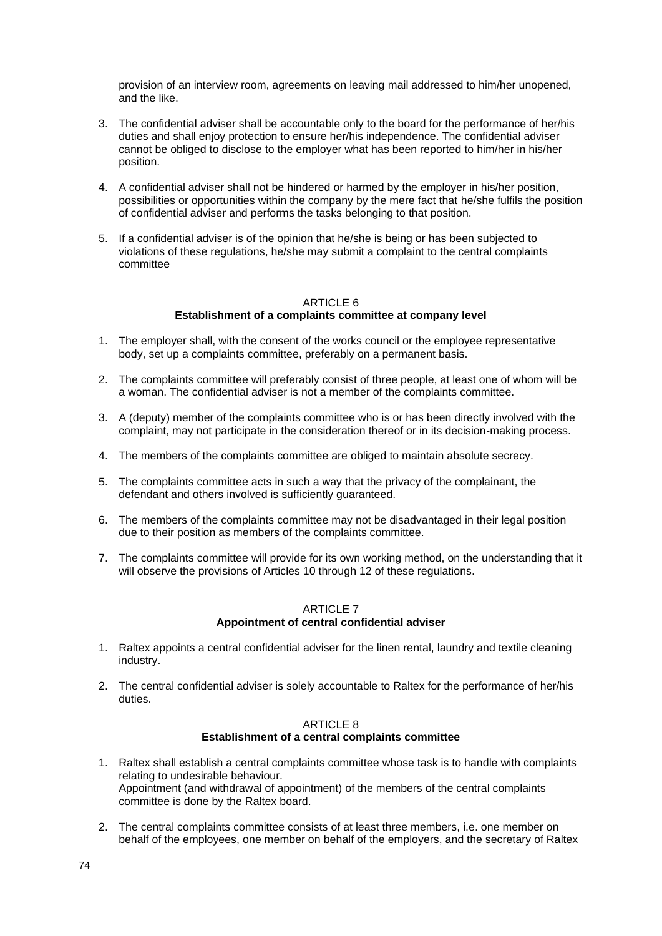provision of an interview room, agreements on leaving mail addressed to him/her unopened, and the like.

- 3. The confidential adviser shall be accountable only to the board for the performance of her/his duties and shall enjoy protection to ensure her/his independence. The confidential adviser cannot be obliged to disclose to the employer what has been reported to him/her in his/her position.
- 4. A confidential adviser shall not be hindered or harmed by the employer in his/her position, possibilities or opportunities within the company by the mere fact that he/she fulfils the position of confidential adviser and performs the tasks belonging to that position.
- 5. If a confidential adviser is of the opinion that he/she is being or has been subjected to violations of these regulations, he/she may submit a complaint to the central complaints committee

#### ARTICLE 6 **Establishment of a complaints committee at company level**

- 1. The employer shall, with the consent of the works council or the employee representative body, set up a complaints committee, preferably on a permanent basis.
- 2. The complaints committee will preferably consist of three people, at least one of whom will be a woman. The confidential adviser is not a member of the complaints committee.
- 3. A (deputy) member of the complaints committee who is or has been directly involved with the complaint, may not participate in the consideration thereof or in its decision-making process.
- 4. The members of the complaints committee are obliged to maintain absolute secrecy.
- 5. The complaints committee acts in such a way that the privacy of the complainant, the defendant and others involved is sufficiently guaranteed.
- 6. The members of the complaints committee may not be disadvantaged in their legal position due to their position as members of the complaints committee.
- 7. The complaints committee will provide for its own working method, on the understanding that it will observe the provisions of Articles 10 through 12 of these regulations.

### ARTICLE 7 **Appointment of central confidential adviser**

- 1. Raltex appoints a central confidential adviser for the linen rental, laundry and textile cleaning industry.
- 2. The central confidential adviser is solely accountable to Raltex for the performance of her/his duties.

### ARTICLE 8 **Establishment of a central complaints committee**

- 1. Raltex shall establish a central complaints committee whose task is to handle with complaints relating to undesirable behaviour. Appointment (and withdrawal of appointment) of the members of the central complaints committee is done by the Raltex board.
- 2. The central complaints committee consists of at least three members, i.e. one member on behalf of the employees, one member on behalf of the employers, and the secretary of Raltex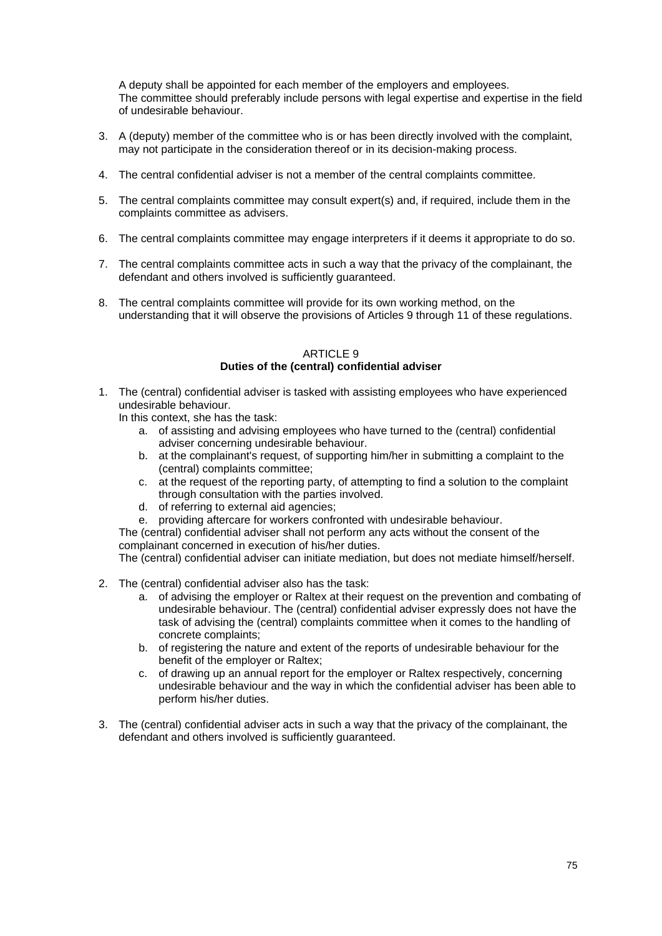A deputy shall be appointed for each member of the employers and employees. The committee should preferably include persons with legal expertise and expertise in the field of undesirable behaviour.

- 3. A (deputy) member of the committee who is or has been directly involved with the complaint, may not participate in the consideration thereof or in its decision-making process.
- 4. The central confidential adviser is not a member of the central complaints committee.
- 5. The central complaints committee may consult expert(s) and, if required, include them in the complaints committee as advisers.
- 6. The central complaints committee may engage interpreters if it deems it appropriate to do so.
- 7. The central complaints committee acts in such a way that the privacy of the complainant, the defendant and others involved is sufficiently guaranteed.
- 8. The central complaints committee will provide for its own working method, on the understanding that it will observe the provisions of Articles 9 through 11 of these regulations.

### ARTICLE 9 **Duties of the (central) confidential adviser**

1. The (central) confidential adviser is tasked with assisting employees who have experienced undesirable behaviour.

In this context, she has the task:

- a. of assisting and advising employees who have turned to the (central) confidential adviser concerning undesirable behaviour.
- b. at the complainant's request, of supporting him/her in submitting a complaint to the (central) complaints committee;
- c. at the request of the reporting party, of attempting to find a solution to the complaint through consultation with the parties involved.
- d. of referring to external aid agencies;
- e. providing aftercare for workers confronted with undesirable behaviour.

The (central) confidential adviser shall not perform any acts without the consent of the complainant concerned in execution of his/her duties.

The (central) confidential adviser can initiate mediation, but does not mediate himself/herself.

- 2. The (central) confidential adviser also has the task:
	- a. of advising the employer or Raltex at their request on the prevention and combating of undesirable behaviour. The (central) confidential adviser expressly does not have the task of advising the (central) complaints committee when it comes to the handling of concrete complaints;
	- b. of registering the nature and extent of the reports of undesirable behaviour for the benefit of the employer or Raltex;
	- c. of drawing up an annual report for the employer or Raltex respectively, concerning undesirable behaviour and the way in which the confidential adviser has been able to perform his/her duties.
- 3. The (central) confidential adviser acts in such a way that the privacy of the complainant, the defendant and others involved is sufficiently guaranteed.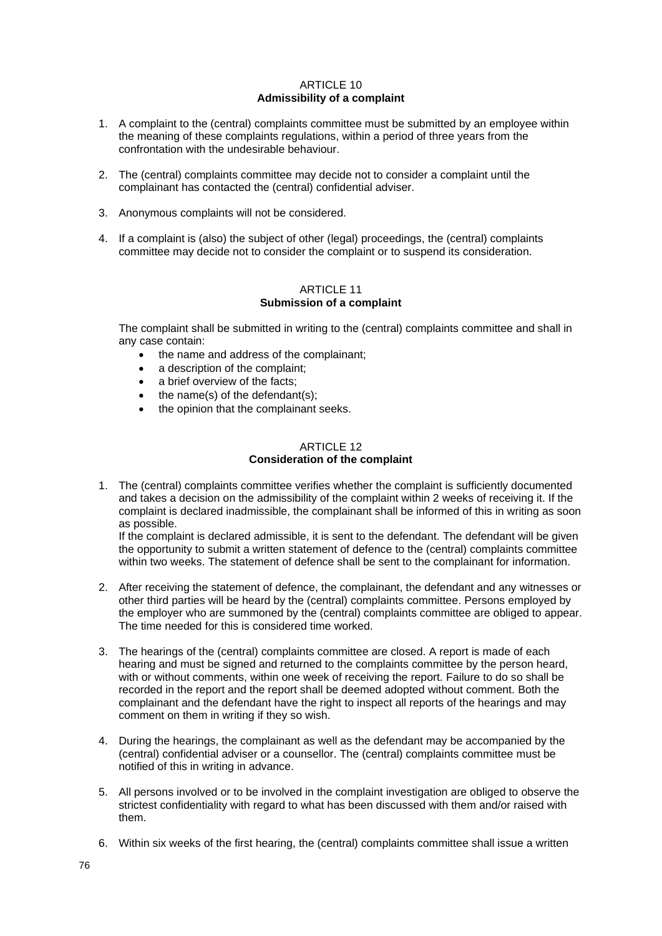### ARTICLE 10 **Admissibility of a complaint**

- 1. A complaint to the (central) complaints committee must be submitted by an employee within the meaning of these complaints regulations, within a period of three years from the confrontation with the undesirable behaviour.
- 2. The (central) complaints committee may decide not to consider a complaint until the complainant has contacted the (central) confidential adviser.
- 3. Anonymous complaints will not be considered.
- 4. If a complaint is (also) the subject of other (legal) proceedings, the (central) complaints committee may decide not to consider the complaint or to suspend its consideration.

### ARTICLE 11 **Submission of a complaint**

The complaint shall be submitted in writing to the (central) complaints committee and shall in any case contain:

- the name and address of the complainant;
- a description of the complaint;
- a brief overview of the facts;
- the name(s) of the defendant(s);
- the opinion that the complainant seeks.

#### ARTICLE 12 **Consideration of the complaint**

1. The (central) complaints committee verifies whether the complaint is sufficiently documented and takes a decision on the admissibility of the complaint within 2 weeks of receiving it. If the complaint is declared inadmissible, the complainant shall be informed of this in writing as soon as possible.

If the complaint is declared admissible, it is sent to the defendant. The defendant will be given the opportunity to submit a written statement of defence to the (central) complaints committee within two weeks. The statement of defence shall be sent to the complainant for information.

- 2. After receiving the statement of defence, the complainant, the defendant and any witnesses or other third parties will be heard by the (central) complaints committee. Persons employed by the employer who are summoned by the (central) complaints committee are obliged to appear. The time needed for this is considered time worked.
- 3. The hearings of the (central) complaints committee are closed. A report is made of each hearing and must be signed and returned to the complaints committee by the person heard, with or without comments, within one week of receiving the report. Failure to do so shall be recorded in the report and the report shall be deemed adopted without comment. Both the complainant and the defendant have the right to inspect all reports of the hearings and may comment on them in writing if they so wish.
- 4. During the hearings, the complainant as well as the defendant may be accompanied by the (central) confidential adviser or a counsellor. The (central) complaints committee must be notified of this in writing in advance.
- 5. All persons involved or to be involved in the complaint investigation are obliged to observe the strictest confidentiality with regard to what has been discussed with them and/or raised with them.
- 6. Within six weeks of the first hearing, the (central) complaints committee shall issue a written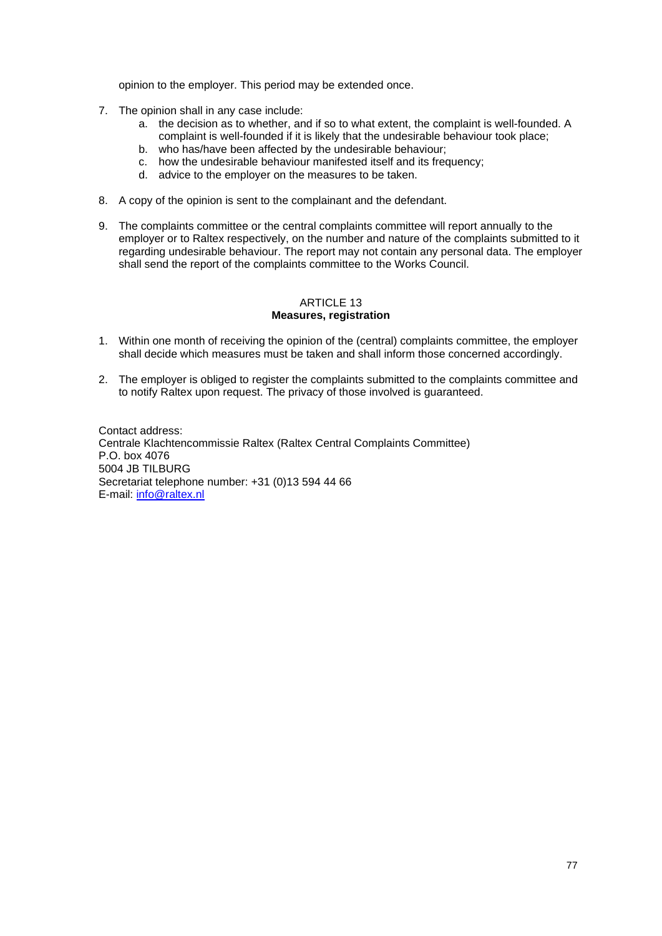opinion to the employer. This period may be extended once.

- 7. The opinion shall in any case include:
	- a. the decision as to whether, and if so to what extent, the complaint is well-founded. A complaint is well-founded if it is likely that the undesirable behaviour took place;
	- b. who has/have been affected by the undesirable behaviour;
	- c. how the undesirable behaviour manifested itself and its frequency;
	- d. advice to the employer on the measures to be taken.
- 8. A copy of the opinion is sent to the complainant and the defendant.
- 9. The complaints committee or the central complaints committee will report annually to the employer or to Raltex respectively, on the number and nature of the complaints submitted to it regarding undesirable behaviour. The report may not contain any personal data. The employer shall send the report of the complaints committee to the Works Council.

#### ARTICLE 13 **Measures, registration**

- 1. Within one month of receiving the opinion of the (central) complaints committee, the employer shall decide which measures must be taken and shall inform those concerned accordingly.
- 2. The employer is obliged to register the complaints submitted to the complaints committee and to notify Raltex upon request. The privacy of those involved is guaranteed.

Contact address: Centrale Klachtencommissie Raltex (Raltex Central Complaints Committee) P.O. box 4076 5004 JB TILBURG Secretariat telephone number: +31 (0)13 594 44 66 E-mail: [info@raltex.nl](mailto:info@raltex.nl)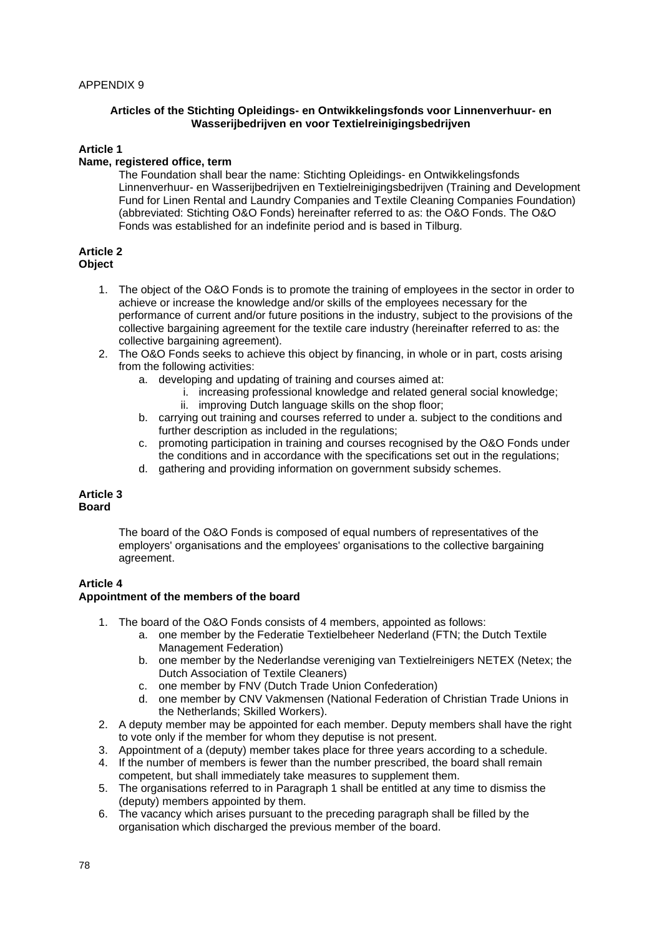### **Articles of the Stichting Opleidings- en Ontwikkelingsfonds voor Linnenverhuur- en Wasserijbedrijven en voor Textielreinigingsbedrijven**

# **Article 1**

# **Name, registered office, term**

The Foundation shall bear the name: Stichting Opleidings- en Ontwikkelingsfonds Linnenverhuur- en Wasserijbedrijven en Textielreinigingsbedrijven (Training and Development Fund for Linen Rental and Laundry Companies and Textile Cleaning Companies Foundation) (abbreviated: Stichting O&O Fonds) hereinafter referred to as: the O&O Fonds. The O&O Fonds was established for an indefinite period and is based in Tilburg.

### **Article 2 Object**

- 1. The object of the O&O Fonds is to promote the training of employees in the sector in order to achieve or increase the knowledge and/or skills of the employees necessary for the performance of current and/or future positions in the industry, subject to the provisions of the collective bargaining agreement for the textile care industry (hereinafter referred to as: the collective bargaining agreement).
- 2. The O&O Fonds seeks to achieve this object by financing, in whole or in part, costs arising from the following activities:
	- a. developing and updating of training and courses aimed at:
		- i. increasing professional knowledge and related general social knowledge;
		- ii. improving Dutch language skills on the shop floor;
	- b. carrying out training and courses referred to under a. subject to the conditions and further description as included in the regulations;
	- c. promoting participation in training and courses recognised by the O&O Fonds under the conditions and in accordance with the specifications set out in the regulations;
	- d. gathering and providing information on government subsidy schemes.

### **Article 3 Board**

The board of the O&O Fonds is composed of equal numbers of representatives of the employers' organisations and the employees' organisations to the collective bargaining agreement.

# **Article 4**

# **Appointment of the members of the board**

- 1. The board of the O&O Fonds consists of 4 members, appointed as follows:
	- a. one member by the Federatie Textielbeheer Nederland (FTN; the Dutch Textile Management Federation)
	- b. one member by the Nederlandse vereniging van Textielreinigers NETEX (Netex; the Dutch Association of Textile Cleaners)
	- c. one member by FNV (Dutch Trade Union Confederation)
	- d. one member by CNV Vakmensen (National Federation of Christian Trade Unions in the Netherlands; Skilled Workers).
- 2. A deputy member may be appointed for each member. Deputy members shall have the right to vote only if the member for whom they deputise is not present.
- 3. Appointment of a (deputy) member takes place for three years according to a schedule.
- 4. If the number of members is fewer than the number prescribed, the board shall remain competent, but shall immediately take measures to supplement them.
- 5. The organisations referred to in Paragraph 1 shall be entitled at any time to dismiss the (deputy) members appointed by them.
- 6. The vacancy which arises pursuant to the preceding paragraph shall be filled by the organisation which discharged the previous member of the board.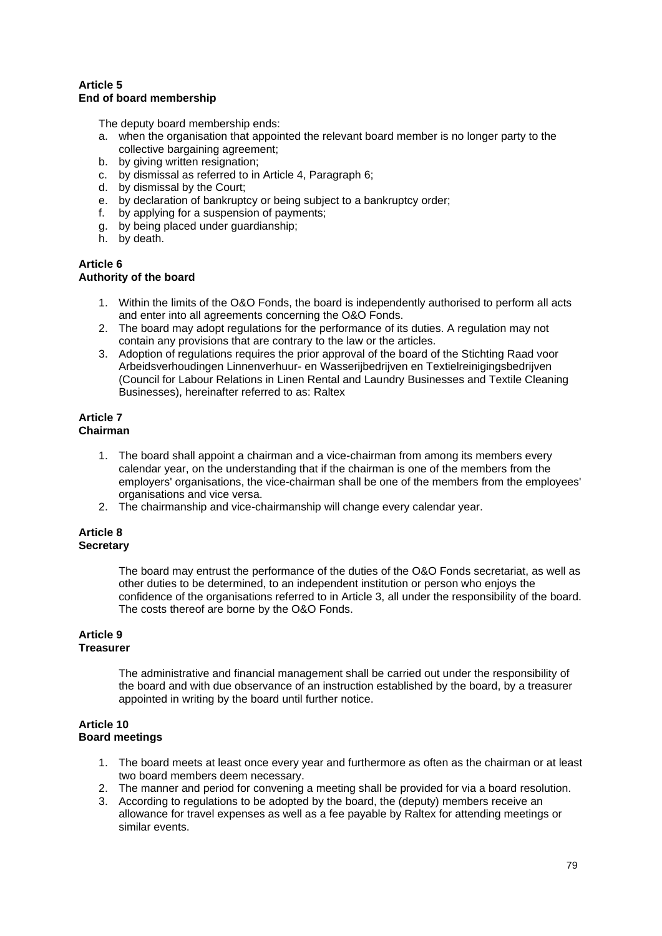# **Article 5 End of board membership**

The deputy board membership ends:

- a. when the organisation that appointed the relevant board member is no longer party to the collective bargaining agreement;
- b. by giving written resignation;
- c. by dismissal as referred to in Article 4, Paragraph 6;
- d. by dismissal by the Court;
- e. by declaration of bankruptcy or being subject to a bankruptcy order;
- f. by applying for a suspension of payments;
- g. by being placed under guardianship;
- h. by death.

# **Article 6**

# **Authority of the board**

- 1. Within the limits of the O&O Fonds, the board is independently authorised to perform all acts and enter into all agreements concerning the O&O Fonds.
- 2. The board may adopt regulations for the performance of its duties. A regulation may not contain any provisions that are contrary to the law or the articles.
- 3. Adoption of regulations requires the prior approval of the board of the Stichting Raad voor Arbeidsverhoudingen Linnenverhuur- en Wasserijbedrijven en Textielreinigingsbedrijven (Council for Labour Relations in Linen Rental and Laundry Businesses and Textile Cleaning Businesses), hereinafter referred to as: Raltex

#### **Article 7 Chairman**

- 1. The board shall appoint a chairman and a vice-chairman from among its members every calendar year, on the understanding that if the chairman is one of the members from the employers' organisations, the vice-chairman shall be one of the members from the employees' organisations and vice versa.
- 2. The chairmanship and vice-chairmanship will change every calendar year.

### **Article 8 Secretary**

The board may entrust the performance of the duties of the O&O Fonds secretariat, as well as other duties to be determined, to an independent institution or person who enjoys the confidence of the organisations referred to in Article 3, all under the responsibility of the board. The costs thereof are borne by the O&O Fonds.

# **Article 9**

# **Treasurer**

The administrative and financial management shall be carried out under the responsibility of the board and with due observance of an instruction established by the board, by a treasurer appointed in writing by the board until further notice.

### **Article 10 Board meetings**

- 1. The board meets at least once every year and furthermore as often as the chairman or at least two board members deem necessary.
- 2. The manner and period for convening a meeting shall be provided for via a board resolution.
- 3. According to regulations to be adopted by the board, the (deputy) members receive an allowance for travel expenses as well as a fee payable by Raltex for attending meetings or similar events.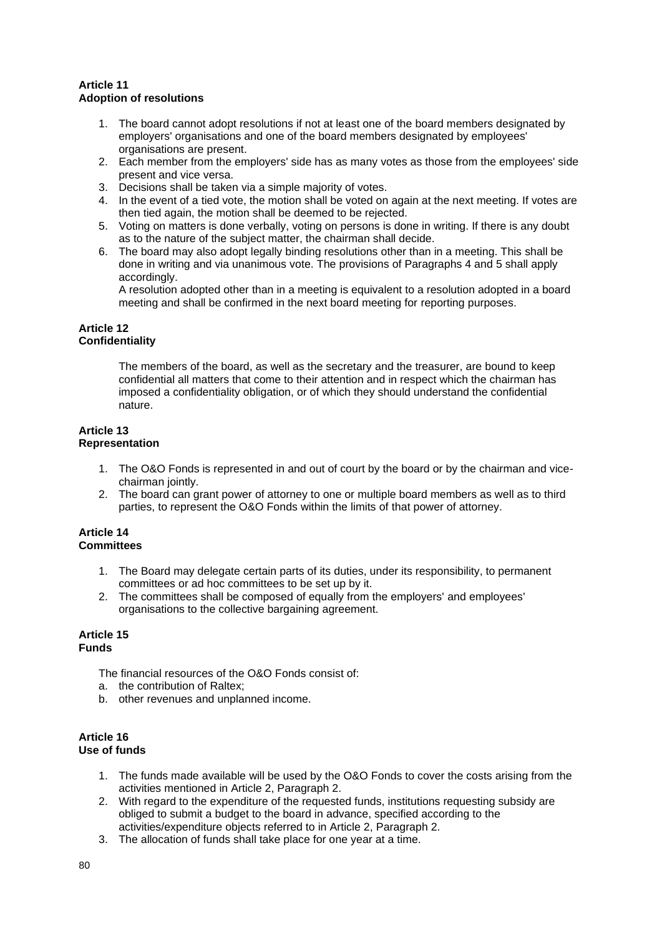# **Article 11 Adoption of resolutions**

- 1. The board cannot adopt resolutions if not at least one of the board members designated by employers' organisations and one of the board members designated by employees' organisations are present.
- 2. Each member from the employers' side has as many votes as those from the employees' side present and vice versa.
- 3. Decisions shall be taken via a simple majority of votes.
- 4. In the event of a tied vote, the motion shall be voted on again at the next meeting. If votes are then tied again, the motion shall be deemed to be rejected.
- 5. Voting on matters is done verbally, voting on persons is done in writing. If there is any doubt as to the nature of the subject matter, the chairman shall decide.
- 6. The board may also adopt legally binding resolutions other than in a meeting. This shall be done in writing and via unanimous vote. The provisions of Paragraphs 4 and 5 shall apply accordingly.

A resolution adopted other than in a meeting is equivalent to a resolution adopted in a board meeting and shall be confirmed in the next board meeting for reporting purposes.

### **Article 12 Confidentiality**

The members of the board, as well as the secretary and the treasurer, are bound to keep confidential all matters that come to their attention and in respect which the chairman has imposed a confidentiality obligation, or of which they should understand the confidential nature.

### **Article 13 Representation**

- 1. The O&O Fonds is represented in and out of court by the board or by the chairman and vicechairman jointly.
- 2. The board can grant power of attorney to one or multiple board members as well as to third parties, to represent the O&O Fonds within the limits of that power of attorney.

### **Article 14 Committees**

- 1. The Board may delegate certain parts of its duties, under its responsibility, to permanent committees or ad hoc committees to be set up by it.
- 2. The committees shall be composed of equally from the employers' and employees' organisations to the collective bargaining agreement.

#### **Article 15 Funds**

The financial resources of the O&O Fonds consist of:

- a. the contribution of Raltex;
- b. other revenues and unplanned income.

# **Article 16 Use of funds**

- 1. The funds made available will be used by the O&O Fonds to cover the costs arising from the activities mentioned in Article 2, Paragraph 2.
- 2. With regard to the expenditure of the requested funds, institutions requesting subsidy are obliged to submit a budget to the board in advance, specified according to the activities/expenditure objects referred to in Article 2, Paragraph 2.
- 3. The allocation of funds shall take place for one year at a time.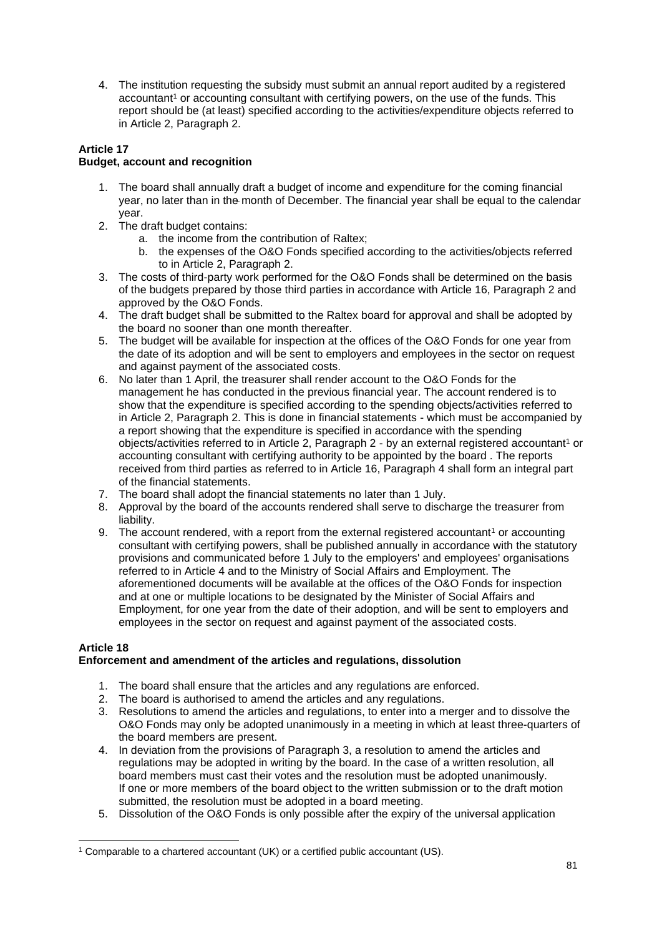4. The institution requesting the subsidy must submit an annual report audited by a registered accountant<sup>1</sup> or accounting consultant with certifying powers, on the use of the funds. This report should be (at least) specified according to the activities/expenditure objects referred to in Article 2, Paragraph 2.

# **Article 17 Budget, account and recognition**

- 1. The board shall annually draft a budget of income and expenditure for the coming financial year, no later than in the month of December. The financial year shall be equal to the calendar year.
- 2. The draft budget contains:
	- a. the income from the contribution of Raltex;
	- b. the expenses of the O&O Fonds specified according to the activities/objects referred to in Article 2, Paragraph 2.
- 3. The costs of third-party work performed for the O&O Fonds shall be determined on the basis of the budgets prepared by those third parties in accordance with Article 16, Paragraph 2 and approved by the O&O Fonds.
- 4. The draft budget shall be submitted to the Raltex board for approval and shall be adopted by the board no sooner than one month thereafter.
- 5. The budget will be available for inspection at the offices of the O&O Fonds for one year from the date of its adoption and will be sent to employers and employees in the sector on request and against payment of the associated costs.
- 6. No later than 1 April, the treasurer shall render account to the O&O Fonds for the management he has conducted in the previous financial year. The account rendered is to show that the expenditure is specified according to the spending objects/activities referred to in Article 2, Paragraph 2. This is done in financial statements - which must be accompanied by a report showing that the expenditure is specified in accordance with the spending objects/activities referred to in Article 2, Paragraph 2 - by an external registered accountant<sup>1</sup> or accounting consultant with certifying authority to be appointed by the board . The reports received from third parties as referred to in Article 16, Paragraph 4 shall form an integral part of the financial statements.
- 7. The board shall adopt the financial statements no later than 1 July.
- 8. Approval by the board of the accounts rendered shall serve to discharge the treasurer from liability.
- 9. The account rendered, with a report from the external registered accountant<sup>1</sup> or accounting consultant with certifying powers, shall be published annually in accordance with the statutory provisions and communicated before 1 July to the employers' and employees' organisations referred to in Article 4 and to the Ministry of Social Affairs and Employment. The aforementioned documents will be available at the offices of the O&O Fonds for inspection and at one or multiple locations to be designated by the Minister of Social Affairs and Employment, for one year from the date of their adoption, and will be sent to employers and employees in the sector on request and against payment of the associated costs.

# **Article 18**

# **Enforcement and amendment of the articles and regulations, dissolution**

- 1. The board shall ensure that the articles and any regulations are enforced.
- 2. The board is authorised to amend the articles and any regulations.
- 3. Resolutions to amend the articles and regulations, to enter into a merger and to dissolve the O&O Fonds may only be adopted unanimously in a meeting in which at least three-quarters of the board members are present.
- 4. In deviation from the provisions of Paragraph 3, a resolution to amend the articles and regulations may be adopted in writing by the board. In the case of a written resolution, all board members must cast their votes and the resolution must be adopted unanimously. If one or more members of the board object to the written submission or to the draft motion submitted, the resolution must be adopted in a board meeting.
- 5. Dissolution of the O&O Fonds is only possible after the expiry of the universal application

<sup>&</sup>lt;sup>1</sup> Comparable to a chartered accountant (UK) or a certified public accountant (US).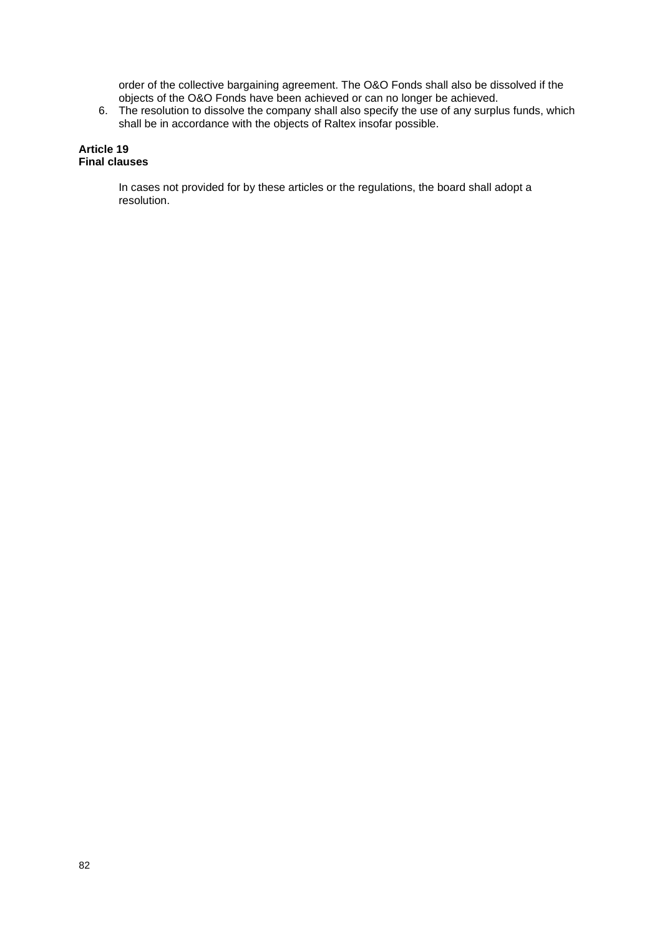order of the collective bargaining agreement. The O&O Fonds shall also be dissolved if the objects of the O&O Fonds have been achieved or can no longer be achieved.

6. The resolution to dissolve the company shall also specify the use of any surplus funds, which shall be in accordance with the objects of Raltex insofar possible.

#### **Article 19 Final clauses**

In cases not provided for by these articles or the regulations, the board shall adopt a resolution.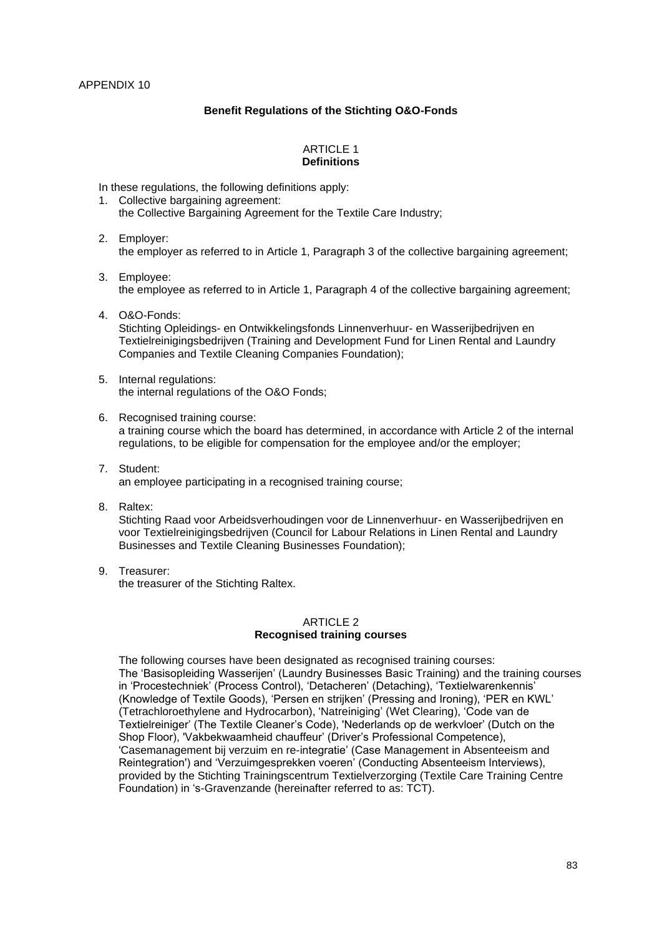# **Benefit Regulations of the Stichting O&O-Fonds**

### ARTICLE 1 **Definitions**

In these regulations, the following definitions apply:

- 1. Collective bargaining agreement: the Collective Bargaining Agreement for the Textile Care Industry;
- 2. Employer: the employer as referred to in Article 1, Paragraph 3 of the collective bargaining agreement;
- 3. Employee: the employee as referred to in Article 1, Paragraph 4 of the collective bargaining agreement;
- 4. O&O-Fonds: Stichting Opleidings- en Ontwikkelingsfonds Linnenverhuur- en Wasserijbedrijven en Textielreinigingsbedrijven (Training and Development Fund for Linen Rental and Laundry Companies and Textile Cleaning Companies Foundation);
- 5. Internal regulations: the internal regulations of the O&O Fonds;
- 6. Recognised training course: a training course which the board has determined, in accordance with Article 2 of the internal regulations, to be eligible for compensation for the employee and/or the employer;
- 7. Student: an employee participating in a recognised training course;
- 8. Raltex:

Stichting Raad voor Arbeidsverhoudingen voor de Linnenverhuur- en Wasserijbedrijven en voor Textielreinigingsbedrijven (Council for Labour Relations in Linen Rental and Laundry Businesses and Textile Cleaning Businesses Foundation);

9. Treasurer: the treasurer of the Stichting Raltex.

# ARTICLE 2 **Recognised training courses**

The following courses have been designated as recognised training courses: The 'Basisopleiding Wasserijen' (Laundry Businesses Basic Training) and the training courses in 'Procestechniek' (Process Control), 'Detacheren' (Detaching), 'Textielwarenkennis' (Knowledge of Textile Goods), 'Persen en strijken' (Pressing and Ironing), 'PER en KWL' (Tetrachloroethylene and Hydrocarbon), 'Natreiniging' (Wet Clearing), 'Code van de Textielreiniger' (The Textile Cleaner's Code), 'Nederlands op de werkvloer' (Dutch on the Shop Floor), 'Vakbekwaamheid chauffeur' (Driver's Professional Competence), 'Casemanagement bij verzuim en re-integratie' (Case Management in Absenteeism and Reintegration') and 'Verzuimgesprekken voeren' (Conducting Absenteeism Interviews), provided by the Stichting Trainingscentrum Textielverzorging (Textile Care Training Centre Foundation) in 's-Gravenzande (hereinafter referred to as: TCT).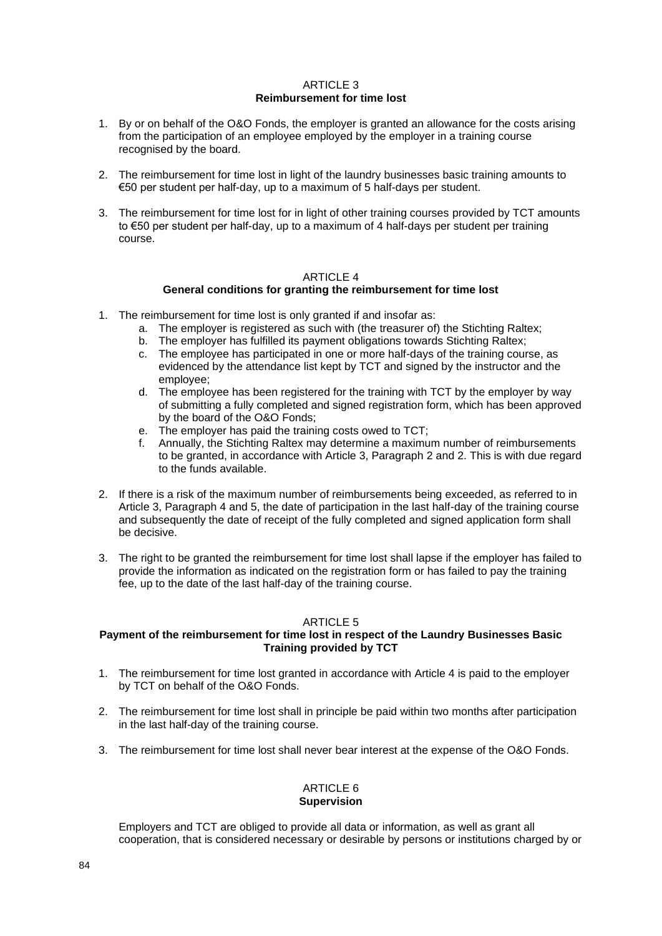### ARTICLE 3 **Reimbursement for time lost**

- 1. By or on behalf of the O&O Fonds, the employer is granted an allowance for the costs arising from the participation of an employee employed by the employer in a training course recognised by the board.
- 2. The reimbursement for time lost in light of the laundry businesses basic training amounts to €50 per student per half-day, up to a maximum of 5 half-days per student.
- 3. The reimbursement for time lost for in light of other training courses provided by TCT amounts to €50 per student per half-day, up to a maximum of 4 half-days per student per training course.

### ARTICLE 4

### **General conditions for granting the reimbursement for time lost**

- 1. The reimbursement for time lost is only granted if and insofar as:
	- a. The employer is registered as such with (the treasurer of) the Stichting Raltex;
	- b. The employer has fulfilled its payment obligations towards Stichting Raltex;
	- c. The employee has participated in one or more half-days of the training course, as evidenced by the attendance list kept by TCT and signed by the instructor and the employee;
	- d. The employee has been registered for the training with TCT by the employer by way of submitting a fully completed and signed registration form, which has been approved by the board of the O&O Fonds;
	- e. The employer has paid the training costs owed to TCT;<br>f. Annually, the Stichting Raltex may determine a maximu
	- f. Annually, the Stichting Raltex may determine a maximum number of reimbursements to be granted, in accordance with Article 3, Paragraph 2 and 2. This is with due regard to the funds available.
- 2. If there is a risk of the maximum number of reimbursements being exceeded, as referred to in Article 3, Paragraph 4 and 5, the date of participation in the last half-day of the training course and subsequently the date of receipt of the fully completed and signed application form shall be decisive.
- 3. The right to be granted the reimbursement for time lost shall lapse if the employer has failed to provide the information as indicated on the registration form or has failed to pay the training fee, up to the date of the last half-day of the training course.

### ARTICLE 5

### **Payment of the reimbursement for time lost in respect of the Laundry Businesses Basic Training provided by TCT**

- 1. The reimbursement for time lost granted in accordance with Article 4 is paid to the employer by TCT on behalf of the O&O Fonds.
- 2. The reimbursement for time lost shall in principle be paid within two months after participation in the last half-day of the training course.
- 3. The reimbursement for time lost shall never bear interest at the expense of the O&O Fonds.

### ARTICLE 6 **Supervision**

Employers and TCT are obliged to provide all data or information, as well as grant all cooperation, that is considered necessary or desirable by persons or institutions charged by or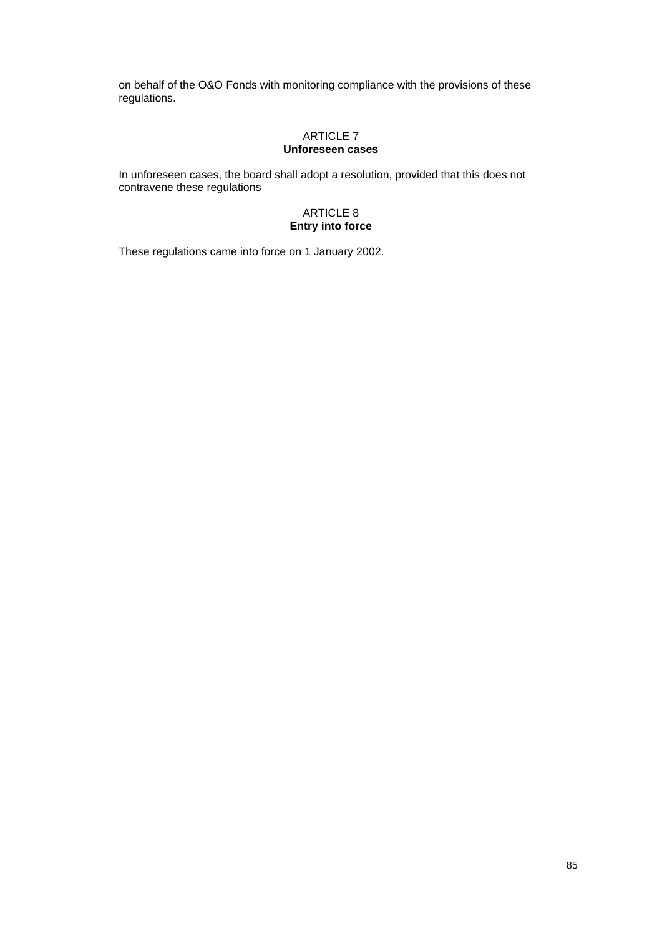on behalf of the O&O Fonds with monitoring compliance with the provisions of these regulations.

# ARTICLE 7 **Unforeseen cases**

In unforeseen cases, the board shall adopt a resolution, provided that this does not contravene these regulations

# ARTICLE 8 **Entry into force**

These regulations came into force on 1 January 2002.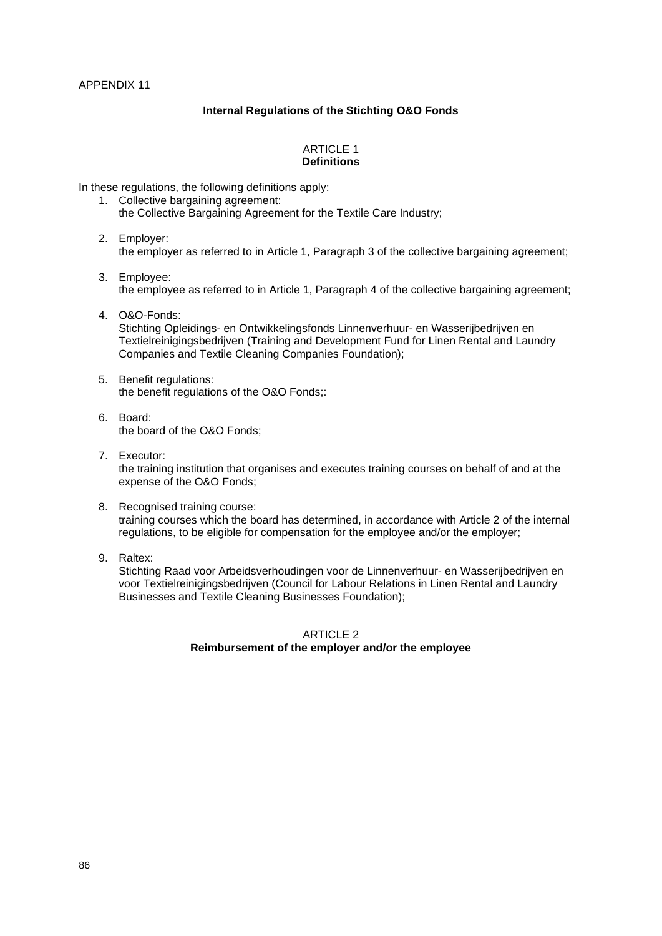# **Internal Regulations of the Stichting O&O Fonds**

# ARTICLE 1 **Definitions**

In these regulations, the following definitions apply:

- 1. Collective bargaining agreement: the Collective Bargaining Agreement for the Textile Care Industry;
- 2. Employer: the employer as referred to in Article 1, Paragraph 3 of the collective bargaining agreement;
- 3. Employee: the employee as referred to in Article 1, Paragraph 4 of the collective bargaining agreement;
- 4. O&O-Fonds: Stichting Opleidings- en Ontwikkelingsfonds Linnenverhuur- en Wasserijbedrijven en Textielreinigingsbedrijven (Training and Development Fund for Linen Rental and Laundry Companies and Textile Cleaning Companies Foundation);
- 5. Benefit regulations: the benefit regulations of the O&O Fonds;:
- 6. Board: the board of the O&O Fonds;
- 7. Executor: the training institution that organises and executes training courses on behalf of and at the expense of the O&O Fonds;
- 8. Recognised training course: training courses which the board has determined, in accordance with Article 2 of the internal regulations, to be eligible for compensation for the employee and/or the employer;
- 9. Raltex:

Stichting Raad voor Arbeidsverhoudingen voor de Linnenverhuur- en Wasserijbedrijven en voor Textielreinigingsbedrijven (Council for Labour Relations in Linen Rental and Laundry Businesses and Textile Cleaning Businesses Foundation);

# ARTICLE 2 **Reimbursement of the employer and/or the employee**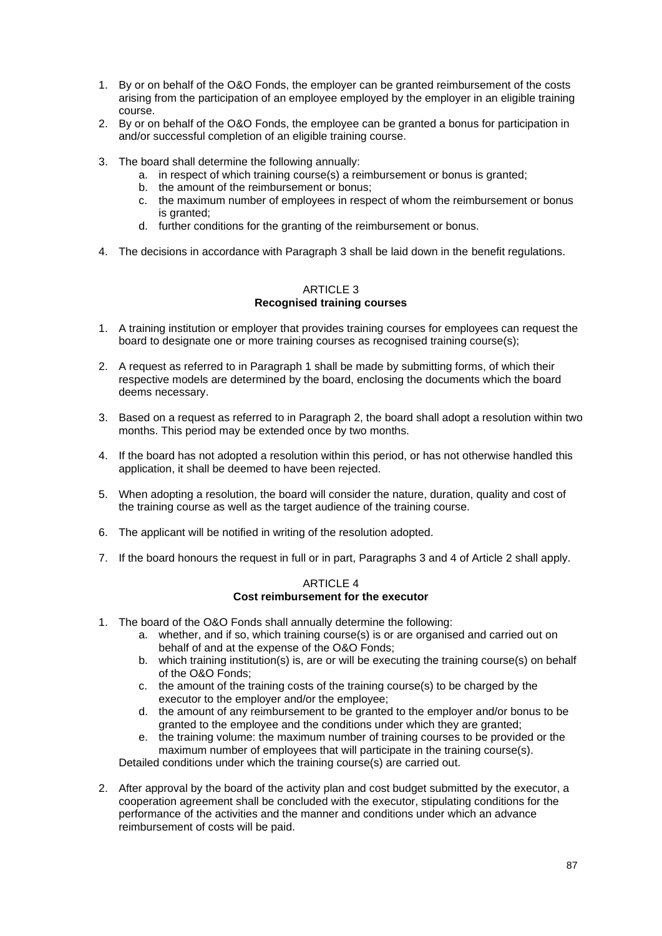- 1. By or on behalf of the O&O Fonds, the employer can be granted reimbursement of the costs arising from the participation of an employee employed by the employer in an eligible training course.
- 2. By or on behalf of the O&O Fonds, the employee can be granted a bonus for participation in and/or successful completion of an eligible training course.
- 3. The board shall determine the following annually:
	- a. in respect of which training course(s) a reimbursement or bonus is granted;
	- b. the amount of the reimbursement or bonus;
	- c. the maximum number of employees in respect of whom the reimbursement or bonus is granted;
	- d. further conditions for the granting of the reimbursement or bonus.
- 4. The decisions in accordance with Paragraph 3 shall be laid down in the benefit regulations.

# ARTICLE 3 **Recognised training courses**

- 1. A training institution or employer that provides training courses for employees can request the board to designate one or more training courses as recognised training course(s);
- 2. A request as referred to in Paragraph 1 shall be made by submitting forms, of which their respective models are determined by the board, enclosing the documents which the board deems necessary.
- 3. Based on a request as referred to in Paragraph 2, the board shall adopt a resolution within two months. This period may be extended once by two months.
- 4. If the board has not adopted a resolution within this period, or has not otherwise handled this application, it shall be deemed to have been rejected.
- 5. When adopting a resolution, the board will consider the nature, duration, quality and cost of the training course as well as the target audience of the training course.
- 6. The applicant will be notified in writing of the resolution adopted.
- 7. If the board honours the request in full or in part, Paragraphs 3 and 4 of Article 2 shall apply.

#### ARTICLE 4 **Cost reimbursement for the executor**

- 1. The board of the O&O Fonds shall annually determine the following:
	- a. whether, and if so, which training course(s) is or are organised and carried out on behalf of and at the expense of the O&O Fonds;
	- b. which training institution(s) is, are or will be executing the training course(s) on behalf of the O&O Fonds;
	- c. the amount of the training costs of the training course(s) to be charged by the executor to the employer and/or the employee;
	- d. the amount of any reimbursement to be granted to the employer and/or bonus to be granted to the employee and the conditions under which they are granted;
	- e. the training volume: the maximum number of training courses to be provided or the maximum number of employees that will participate in the training course(s).

Detailed conditions under which the training course(s) are carried out.

2. After approval by the board of the activity plan and cost budget submitted by the executor, a cooperation agreement shall be concluded with the executor, stipulating conditions for the performance of the activities and the manner and conditions under which an advance reimbursement of costs will be paid.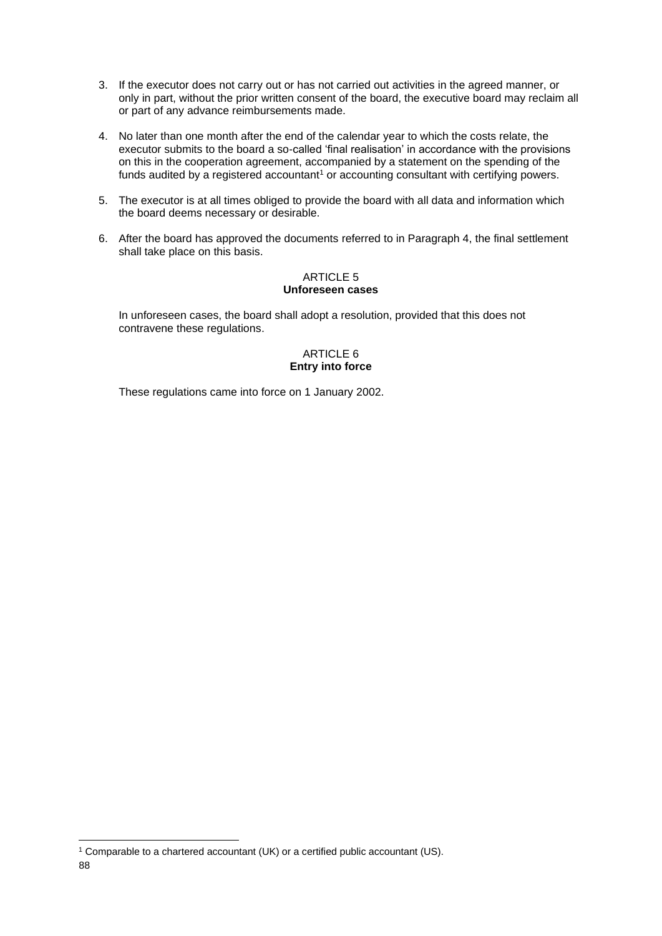- 3. If the executor does not carry out or has not carried out activities in the agreed manner, or only in part, without the prior written consent of the board, the executive board may reclaim all or part of any advance reimbursements made.
- 4. No later than one month after the end of the calendar year to which the costs relate, the executor submits to the board a so-called 'final realisation' in accordance with the provisions on this in the cooperation agreement, accompanied by a statement on the spending of the funds audited by a registered accountant<sup>1</sup> or accounting consultant with certifying powers.
- 5. The executor is at all times obliged to provide the board with all data and information which the board deems necessary or desirable.
- 6. After the board has approved the documents referred to in Paragraph 4, the final settlement shall take place on this basis.

### ARTICLE 5 **Unforeseen cases**

In unforeseen cases, the board shall adopt a resolution, provided that this does not contravene these regulations.

### ARTICLE 6 **Entry into force**

These regulations came into force on 1 January 2002.

<sup>88</sup> <sup>1</sup> Comparable to a chartered accountant (UK) or a certified public accountant (US).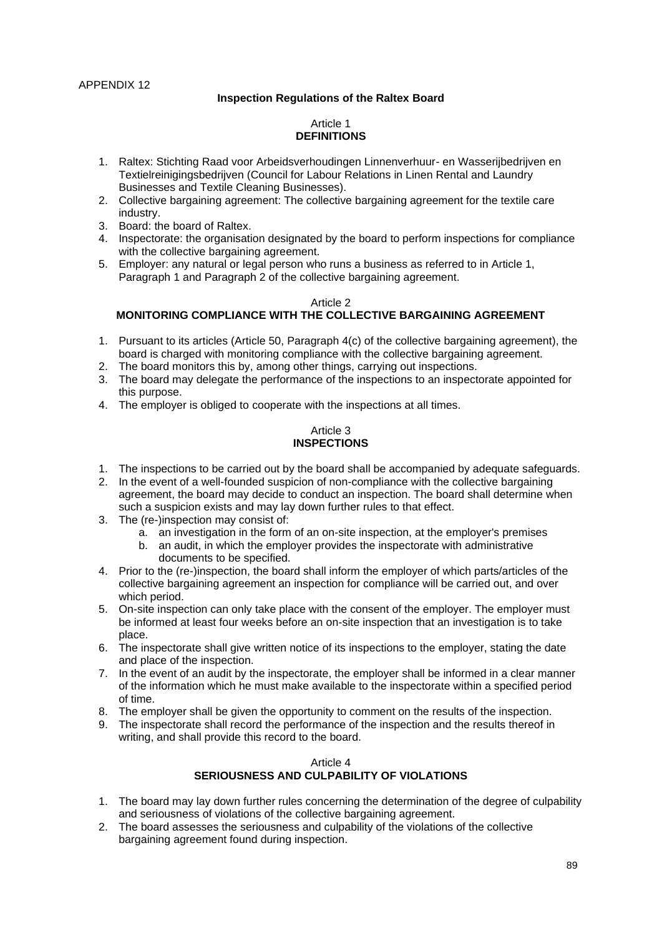# **Inspection Regulations of the Raltex Board**

# Article 1 **DEFINITIONS**

- 1. Raltex: Stichting Raad voor Arbeidsverhoudingen Linnenverhuur- en Wasserijbedrijven en Textielreinigingsbedrijven (Council for Labour Relations in Linen Rental and Laundry Businesses and Textile Cleaning Businesses).
- 2. Collective bargaining agreement: The collective bargaining agreement for the textile care industry.
- 3. Board: the board of Raltex.
- 4. Inspectorate: the organisation designated by the board to perform inspections for compliance with the collective bargaining agreement.
- 5. Employer: any natural or legal person who runs a business as referred to in Article 1, Paragraph 1 and Paragraph 2 of the collective bargaining agreement.

#### Article 2 **MONITORING COMPLIANCE WITH THE COLLECTIVE BARGAINING AGREEMENT**

- 1. Pursuant to its articles (Article 50, Paragraph 4(c) of the collective bargaining agreement), the board is charged with monitoring compliance with the collective bargaining agreement.
- 2. The board monitors this by, among other things, carrying out inspections.
- 3. The board may delegate the performance of the inspections to an inspectorate appointed for this purpose.
- 4. The employer is obliged to cooperate with the inspections at all times.

### Article 3 **INSPECTIONS**

- 1. The inspections to be carried out by the board shall be accompanied by adequate safeguards.
- 2. In the event of a well-founded suspicion of non-compliance with the collective bargaining agreement, the board may decide to conduct an inspection. The board shall determine when such a suspicion exists and may lay down further rules to that effect.
- 3. The (re-)inspection may consist of:
	- a. an investigation in the form of an on-site inspection, at the employer's premises
	- b. an audit, in which the employer provides the inspectorate with administrative documents to be specified.
- 4. Prior to the (re-)inspection, the board shall inform the employer of which parts/articles of the collective bargaining agreement an inspection for compliance will be carried out, and over which period.
- 5. On-site inspection can only take place with the consent of the employer. The employer must be informed at least four weeks before an on-site inspection that an investigation is to take place.
- 6. The inspectorate shall give written notice of its inspections to the employer, stating the date and place of the inspection.
- 7. In the event of an audit by the inspectorate, the employer shall be informed in a clear manner of the information which he must make available to the inspectorate within a specified period of time.
- 8. The employer shall be given the opportunity to comment on the results of the inspection.
- 9. The inspectorate shall record the performance of the inspection and the results thereof in writing, and shall provide this record to the board.

### Article 4 **SERIOUSNESS AND CULPABILITY OF VIOLATIONS**

- 1. The board may lay down further rules concerning the determination of the degree of culpability and seriousness of violations of the collective bargaining agreement.
- 2. The board assesses the seriousness and culpability of the violations of the collective bargaining agreement found during inspection.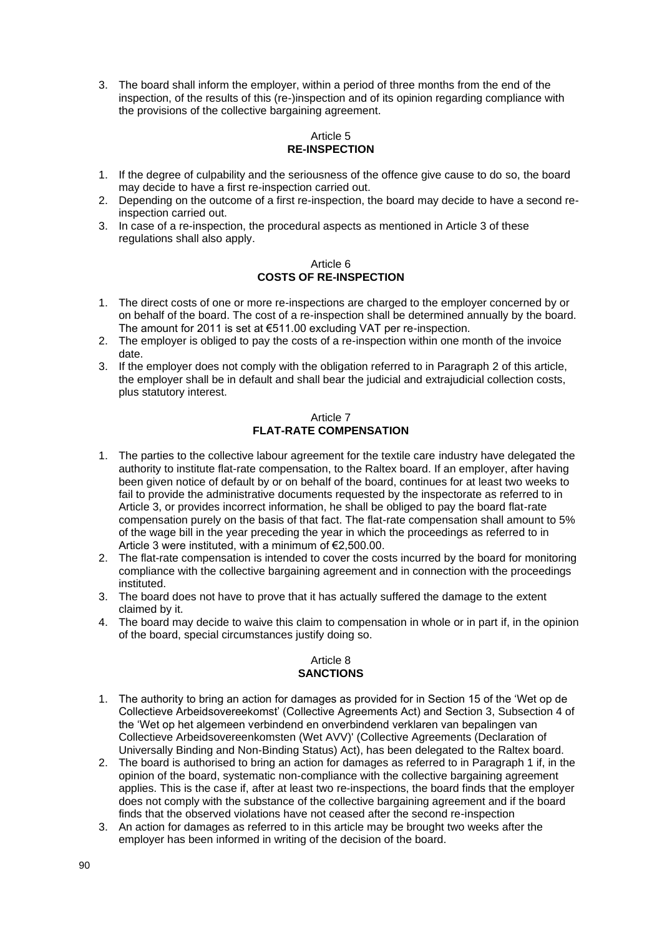3. The board shall inform the employer, within a period of three months from the end of the inspection, of the results of this (re-)inspection and of its opinion regarding compliance with the provisions of the collective bargaining agreement.

# Article 5 **RE-INSPECTION**

- 1. If the degree of culpability and the seriousness of the offence give cause to do so, the board may decide to have a first re-inspection carried out.
- 2. Depending on the outcome of a first re-inspection, the board may decide to have a second reinspection carried out.
- 3. In case of a re-inspection, the procedural aspects as mentioned in Article 3 of these regulations shall also apply.

### Article 6 **COSTS OF RE-INSPECTION**

- 1. The direct costs of one or more re-inspections are charged to the employer concerned by or on behalf of the board. The cost of a re-inspection shall be determined annually by the board. The amount for 2011 is set at €511.00 excluding VAT per re-inspection.
- 2. The employer is obliged to pay the costs of a re-inspection within one month of the invoice date.
- 3. If the employer does not comply with the obligation referred to in Paragraph 2 of this article, the employer shall be in default and shall bear the judicial and extrajudicial collection costs, plus statutory interest.

# Article 7 **FLAT-RATE COMPENSATION**

- 1. The parties to the collective labour agreement for the textile care industry have delegated the authority to institute flat-rate compensation, to the Raltex board. If an employer, after having been given notice of default by or on behalf of the board, continues for at least two weeks to fail to provide the administrative documents requested by the inspectorate as referred to in Article 3, or provides incorrect information, he shall be obliged to pay the board flat-rate compensation purely on the basis of that fact. The flat-rate compensation shall amount to 5% of the wage bill in the year preceding the year in which the proceedings as referred to in Article 3 were instituted, with a minimum of €2,500.00.
- 2. The flat-rate compensation is intended to cover the costs incurred by the board for monitoring compliance with the collective bargaining agreement and in connection with the proceedings instituted.
- 3. The board does not have to prove that it has actually suffered the damage to the extent claimed by it.
- 4. The board may decide to waive this claim to compensation in whole or in part if, in the opinion of the board, special circumstances justify doing so.

### Article 8 **SANCTIONS**

- 1. The authority to bring an action for damages as provided for in Section 15 of the 'Wet op de Collectieve Arbeidsovereekomst' (Collective Agreements Act) and Section 3, Subsection 4 of the 'Wet op het algemeen verbindend en onverbindend verklaren van bepalingen van Collectieve Arbeidsovereenkomsten (Wet AVV)' (Collective Agreements (Declaration of Universally Binding and Non-Binding Status) Act), has been delegated to the Raltex board.
- 2. The board is authorised to bring an action for damages as referred to in Paragraph 1 if, in the opinion of the board, systematic non-compliance with the collective bargaining agreement applies. This is the case if, after at least two re-inspections, the board finds that the employer does not comply with the substance of the collective bargaining agreement and if the board finds that the observed violations have not ceased after the second re-inspection
- 3. An action for damages as referred to in this article may be brought two weeks after the employer has been informed in writing of the decision of the board.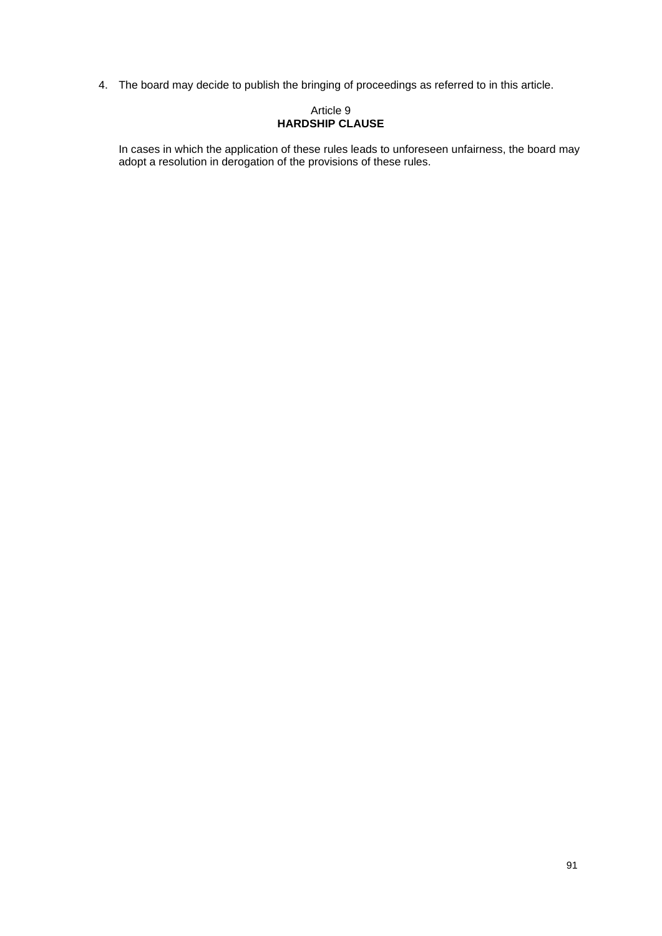4. The board may decide to publish the bringing of proceedings as referred to in this article.

### Article 9 **HARDSHIP CLAUSE**

In cases in which the application of these rules leads to unforeseen unfairness, the board may adopt a resolution in derogation of the provisions of these rules.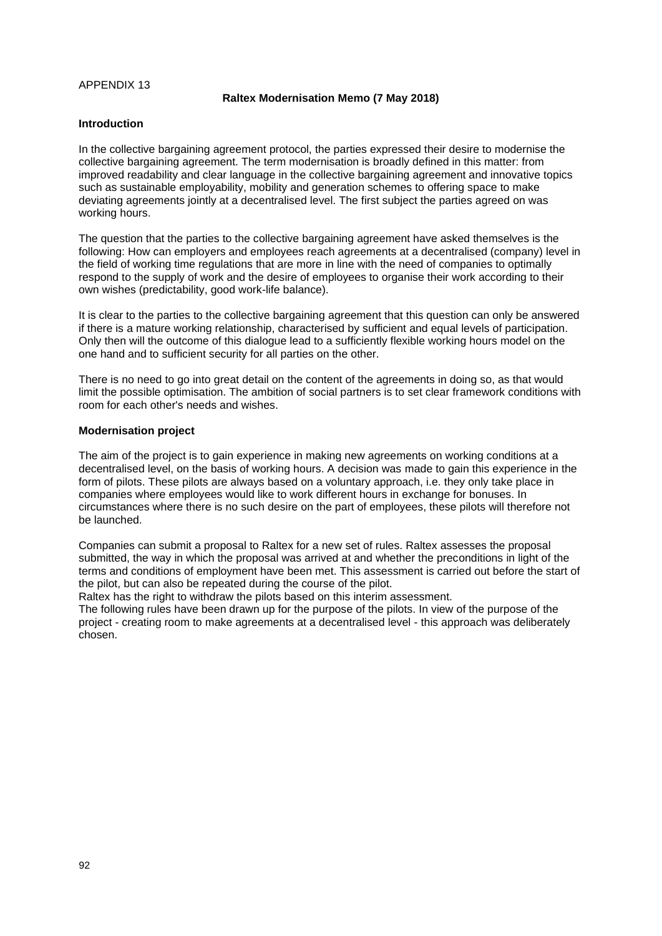### APPENDIX 13

#### **Raltex Modernisation Memo (7 May 2018)**

#### **Introduction**

In the collective bargaining agreement protocol, the parties expressed their desire to modernise the collective bargaining agreement. The term modernisation is broadly defined in this matter: from improved readability and clear language in the collective bargaining agreement and innovative topics such as sustainable employability, mobility and generation schemes to offering space to make deviating agreements jointly at a decentralised level. The first subject the parties agreed on was working hours.

The question that the parties to the collective bargaining agreement have asked themselves is the following: How can employers and employees reach agreements at a decentralised (company) level in the field of working time regulations that are more in line with the need of companies to optimally respond to the supply of work and the desire of employees to organise their work according to their own wishes (predictability, good work-life balance).

It is clear to the parties to the collective bargaining agreement that this question can only be answered if there is a mature working relationship, characterised by sufficient and equal levels of participation. Only then will the outcome of this dialogue lead to a sufficiently flexible working hours model on the one hand and to sufficient security for all parties on the other.

There is no need to go into great detail on the content of the agreements in doing so, as that would limit the possible optimisation. The ambition of social partners is to set clear framework conditions with room for each other's needs and wishes.

#### **Modernisation project**

The aim of the project is to gain experience in making new agreements on working conditions at a decentralised level, on the basis of working hours. A decision was made to gain this experience in the form of pilots. These pilots are always based on a voluntary approach, i.e. they only take place in companies where employees would like to work different hours in exchange for bonuses. In circumstances where there is no such desire on the part of employees, these pilots will therefore not be launched.

Companies can submit a proposal to Raltex for a new set of rules. Raltex assesses the proposal submitted, the way in which the proposal was arrived at and whether the preconditions in light of the terms and conditions of employment have been met. This assessment is carried out before the start of the pilot, but can also be repeated during the course of the pilot.

Raltex has the right to withdraw the pilots based on this interim assessment.

The following rules have been drawn up for the purpose of the pilots. In view of the purpose of the project - creating room to make agreements at a decentralised level - this approach was deliberately chosen.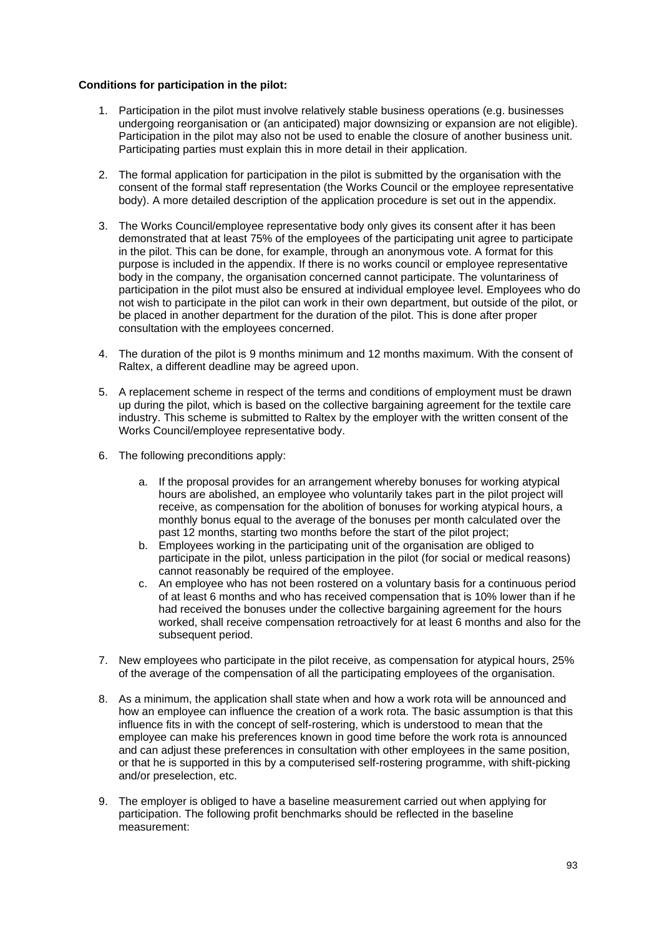### **Conditions for participation in the pilot:**

- 1. Participation in the pilot must involve relatively stable business operations (e.g. businesses undergoing reorganisation or (an anticipated) major downsizing or expansion are not eligible). Participation in the pilot may also not be used to enable the closure of another business unit. Participating parties must explain this in more detail in their application.
- 2. The formal application for participation in the pilot is submitted by the organisation with the consent of the formal staff representation (the Works Council or the employee representative body). A more detailed description of the application procedure is set out in the appendix.
- 3. The Works Council/employee representative body only gives its consent after it has been demonstrated that at least 75% of the employees of the participating unit agree to participate in the pilot. This can be done, for example, through an anonymous vote. A format for this purpose is included in the appendix. If there is no works council or employee representative body in the company, the organisation concerned cannot participate. The voluntariness of participation in the pilot must also be ensured at individual employee level. Employees who do not wish to participate in the pilot can work in their own department, but outside of the pilot, or be placed in another department for the duration of the pilot. This is done after proper consultation with the employees concerned.
- 4. The duration of the pilot is 9 months minimum and 12 months maximum. With the consent of Raltex, a different deadline may be agreed upon.
- 5. A replacement scheme in respect of the terms and conditions of employment must be drawn up during the pilot, which is based on the collective bargaining agreement for the textile care industry. This scheme is submitted to Raltex by the employer with the written consent of the Works Council/employee representative body.
- 6. The following preconditions apply:
	- a. If the proposal provides for an arrangement whereby bonuses for working atypical hours are abolished, an employee who voluntarily takes part in the pilot project will receive, as compensation for the abolition of bonuses for working atypical hours, a monthly bonus equal to the average of the bonuses per month calculated over the past 12 months, starting two months before the start of the pilot project;
	- b. Employees working in the participating unit of the organisation are obliged to participate in the pilot, unless participation in the pilot (for social or medical reasons) cannot reasonably be required of the employee.
	- c. An employee who has not been rostered on a voluntary basis for a continuous period of at least 6 months and who has received compensation that is 10% lower than if he had received the bonuses under the collective bargaining agreement for the hours worked, shall receive compensation retroactively for at least 6 months and also for the subsequent period.
- 7. New employees who participate in the pilot receive, as compensation for atypical hours, 25% of the average of the compensation of all the participating employees of the organisation.
- 8. As a minimum, the application shall state when and how a work rota will be announced and how an employee can influence the creation of a work rota. The basic assumption is that this influence fits in with the concept of self-rostering, which is understood to mean that the employee can make his preferences known in good time before the work rota is announced and can adjust these preferences in consultation with other employees in the same position, or that he is supported in this by a computerised self-rostering programme, with shift-picking and/or preselection, etc.
- 9. The employer is obliged to have a baseline measurement carried out when applying for participation. The following profit benchmarks should be reflected in the baseline measurement: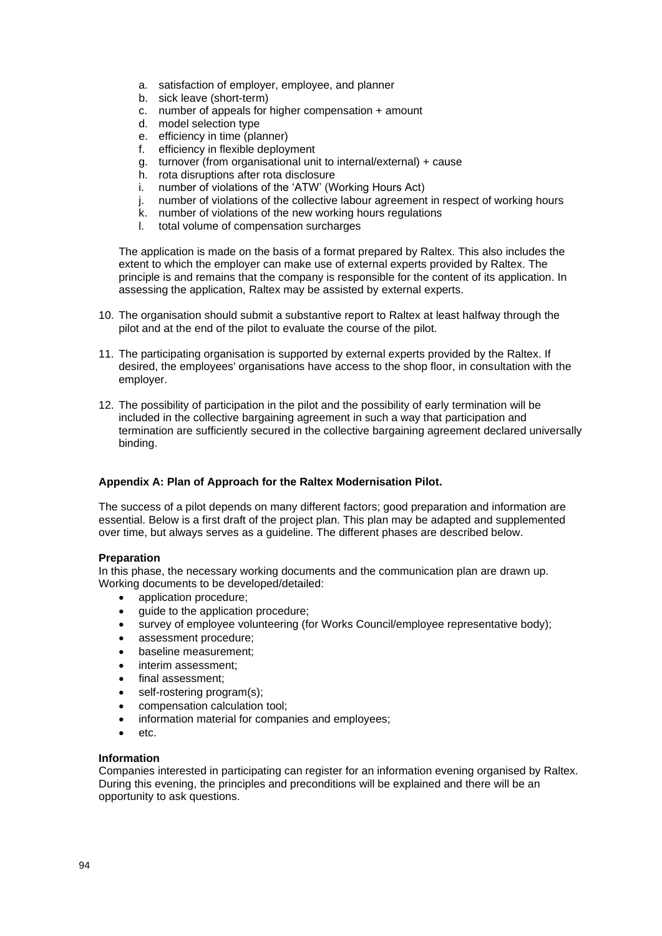- a. satisfaction of employer, employee, and planner
- b. sick leave (short-term)
- c. number of appeals for higher compensation + amount
- d. model selection type
- e. efficiency in time (planner)
- f. efficiency in flexible deployment
- g. turnover (from organisational unit to internal/external) + cause
- h. rota disruptions after rota disclosure
- i. number of violations of the 'ATW' (Working Hours Act)
- j. number of violations of the collective labour agreement in respect of working hours
- k. number of violations of the new working hours regulations
- l. total volume of compensation surcharges

The application is made on the basis of a format prepared by Raltex. This also includes the extent to which the employer can make use of external experts provided by Raltex. The principle is and remains that the company is responsible for the content of its application. In assessing the application, Raltex may be assisted by external experts.

- 10. The organisation should submit a substantive report to Raltex at least halfway through the pilot and at the end of the pilot to evaluate the course of the pilot.
- 11. The participating organisation is supported by external experts provided by the Raltex. If desired, the employees' organisations have access to the shop floor, in consultation with the employer.
- 12. The possibility of participation in the pilot and the possibility of early termination will be included in the collective bargaining agreement in such a way that participation and termination are sufficiently secured in the collective bargaining agreement declared universally binding.

# **Appendix A: Plan of Approach for the Raltex Modernisation Pilot.**

The success of a pilot depends on many different factors; good preparation and information are essential. Below is a first draft of the project plan. This plan may be adapted and supplemented over time, but always serves as a guideline. The different phases are described below.

### **Preparation**

In this phase, the necessary working documents and the communication plan are drawn up. Working documents to be developed/detailed:

- application procedure;
- guide to the application procedure;
- survey of employee volunteering (for Works Council/employee representative body);
- assessment procedure;
- baseline measurement;
- interim assessment:
- final assessment;
- self-rostering program(s);
- compensation calculation tool;
- information material for companies and employees;
- etc.

### **Information**

Companies interested in participating can register for an information evening organised by Raltex. During this evening, the principles and preconditions will be explained and there will be an opportunity to ask questions.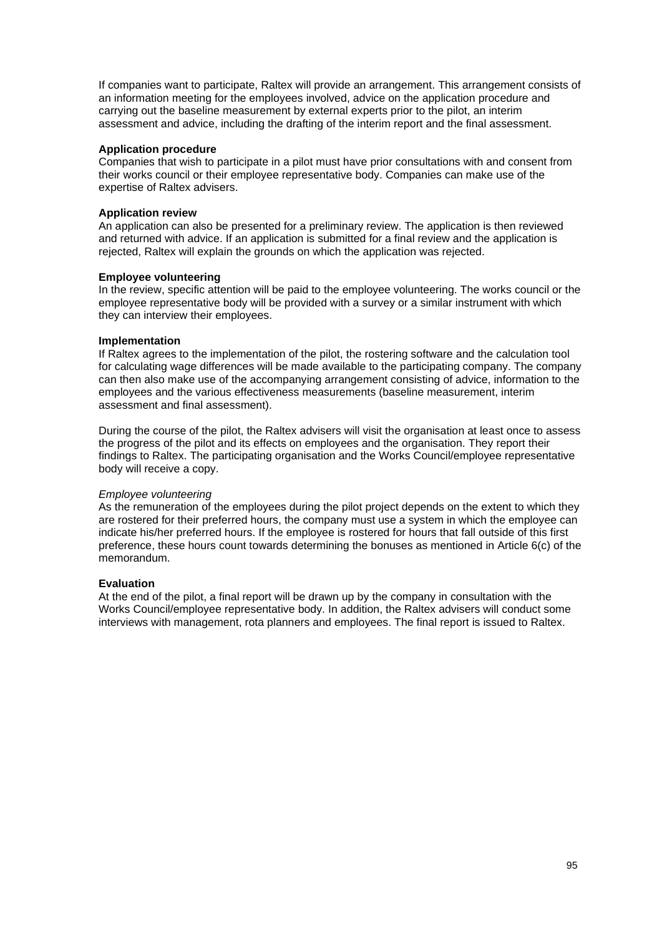If companies want to participate, Raltex will provide an arrangement. This arrangement consists of an information meeting for the employees involved, advice on the application procedure and carrying out the baseline measurement by external experts prior to the pilot, an interim assessment and advice, including the drafting of the interim report and the final assessment.

### **Application procedure**

Companies that wish to participate in a pilot must have prior consultations with and consent from their works council or their employee representative body. Companies can make use of the expertise of Raltex advisers.

# **Application review**

An application can also be presented for a preliminary review. The application is then reviewed and returned with advice. If an application is submitted for a final review and the application is rejected, Raltex will explain the grounds on which the application was rejected.

### **Employee volunteering**

In the review, specific attention will be paid to the employee volunteering. The works council or the employee representative body will be provided with a survey or a similar instrument with which they can interview their employees.

### **Implementation**

If Raltex agrees to the implementation of the pilot, the rostering software and the calculation tool for calculating wage differences will be made available to the participating company. The company can then also make use of the accompanying arrangement consisting of advice, information to the employees and the various effectiveness measurements (baseline measurement, interim assessment and final assessment).

During the course of the pilot, the Raltex advisers will visit the organisation at least once to assess the progress of the pilot and its effects on employees and the organisation. They report their findings to Raltex. The participating organisation and the Works Council/employee representative body will receive a copy.

### *Employee volunteering*

As the remuneration of the employees during the pilot project depends on the extent to which they are rostered for their preferred hours, the company must use a system in which the employee can indicate his/her preferred hours. If the employee is rostered for hours that fall outside of this first preference, these hours count towards determining the bonuses as mentioned in Article 6(c) of the memorandum.

# **Evaluation**

At the end of the pilot, a final report will be drawn up by the company in consultation with the Works Council/employee representative body. In addition, the Raltex advisers will conduct some interviews with management, rota planners and employees. The final report is issued to Raltex.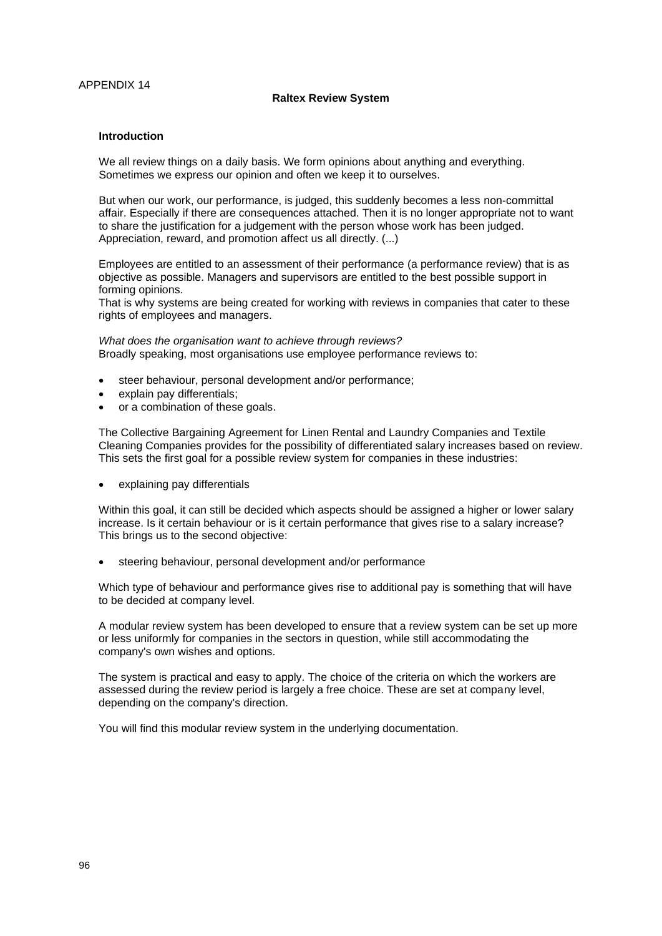### **Raltex Review System**

#### **Introduction**

We all review things on a daily basis. We form opinions about anything and everything. Sometimes we express our opinion and often we keep it to ourselves.

But when our work, our performance, is judged, this suddenly becomes a less non-committal affair. Especially if there are consequences attached. Then it is no longer appropriate not to want to share the justification for a judgement with the person whose work has been judged. Appreciation, reward, and promotion affect us all directly. (...)

Employees are entitled to an assessment of their performance (a performance review) that is as objective as possible. Managers and supervisors are entitled to the best possible support in forming opinions.

That is why systems are being created for working with reviews in companies that cater to these rights of employees and managers.

*What does the organisation want to achieve through reviews?* Broadly speaking, most organisations use employee performance reviews to:

- steer behaviour, personal development and/or performance;
- explain pay differentials;
- or a combination of these goals.

The Collective Bargaining Agreement for Linen Rental and Laundry Companies and Textile Cleaning Companies provides for the possibility of differentiated salary increases based on review. This sets the first goal for a possible review system for companies in these industries:

• explaining pay differentials

Within this goal, it can still be decided which aspects should be assigned a higher or lower salary increase. Is it certain behaviour or is it certain performance that gives rise to a salary increase? This brings us to the second objective:

steering behaviour, personal development and/or performance

Which type of behaviour and performance gives rise to additional pay is something that will have to be decided at company level.

A modular review system has been developed to ensure that a review system can be set up more or less uniformly for companies in the sectors in question, while still accommodating the company's own wishes and options.

The system is practical and easy to apply. The choice of the criteria on which the workers are assessed during the review period is largely a free choice. These are set at company level, depending on the company's direction.

You will find this modular review system in the underlying documentation.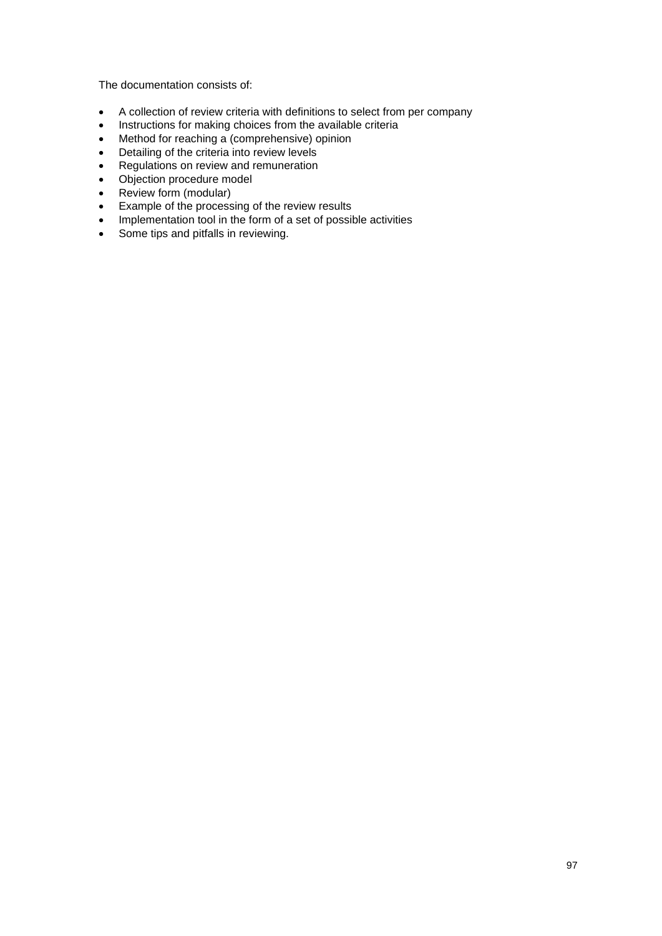The documentation consists of:

- A collection of review criteria with definitions to select from per company
- Instructions for making choices from the available criteria
- Method for reaching a (comprehensive) opinion
- Detailing of the criteria into review levels
- Regulations on review and remuneration
- Objection procedure model
- Review form (modular)
- Example of the processing of the review results
- Implementation tool in the form of a set of possible activities
- Some tips and pitfalls in reviewing.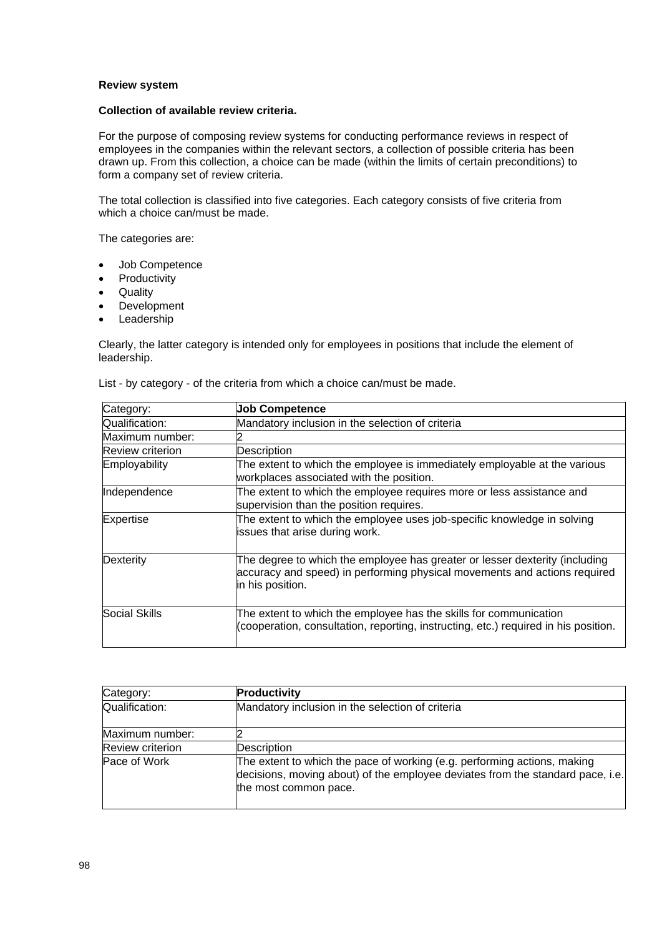### **Review system**

#### **Collection of available review criteria.**

For the purpose of composing review systems for conducting performance reviews in respect of employees in the companies within the relevant sectors, a collection of possible criteria has been drawn up. From this collection, a choice can be made (within the limits of certain preconditions) to form a company set of review criteria.

The total collection is classified into five categories. Each category consists of five criteria from which a choice can/must be made.

The categories are:

- Job Competence
- **Productivity**
- Quality
- Development
- Leadership

Clearly, the latter category is intended only for employees in positions that include the element of leadership.

List - by category - of the criteria from which a choice can/must be made.

| Category:               | <b>Job Competence</b>                                                                                                                                                        |  |  |
|-------------------------|------------------------------------------------------------------------------------------------------------------------------------------------------------------------------|--|--|
| Qualification:          | Mandatory inclusion in the selection of criteria                                                                                                                             |  |  |
| Maximum number:         |                                                                                                                                                                              |  |  |
| <b>Review criterion</b> | Description                                                                                                                                                                  |  |  |
| Employability           | The extent to which the employee is immediately employable at the various<br>workplaces associated with the position.                                                        |  |  |
| Independence            | The extent to which the employee requires more or less assistance and<br>supervision than the position requires.                                                             |  |  |
| <b>Expertise</b>        | The extent to which the employee uses job-specific knowledge in solving<br>issues that arise during work.                                                                    |  |  |
| Dexterity               | The degree to which the employee has greater or lesser dexterity (including<br>accuracy and speed) in performing physical movements and actions required<br>in his position. |  |  |
| <b>Social Skills</b>    | The extent to which the employee has the skills for communication<br>(cooperation, consultation, reporting, instructing, etc.) required in his position.                     |  |  |

| Category:               | Productivity                                                                                                                                                                        |  |  |
|-------------------------|-------------------------------------------------------------------------------------------------------------------------------------------------------------------------------------|--|--|
| Qualification:          | Mandatory inclusion in the selection of criteria                                                                                                                                    |  |  |
| Maximum number:         |                                                                                                                                                                                     |  |  |
| <b>Review criterion</b> | Description                                                                                                                                                                         |  |  |
| Pace of Work            | The extent to which the pace of working (e.g. performing actions, making<br>decisions, moving about) of the employee deviates from the standard pace, i.e.<br>the most common pace. |  |  |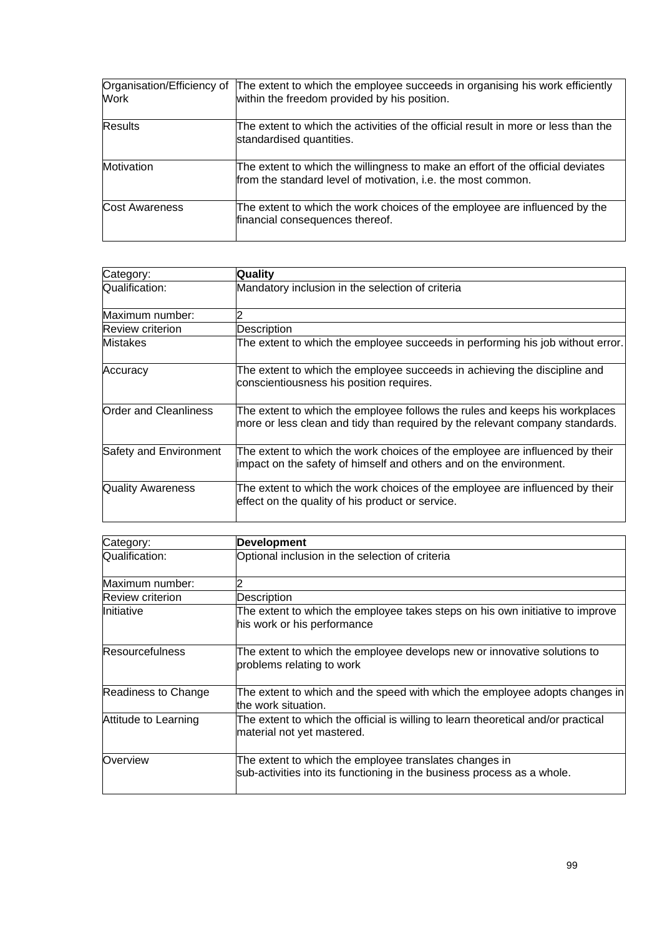| Organisation/Efficiency of<br>Work | The extent to which the employee succeeds in organising his work efficiently<br>within the freedom provided by his position.                   |
|------------------------------------|------------------------------------------------------------------------------------------------------------------------------------------------|
| <b>Results</b>                     | The extent to which the activities of the official result in more or less than the<br>standardised quantities.                                 |
| Motivation                         | The extent to which the willingness to make an effort of the official deviates<br>from the standard level of motivation, i.e. the most common. |
| <b>Cost Awareness</b>              | The extent to which the work choices of the employee are influenced by the<br>financial consequences thereof.                                  |

| Category:                | <b>Quality</b>                                                                                                                                              |
|--------------------------|-------------------------------------------------------------------------------------------------------------------------------------------------------------|
| Qualification:           | Mandatory inclusion in the selection of criteria                                                                                                            |
| Maximum number:          |                                                                                                                                                             |
| Review criterion         | Description                                                                                                                                                 |
| Mistakes                 | The extent to which the employee succeeds in performing his job without error.                                                                              |
| Accuracy                 | The extent to which the employee succeeds in achieving the discipline and<br>conscientiousness his position requires.                                       |
| Order and Cleanliness    | The extent to which the employee follows the rules and keeps his workplaces<br>more or less clean and tidy than required by the relevant company standards. |
| Safety and Environment   | The extent to which the work choices of the employee are influenced by their<br>impact on the safety of himself and others and on the environment.          |
| <b>Quality Awareness</b> | The extent to which the work choices of the employee are influenced by their<br>effect on the quality of his product or service.                            |

| Category:              | <b>Development</b>                                                                                                                |  |  |
|------------------------|-----------------------------------------------------------------------------------------------------------------------------------|--|--|
| Qualification:         | Optional inclusion in the selection of criteria                                                                                   |  |  |
| Maximum number:        |                                                                                                                                   |  |  |
| Review criterion       | <b>Description</b>                                                                                                                |  |  |
| <b>Initiative</b>      | The extent to which the employee takes steps on his own initiative to improve<br>his work or his performance                      |  |  |
| <b>Resourcefulness</b> | The extent to which the employee develops new or innovative solutions to<br>problems relating to work                             |  |  |
| Readiness to Change    | The extent to which and the speed with which the employee adopts changes in<br>the work situation.                                |  |  |
| Attitude to Learning   | The extent to which the official is willing to learn theoretical and/or practical<br>material not yet mastered.                   |  |  |
| Overview               | The extent to which the employee translates changes in<br>sub-activities into its functioning in the business process as a whole. |  |  |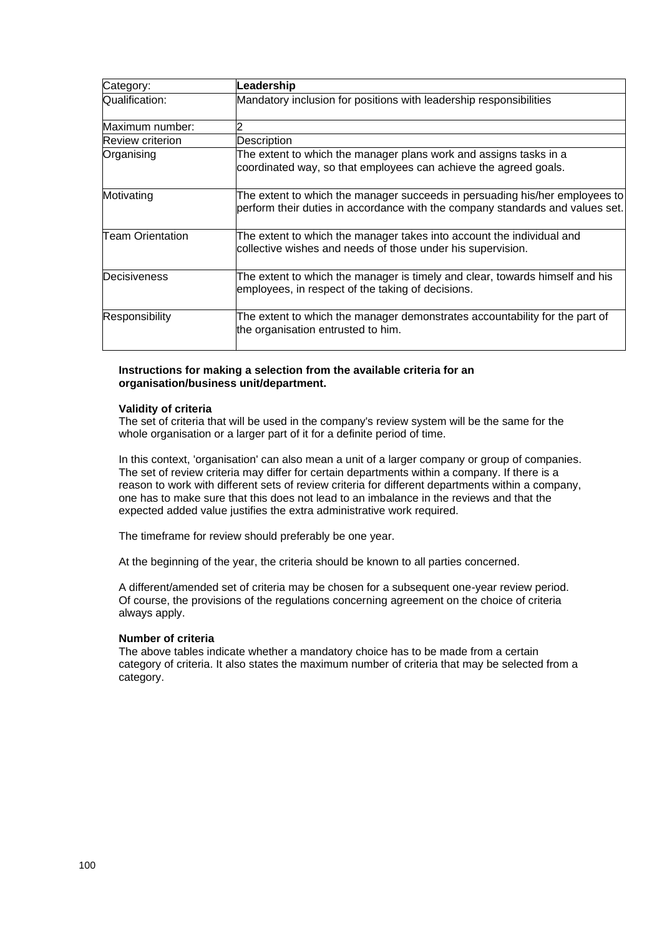| Category:               | Leadership                                                                                                                                                   |
|-------------------------|--------------------------------------------------------------------------------------------------------------------------------------------------------------|
| Qualification:          | Mandatory inclusion for positions with leadership responsibilities                                                                                           |
| Maximum number:         |                                                                                                                                                              |
| <b>Review criterion</b> | Description                                                                                                                                                  |
| Organising              | The extent to which the manager plans work and assigns tasks in a<br>coordinated way, so that employees can achieve the agreed goals.                        |
| Motivating              | The extent to which the manager succeeds in persuading his/her employees to<br>perform their duties in accordance with the company standards and values set. |
| <b>Team Orientation</b> | The extent to which the manager takes into account the individual and<br>collective wishes and needs of those under his supervision.                         |
| Decisiveness            | The extent to which the manager is timely and clear, towards himself and his<br>employees, in respect of the taking of decisions.                            |
| Responsibility          | The extent to which the manager demonstrates accountability for the part of<br>the organisation entrusted to him.                                            |

### **Instructions for making a selection from the available criteria for an organisation/business unit/department.**

### **Validity of criteria**

The set of criteria that will be used in the company's review system will be the same for the whole organisation or a larger part of it for a definite period of time.

In this context, 'organisation' can also mean a unit of a larger company or group of companies. The set of review criteria may differ for certain departments within a company. If there is a reason to work with different sets of review criteria for different departments within a company, one has to make sure that this does not lead to an imbalance in the reviews and that the expected added value justifies the extra administrative work required.

The timeframe for review should preferably be one year.

At the beginning of the year, the criteria should be known to all parties concerned.

A different/amended set of criteria may be chosen for a subsequent one-year review period. Of course, the provisions of the regulations concerning agreement on the choice of criteria always apply.

### **Number of criteria**

The above tables indicate whether a mandatory choice has to be made from a certain category of criteria. It also states the maximum number of criteria that may be selected from a category.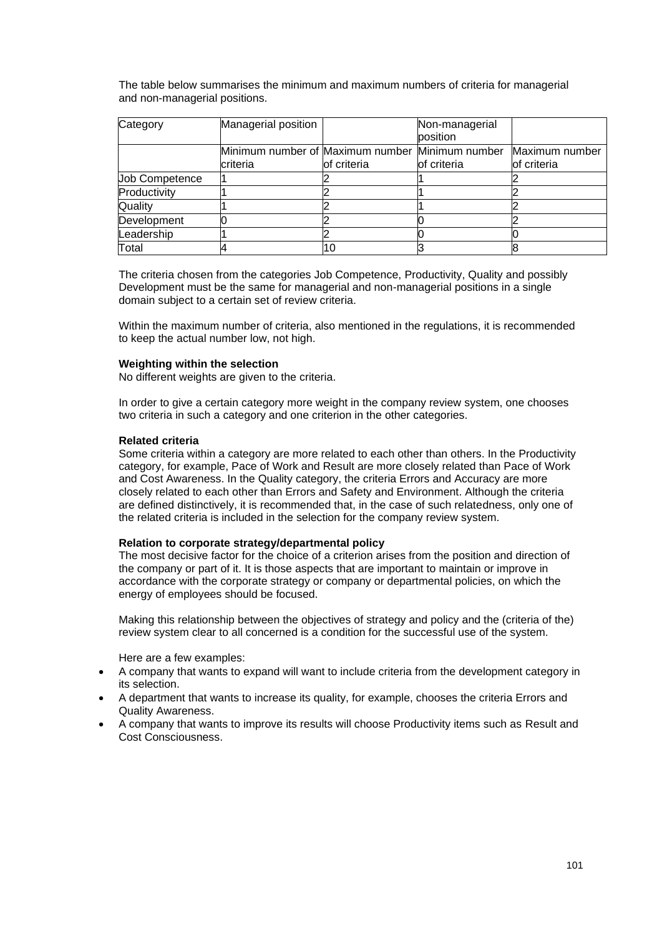The table below summarises the minimum and maximum numbers of criteria for managerial and non-managerial positions.

| Category              | Managerial position                                         |             | Non-managerial<br>position |                               |
|-----------------------|-------------------------------------------------------------|-------------|----------------------------|-------------------------------|
|                       | Minimum number of Maximum number Minimum number<br>criteria | of criteria | of criteria                | Maximum number<br>of criteria |
| <b>Job Competence</b> |                                                             |             |                            |                               |
| Productivity          |                                                             |             |                            |                               |
| Quality               |                                                             |             |                            |                               |
| Development           |                                                             |             |                            |                               |
| Leadership            |                                                             |             |                            |                               |
| Total                 |                                                             | 10          |                            |                               |

The criteria chosen from the categories Job Competence, Productivity, Quality and possibly Development must be the same for managerial and non-managerial positions in a single domain subject to a certain set of review criteria.

Within the maximum number of criteria, also mentioned in the regulations, it is recommended to keep the actual number low, not high.

### **Weighting within the selection**

No different weights are given to the criteria.

In order to give a certain category more weight in the company review system, one chooses two criteria in such a category and one criterion in the other categories.

#### **Related criteria**

Some criteria within a category are more related to each other than others. In the Productivity category, for example, Pace of Work and Result are more closely related than Pace of Work and Cost Awareness. In the Quality category, the criteria Errors and Accuracy are more closely related to each other than Errors and Safety and Environment. Although the criteria are defined distinctively, it is recommended that, in the case of such relatedness, only one of the related criteria is included in the selection for the company review system.

#### **Relation to corporate strategy/departmental policy**

The most decisive factor for the choice of a criterion arises from the position and direction of the company or part of it. It is those aspects that are important to maintain or improve in accordance with the corporate strategy or company or departmental policies, on which the energy of employees should be focused.

Making this relationship between the objectives of strategy and policy and the (criteria of the) review system clear to all concerned is a condition for the successful use of the system.

Here are a few examples:

- A company that wants to expand will want to include criteria from the development category in its selection.
- A department that wants to increase its quality, for example, chooses the criteria Errors and Quality Awareness.
- A company that wants to improve its results will choose Productivity items such as Result and Cost Consciousness.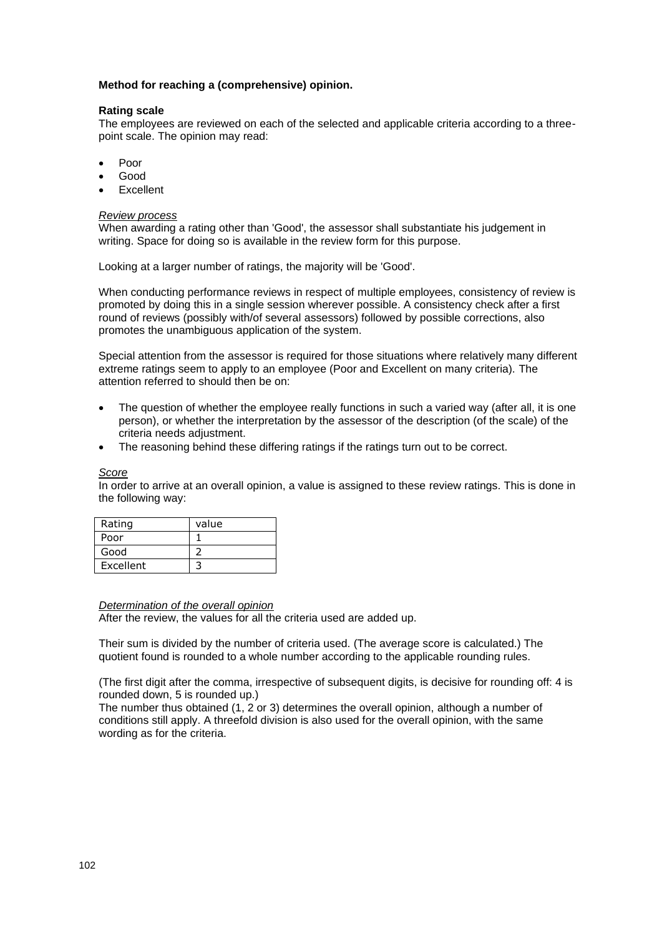### **Method for reaching a (comprehensive) opinion.**

#### **Rating scale**

The employees are reviewed on each of the selected and applicable criteria according to a threepoint scale. The opinion may read:

- Poor
- Good
- **Excellent**

#### *Review process*

When awarding a rating other than 'Good', the assessor shall substantiate his judgement in writing. Space for doing so is available in the review form for this purpose.

Looking at a larger number of ratings, the majority will be 'Good'.

When conducting performance reviews in respect of multiple employees, consistency of review is promoted by doing this in a single session wherever possible. A consistency check after a first round of reviews (possibly with/of several assessors) followed by possible corrections, also promotes the unambiguous application of the system.

Special attention from the assessor is required for those situations where relatively many different extreme ratings seem to apply to an employee (Poor and Excellent on many criteria). The attention referred to should then be on:

- The question of whether the employee really functions in such a varied way (after all, it is one person), or whether the interpretation by the assessor of the description (of the scale) of the criteria needs adjustment.
- The reasoning behind these differing ratings if the ratings turn out to be correct.

*Score*

In order to arrive at an overall opinion, a value is assigned to these review ratings. This is done in the following way:

| Rating    | value |
|-----------|-------|
| Poor      |       |
| Good      |       |
| Excellent |       |

#### *Determination of the overall opinion*

After the review, the values for all the criteria used are added up.

Their sum is divided by the number of criteria used. (The average score is calculated.) The quotient found is rounded to a whole number according to the applicable rounding rules.

(The first digit after the comma, irrespective of subsequent digits, is decisive for rounding off: 4 is rounded down, 5 is rounded up.)

The number thus obtained (1, 2 or 3) determines the overall opinion, although a number of conditions still apply. A threefold division is also used for the overall opinion, with the same wording as for the criteria.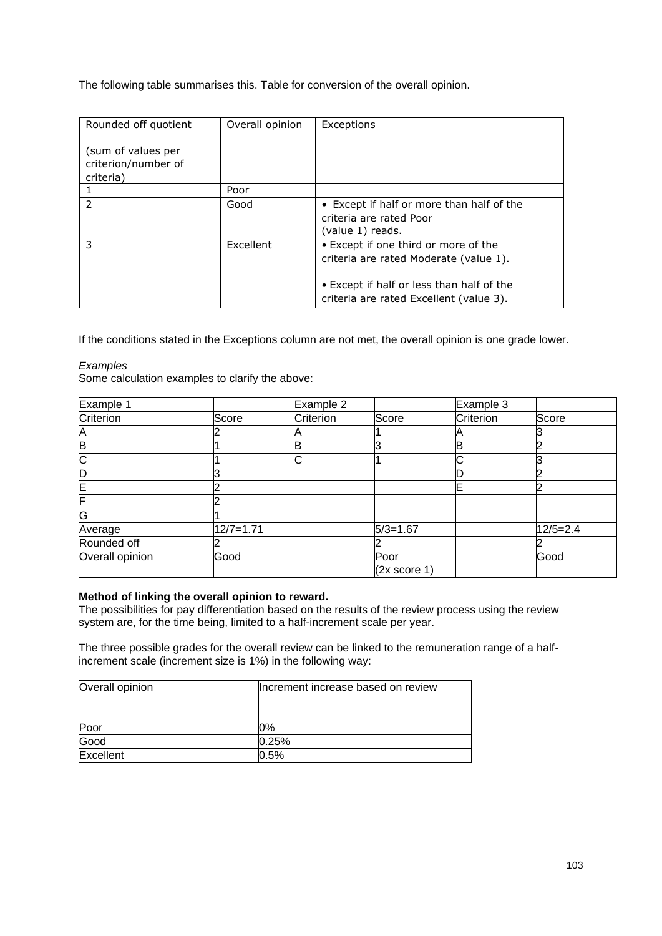The following table summarises this. Table for conversion of the overall opinion.

| Rounded off quotient                                   | Overall opinion | Exceptions                                                                                                                  |
|--------------------------------------------------------|-----------------|-----------------------------------------------------------------------------------------------------------------------------|
| (sum of values per<br>criterion/number of<br>criteria) |                 |                                                                                                                             |
|                                                        | Poor            |                                                                                                                             |
| $\mathcal{P}$                                          | Good            | • Except if half or more than half of the<br>criteria are rated Poor<br>(value 1) reads.                                    |
| 3                                                      | Excellent       | • Except if one third or more of the<br>criteria are rated Moderate (value 1).<br>• Except if half or less than half of the |
|                                                        |                 | criteria are rated Excellent (value 3).                                                                                     |

If the conditions stated in the Exceptions column are not met, the overall opinion is one grade lower.

# *Examples*

Some calculation examples to clarify the above:

| Example 1       |               | Example 2 |                         | Example 3 |            |
|-----------------|---------------|-----------|-------------------------|-----------|------------|
| Criterion       | Score         | Criterion | Score                   | Criterion | Score      |
| Α               |               |           |                         |           |            |
| B               |               | в         |                         |           |            |
| C               |               | ⌒         |                         |           |            |
| D               |               |           |                         |           |            |
| Ε               |               |           |                         |           |            |
| F               |               |           |                         |           |            |
| G               |               |           |                         |           |            |
| Average         | $12/7 = 1.71$ |           | $5/3=1.67$              |           | $12/5=2.4$ |
| Rounded off     |               |           |                         |           |            |
| Overall opinion | Good          |           | Poor                    |           | Good       |
|                 |               |           | $(2x \text{ score } 1)$ |           |            |

# **Method of linking the overall opinion to reward.**

The possibilities for pay differentiation based on the results of the review process using the review system are, for the time being, limited to a half-increment scale per year.

The three possible grades for the overall review can be linked to the remuneration range of a halfincrement scale (increment size is 1%) in the following way:

| Overall opinion | Increment increase based on review |  |
|-----------------|------------------------------------|--|
|                 |                                    |  |
| Poor            | 0%                                 |  |
| Good            | 0.25%                              |  |
| Excellent       | 0.5%                               |  |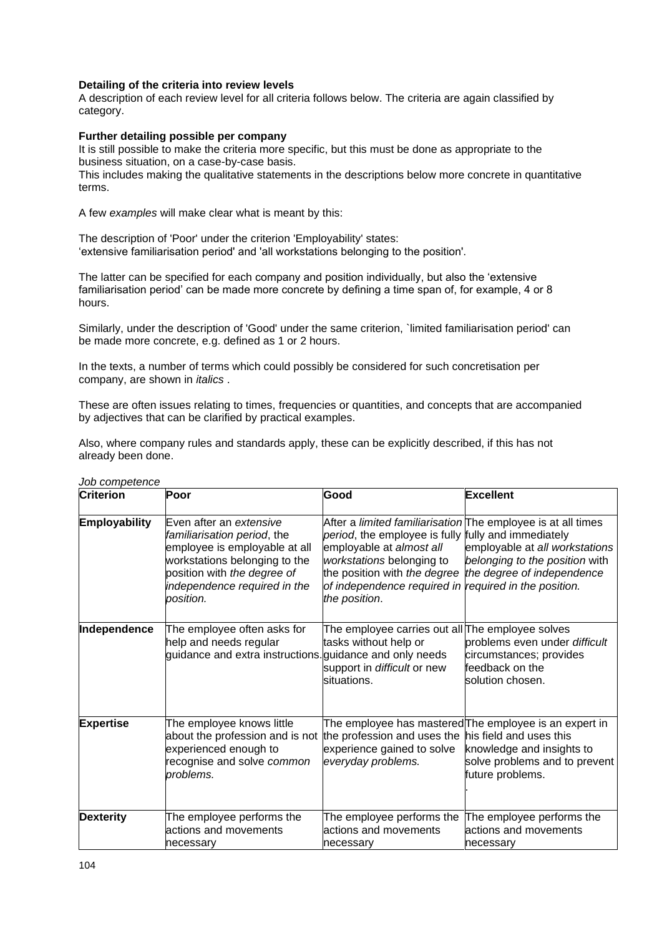### **Detailing of the criteria into review levels**

A description of each review level for all criteria follows below. The criteria are again classified by category.

### **Further detailing possible per company**

It is still possible to make the criteria more specific, but this must be done as appropriate to the business situation, on a case-by-case basis.

This includes making the qualitative statements in the descriptions below more concrete in quantitative terms.

A few *examples* will make clear what is meant by this:

The description of 'Poor' under the criterion 'Employability' states: 'extensive familiarisation period' and 'all workstations belonging to the position'.

The latter can be specified for each company and position individually, but also the 'extensive familiarisation period' can be made more concrete by defining a time span of, for example, 4 or 8 hours.

Similarly, under the description of 'Good' under the same criterion, `limited familiarisation period' can be made more concrete, e.g. defined as 1 or 2 hours.

In the texts, a number of terms which could possibly be considered for such concretisation per company, are shown in *italics* .

These are often issues relating to times, frequencies or quantities, and concepts that are accompanied by adjectives that can be clarified by practical examples.

Also, where company rules and standards apply, these can be explicitly described, if this has not already been done.

| <b>Criterion</b>     | Poor                                                                                                                                                                                                 | Good                                                                                                                                                                                   | Excellent                                                                                                                                                                                   |
|----------------------|------------------------------------------------------------------------------------------------------------------------------------------------------------------------------------------------------|----------------------------------------------------------------------------------------------------------------------------------------------------------------------------------------|---------------------------------------------------------------------------------------------------------------------------------------------------------------------------------------------|
| <b>Employability</b> | Even after an extensive<br>familiarisation period, the<br>employee is employable at all<br>workstations belonging to the<br>position with the degree of<br>independence required in the<br>position. | period, the employee is fully fully and immediately<br>employable at almost all<br>workstations belonging to<br>of independence required in required in the position.<br>the position. | After a limited familiarisation The employee is at all times<br>employable at all workstations<br>belonging to the position with<br>the position with the degree the degree of independence |
| Independence         | The employee often asks for<br>help and needs regular<br>guidance and extra instructions. guidance and only needs                                                                                    | The employee carries out all The employee solves<br>tasks without help or<br>support in difficult or new<br>situations.                                                                | problems even under difficult<br>circumstances; provides<br>feedback on the<br>solution chosen.                                                                                             |
| <b>Expertise</b>     | The employee knows little<br>about the profession and is not<br>experienced enough to<br>recognise and solve common<br>problems.                                                                     | the profession and uses the his field and uses this<br>experience gained to solve<br>everyday problems.                                                                                | The employee has mastered The employee is an expert in<br>knowledge and insights to<br>solve problems and to prevent<br>future problems.                                                    |
| <b>Dexterity</b>     | The employee performs the<br>actions and movements<br>necessary                                                                                                                                      | The employee performs the<br>actions and movements<br>necessary                                                                                                                        | The employee performs the<br>actions and movements<br>necessary                                                                                                                             |

### *Job competence*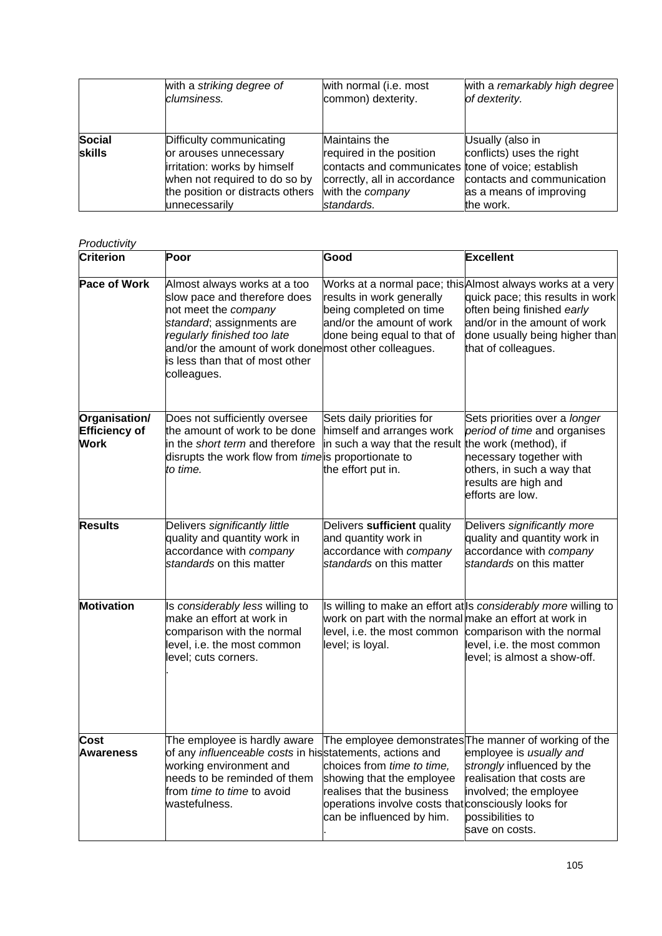|                                | with a striking degree of                                                                                                                                                | with normal (i.e. most                                                                                                                                            | with a remarkably high degree                                                                                       |
|--------------------------------|--------------------------------------------------------------------------------------------------------------------------------------------------------------------------|-------------------------------------------------------------------------------------------------------------------------------------------------------------------|---------------------------------------------------------------------------------------------------------------------|
|                                | clumsiness.                                                                                                                                                              | common) dexterity.                                                                                                                                                | of dexterity.                                                                                                       |
| <b>Social</b><br><b>skills</b> | Difficulty communicating<br>or arouses unnecessary<br>irritation: works by himself<br>when not required to do so by<br>the position or distracts others<br>unnecessarily | Maintains the<br>required in the position<br>contacts and communicates tone of voice; establish<br>correctly, all in accordance<br>with the company<br>standards. | Usually (also in<br>conflicts) uses the right<br>contacts and communication<br>as a means of improving<br>the work. |

### *Productivity*

| , , ouuouvity<br>Criterion                    | Poor                                                                                                                                                                                                                                                        | Good                                                                                                                                                                      | <b>Excellent</b>                                                                                                                                                                                                      |
|-----------------------------------------------|-------------------------------------------------------------------------------------------------------------------------------------------------------------------------------------------------------------------------------------------------------------|---------------------------------------------------------------------------------------------------------------------------------------------------------------------------|-----------------------------------------------------------------------------------------------------------------------------------------------------------------------------------------------------------------------|
| <b>Pace of Work</b>                           | Almost always works at a too<br>slow pace and therefore does<br>not meet the company<br>standard; assignments are<br>regularly finished too late<br>and/or the amount of work done most other colleagues.<br>is less than that of most other<br>colleagues. | results in work generally<br>being completed on time<br>and/or the amount of work<br>done being equal to that of                                                          | Works at a normal pace; this Almost always works at a very<br>quick pace; this results in work<br>often being finished early<br>and/or in the amount of work<br>done usually being higher than<br>that of colleagues. |
| Organisation/<br>Efficiency of<br><b>Work</b> | Does not sufficiently oversee<br>the amount of work to be done<br>in the short term and therefore<br>disrupts the work flow from time is proportionate to<br>to time.                                                                                       | Sets daily priorities for<br>himself and arranges work<br>in such a way that the result the work (method), if<br>the effort put in.                                       | Sets priorities over a longer<br>period of time and organises<br>necessary together with<br>others, in such a way that<br>results are high and<br>efforts are low.                                                    |
| <b>Results</b>                                | Delivers significantly little<br>quality and quantity work in<br>accordance with company<br>standards on this matter                                                                                                                                        | Delivers sufficient quality<br>and quantity work in<br>accordance with company<br>standards on this matter                                                                | Delivers significantly more<br>quality and quantity work in<br>accordance with company<br>standards on this matter                                                                                                    |
| <b>Motivation</b>                             | Is considerably less willing to<br>make an effort at work in<br>comparison with the normal<br>level, i.e. the most common<br>level; cuts corners.                                                                                                           | work on part with the normal make an effort at work in<br>level, i.e. the most common comparison with the normal<br>level; is loyal.                                      | Is willing to make an effort at Is considerably more willing to<br>level, i.e. the most common<br>level; is almost a show-off.                                                                                        |
| <b>Cost</b><br><b>Awareness</b>               | The employee is hardly aware<br>of any <i>influenceable costs</i> in his statements, actions and<br>working environment and<br>needs to be reminded of them<br>from time to time to avoid<br>wastefulness.                                                  | choices from time to time,<br>showing that the employee<br>realises that the business<br>operations involve costs that consciously looks for<br>can be influenced by him. | The employee demonstrates The manner of working of the<br>employee is usually and<br>strongly influenced by the<br>realisation that costs are<br>involved; the employee<br>possibilities to<br>save on costs.         |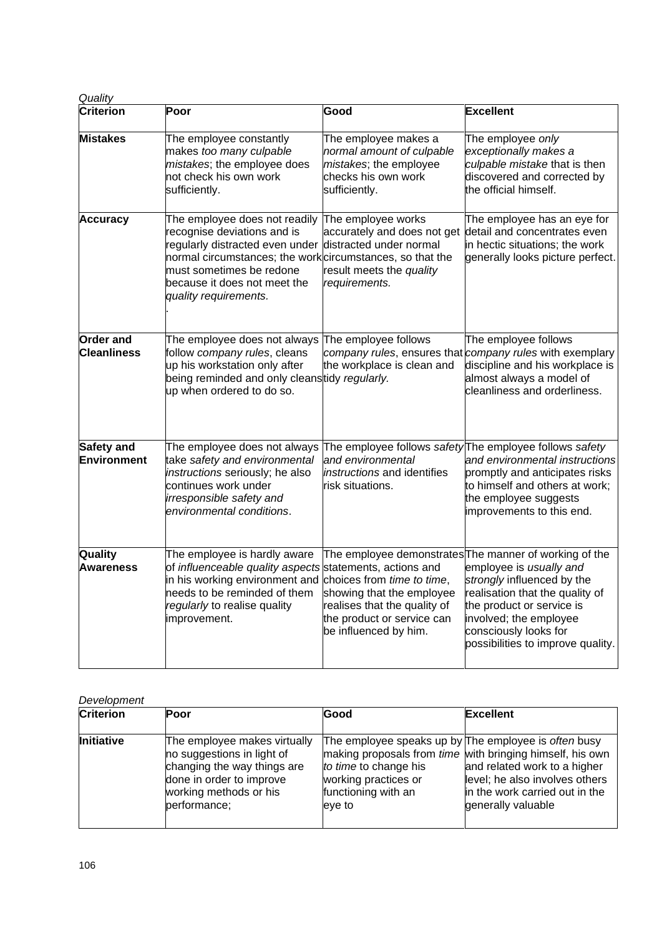| Quality                                |                                                                                                                                                                                                                                                                           |                                                                                                                                                |                                                                                                                                                                                                                                                                         |  |  |
|----------------------------------------|---------------------------------------------------------------------------------------------------------------------------------------------------------------------------------------------------------------------------------------------------------------------------|------------------------------------------------------------------------------------------------------------------------------------------------|-------------------------------------------------------------------------------------------------------------------------------------------------------------------------------------------------------------------------------------------------------------------------|--|--|
| Criterion                              | Poor                                                                                                                                                                                                                                                                      | Good                                                                                                                                           | <b>Excellent</b>                                                                                                                                                                                                                                                        |  |  |
| <b>Mistakes</b>                        | The employee constantly<br>makes too many culpable<br>mistakes; the employee does<br>not check his own work<br>sufficiently.                                                                                                                                              | The employee makes a<br>normal amount of culpable<br>mistakes; the employee<br>checks his own work<br>sufficiently.                            | The employee only<br>exceptionally makes a<br>culpable mistake that is then<br>discovered and corrected by<br>the official himself.                                                                                                                                     |  |  |
| <b>Accuracy</b>                        | The employee does not readily<br>recognise deviations and is<br>regularly distracted even under distracted under normal<br>normal circumstances; the work circumstances, so that the<br>must sometimes be redone<br>because it does not meet the<br>quality requirements. | The employee works<br>accurately and does not get<br>result meets the quality<br>requirements.                                                 | The employee has an eye for<br>detail and concentrates even<br>in hectic situations; the work<br>generally looks picture perfect.                                                                                                                                       |  |  |
| <b>Order and</b><br><b>Cleanliness</b> | The employee does not always<br>follow company rules, cleans<br>up his workstation only after<br>being reminded and only cleanstidy regularly.<br>up when ordered to do so.                                                                                               | The employee follows<br>the workplace is clean and                                                                                             | The employee follows<br>company rules, ensures that company rules with exemplary<br>discipline and his workplace is<br>almost always a model of<br>cleanliness and orderliness.                                                                                         |  |  |
| Safety and<br><b>Environment</b>       | The employee does not always<br>take safety and environmental<br>instructions seriously; he also<br>continues work under<br>irresponsible safety and<br>environmental conditions.                                                                                         | and environmental<br>instructions and identifies<br>risk situations.                                                                           | The employee follows safety The employee follows safety<br>and environmental instructions<br>promptly and anticipates risks<br>to himself and others at work;<br>the employee suggests<br>improvements to this end.                                                     |  |  |
| Quality<br><b>Awareness</b>            | The employee is hardly aware<br>of influenceable quality aspects statements, actions and<br>in his working environment and<br>needs to be reminded of them<br>regularly to realise quality<br>improvement.                                                                | choices from time to time,<br>showing that the employee<br>realises that the quality of<br>the product or service can<br>be influenced by him. | The employee demonstrates The manner of working of the<br>employee is usually and<br>strongly influenced by the<br>realisation that the quality of<br>the product or service is<br>involved; the employee<br>consciously looks for<br>possibilities to improve quality. |  |  |

# *Development*

| <b>Criterion</b> | Poor                                                                                                                                                            | Good                                                                                                                                   | <b>Excellent</b>                                                                                                                                                                           |
|------------------|-----------------------------------------------------------------------------------------------------------------------------------------------------------------|----------------------------------------------------------------------------------------------------------------------------------------|--------------------------------------------------------------------------------------------------------------------------------------------------------------------------------------------|
| Initiative       | The employee makes virtually<br>no suggestions in light of<br>changing the way things are<br>done in order to improve<br>working methods or his<br>performance; | The employee speaks up by The employee is often busy<br>to time to change his<br>working practices or<br>functioning with an<br>eye to | making proposals from <i>time</i> with bringing himself, his own<br>and related work to a higher<br>level; he also involves others<br>in the work carried out in the<br>generally valuable |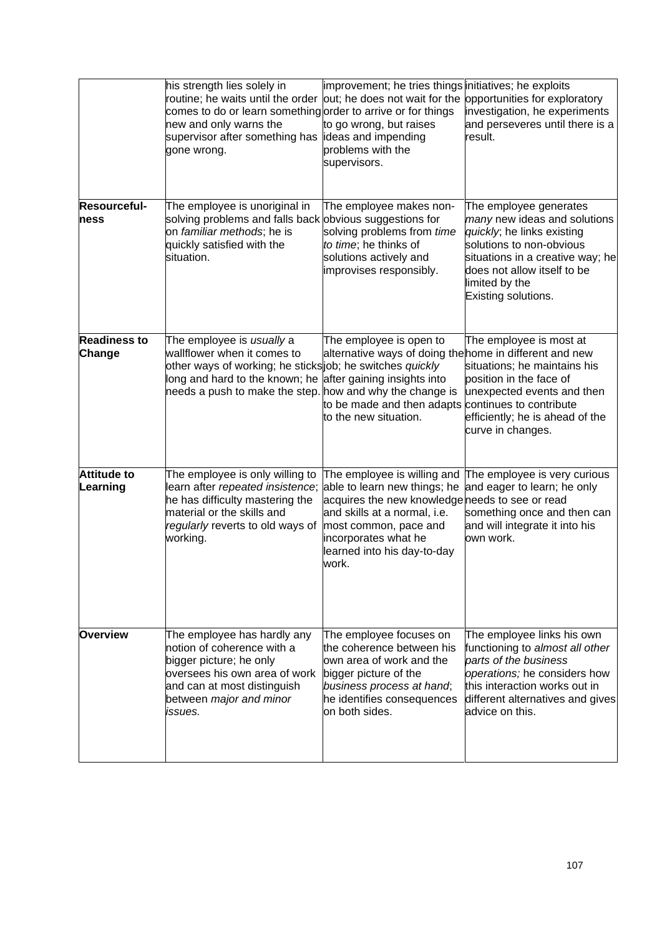|                                | his strength lies solely in<br>routine; he waits until the order out; he does not wait for the<br>comes to do or learn something order to arrive or for things<br>new and only warns the<br>supervisor after something has lideas and impending<br>gone wrong. | improvement; he tries things initiatives; he exploits<br>to go wrong, but raises<br>problems with the<br>supervisors.                                                                                                                   | opportunities for exploratory<br>investigation, he experiments<br>and perseveres until there is a<br>result.                                                                                                                 |
|--------------------------------|----------------------------------------------------------------------------------------------------------------------------------------------------------------------------------------------------------------------------------------------------------------|-----------------------------------------------------------------------------------------------------------------------------------------------------------------------------------------------------------------------------------------|------------------------------------------------------------------------------------------------------------------------------------------------------------------------------------------------------------------------------|
| Resourceful-<br>ness           | The employee is unoriginal in<br>solving problems and falls back obvious suggestions for<br>on familiar methods; he is<br>quickly satisfied with the<br>situation.                                                                                             | The employee makes non-<br>solving problems from time<br>to time; he thinks of<br>solutions actively and<br>improvises responsibly.                                                                                                     | The employee generates<br>many new ideas and solutions<br>quickly; he links existing<br>solutions to non-obvious<br>situations in a creative way; he<br>does not allow itself to be<br>limited by the<br>Existing solutions. |
| <b>Readiness to</b><br>Change  | The employee is usually a<br>wallflower when it comes to<br>other ways of working; he sticks job; he switches quickly<br>long and hard to the known; he<br>needs a push to make the step. how and why the change is                                            | The employee is open to<br>alternative ways of doing the home in different and new<br>after gaining insights into<br>to be made and then adapts<br>to the new situation.                                                                | The employee is most at<br>situations; he maintains his<br>position in the face of<br>unexpected events and then<br>continues to contribute<br>efficiently; he is ahead of the<br>curve in changes.                          |
| <b>Attitude to</b><br>Learning | The employee is only willing to<br>learn after repeated insistence;<br>he has difficulty mastering the<br>material or the skills and<br>regularly reverts to old ways of<br>working.                                                                           | The employee is willing and<br>able to learn new things; he<br>acquires the new knowledge needs to see or read<br>and skills at a normal, i.e.<br>most common, pace and<br>incorporates what he<br>learned into his day-to-day<br>work. | The employee is very curious<br>and eager to learn; he only<br>something once and then can<br>and will integrate it into his<br>lown work.                                                                                   |
| <b>Overview</b>                | The employee has hardly any<br>notion of coherence with a<br>bigger picture; he only<br>oversees his own area of work<br>and can at most distinguish<br>between major and minor<br>issues.                                                                     | The employee focuses on<br>the coherence between his<br>lown area of work and the<br>bigger picture of the<br>business process at hand;<br>he identifies consequences<br>on both sides.                                                 | The employee links his own<br>functioning to almost all other<br>parts of the business<br>operations; he considers how<br>this interaction works out in<br>different alternatives and gives<br>advice on this.               |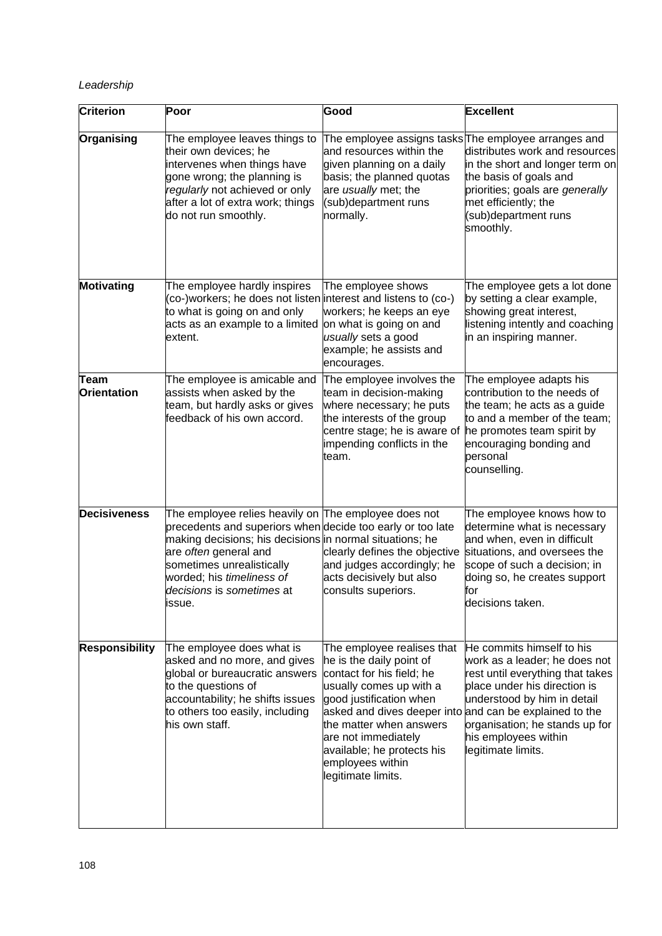# *Leadership*

| <b>Criterion</b>                  | Poor                                                                                                                                                                                                                                                                                                     | Good                                                                                                                                                                                                                                                                                                                           | <b>Excellent</b>                                                                                                                                                                                                                              |
|-----------------------------------|----------------------------------------------------------------------------------------------------------------------------------------------------------------------------------------------------------------------------------------------------------------------------------------------------------|--------------------------------------------------------------------------------------------------------------------------------------------------------------------------------------------------------------------------------------------------------------------------------------------------------------------------------|-----------------------------------------------------------------------------------------------------------------------------------------------------------------------------------------------------------------------------------------------|
| Organising                        | The employee leaves things to<br>their own devices; he<br>intervenes when things have<br>gone wrong; the planning is<br>regularly not achieved or only<br>after a lot of extra work; things<br>do not run smoothly.                                                                                      | The employee assigns tasks The employee arranges and<br>and resources within the<br>given planning on a daily<br>basis; the planned quotas<br>are usually met; the<br>(sub)department runs<br>normally.                                                                                                                        | distributes work and resources<br>in the short and longer term on<br>the basis of goals and<br>priorities; goals are generally<br>met efficiently; the<br>(sub)department runs<br>smoothly.                                                   |
| Motivating                        | The employee hardly inspires<br>(co-)workers; he does not listen interest and listens to (co-)<br>to what is going on and only<br>acts as an example to a limited<br>extent.                                                                                                                             | The employee shows<br>workers; he keeps an eye<br>on what is going on and<br>usually sets a good<br>example; he assists and<br>encourages.                                                                                                                                                                                     | The employee gets a lot done<br>by setting a clear example,<br>showing great interest,<br>listening intently and coaching<br>in an inspiring manner.                                                                                          |
| <b>Team</b><br><b>Orientation</b> | The employee is amicable and<br>assists when asked by the<br>team, but hardly asks or gives<br>feedback of his own accord.                                                                                                                                                                               | The employee involves the<br>team in decision-making<br>where necessary; he puts<br>the interests of the group<br>centre stage; he is aware of<br>impending conflicts in the<br>team.                                                                                                                                          | The employee adapts his<br>contribution to the needs of<br>the team; he acts as a guide<br>to and a member of the team;<br>he promotes team spirit by<br>encouraging bonding and<br>personal<br>counselling.                                  |
| <b>Decisiveness</b>               | The employee relies heavily on The employee does not<br>precedents and superiors when decide too early or too late<br>making decisions; his decisions in normal situations; he<br>are often general and<br>sometimes unrealistically<br>worded; his timeliness of<br>decisions is sometimes at<br>issue. | clearly defines the objective<br>and judges accordingly; he<br>acts decisively but also<br>consults superiors.                                                                                                                                                                                                                 | The employee knows how to<br>determine what is necessary<br>and when, even in difficult<br>situations, and oversees the<br>scope of such a decision; in<br>doing so, he creates support<br>for<br>decisions taken.                            |
| <b>Responsibility</b>             | The employee does what is<br>asked and no more, and gives<br>global or bureaucratic answers<br>to the questions of<br>accountability; he shifts issues<br>to others too easily, including<br>his own staff.                                                                                              | The employee realises that<br>he is the daily point of<br>contact for his field; he<br>usually comes up with a<br>good justification when<br>asked and dives deeper into and can be explained to the<br>the matter when answers<br>are not immediately<br>available; he protects his<br>employees within<br>legitimate limits. | He commits himself to his<br>work as a leader; he does not<br>rest until everything that takes<br>place under his direction is<br>understood by him in detail<br>organisation; he stands up for<br>his employees within<br>legitimate limits. |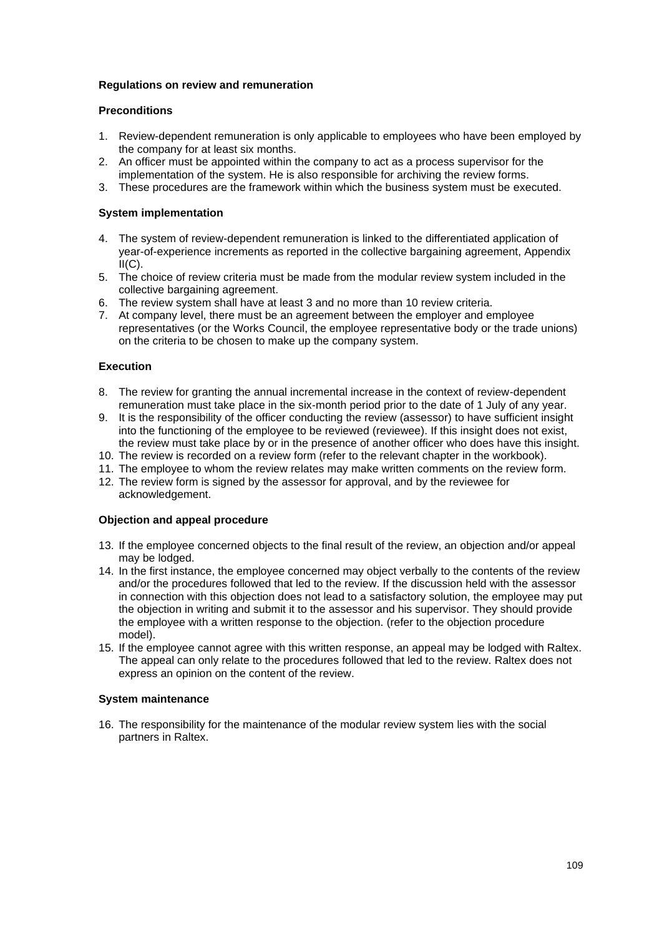## **Regulations on review and remuneration**

## **Preconditions**

- 1. Review-dependent remuneration is only applicable to employees who have been employed by the company for at least six months.
- 2. An officer must be appointed within the company to act as a process supervisor for the implementation of the system. He is also responsible for archiving the review forms.
- 3. These procedures are the framework within which the business system must be executed.

# **System implementation**

- 4. The system of review-dependent remuneration is linked to the differentiated application of year-of-experience increments as reported in the collective bargaining agreement, Appendix  $II(C)$ .
- 5. The choice of review criteria must be made from the modular review system included in the collective bargaining agreement.
- 6. The review system shall have at least 3 and no more than 10 review criteria.
- 7. At company level, there must be an agreement between the employer and employee representatives (or the Works Council, the employee representative body or the trade unions) on the criteria to be chosen to make up the company system.

### **Execution**

- 8. The review for granting the annual incremental increase in the context of review-dependent remuneration must take place in the six-month period prior to the date of 1 July of any year.
- 9. It is the responsibility of the officer conducting the review (assessor) to have sufficient insight into the functioning of the employee to be reviewed (reviewee). If this insight does not exist, the review must take place by or in the presence of another officer who does have this insight.
- 10. The review is recorded on a review form (refer to the relevant chapter in the workbook).
- 11. The employee to whom the review relates may make written comments on the review form.
- 12. The review form is signed by the assessor for approval, and by the reviewee for acknowledgement.

#### **Objection and appeal procedure**

- 13. If the employee concerned objects to the final result of the review, an objection and/or appeal may be lodged.
- 14. In the first instance, the employee concerned may object verbally to the contents of the review and/or the procedures followed that led to the review. If the discussion held with the assessor in connection with this objection does not lead to a satisfactory solution, the employee may put the objection in writing and submit it to the assessor and his supervisor. They should provide the employee with a written response to the objection. (refer to the objection procedure model).
- 15. If the employee cannot agree with this written response, an appeal may be lodged with Raltex. The appeal can only relate to the procedures followed that led to the review. Raltex does not express an opinion on the content of the review.

#### **System maintenance**

16. The responsibility for the maintenance of the modular review system lies with the social partners in Raltex.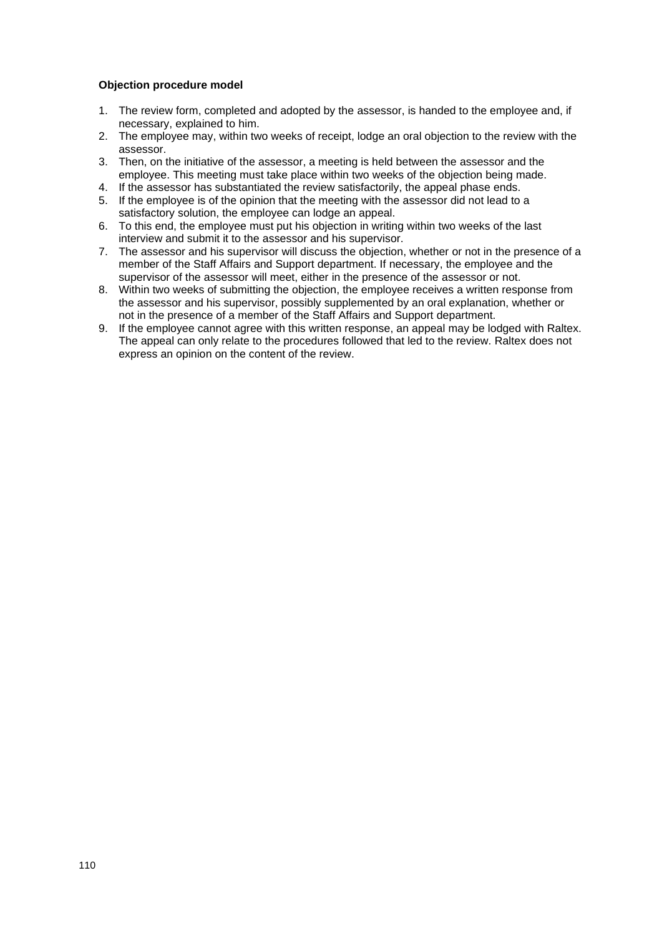### **Objection procedure model**

- 1. The review form, completed and adopted by the assessor, is handed to the employee and, if necessary, explained to him.
- 2. The employee may, within two weeks of receipt, lodge an oral objection to the review with the assessor.
- 3. Then, on the initiative of the assessor, a meeting is held between the assessor and the employee. This meeting must take place within two weeks of the objection being made.
- 4. If the assessor has substantiated the review satisfactorily, the appeal phase ends.
- 5. If the employee is of the opinion that the meeting with the assessor did not lead to a satisfactory solution, the employee can lodge an appeal.
- 6. To this end, the employee must put his objection in writing within two weeks of the last interview and submit it to the assessor and his supervisor.
- 7. The assessor and his supervisor will discuss the objection, whether or not in the presence of a member of the Staff Affairs and Support department. If necessary, the employee and the supervisor of the assessor will meet, either in the presence of the assessor or not.
- 8. Within two weeks of submitting the objection, the employee receives a written response from the assessor and his supervisor, possibly supplemented by an oral explanation, whether or not in the presence of a member of the Staff Affairs and Support department.
- 9. If the employee cannot agree with this written response, an appeal may be lodged with Raltex. The appeal can only relate to the procedures followed that led to the review. Raltex does not express an opinion on the content of the review.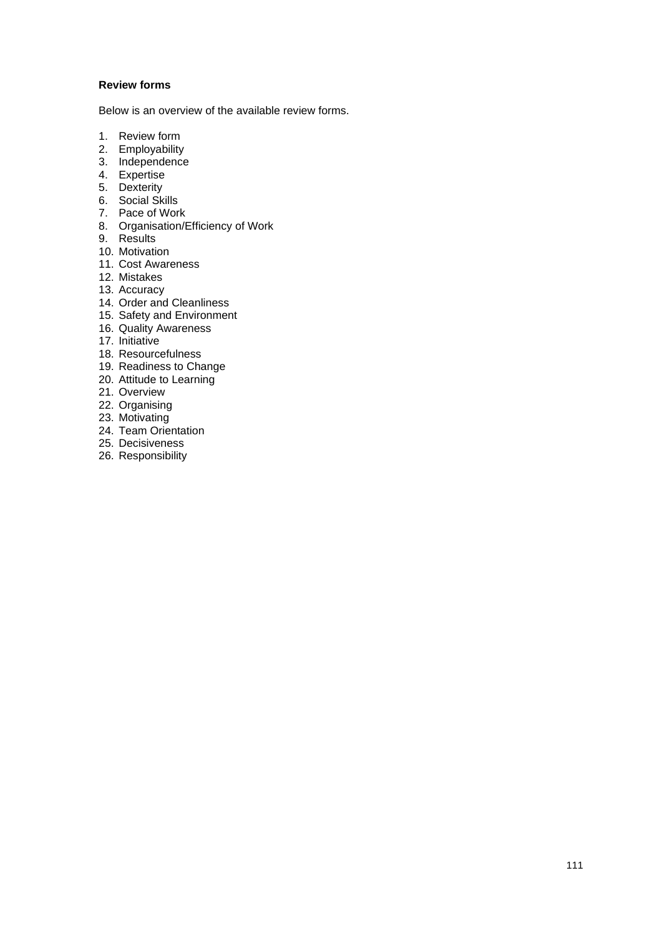## **Review forms**

Below is an overview of the available review forms.

- 1. Review form
- 2. Employability
- 3. Independence
- 4. Expertise
- 5. Dexterity
- 6. Social Skills
- 7. Pace of Work
- 8. Organisation/Efficiency of Work
- 9. Results
- 10. Motivation
- 11. Cost Awareness
- 12. Mistakes
- 13. Accuracy
- 14. Order and Cleanliness
- 15. Safety and Environment
- 16. Quality Awareness
- 17. Initiative
- 18. Resourcefulness
- 19. Readiness to Change
- 20. Attitude to Learning
- 21. Overview
- 22. Organising
- 23. Motivating
- 24. Team Orientation
- 25. Decisiveness
- 26. Responsibility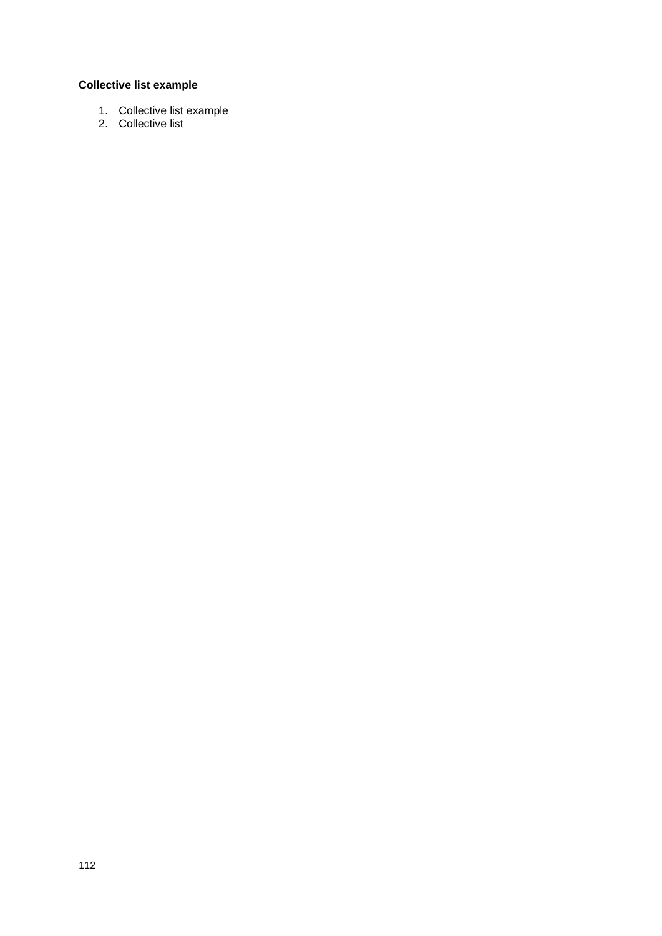# **Collective list example**

- 1. Collective list example
- 2. Collective list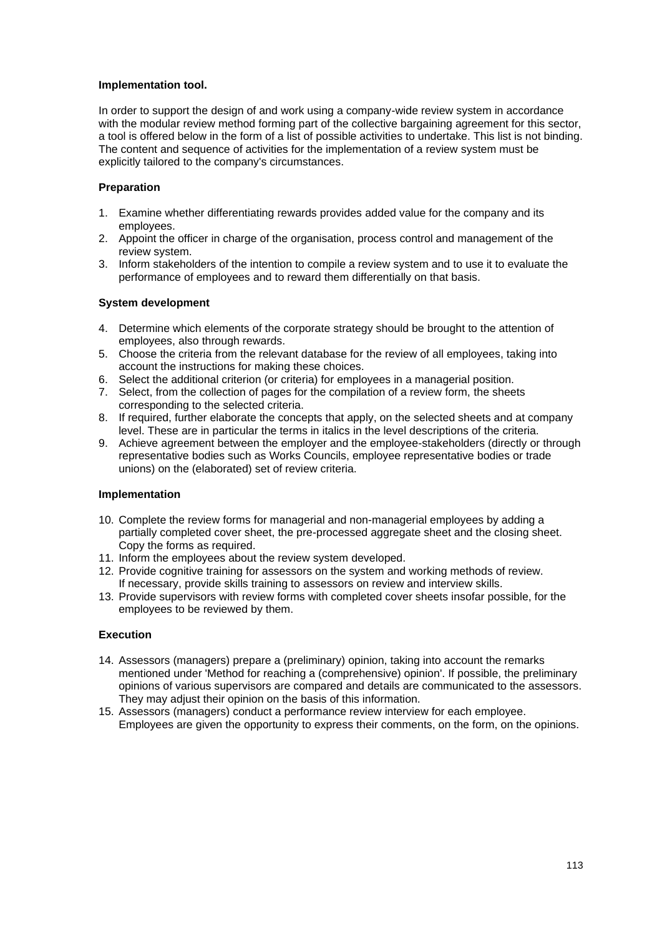#### **Implementation tool.**

In order to support the design of and work using a company-wide review system in accordance with the modular review method forming part of the collective bargaining agreement for this sector, a tool is offered below in the form of a list of possible activities to undertake. This list is not binding. The content and sequence of activities for the implementation of a review system must be explicitly tailored to the company's circumstances.

# **Preparation**

- 1. Examine whether differentiating rewards provides added value for the company and its employees.
- 2. Appoint the officer in charge of the organisation, process control and management of the review system.
- 3. Inform stakeholders of the intention to compile a review system and to use it to evaluate the performance of employees and to reward them differentially on that basis.

# **System development**

- 4. Determine which elements of the corporate strategy should be brought to the attention of employees, also through rewards.
- 5. Choose the criteria from the relevant database for the review of all employees, taking into account the instructions for making these choices.
- 6. Select the additional criterion (or criteria) for employees in a managerial position.
- 7. Select, from the collection of pages for the compilation of a review form, the sheets corresponding to the selected criteria.
- 8. If required, further elaborate the concepts that apply, on the selected sheets and at company level. These are in particular the terms in italics in the level descriptions of the criteria.
- 9. Achieve agreement between the employer and the employee-stakeholders (directly or through representative bodies such as Works Councils, employee representative bodies or trade unions) on the (elaborated) set of review criteria.

# **Implementation**

- 10. Complete the review forms for managerial and non-managerial employees by adding a partially completed cover sheet, the pre-processed aggregate sheet and the closing sheet. Copy the forms as required.
- 11. Inform the employees about the review system developed.
- 12. Provide cognitive training for assessors on the system and working methods of review. If necessary, provide skills training to assessors on review and interview skills.
- 13. Provide supervisors with review forms with completed cover sheets insofar possible, for the employees to be reviewed by them.

# **Execution**

- 14. Assessors (managers) prepare a (preliminary) opinion, taking into account the remarks mentioned under 'Method for reaching a (comprehensive) opinion'. If possible, the preliminary opinions of various supervisors are compared and details are communicated to the assessors. They may adjust their opinion on the basis of this information.
- 15. Assessors (managers) conduct a performance review interview for each employee. Employees are given the opportunity to express their comments, on the form, on the opinions.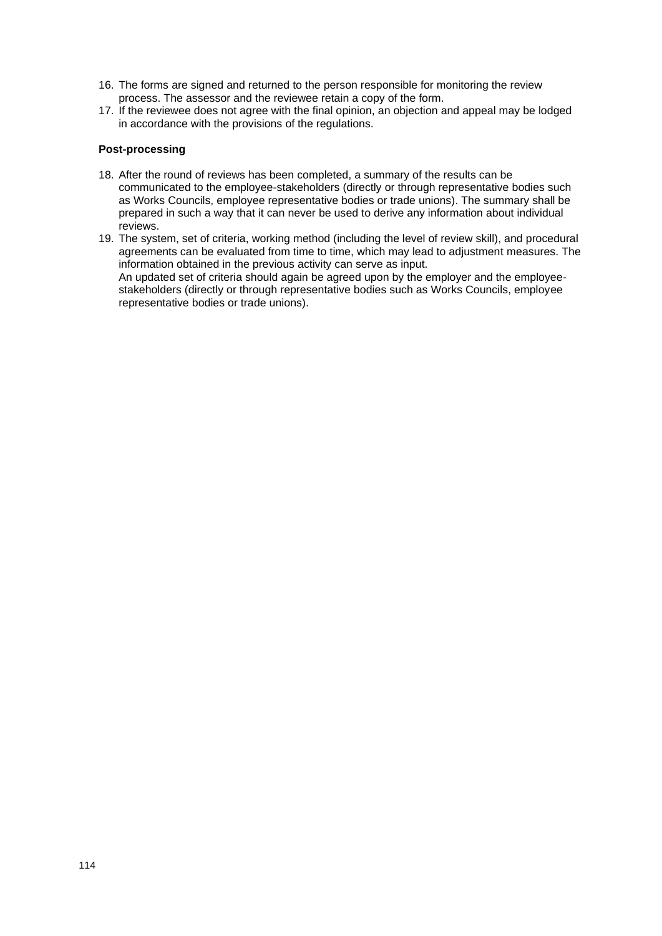- 16. The forms are signed and returned to the person responsible for monitoring the review process. The assessor and the reviewee retain a copy of the form.
- 17. If the reviewee does not agree with the final opinion, an objection and appeal may be lodged in accordance with the provisions of the regulations.

## **Post-processing**

- 18. After the round of reviews has been completed, a summary of the results can be communicated to the employee-stakeholders (directly or through representative bodies such as Works Councils, employee representative bodies or trade unions). The summary shall be prepared in such a way that it can never be used to derive any information about individual reviews.
- 19. The system, set of criteria, working method (including the level of review skill), and procedural agreements can be evaluated from time to time, which may lead to adjustment measures. The information obtained in the previous activity can serve as input. An updated set of criteria should again be agreed upon by the employer and the employeestakeholders (directly or through representative bodies such as Works Councils, employee representative bodies or trade unions).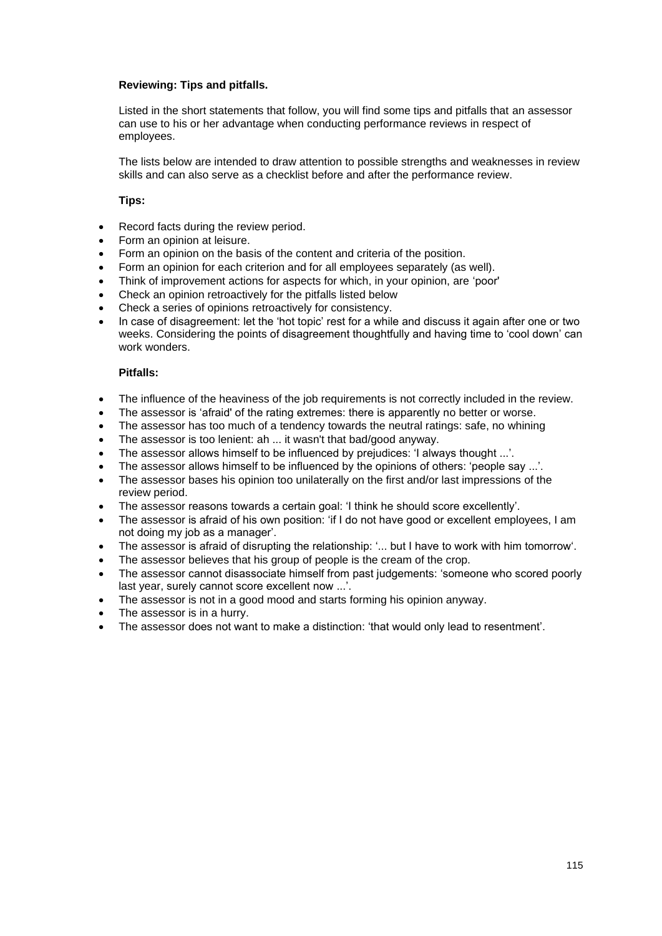## **Reviewing: Tips and pitfalls.**

Listed in the short statements that follow, you will find some tips and pitfalls that an assessor can use to his or her advantage when conducting performance reviews in respect of employees.

The lists below are intended to draw attention to possible strengths and weaknesses in review skills and can also serve as a checklist before and after the performance review.

## **Tips:**

- Record facts during the review period.
- Form an opinion at leisure.
- Form an opinion on the basis of the content and criteria of the position.
- Form an opinion for each criterion and for all employees separately (as well).
- Think of improvement actions for aspects for which, in your opinion, are 'poor'
- Check an opinion retroactively for the pitfalls listed below
- Check a series of opinions retroactively for consistency.
- In case of disagreement: let the 'hot topic' rest for a while and discuss it again after one or two weeks. Considering the points of disagreement thoughtfully and having time to 'cool down' can work wonders.

#### **Pitfalls:**

- The influence of the heaviness of the job requirements is not correctly included in the review.
- The assessor is 'afraid' of the rating extremes: there is apparently no better or worse.
- The assessor has too much of a tendency towards the neutral ratings: safe, no whining
- The assessor is too lenient: ah ... it wasn't that bad/good anyway.
- The assessor allows himself to be influenced by prejudices: 'I always thought ...'.
- The assessor allows himself to be influenced by the opinions of others: 'people say ...'.
- The assessor bases his opinion too unilaterally on the first and/or last impressions of the review period.
- The assessor reasons towards a certain goal: 'I think he should score excellently'.
- The assessor is afraid of his own position: 'if I do not have good or excellent employees, I am not doing my job as a manager'.
- The assessor is afraid of disrupting the relationship: '... but I have to work with him tomorrow'.
- The assessor believes that his group of people is the cream of the crop.
- The assessor cannot disassociate himself from past judgements: 'someone who scored poorly last year, surely cannot score excellent now ...'.
- The assessor is not in a good mood and starts forming his opinion anyway.
- The assessor is in a hurry.
- The assessor does not want to make a distinction: 'that would only lead to resentment'.